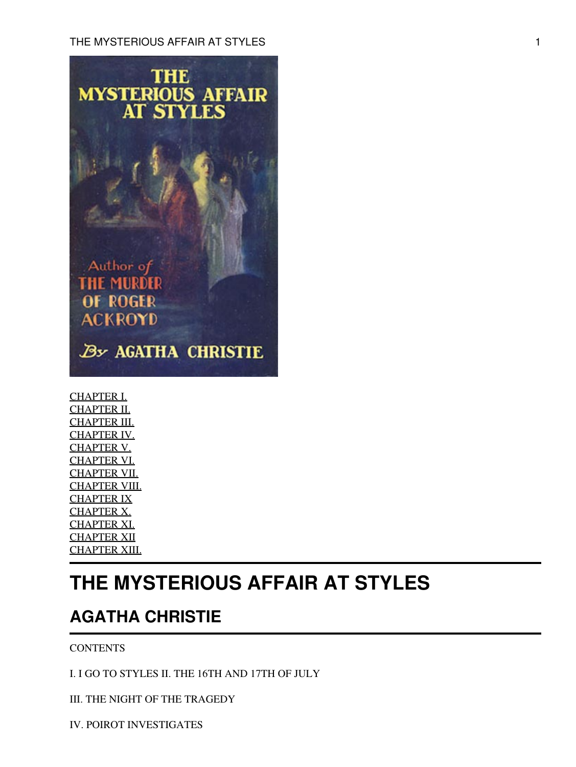

[CHAPTER I.](#page-2-0) [CHAPTER II.](#page-11-0) [CHAPTER III.](#page-17-0) [CHAPTER IV.](#page-22-0) [CHAPTER V.](#page-37-0) [CHAPTER VI.](#page-58-0) [CHAPTER VII.](#page-68-0) [CHAPTER VIII.](#page-76-0) [CHAPTER IX](#page-88-0) [CHAPTER X.](#page-99-0) [CHAPTER XI.](#page-111-0) [CHAPTER XII](#page-125-0) [CHAPTER XIII.](#page-131-0)

# **THE MYSTERIOUS AFFAIR AT STYLES**

# **AGATHA CHRISTIE**

**CONTENTS** 

I. I GO TO STYLES II. THE 16TH AND 17TH OF JULY

III. THE NIGHT OF THE TRAGEDY

IV. POIROT INVESTIGATES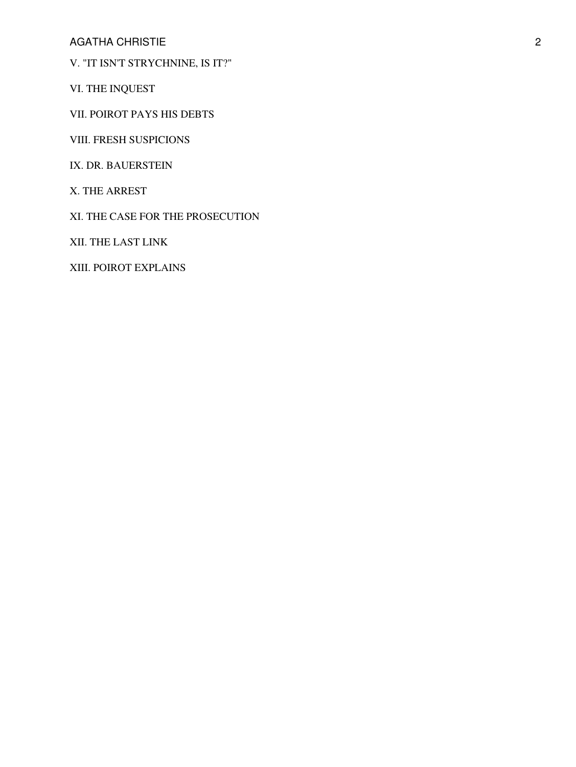AGATHA CHRISTIE 2

V. "IT ISN'T STRYCHNINE, IS IT?"

VI. THE INQUEST

VII. POIROT PAYS HIS DEBTS

VIII. FRESH SUSPICIONS

IX. DR. BAUERSTEIN

X. THE ARREST

XI. THE CASE FOR THE PROSECUTION

XII. THE LAST LINK

XIII. POIROT EXPLAINS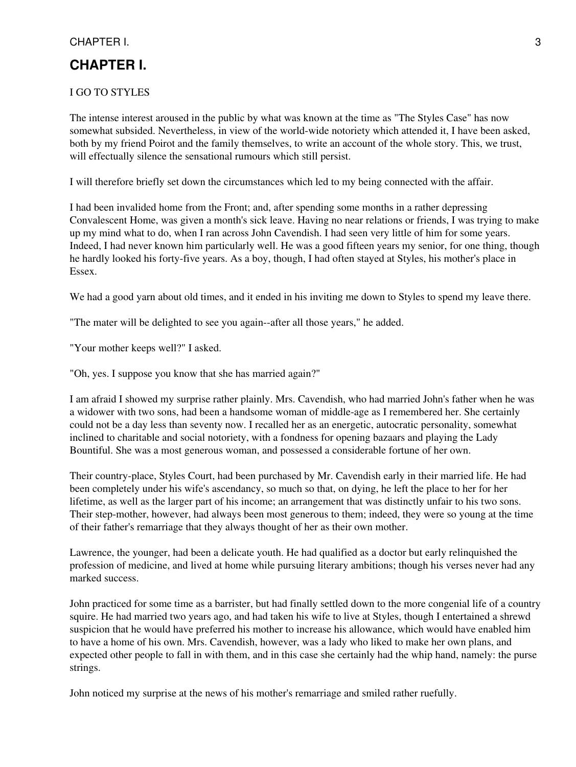## CHAPTER I. 2008 . The set of the set of the set of the set of the set of the set of the set of the set of the set of the set of the set of the set of the set of the set of the set of the set of the set of the set of the se

## <span id="page-2-0"></span>**CHAPTER I.**

#### I GO TO STYLES

The intense interest aroused in the public by what was known at the time as "The Styles Case" has now somewhat subsided. Nevertheless, in view of the world-wide notoriety which attended it, I have been asked, both by my friend Poirot and the family themselves, to write an account of the whole story. This, we trust, will effectually silence the sensational rumours which still persist.

I will therefore briefly set down the circumstances which led to my being connected with the affair.

I had been invalided home from the Front; and, after spending some months in a rather depressing Convalescent Home, was given a month's sick leave. Having no near relations or friends, I was trying to make up my mind what to do, when I ran across John Cavendish. I had seen very little of him for some years. Indeed, I had never known him particularly well. He was a good fifteen years my senior, for one thing, though he hardly looked his forty-five years. As a boy, though, I had often stayed at Styles, his mother's place in Essex.

We had a good yarn about old times, and it ended in his inviting me down to Styles to spend my leave there.

"The mater will be delighted to see you again--after all those years," he added.

"Your mother keeps well?" I asked.

"Oh, yes. I suppose you know that she has married again?"

I am afraid I showed my surprise rather plainly. Mrs. Cavendish, who had married John's father when he was a widower with two sons, had been a handsome woman of middle-age as I remembered her. She certainly could not be a day less than seventy now. I recalled her as an energetic, autocratic personality, somewhat inclined to charitable and social notoriety, with a fondness for opening bazaars and playing the Lady Bountiful. She was a most generous woman, and possessed a considerable fortune of her own.

Their country-place, Styles Court, had been purchased by Mr. Cavendish early in their married life. He had been completely under his wife's ascendancy, so much so that, on dying, he left the place to her for her lifetime, as well as the larger part of his income; an arrangement that was distinctly unfair to his two sons. Their step-mother, however, had always been most generous to them; indeed, they were so young at the time of their father's remarriage that they always thought of her as their own mother.

Lawrence, the younger, had been a delicate youth. He had qualified as a doctor but early relinquished the profession of medicine, and lived at home while pursuing literary ambitions; though his verses never had any marked success.

John practiced for some time as a barrister, but had finally settled down to the more congenial life of a country squire. He had married two years ago, and had taken his wife to live at Styles, though I entertained a shrewd suspicion that he would have preferred his mother to increase his allowance, which would have enabled him to have a home of his own. Mrs. Cavendish, however, was a lady who liked to make her own plans, and expected other people to fall in with them, and in this case she certainly had the whip hand, namely: the purse strings.

John noticed my surprise at the news of his mother's remarriage and smiled rather ruefully.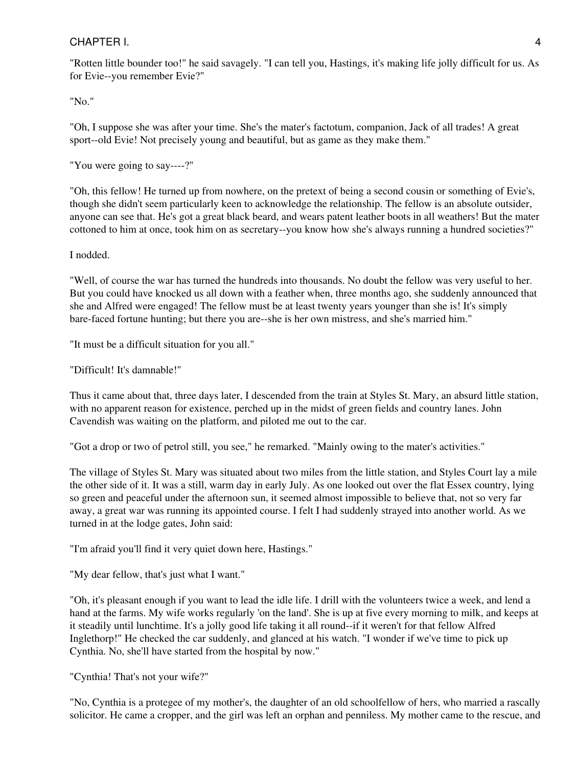"Rotten little bounder too!" he said savagely. "I can tell you, Hastings, it's making life jolly difficult for us. As for Evie--you remember Evie?"

"No."

"Oh, I suppose she was after your time. She's the mater's factotum, companion, Jack of all trades! A great sport--old Evie! Not precisely young and beautiful, but as game as they make them."

"You were going to say----?"

"Oh, this fellow! He turned up from nowhere, on the pretext of being a second cousin or something of Evie's, though she didn't seem particularly keen to acknowledge the relationship. The fellow is an absolute outsider, anyone can see that. He's got a great black beard, and wears patent leather boots in all weathers! But the mater cottoned to him at once, took him on as secretary--you know how she's always running a hundred societies?"

I nodded.

"Well, of course the war has turned the hundreds into thousands. No doubt the fellow was very useful to her. But you could have knocked us all down with a feather when, three months ago, she suddenly announced that she and Alfred were engaged! The fellow must be at least twenty years younger than she is! It's simply bare-faced fortune hunting; but there you are--she is her own mistress, and she's married him."

"It must be a difficult situation for you all."

"Difficult! It's damnable!"

Thus it came about that, three days later, I descended from the train at Styles St. Mary, an absurd little station, with no apparent reason for existence, perched up in the midst of green fields and country lanes. John Cavendish was waiting on the platform, and piloted me out to the car.

"Got a drop or two of petrol still, you see," he remarked. "Mainly owing to the mater's activities."

The village of Styles St. Mary was situated about two miles from the little station, and Styles Court lay a mile the other side of it. It was a still, warm day in early July. As one looked out over the flat Essex country, lying so green and peaceful under the afternoon sun, it seemed almost impossible to believe that, not so very far away, a great war was running its appointed course. I felt I had suddenly strayed into another world. As we turned in at the lodge gates, John said:

"I'm afraid you'll find it very quiet down here, Hastings."

"My dear fellow, that's just what I want."

"Oh, it's pleasant enough if you want to lead the idle life. I drill with the volunteers twice a week, and lend a hand at the farms. My wife works regularly 'on the land'. She is up at five every morning to milk, and keeps at it steadily until lunchtime. It's a jolly good life taking it all round--if it weren't for that fellow Alfred Inglethorp!" He checked the car suddenly, and glanced at his watch. "I wonder if we've time to pick up Cynthia. No, she'll have started from the hospital by now."

"Cynthia! That's not your wife?"

"No, Cynthia is a protegee of my mother's, the daughter of an old schoolfellow of hers, who married a rascally solicitor. He came a cropper, and the girl was left an orphan and penniless. My mother came to the rescue, and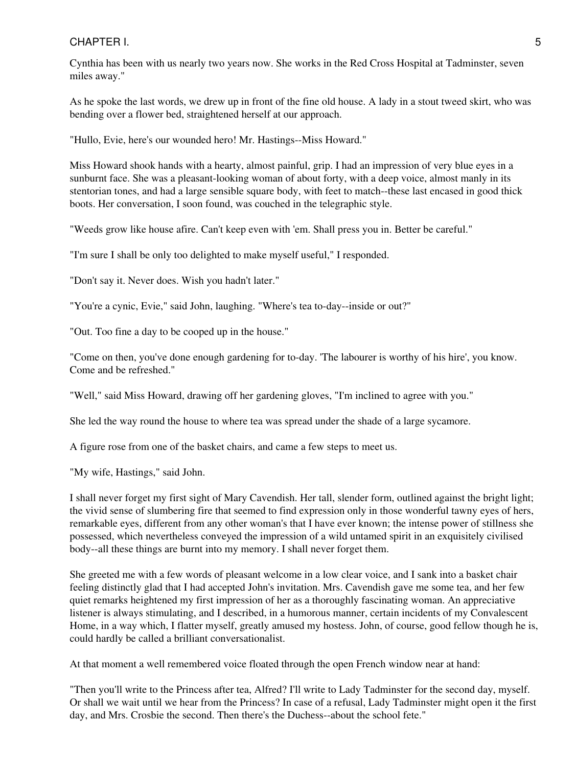Cynthia has been with us nearly two years now. She works in the Red Cross Hospital at Tadminster, seven miles away."

As he spoke the last words, we drew up in front of the fine old house. A lady in a stout tweed skirt, who was bending over a flower bed, straightened herself at our approach.

"Hullo, Evie, here's our wounded hero! Mr. Hastings--Miss Howard."

Miss Howard shook hands with a hearty, almost painful, grip. I had an impression of very blue eyes in a sunburnt face. She was a pleasant-looking woman of about forty, with a deep voice, almost manly in its stentorian tones, and had a large sensible square body, with feet to match--these last encased in good thick boots. Her conversation, I soon found, was couched in the telegraphic style.

"Weeds grow like house afire. Can't keep even with 'em. Shall press you in. Better be careful."

"I'm sure I shall be only too delighted to make myself useful," I responded.

"Don't say it. Never does. Wish you hadn't later."

"You're a cynic, Evie," said John, laughing. "Where's tea to-day--inside or out?"

"Out. Too fine a day to be cooped up in the house."

"Come on then, you've done enough gardening for to-day. 'The labourer is worthy of his hire', you know. Come and be refreshed."

"Well," said Miss Howard, drawing off her gardening gloves, "I'm inclined to agree with you."

She led the way round the house to where tea was spread under the shade of a large sycamore.

A figure rose from one of the basket chairs, and came a few steps to meet us.

"My wife, Hastings," said John.

I shall never forget my first sight of Mary Cavendish. Her tall, slender form, outlined against the bright light; the vivid sense of slumbering fire that seemed to find expression only in those wonderful tawny eyes of hers, remarkable eyes, different from any other woman's that I have ever known; the intense power of stillness she possessed, which nevertheless conveyed the impression of a wild untamed spirit in an exquisitely civilised body--all these things are burnt into my memory. I shall never forget them.

She greeted me with a few words of pleasant welcome in a low clear voice, and I sank into a basket chair feeling distinctly glad that I had accepted John's invitation. Mrs. Cavendish gave me some tea, and her few quiet remarks heightened my first impression of her as a thoroughly fascinating woman. An appreciative listener is always stimulating, and I described, in a humorous manner, certain incidents of my Convalescent Home, in a way which, I flatter myself, greatly amused my hostess. John, of course, good fellow though he is, could hardly be called a brilliant conversationalist.

At that moment a well remembered voice floated through the open French window near at hand:

"Then you'll write to the Princess after tea, Alfred? I'll write to Lady Tadminster for the second day, myself. Or shall we wait until we hear from the Princess? In case of a refusal, Lady Tadminster might open it the first day, and Mrs. Crosbie the second. Then there's the Duchess--about the school fete."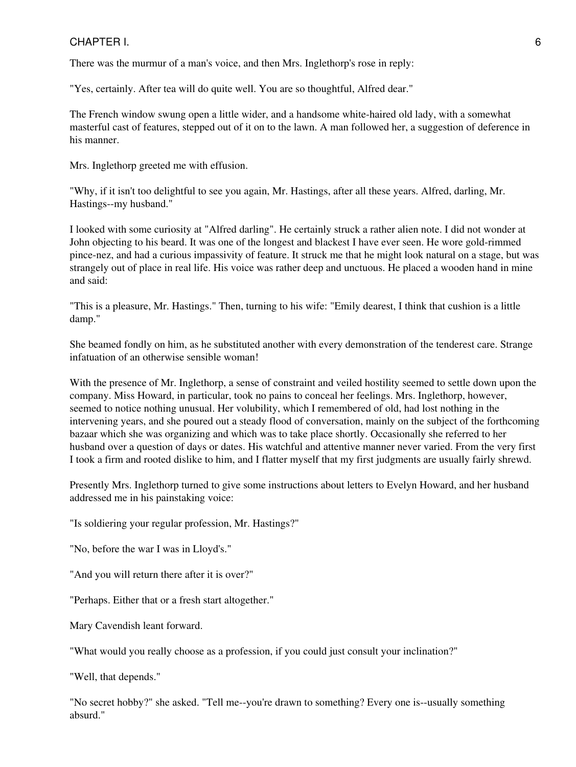There was the murmur of a man's voice, and then Mrs. Inglethorp's rose in reply:

"Yes, certainly. After tea will do quite well. You are so thoughtful, Alfred dear."

The French window swung open a little wider, and a handsome white-haired old lady, with a somewhat masterful cast of features, stepped out of it on to the lawn. A man followed her, a suggestion of deference in his manner.

Mrs. Inglethorp greeted me with effusion.

"Why, if it isn't too delightful to see you again, Mr. Hastings, after all these years. Alfred, darling, Mr. Hastings--my husband."

I looked with some curiosity at "Alfred darling". He certainly struck a rather alien note. I did not wonder at John objecting to his beard. It was one of the longest and blackest I have ever seen. He wore gold-rimmed pince-nez, and had a curious impassivity of feature. It struck me that he might look natural on a stage, but was strangely out of place in real life. His voice was rather deep and unctuous. He placed a wooden hand in mine and said:

"This is a pleasure, Mr. Hastings." Then, turning to his wife: "Emily dearest, I think that cushion is a little damp."

She beamed fondly on him, as he substituted another with every demonstration of the tenderest care. Strange infatuation of an otherwise sensible woman!

With the presence of Mr. Inglethorp, a sense of constraint and veiled hostility seemed to settle down upon the company. Miss Howard, in particular, took no pains to conceal her feelings. Mrs. Inglethorp, however, seemed to notice nothing unusual. Her volubility, which I remembered of old, had lost nothing in the intervening years, and she poured out a steady flood of conversation, mainly on the subject of the forthcoming bazaar which she was organizing and which was to take place shortly. Occasionally she referred to her husband over a question of days or dates. His watchful and attentive manner never varied. From the very first I took a firm and rooted dislike to him, and I flatter myself that my first judgments are usually fairly shrewd.

Presently Mrs. Inglethorp turned to give some instructions about letters to Evelyn Howard, and her husband addressed me in his painstaking voice:

"Is soldiering your regular profession, Mr. Hastings?"

"No, before the war I was in Lloyd's."

"And you will return there after it is over?"

"Perhaps. Either that or a fresh start altogether."

Mary Cavendish leant forward.

"What would you really choose as a profession, if you could just consult your inclination?"

"Well, that depends."

"No secret hobby?" she asked. "Tell me--you're drawn to something? Every one is--usually something absurd."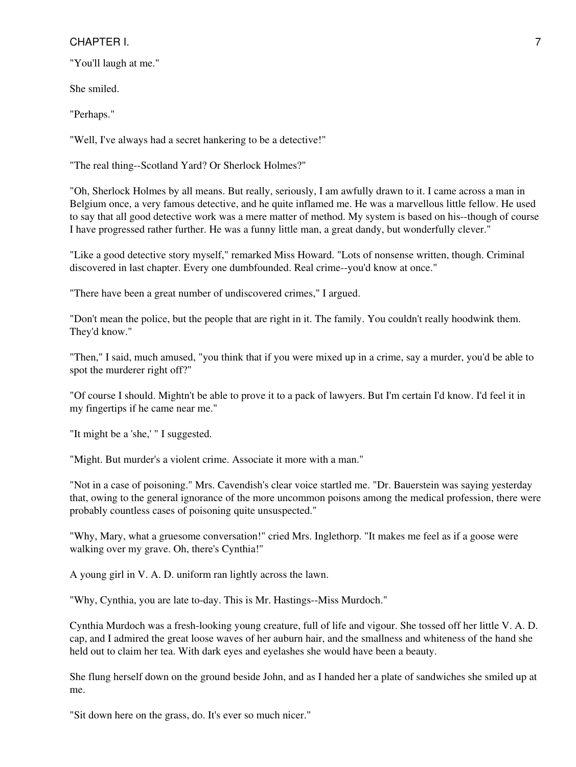"You'll laugh at me."

She smiled.

"Perhaps."

"Well, I've always had a secret hankering to be a detective!"

"The real thing--Scotland Yard? Or Sherlock Holmes?"

"Oh, Sherlock Holmes by all means. But really, seriously, I am awfully drawn to it. I came across a man in Belgium once, a very famous detective, and he quite inflamed me. He was a marvellous little fellow. He used to say that all good detective work was a mere matter of method. My system is based on his--though of course I have progressed rather further. He was a funny little man, a great dandy, but wonderfully clever."

"Like a good detective story myself," remarked Miss Howard. "Lots of nonsense written, though. Criminal discovered in last chapter. Every one dumbfounded. Real crime--you'd know at once."

"There have been a great number of undiscovered crimes," I argued.

"Don't mean the police, but the people that are right in it. The family. You couldn't really hoodwink them. They'd know."

"Then," I said, much amused, "you think that if you were mixed up in a crime, say a murder, you'd be able to spot the murderer right off?"

"Of course I should. Mightn't be able to prove it to a pack of lawyers. But I'm certain I'd know. I'd feel it in my fingertips if he came near me."

"It might be a 'she,' " I suggested.

"Might. But murder's a violent crime. Associate it more with a man."

"Not in a case of poisoning." Mrs. Cavendish's clear voice startled me. "Dr. Bauerstein was saying yesterday that, owing to the general ignorance of the more uncommon poisons among the medical profession, there were probably countless cases of poisoning quite unsuspected."

"Why, Mary, what a gruesome conversation!" cried Mrs. Inglethorp. "It makes me feel as if a goose were walking over my grave. Oh, there's Cynthia!"

A young girl in V. A. D. uniform ran lightly across the lawn.

"Why, Cynthia, you are late to-day. This is Mr. Hastings--Miss Murdoch."

Cynthia Murdoch was a fresh-looking young creature, full of life and vigour. She tossed off her little V. A. D. cap, and I admired the great loose waves of her auburn hair, and the smallness and whiteness of the hand she held out to claim her tea. With dark eyes and eyelashes she would have been a beauty.

She flung herself down on the ground beside John, and as I handed her a plate of sandwiches she smiled up at me.

"Sit down here on the grass, do. It's ever so much nicer."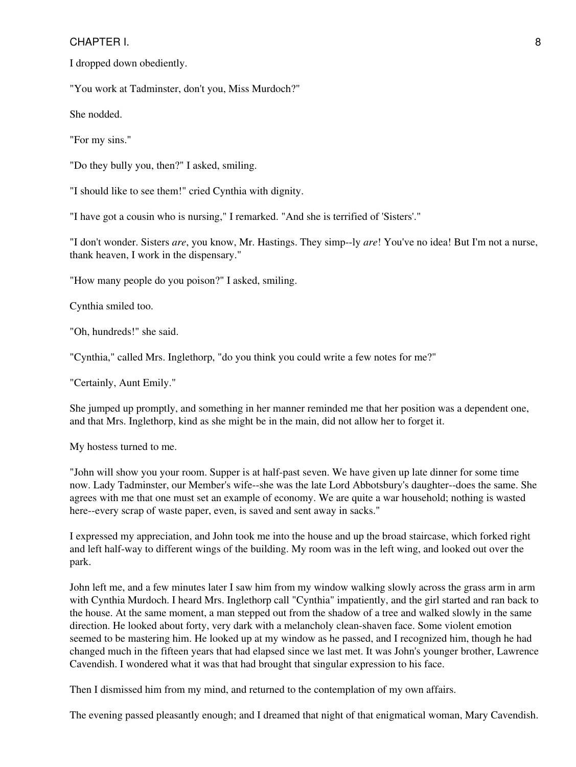I dropped down obediently.

"You work at Tadminster, don't you, Miss Murdoch?"

She nodded.

"For my sins."

"Do they bully you, then?" I asked, smiling.

"I should like to see them!" cried Cynthia with dignity.

"I have got a cousin who is nursing," I remarked. "And she is terrified of 'Sisters'."

"I don't wonder. Sisters *are*, you know, Mr. Hastings. They simp--ly *are*! You've no idea! But I'm not a nurse, thank heaven, I work in the dispensary."

"How many people do you poison?" I asked, smiling.

Cynthia smiled too.

"Oh, hundreds!" she said.

"Cynthia," called Mrs. Inglethorp, "do you think you could write a few notes for me?"

"Certainly, Aunt Emily."

She jumped up promptly, and something in her manner reminded me that her position was a dependent one, and that Mrs. Inglethorp, kind as she might be in the main, did not allow her to forget it.

My hostess turned to me.

"John will show you your room. Supper is at half-past seven. We have given up late dinner for some time now. Lady Tadminster, our Member's wife--she was the late Lord Abbotsbury's daughter--does the same. She agrees with me that one must set an example of economy. We are quite a war household; nothing is wasted here--every scrap of waste paper, even, is saved and sent away in sacks."

I expressed my appreciation, and John took me into the house and up the broad staircase, which forked right and left half-way to different wings of the building. My room was in the left wing, and looked out over the park.

John left me, and a few minutes later I saw him from my window walking slowly across the grass arm in arm with Cynthia Murdoch. I heard Mrs. Inglethorp call "Cynthia" impatiently, and the girl started and ran back to the house. At the same moment, a man stepped out from the shadow of a tree and walked slowly in the same direction. He looked about forty, very dark with a melancholy clean-shaven face. Some violent emotion seemed to be mastering him. He looked up at my window as he passed, and I recognized him, though he had changed much in the fifteen years that had elapsed since we last met. It was John's younger brother, Lawrence Cavendish. I wondered what it was that had brought that singular expression to his face.

Then I dismissed him from my mind, and returned to the contemplation of my own affairs.

The evening passed pleasantly enough; and I dreamed that night of that enigmatical woman, Mary Cavendish.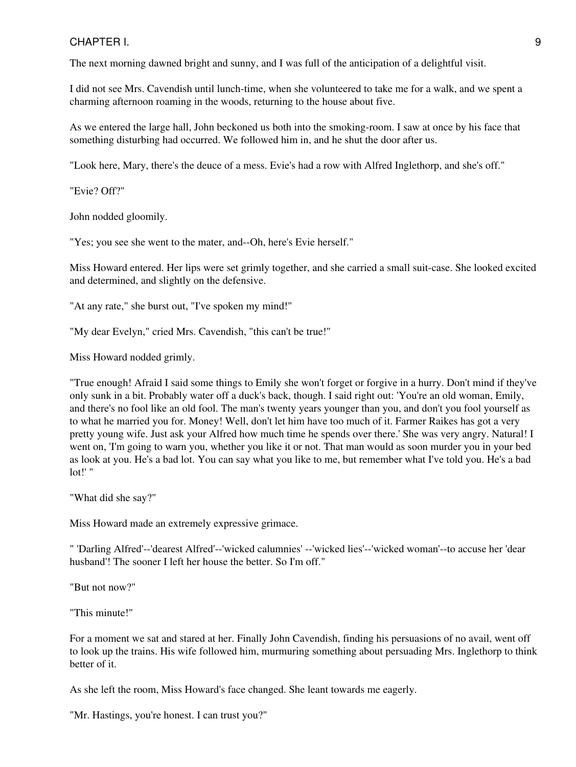The next morning dawned bright and sunny, and I was full of the anticipation of a delightful visit.

I did not see Mrs. Cavendish until lunch-time, when she volunteered to take me for a walk, and we spent a charming afternoon roaming in the woods, returning to the house about five.

As we entered the large hall, John beckoned us both into the smoking-room. I saw at once by his face that something disturbing had occurred. We followed him in, and he shut the door after us.

"Look here, Mary, there's the deuce of a mess. Evie's had a row with Alfred Inglethorp, and she's off."

"Evie? Off?"

John nodded gloomily.

"Yes; you see she went to the mater, and--Oh, here's Evie herself."

Miss Howard entered. Her lips were set grimly together, and she carried a small suit-case. She looked excited and determined, and slightly on the defensive.

"At any rate," she burst out, "I've spoken my mind!"

"My dear Evelyn," cried Mrs. Cavendish, "this can't be true!"

Miss Howard nodded grimly.

"True enough! Afraid I said some things to Emily she won't forget or forgive in a hurry. Don't mind if they've only sunk in a bit. Probably water off a duck's back, though. I said right out: 'You're an old woman, Emily, and there's no fool like an old fool. The man's twenty years younger than you, and don't you fool yourself as to what he married you for. Money! Well, don't let him have too much of it. Farmer Raikes has got a very pretty young wife. Just ask your Alfred how much time he spends over there.' She was very angry. Natural! I went on, 'I'm going to warn you, whether you like it or not. That man would as soon murder you in your bed as look at you. He's a bad lot. You can say what you like to me, but remember what I've told you. He's a bad lot!' "

"What did she say?"

Miss Howard made an extremely expressive grimace.

" 'Darling Alfred'--'dearest Alfred'--'wicked calumnies' --'wicked lies'--'wicked woman'--to accuse her 'dear husband'! The sooner I left her house the better. So I'm off."

"But not now?"

"This minute!"

For a moment we sat and stared at her. Finally John Cavendish, finding his persuasions of no avail, went off to look up the trains. His wife followed him, murmuring something about persuading Mrs. Inglethorp to think better of it.

As she left the room, Miss Howard's face changed. She leant towards me eagerly.

"Mr. Hastings, you're honest. I can trust you?"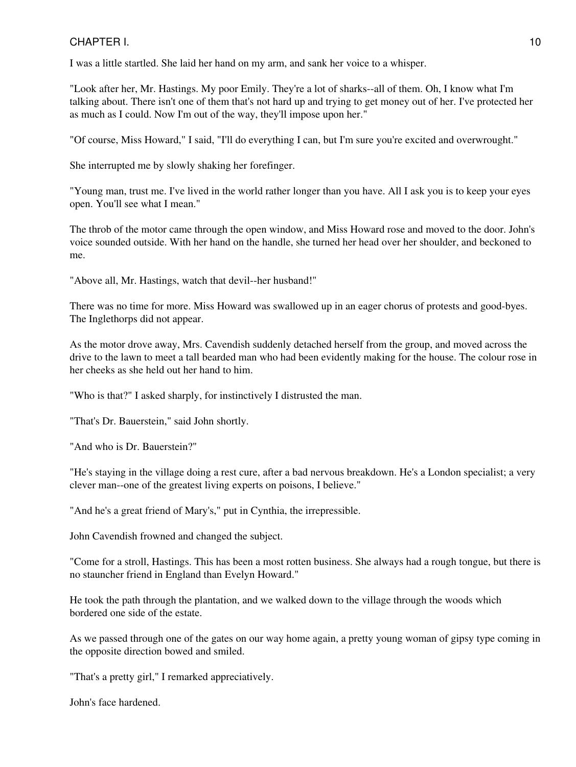I was a little startled. She laid her hand on my arm, and sank her voice to a whisper.

"Look after her, Mr. Hastings. My poor Emily. They're a lot of sharks--all of them. Oh, I know what I'm talking about. There isn't one of them that's not hard up and trying to get money out of her. I've protected her as much as I could. Now I'm out of the way, they'll impose upon her."

"Of course, Miss Howard," I said, "I'll do everything I can, but I'm sure you're excited and overwrought."

She interrupted me by slowly shaking her forefinger.

"Young man, trust me. I've lived in the world rather longer than you have. All I ask you is to keep your eyes open. You'll see what I mean."

The throb of the motor came through the open window, and Miss Howard rose and moved to the door. John's voice sounded outside. With her hand on the handle, she turned her head over her shoulder, and beckoned to me.

"Above all, Mr. Hastings, watch that devil--her husband!"

There was no time for more. Miss Howard was swallowed up in an eager chorus of protests and good-byes. The Inglethorps did not appear.

As the motor drove away, Mrs. Cavendish suddenly detached herself from the group, and moved across the drive to the lawn to meet a tall bearded man who had been evidently making for the house. The colour rose in her cheeks as she held out her hand to him.

"Who is that?" I asked sharply, for instinctively I distrusted the man.

"That's Dr. Bauerstein," said John shortly.

"And who is Dr. Bauerstein?"

"He's staying in the village doing a rest cure, after a bad nervous breakdown. He's a London specialist; a very clever man--one of the greatest living experts on poisons, I believe."

"And he's a great friend of Mary's," put in Cynthia, the irrepressible.

John Cavendish frowned and changed the subject.

"Come for a stroll, Hastings. This has been a most rotten business. She always had a rough tongue, but there is no stauncher friend in England than Evelyn Howard."

He took the path through the plantation, and we walked down to the village through the woods which bordered one side of the estate.

As we passed through one of the gates on our way home again, a pretty young woman of gipsy type coming in the opposite direction bowed and smiled.

"That's a pretty girl," I remarked appreciatively.

John's face hardened.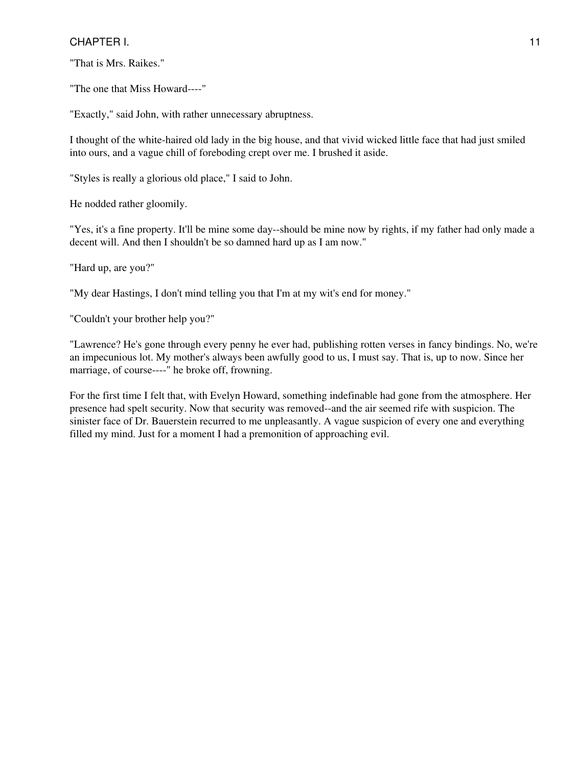"That is Mrs. Raikes."

"The one that Miss Howard----"

"Exactly," said John, with rather unnecessary abruptness.

I thought of the white-haired old lady in the big house, and that vivid wicked little face that had just smiled into ours, and a vague chill of foreboding crept over me. I brushed it aside.

"Styles is really a glorious old place," I said to John.

He nodded rather gloomily.

"Yes, it's a fine property. It'll be mine some day--should be mine now by rights, if my father had only made a decent will. And then I shouldn't be so damned hard up as I am now."

"Hard up, are you?"

"My dear Hastings, I don't mind telling you that I'm at my wit's end for money."

"Couldn't your brother help you?"

"Lawrence? He's gone through every penny he ever had, publishing rotten verses in fancy bindings. No, we're an impecunious lot. My mother's always been awfully good to us, I must say. That is, up to now. Since her marriage, of course----" he broke off, frowning.

For the first time I felt that, with Evelyn Howard, something indefinable had gone from the atmosphere. Her presence had spelt security. Now that security was removed--and the air seemed rife with suspicion. The sinister face of Dr. Bauerstein recurred to me unpleasantly. A vague suspicion of every one and everything filled my mind. Just for a moment I had a premonition of approaching evil.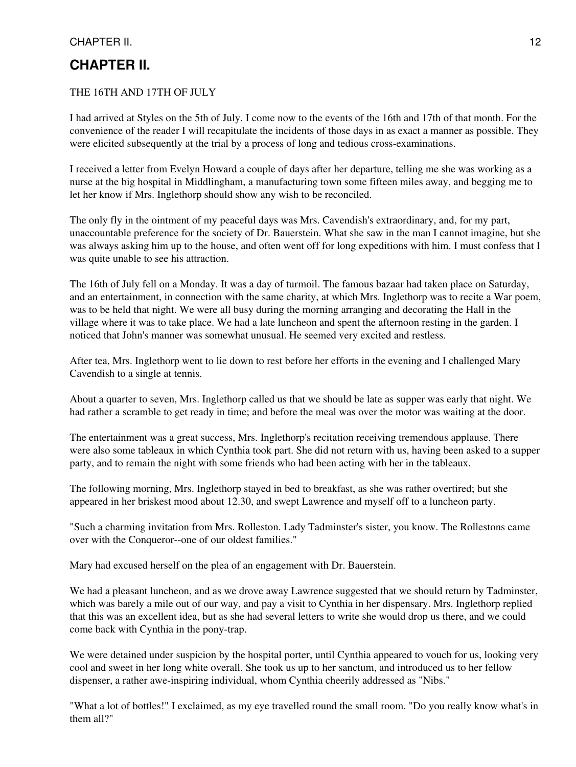# <span id="page-11-0"></span>**CHAPTER II.**

## THE 16TH AND 17TH OF JULY

I had arrived at Styles on the 5th of July. I come now to the events of the 16th and 17th of that month. For the convenience of the reader I will recapitulate the incidents of those days in as exact a manner as possible. They were elicited subsequently at the trial by a process of long and tedious cross-examinations.

I received a letter from Evelyn Howard a couple of days after her departure, telling me she was working as a nurse at the big hospital in Middlingham, a manufacturing town some fifteen miles away, and begging me to let her know if Mrs. Inglethorp should show any wish to be reconciled.

The only fly in the ointment of my peaceful days was Mrs. Cavendish's extraordinary, and, for my part, unaccountable preference for the society of Dr. Bauerstein. What she saw in the man I cannot imagine, but she was always asking him up to the house, and often went off for long expeditions with him. I must confess that I was quite unable to see his attraction.

The 16th of July fell on a Monday. It was a day of turmoil. The famous bazaar had taken place on Saturday, and an entertainment, in connection with the same charity, at which Mrs. Inglethorp was to recite a War poem, was to be held that night. We were all busy during the morning arranging and decorating the Hall in the village where it was to take place. We had a late luncheon and spent the afternoon resting in the garden. I noticed that John's manner was somewhat unusual. He seemed very excited and restless.

After tea, Mrs. Inglethorp went to lie down to rest before her efforts in the evening and I challenged Mary Cavendish to a single at tennis.

About a quarter to seven, Mrs. Inglethorp called us that we should be late as supper was early that night. We had rather a scramble to get ready in time; and before the meal was over the motor was waiting at the door.

The entertainment was a great success, Mrs. Inglethorp's recitation receiving tremendous applause. There were also some tableaux in which Cynthia took part. She did not return with us, having been asked to a supper party, and to remain the night with some friends who had been acting with her in the tableaux.

The following morning, Mrs. Inglethorp stayed in bed to breakfast, as she was rather overtired; but she appeared in her briskest mood about 12.30, and swept Lawrence and myself off to a luncheon party.

"Such a charming invitation from Mrs. Rolleston. Lady Tadminster's sister, you know. The Rollestons came over with the Conqueror--one of our oldest families."

Mary had excused herself on the plea of an engagement with Dr. Bauerstein.

We had a pleasant luncheon, and as we drove away Lawrence suggested that we should return by Tadminster, which was barely a mile out of our way, and pay a visit to Cynthia in her dispensary. Mrs. Inglethorp replied that this was an excellent idea, but as she had several letters to write she would drop us there, and we could come back with Cynthia in the pony-trap.

We were detained under suspicion by the hospital porter, until Cynthia appeared to vouch for us, looking very cool and sweet in her long white overall. She took us up to her sanctum, and introduced us to her fellow dispenser, a rather awe-inspiring individual, whom Cynthia cheerily addressed as "Nibs."

"What a lot of bottles!" I exclaimed, as my eye travelled round the small room. "Do you really know what's in them all?"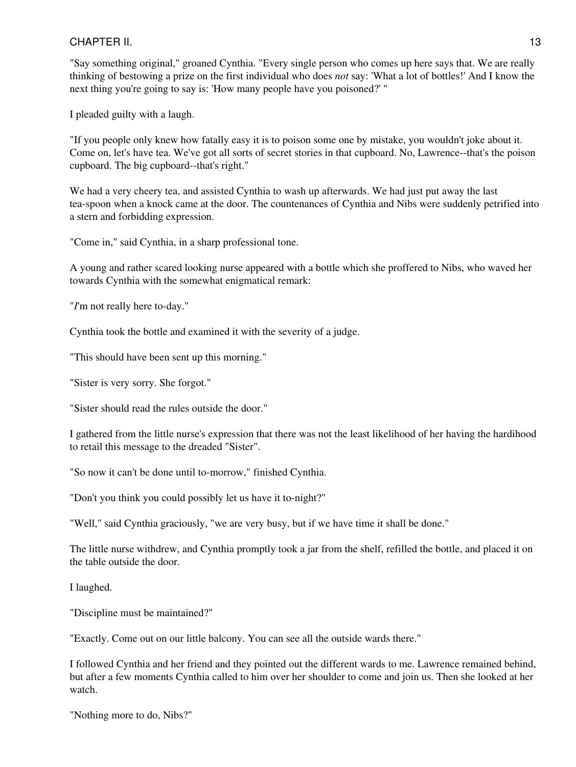"Say something original," groaned Cynthia. "Every single person who comes up here says that. We are really thinking of bestowing a prize on the first individual who does *not* say: 'What a lot of bottles!' And I know the next thing you're going to say is: 'How many people have you poisoned?' "

I pleaded guilty with a laugh.

"If you people only knew how fatally easy it is to poison some one by mistake, you wouldn't joke about it. Come on, let's have tea. We've got all sorts of secret stories in that cupboard. No, Lawrence--that's the poison cupboard. The big cupboard--that's right."

We had a very cheery tea, and assisted Cynthia to wash up afterwards. We had just put away the last tea-spoon when a knock came at the door. The countenances of Cynthia and Nibs were suddenly petrified into a stern and forbidding expression.

"Come in," said Cynthia, in a sharp professional tone.

A young and rather scared looking nurse appeared with a bottle which she proffered to Nibs, who waved her towards Cynthia with the somewhat enigmatical remark:

"*I*'m not really here to-day."

Cynthia took the bottle and examined it with the severity of a judge.

"This should have been sent up this morning."

"Sister is very sorry. She forgot."

"Sister should read the rules outside the door."

I gathered from the little nurse's expression that there was not the least likelihood of her having the hardihood to retail this message to the dreaded "Sister".

"So now it can't be done until to-morrow," finished Cynthia.

"Don't you think you could possibly let us have it to-night?"

"Well," said Cynthia graciously, "we are very busy, but if we have time it shall be done."

The little nurse withdrew, and Cynthia promptly took a jar from the shelf, refilled the bottle, and placed it on the table outside the door.

I laughed.

"Discipline must be maintained?"

"Exactly. Come out on our little balcony. You can see all the outside wards there."

I followed Cynthia and her friend and they pointed out the different wards to me. Lawrence remained behind, but after a few moments Cynthia called to him over her shoulder to come and join us. Then she looked at her watch.

"Nothing more to do, Nibs?"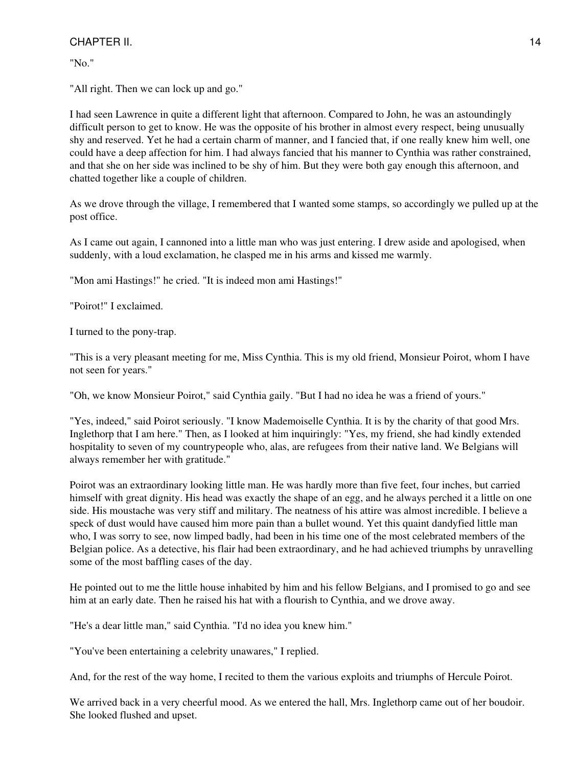"No."

"All right. Then we can lock up and go."

I had seen Lawrence in quite a different light that afternoon. Compared to John, he was an astoundingly difficult person to get to know. He was the opposite of his brother in almost every respect, being unusually shy and reserved. Yet he had a certain charm of manner, and I fancied that, if one really knew him well, one could have a deep affection for him. I had always fancied that his manner to Cynthia was rather constrained, and that she on her side was inclined to be shy of him. But they were both gay enough this afternoon, and chatted together like a couple of children.

As we drove through the village, I remembered that I wanted some stamps, so accordingly we pulled up at the post office.

As I came out again, I cannoned into a little man who was just entering. I drew aside and apologised, when suddenly, with a loud exclamation, he clasped me in his arms and kissed me warmly.

"Mon ami Hastings!" he cried. "It is indeed mon ami Hastings!"

"Poirot!" I exclaimed.

I turned to the pony-trap.

"This is a very pleasant meeting for me, Miss Cynthia. This is my old friend, Monsieur Poirot, whom I have not seen for years."

"Oh, we know Monsieur Poirot," said Cynthia gaily. "But I had no idea he was a friend of yours."

"Yes, indeed," said Poirot seriously. "I know Mademoiselle Cynthia. It is by the charity of that good Mrs. Inglethorp that I am here." Then, as I looked at him inquiringly: "Yes, my friend, she had kindly extended hospitality to seven of my countrypeople who, alas, are refugees from their native land. We Belgians will always remember her with gratitude."

Poirot was an extraordinary looking little man. He was hardly more than five feet, four inches, but carried himself with great dignity. His head was exactly the shape of an egg, and he always perched it a little on one side. His moustache was very stiff and military. The neatness of his attire was almost incredible. I believe a speck of dust would have caused him more pain than a bullet wound. Yet this quaint dandyfied little man who, I was sorry to see, now limped badly, had been in his time one of the most celebrated members of the Belgian police. As a detective, his flair had been extraordinary, and he had achieved triumphs by unravelling some of the most baffling cases of the day.

He pointed out to me the little house inhabited by him and his fellow Belgians, and I promised to go and see him at an early date. Then he raised his hat with a flourish to Cynthia, and we drove away.

"He's a dear little man," said Cynthia. "I'd no idea you knew him."

"You've been entertaining a celebrity unawares," I replied.

And, for the rest of the way home, I recited to them the various exploits and triumphs of Hercule Poirot.

We arrived back in a very cheerful mood. As we entered the hall, Mrs. Inglethorp came out of her boudoir. She looked flushed and upset.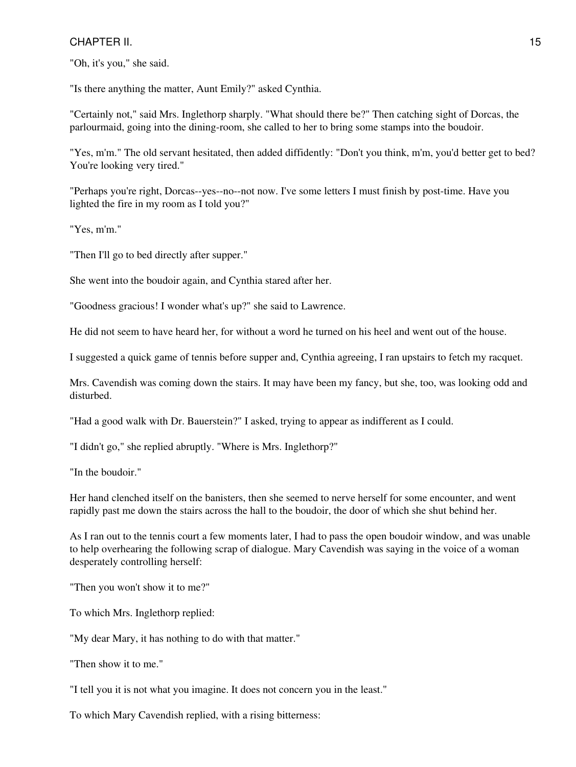"Oh, it's you," she said.

"Is there anything the matter, Aunt Emily?" asked Cynthia.

"Certainly not," said Mrs. Inglethorp sharply. "What should there be?" Then catching sight of Dorcas, the parlourmaid, going into the dining-room, she called to her to bring some stamps into the boudoir.

"Yes, m'm." The old servant hesitated, then added diffidently: "Don't you think, m'm, you'd better get to bed? You're looking very tired."

"Perhaps you're right, Dorcas--yes--no--not now. I've some letters I must finish by post-time. Have you lighted the fire in my room as I told you?"

"Yes, m'm."

"Then I'll go to bed directly after supper."

She went into the boudoir again, and Cynthia stared after her.

"Goodness gracious! I wonder what's up?" she said to Lawrence.

He did not seem to have heard her, for without a word he turned on his heel and went out of the house.

I suggested a quick game of tennis before supper and, Cynthia agreeing, I ran upstairs to fetch my racquet.

Mrs. Cavendish was coming down the stairs. It may have been my fancy, but she, too, was looking odd and disturbed.

"Had a good walk with Dr. Bauerstein?" I asked, trying to appear as indifferent as I could.

"I didn't go," she replied abruptly. "Where is Mrs. Inglethorp?"

"In the boudoir."

Her hand clenched itself on the banisters, then she seemed to nerve herself for some encounter, and went rapidly past me down the stairs across the hall to the boudoir, the door of which she shut behind her.

As I ran out to the tennis court a few moments later, I had to pass the open boudoir window, and was unable to help overhearing the following scrap of dialogue. Mary Cavendish was saying in the voice of a woman desperately controlling herself:

"Then you won't show it to me?"

To which Mrs. Inglethorp replied:

"My dear Mary, it has nothing to do with that matter."

"Then show it to me."

"I tell you it is not what you imagine. It does not concern you in the least."

To which Mary Cavendish replied, with a rising bitterness: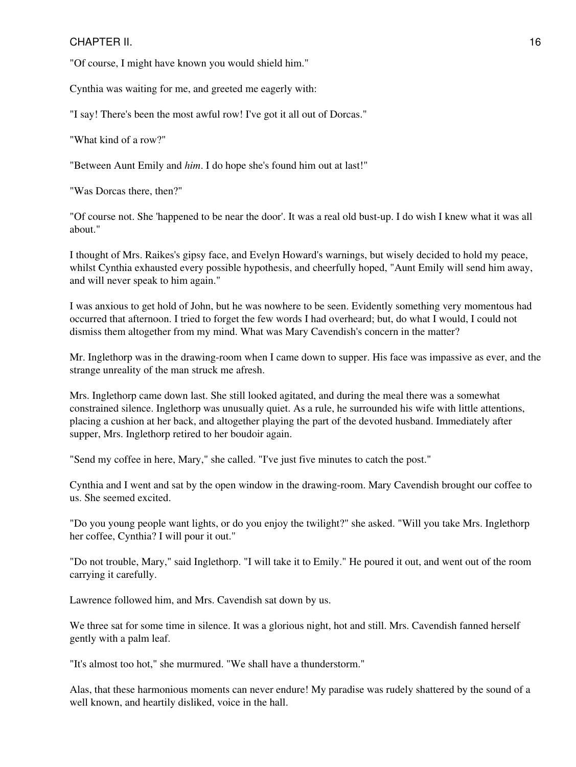"Of course, I might have known you would shield him."

Cynthia was waiting for me, and greeted me eagerly with:

"I say! There's been the most awful row! I've got it all out of Dorcas."

"What kind of a row?"

"Between Aunt Emily and *him*. I do hope she's found him out at last!"

"Was Dorcas there, then?"

"Of course not. She 'happened to be near the door'. It was a real old bust-up. I do wish I knew what it was all about."

I thought of Mrs. Raikes's gipsy face, and Evelyn Howard's warnings, but wisely decided to hold my peace, whilst Cynthia exhausted every possible hypothesis, and cheerfully hoped, "Aunt Emily will send him away, and will never speak to him again."

I was anxious to get hold of John, but he was nowhere to be seen. Evidently something very momentous had occurred that afternoon. I tried to forget the few words I had overheard; but, do what I would, I could not dismiss them altogether from my mind. What was Mary Cavendish's concern in the matter?

Mr. Inglethorp was in the drawing-room when I came down to supper. His face was impassive as ever, and the strange unreality of the man struck me afresh.

Mrs. Inglethorp came down last. She still looked agitated, and during the meal there was a somewhat constrained silence. Inglethorp was unusually quiet. As a rule, he surrounded his wife with little attentions, placing a cushion at her back, and altogether playing the part of the devoted husband. Immediately after supper, Mrs. Inglethorp retired to her boudoir again.

"Send my coffee in here, Mary," she called. "I've just five minutes to catch the post."

Cynthia and I went and sat by the open window in the drawing-room. Mary Cavendish brought our coffee to us. She seemed excited.

"Do you young people want lights, or do you enjoy the twilight?" she asked. "Will you take Mrs. Inglethorp her coffee, Cynthia? I will pour it out."

"Do not trouble, Mary," said Inglethorp. "I will take it to Emily." He poured it out, and went out of the room carrying it carefully.

Lawrence followed him, and Mrs. Cavendish sat down by us.

We three sat for some time in silence. It was a glorious night, hot and still. Mrs. Cavendish fanned herself gently with a palm leaf.

"It's almost too hot," she murmured. "We shall have a thunderstorm."

Alas, that these harmonious moments can never endure! My paradise was rudely shattered by the sound of a well known, and heartily disliked, voice in the hall.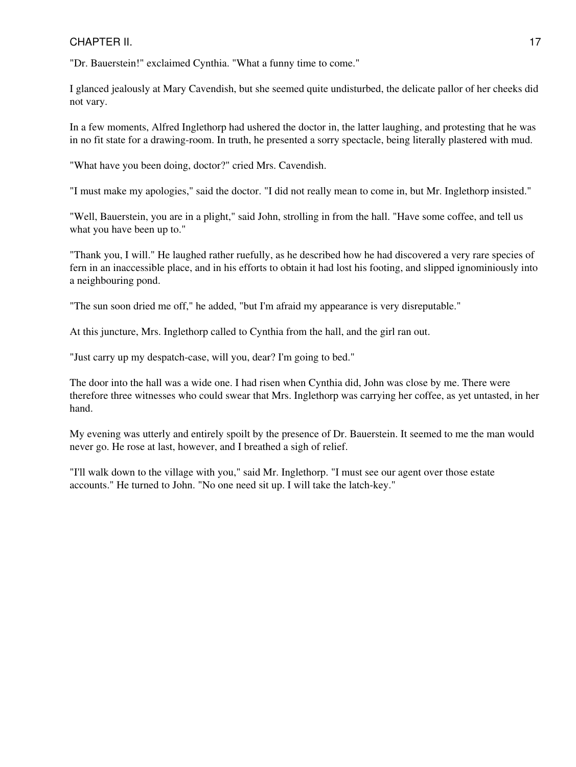"Dr. Bauerstein!" exclaimed Cynthia. "What a funny time to come."

I glanced jealously at Mary Cavendish, but she seemed quite undisturbed, the delicate pallor of her cheeks did not vary.

In a few moments, Alfred Inglethorp had ushered the doctor in, the latter laughing, and protesting that he was in no fit state for a drawing-room. In truth, he presented a sorry spectacle, being literally plastered with mud.

"What have you been doing, doctor?" cried Mrs. Cavendish.

"I must make my apologies," said the doctor. "I did not really mean to come in, but Mr. Inglethorp insisted."

"Well, Bauerstein, you are in a plight," said John, strolling in from the hall. "Have some coffee, and tell us what you have been up to."

"Thank you, I will." He laughed rather ruefully, as he described how he had discovered a very rare species of fern in an inaccessible place, and in his efforts to obtain it had lost his footing, and slipped ignominiously into a neighbouring pond.

"The sun soon dried me off," he added, "but I'm afraid my appearance is very disreputable."

At this juncture, Mrs. Inglethorp called to Cynthia from the hall, and the girl ran out.

"Just carry up my despatch-case, will you, dear? I'm going to bed."

The door into the hall was a wide one. I had risen when Cynthia did, John was close by me. There were therefore three witnesses who could swear that Mrs. Inglethorp was carrying her coffee, as yet untasted, in her hand.

My evening was utterly and entirely spoilt by the presence of Dr. Bauerstein. It seemed to me the man would never go. He rose at last, however, and I breathed a sigh of relief.

"I'll walk down to the village with you," said Mr. Inglethorp. "I must see our agent over those estate accounts." He turned to John. "No one need sit up. I will take the latch-key."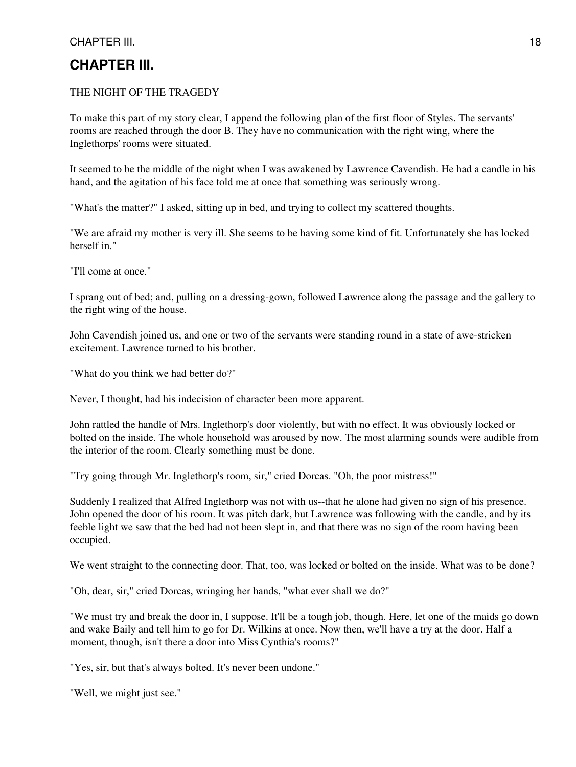## <span id="page-17-0"></span>THE NIGHT OF THE TRAGEDY

To make this part of my story clear, I append the following plan of the first floor of Styles. The servants' rooms are reached through the door B. They have no communication with the right wing, where the Inglethorps' rooms were situated.

It seemed to be the middle of the night when I was awakened by Lawrence Cavendish. He had a candle in his hand, and the agitation of his face told me at once that something was seriously wrong.

"What's the matter?" I asked, sitting up in bed, and trying to collect my scattered thoughts.

"We are afraid my mother is very ill. She seems to be having some kind of fit. Unfortunately she has locked herself in."

"I'll come at once."

I sprang out of bed; and, pulling on a dressing-gown, followed Lawrence along the passage and the gallery to the right wing of the house.

John Cavendish joined us, and one or two of the servants were standing round in a state of awe-stricken excitement. Lawrence turned to his brother.

"What do you think we had better do?"

Never, I thought, had his indecision of character been more apparent.

John rattled the handle of Mrs. Inglethorp's door violently, but with no effect. It was obviously locked or bolted on the inside. The whole household was aroused by now. The most alarming sounds were audible from the interior of the room. Clearly something must be done.

"Try going through Mr. Inglethorp's room, sir," cried Dorcas. "Oh, the poor mistress!"

Suddenly I realized that Alfred Inglethorp was not with us--that he alone had given no sign of his presence. John opened the door of his room. It was pitch dark, but Lawrence was following with the candle, and by its feeble light we saw that the bed had not been slept in, and that there was no sign of the room having been occupied.

We went straight to the connecting door. That, too, was locked or bolted on the inside. What was to be done?

"Oh, dear, sir," cried Dorcas, wringing her hands, "what ever shall we do?"

"We must try and break the door in, I suppose. It'll be a tough job, though. Here, let one of the maids go down and wake Baily and tell him to go for Dr. Wilkins at once. Now then, we'll have a try at the door. Half a moment, though, isn't there a door into Miss Cynthia's rooms?"

"Yes, sir, but that's always bolted. It's never been undone."

"Well, we might just see."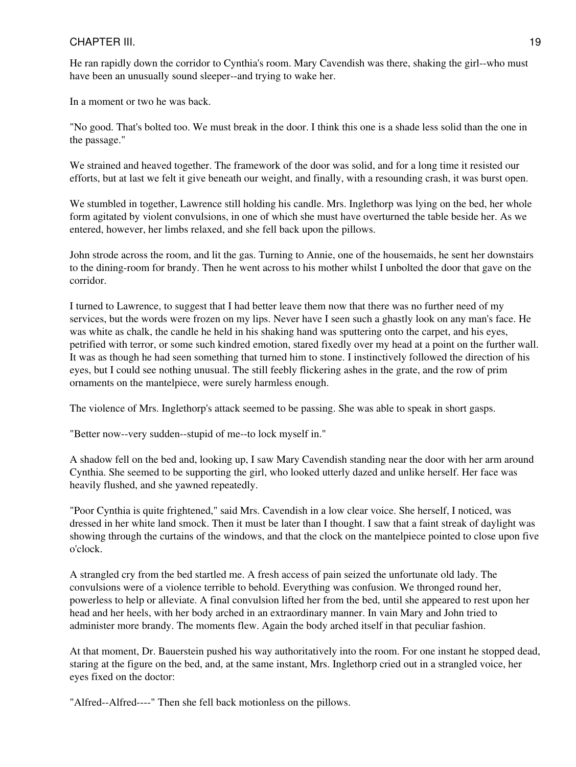## CHAPTER III. 2002. 2003. THE STATE STATE STATE STATE STATE STATE STATE STATE STATE STATE STATE STATE STATE STATE STATE STATE STATE STATE STATE STATE STATE STATE STATE STATE STATE STATE STATE STATE STATE STATE STATE STATE S

He ran rapidly down the corridor to Cynthia's room. Mary Cavendish was there, shaking the girl--who must have been an unusually sound sleeper--and trying to wake her.

In a moment or two he was back.

"No good. That's bolted too. We must break in the door. I think this one is a shade less solid than the one in the passage."

We strained and heaved together. The framework of the door was solid, and for a long time it resisted our efforts, but at last we felt it give beneath our weight, and finally, with a resounding crash, it was burst open.

We stumbled in together, Lawrence still holding his candle. Mrs. Inglethorp was lying on the bed, her whole form agitated by violent convulsions, in one of which she must have overturned the table beside her. As we entered, however, her limbs relaxed, and she fell back upon the pillows.

John strode across the room, and lit the gas. Turning to Annie, one of the housemaids, he sent her downstairs to the dining-room for brandy. Then he went across to his mother whilst I unbolted the door that gave on the corridor.

I turned to Lawrence, to suggest that I had better leave them now that there was no further need of my services, but the words were frozen on my lips. Never have I seen such a ghastly look on any man's face. He was white as chalk, the candle he held in his shaking hand was sputtering onto the carpet, and his eyes, petrified with terror, or some such kindred emotion, stared fixedly over my head at a point on the further wall. It was as though he had seen something that turned him to stone. I instinctively followed the direction of his eyes, but I could see nothing unusual. The still feebly flickering ashes in the grate, and the row of prim ornaments on the mantelpiece, were surely harmless enough.

The violence of Mrs. Inglethorp's attack seemed to be passing. She was able to speak in short gasps.

"Better now--very sudden--stupid of me--to lock myself in."

A shadow fell on the bed and, looking up, I saw Mary Cavendish standing near the door with her arm around Cynthia. She seemed to be supporting the girl, who looked utterly dazed and unlike herself. Her face was heavily flushed, and she yawned repeatedly.

"Poor Cynthia is quite frightened," said Mrs. Cavendish in a low clear voice. She herself, I noticed, was dressed in her white land smock. Then it must be later than I thought. I saw that a faint streak of daylight was showing through the curtains of the windows, and that the clock on the mantelpiece pointed to close upon five o'clock.

A strangled cry from the bed startled me. A fresh access of pain seized the unfortunate old lady. The convulsions were of a violence terrible to behold. Everything was confusion. We thronged round her, powerless to help or alleviate. A final convulsion lifted her from the bed, until she appeared to rest upon her head and her heels, with her body arched in an extraordinary manner. In vain Mary and John tried to administer more brandy. The moments flew. Again the body arched itself in that peculiar fashion.

At that moment, Dr. Bauerstein pushed his way authoritatively into the room. For one instant he stopped dead, staring at the figure on the bed, and, at the same instant, Mrs. Inglethorp cried out in a strangled voice, her eyes fixed on the doctor:

"Alfred--Alfred----" Then she fell back motionless on the pillows.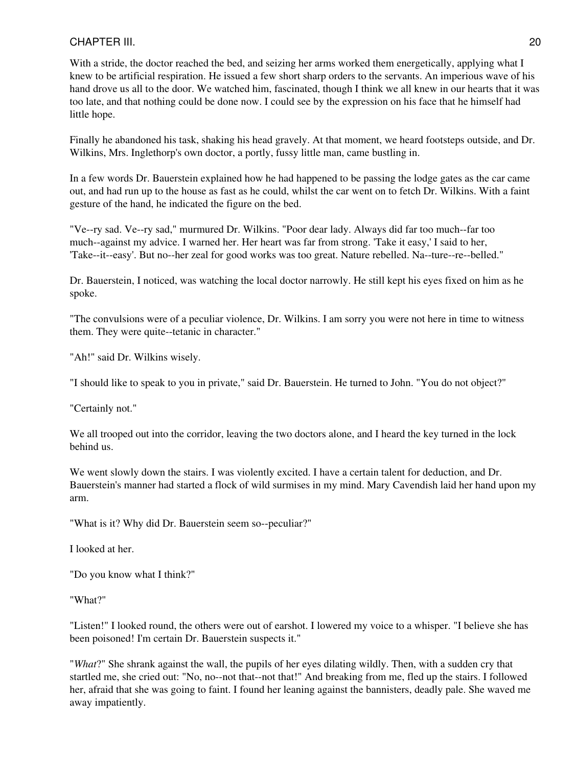With a stride, the doctor reached the bed, and seizing her arms worked them energetically, applying what I knew to be artificial respiration. He issued a few short sharp orders to the servants. An imperious wave of his hand drove us all to the door. We watched him, fascinated, though I think we all knew in our hearts that it was too late, and that nothing could be done now. I could see by the expression on his face that he himself had little hope.

Finally he abandoned his task, shaking his head gravely. At that moment, we heard footsteps outside, and Dr. Wilkins, Mrs. Inglethorp's own doctor, a portly, fussy little man, came bustling in.

In a few words Dr. Bauerstein explained how he had happened to be passing the lodge gates as the car came out, and had run up to the house as fast as he could, whilst the car went on to fetch Dr. Wilkins. With a faint gesture of the hand, he indicated the figure on the bed.

"Ve--ry sad. Ve--ry sad," murmured Dr. Wilkins. "Poor dear lady. Always did far too much--far too much--against my advice. I warned her. Her heart was far from strong. 'Take it easy,' I said to her, 'Take--it--easy'. But no--her zeal for good works was too great. Nature rebelled. Na--ture--re--belled."

Dr. Bauerstein, I noticed, was watching the local doctor narrowly. He still kept his eyes fixed on him as he spoke.

"The convulsions were of a peculiar violence, Dr. Wilkins. I am sorry you were not here in time to witness them. They were quite--tetanic in character."

"Ah!" said Dr. Wilkins wisely.

"I should like to speak to you in private," said Dr. Bauerstein. He turned to John. "You do not object?"

"Certainly not."

We all trooped out into the corridor, leaving the two doctors alone, and I heard the key turned in the lock behind us.

We went slowly down the stairs. I was violently excited. I have a certain talent for deduction, and Dr. Bauerstein's manner had started a flock of wild surmises in my mind. Mary Cavendish laid her hand upon my arm.

"What is it? Why did Dr. Bauerstein seem so--peculiar?"

I looked at her.

"Do you know what I think?"

"What?"

"Listen!" I looked round, the others were out of earshot. I lowered my voice to a whisper. "I believe she has been poisoned! I'm certain Dr. Bauerstein suspects it."

"*What*?" She shrank against the wall, the pupils of her eyes dilating wildly. Then, with a sudden cry that startled me, she cried out: "No, no--not that--not that!" And breaking from me, fled up the stairs. I followed her, afraid that she was going to faint. I found her leaning against the bannisters, deadly pale. She waved me away impatiently.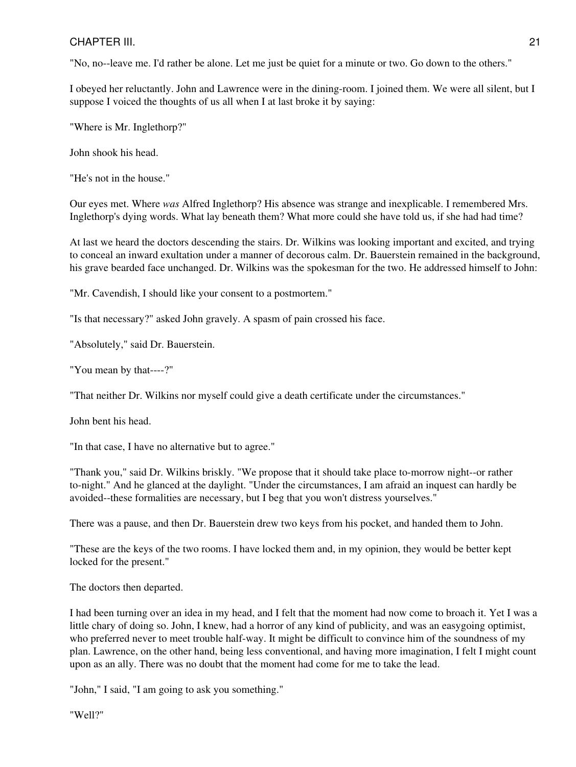"No, no--leave me. I'd rather be alone. Let me just be quiet for a minute or two. Go down to the others."

I obeyed her reluctantly. John and Lawrence were in the dining-room. I joined them. We were all silent, but I suppose I voiced the thoughts of us all when I at last broke it by saying:

"Where is Mr. Inglethorp?"

John shook his head.

"He's not in the house."

Our eyes met. Where *was* Alfred Inglethorp? His absence was strange and inexplicable. I remembered Mrs. Inglethorp's dying words. What lay beneath them? What more could she have told us, if she had had time?

At last we heard the doctors descending the stairs. Dr. Wilkins was looking important and excited, and trying to conceal an inward exultation under a manner of decorous calm. Dr. Bauerstein remained in the background, his grave bearded face unchanged. Dr. Wilkins was the spokesman for the two. He addressed himself to John:

"Mr. Cavendish, I should like your consent to a postmortem."

"Is that necessary?" asked John gravely. A spasm of pain crossed his face.

"Absolutely," said Dr. Bauerstein.

"You mean by that----?"

"That neither Dr. Wilkins nor myself could give a death certificate under the circumstances."

John bent his head.

"In that case, I have no alternative but to agree."

"Thank you," said Dr. Wilkins briskly. "We propose that it should take place to-morrow night--or rather to-night." And he glanced at the daylight. "Under the circumstances, I am afraid an inquest can hardly be avoided--these formalities are necessary, but I beg that you won't distress yourselves."

There was a pause, and then Dr. Bauerstein drew two keys from his pocket, and handed them to John.

"These are the keys of the two rooms. I have locked them and, in my opinion, they would be better kept locked for the present."

The doctors then departed.

I had been turning over an idea in my head, and I felt that the moment had now come to broach it. Yet I was a little chary of doing so. John, I knew, had a horror of any kind of publicity, and was an easygoing optimist, who preferred never to meet trouble half-way. It might be difficult to convince him of the soundness of my plan. Lawrence, on the other hand, being less conventional, and having more imagination, I felt I might count upon as an ally. There was no doubt that the moment had come for me to take the lead.

"John," I said, "I am going to ask you something."

"Well?"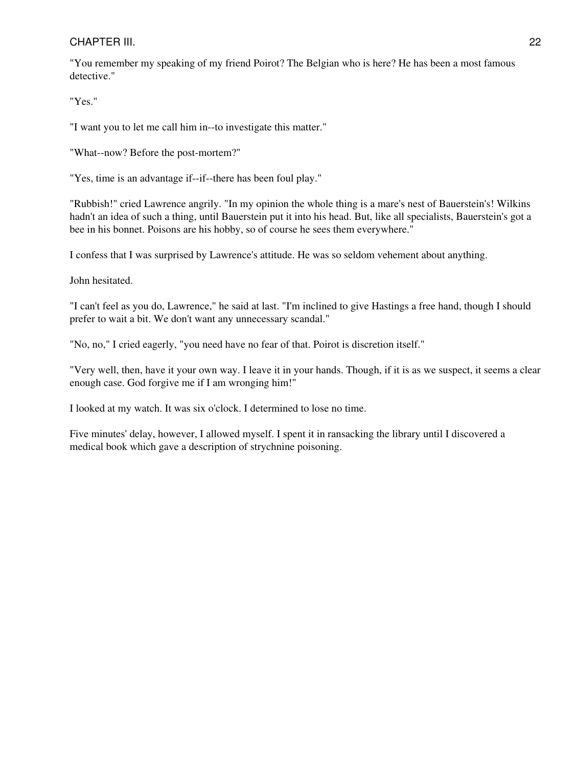"You remember my speaking of my friend Poirot? The Belgian who is here? He has been a most famous detective."

"Yes."

"I want you to let me call him in--to investigate this matter."

"What--now? Before the post-mortem?"

"Yes, time is an advantage if--if--there has been foul play."

"Rubbish!" cried Lawrence angrily. "In my opinion the whole thing is a mare's nest of Bauerstein's! Wilkins hadn't an idea of such a thing, until Bauerstein put it into his head. But, like all specialists, Bauerstein's got a bee in his bonnet. Poisons are his hobby, so of course he sees them everywhere."

I confess that I was surprised by Lawrence's attitude. He was so seldom vehement about anything.

John hesitated.

"I can't feel as you do, Lawrence," he said at last. "I'm inclined to give Hastings a free hand, though I should prefer to wait a bit. We don't want any unnecessary scandal."

"No, no," I cried eagerly, "you need have no fear of that. Poirot is discretion itself."

"Very well, then, have it your own way. I leave it in your hands. Though, if it is as we suspect, it seems a clear enough case. God forgive me if I am wronging him!"

I looked at my watch. It was six o'clock. I determined to lose no time.

Five minutes' delay, however, I allowed myself. I spent it in ransacking the library until I discovered a medical book which gave a description of strychnine poisoning.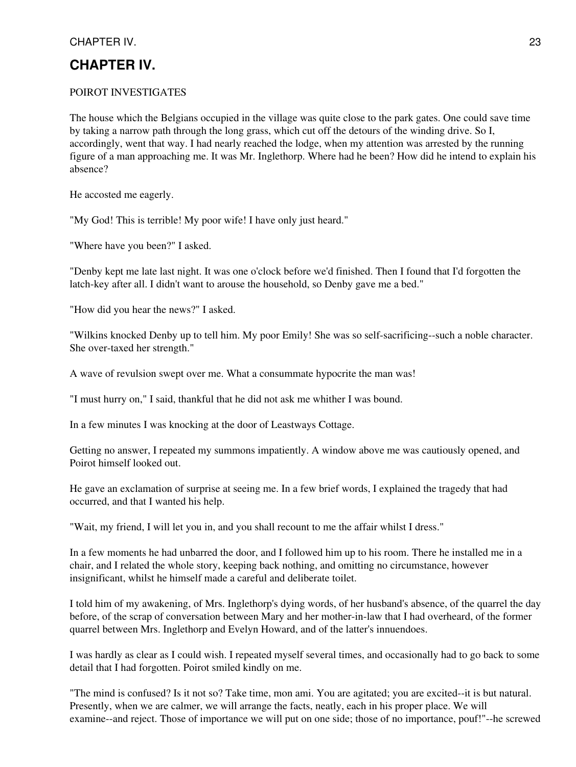## <span id="page-22-0"></span>**CHAPTER IV.**

#### POIROT INVESTIGATES

The house which the Belgians occupied in the village was quite close to the park gates. One could save time by taking a narrow path through the long grass, which cut off the detours of the winding drive. So I, accordingly, went that way. I had nearly reached the lodge, when my attention was arrested by the running figure of a man approaching me. It was Mr. Inglethorp. Where had he been? How did he intend to explain his absence?

He accosted me eagerly.

"My God! This is terrible! My poor wife! I have only just heard."

"Where have you been?" I asked.

"Denby kept me late last night. It was one o'clock before we'd finished. Then I found that I'd forgotten the latch-key after all. I didn't want to arouse the household, so Denby gave me a bed."

"How did you hear the news?" I asked.

"Wilkins knocked Denby up to tell him. My poor Emily! She was so self-sacrificing--such a noble character. She over-taxed her strength."

A wave of revulsion swept over me. What a consummate hypocrite the man was!

"I must hurry on," I said, thankful that he did not ask me whither I was bound.

In a few minutes I was knocking at the door of Leastways Cottage.

Getting no answer, I repeated my summons impatiently. A window above me was cautiously opened, and Poirot himself looked out.

He gave an exclamation of surprise at seeing me. In a few brief words, I explained the tragedy that had occurred, and that I wanted his help.

"Wait, my friend, I will let you in, and you shall recount to me the affair whilst I dress."

In a few moments he had unbarred the door, and I followed him up to his room. There he installed me in a chair, and I related the whole story, keeping back nothing, and omitting no circumstance, however insignificant, whilst he himself made a careful and deliberate toilet.

I told him of my awakening, of Mrs. Inglethorp's dying words, of her husband's absence, of the quarrel the day before, of the scrap of conversation between Mary and her mother-in-law that I had overheard, of the former quarrel between Mrs. Inglethorp and Evelyn Howard, and of the latter's innuendoes.

I was hardly as clear as I could wish. I repeated myself several times, and occasionally had to go back to some detail that I had forgotten. Poirot smiled kindly on me.

"The mind is confused? Is it not so? Take time, mon ami. You are agitated; you are excited--it is but natural. Presently, when we are calmer, we will arrange the facts, neatly, each in his proper place. We will examine--and reject. Those of importance we will put on one side; those of no importance, pouf!"--he screwed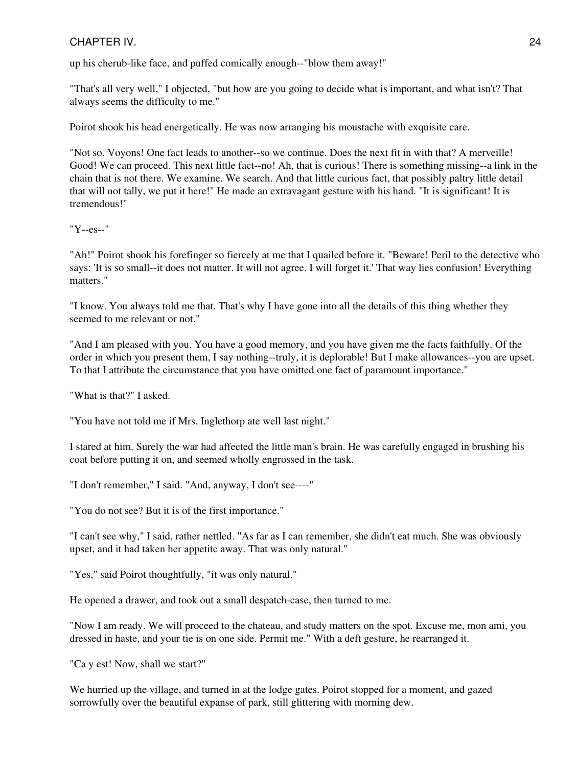up his cherub-like face, and puffed comically enough--"blow them away!"

"That's all very well," I objected, "but how are you going to decide what is important, and what isn't? That always seems the difficulty to me."

Poirot shook his head energetically. He was now arranging his moustache with exquisite care.

"Not so. Voyons! One fact leads to another--so we continue. Does the next fit in with that? A merveille! Good! We can proceed. This next little fact--no! Ah, that is curious! There is something missing--a link in the chain that is not there. We examine. We search. And that little curious fact, that possibly paltry little detail that will not tally, we put it here!" He made an extravagant gesture with his hand. "It is significant! It is tremendous!"

"Y--es--"

"Ah!" Poirot shook his forefinger so fiercely at me that I quailed before it. "Beware! Peril to the detective who says: 'It is so small--it does not matter. It will not agree. I will forget it.' That way lies confusion! Everything matters."

"I know. You always told me that. That's why I have gone into all the details of this thing whether they seemed to me relevant or not."

"And I am pleased with you. You have a good memory, and you have given me the facts faithfully. Of the order in which you present them, I say nothing--truly, it is deplorable! But I make allowances--you are upset. To that I attribute the circumstance that you have omitted one fact of paramount importance."

"What is that?" I asked.

"You have not told me if Mrs. Inglethorp ate well last night."

I stared at him. Surely the war had affected the little man's brain. He was carefully engaged in brushing his coat before putting it on, and seemed wholly engrossed in the task.

"I don't remember," I said. "And, anyway, I don't see----"

"You do not see? But it is of the first importance."

"I can't see why," I said, rather nettled. "As far as I can remember, she didn't eat much. She was obviously upset, and it had taken her appetite away. That was only natural."

"Yes," said Poirot thoughtfully, "it was only natural."

He opened a drawer, and took out a small despatch-case, then turned to me.

"Now I am ready. We will proceed to the chateau, and study matters on the spot. Excuse me, mon ami, you dressed in haste, and your tie is on one side. Permit me." With a deft gesture, he rearranged it.

"Ca y est! Now, shall we start?"

We hurried up the village, and turned in at the lodge gates. Poirot stopped for a moment, and gazed sorrowfully over the beautiful expanse of park, still glittering with morning dew.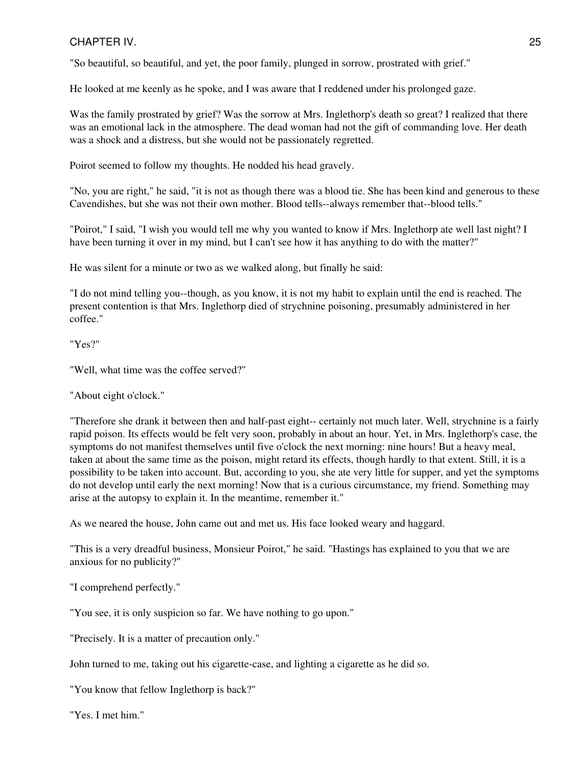"So beautiful, so beautiful, and yet, the poor family, plunged in sorrow, prostrated with grief."

He looked at me keenly as he spoke, and I was aware that I reddened under his prolonged gaze.

Was the family prostrated by grief? Was the sorrow at Mrs. Inglethorp's death so great? I realized that there was an emotional lack in the atmosphere. The dead woman had not the gift of commanding love. Her death was a shock and a distress, but she would not be passionately regretted.

Poirot seemed to follow my thoughts. He nodded his head gravely.

"No, you are right," he said, "it is not as though there was a blood tie. She has been kind and generous to these Cavendishes, but she was not their own mother. Blood tells--always remember that--blood tells."

"Poirot," I said, "I wish you would tell me why you wanted to know if Mrs. Inglethorp ate well last night? I have been turning it over in my mind, but I can't see how it has anything to do with the matter?"

He was silent for a minute or two as we walked along, but finally he said:

"I do not mind telling you--though, as you know, it is not my habit to explain until the end is reached. The present contention is that Mrs. Inglethorp died of strychnine poisoning, presumably administered in her coffee."

"Yes?"

"Well, what time was the coffee served?"

"About eight o'clock."

"Therefore she drank it between then and half-past eight-- certainly not much later. Well, strychnine is a fairly rapid poison. Its effects would be felt very soon, probably in about an hour. Yet, in Mrs. Inglethorp's case, the symptoms do not manifest themselves until five o'clock the next morning: nine hours! But a heavy meal, taken at about the same time as the poison, might retard its effects, though hardly to that extent. Still, it is a possibility to be taken into account. But, according to you, she ate very little for supper, and yet the symptoms do not develop until early the next morning! Now that is a curious circumstance, my friend. Something may arise at the autopsy to explain it. In the meantime, remember it."

As we neared the house, John came out and met us. His face looked weary and haggard.

"This is a very dreadful business, Monsieur Poirot," he said. "Hastings has explained to you that we are anxious for no publicity?"

"I comprehend perfectly."

"You see, it is only suspicion so far. We have nothing to go upon."

"Precisely. It is a matter of precaution only."

John turned to me, taking out his cigarette-case, and lighting a cigarette as he did so.

"You know that fellow Inglethorp is back?"

"Yes. I met him."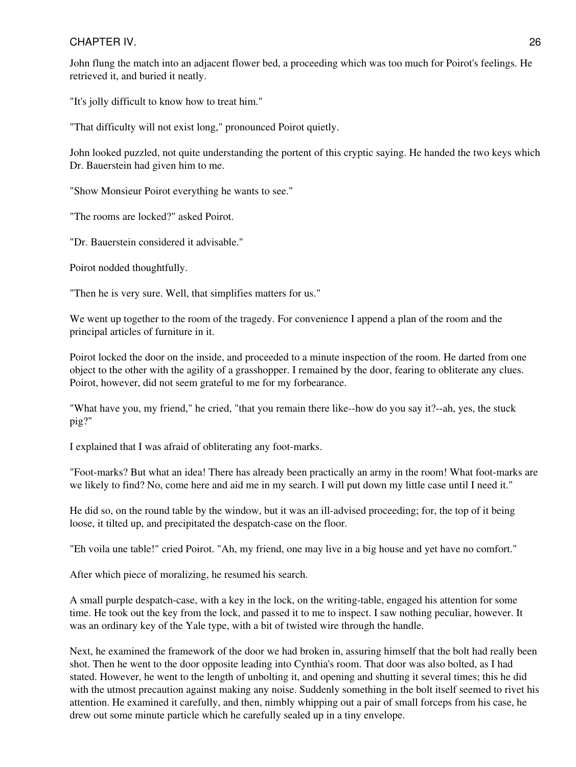John flung the match into an adjacent flower bed, a proceeding which was too much for Poirot's feelings. He retrieved it, and buried it neatly.

"It's jolly difficult to know how to treat him."

"That difficulty will not exist long," pronounced Poirot quietly.

John looked puzzled, not quite understanding the portent of this cryptic saying. He handed the two keys which Dr. Bauerstein had given him to me.

"Show Monsieur Poirot everything he wants to see."

"The rooms are locked?" asked Poirot.

"Dr. Bauerstein considered it advisable."

Poirot nodded thoughtfully.

"Then he is very sure. Well, that simplifies matters for us."

We went up together to the room of the tragedy. For convenience I append a plan of the room and the principal articles of furniture in it.

Poirot locked the door on the inside, and proceeded to a minute inspection of the room. He darted from one object to the other with the agility of a grasshopper. I remained by the door, fearing to obliterate any clues. Poirot, however, did not seem grateful to me for my forbearance.

"What have you, my friend," he cried, "that you remain there like--how do you say it?--ah, yes, the stuck pig?"

I explained that I was afraid of obliterating any foot-marks.

"Foot-marks? But what an idea! There has already been practically an army in the room! What foot-marks are we likely to find? No, come here and aid me in my search. I will put down my little case until I need it."

He did so, on the round table by the window, but it was an ill-advised proceeding; for, the top of it being loose, it tilted up, and precipitated the despatch-case on the floor.

"Eh voila une table!" cried Poirot. "Ah, my friend, one may live in a big house and yet have no comfort."

After which piece of moralizing, he resumed his search.

A small purple despatch-case, with a key in the lock, on the writing-table, engaged his attention for some time. He took out the key from the lock, and passed it to me to inspect. I saw nothing peculiar, however. It was an ordinary key of the Yale type, with a bit of twisted wire through the handle.

Next, he examined the framework of the door we had broken in, assuring himself that the bolt had really been shot. Then he went to the door opposite leading into Cynthia's room. That door was also bolted, as I had stated. However, he went to the length of unbolting it, and opening and shutting it several times; this he did with the utmost precaution against making any noise. Suddenly something in the bolt itself seemed to rivet his attention. He examined it carefully, and then, nimbly whipping out a pair of small forceps from his case, he drew out some minute particle which he carefully sealed up in a tiny envelope.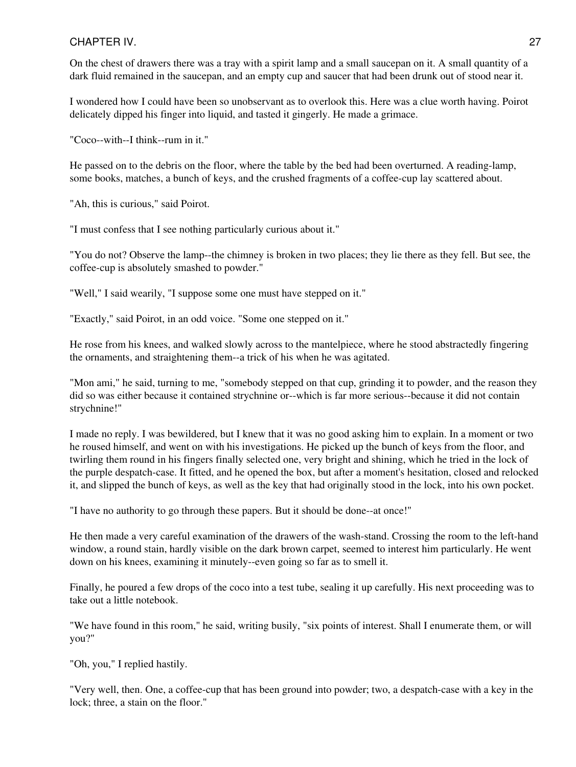On the chest of drawers there was a tray with a spirit lamp and a small saucepan on it. A small quantity of a dark fluid remained in the saucepan, and an empty cup and saucer that had been drunk out of stood near it.

I wondered how I could have been so unobservant as to overlook this. Here was a clue worth having. Poirot delicately dipped his finger into liquid, and tasted it gingerly. He made a grimace.

"Coco--with--I think--rum in it."

He passed on to the debris on the floor, where the table by the bed had been overturned. A reading-lamp, some books, matches, a bunch of keys, and the crushed fragments of a coffee-cup lay scattered about.

"Ah, this is curious," said Poirot.

"I must confess that I see nothing particularly curious about it."

"You do not? Observe the lamp--the chimney is broken in two places; they lie there as they fell. But see, the coffee-cup is absolutely smashed to powder."

"Well," I said wearily, "I suppose some one must have stepped on it."

"Exactly," said Poirot, in an odd voice. "Some one stepped on it."

He rose from his knees, and walked slowly across to the mantelpiece, where he stood abstractedly fingering the ornaments, and straightening them--a trick of his when he was agitated.

"Mon ami," he said, turning to me, "somebody stepped on that cup, grinding it to powder, and the reason they did so was either because it contained strychnine or--which is far more serious--because it did not contain strychnine!"

I made no reply. I was bewildered, but I knew that it was no good asking him to explain. In a moment or two he roused himself, and went on with his investigations. He picked up the bunch of keys from the floor, and twirling them round in his fingers finally selected one, very bright and shining, which he tried in the lock of the purple despatch-case. It fitted, and he opened the box, but after a moment's hesitation, closed and relocked it, and slipped the bunch of keys, as well as the key that had originally stood in the lock, into his own pocket.

"I have no authority to go through these papers. But it should be done--at once!"

He then made a very careful examination of the drawers of the wash-stand. Crossing the room to the left-hand window, a round stain, hardly visible on the dark brown carpet, seemed to interest him particularly. He went down on his knees, examining it minutely--even going so far as to smell it.

Finally, he poured a few drops of the coco into a test tube, sealing it up carefully. His next proceeding was to take out a little notebook.

"We have found in this room," he said, writing busily, "six points of interest. Shall I enumerate them, or will you?"

"Oh, you," I replied hastily.

"Very well, then. One, a coffee-cup that has been ground into powder; two, a despatch-case with a key in the lock; three, a stain on the floor."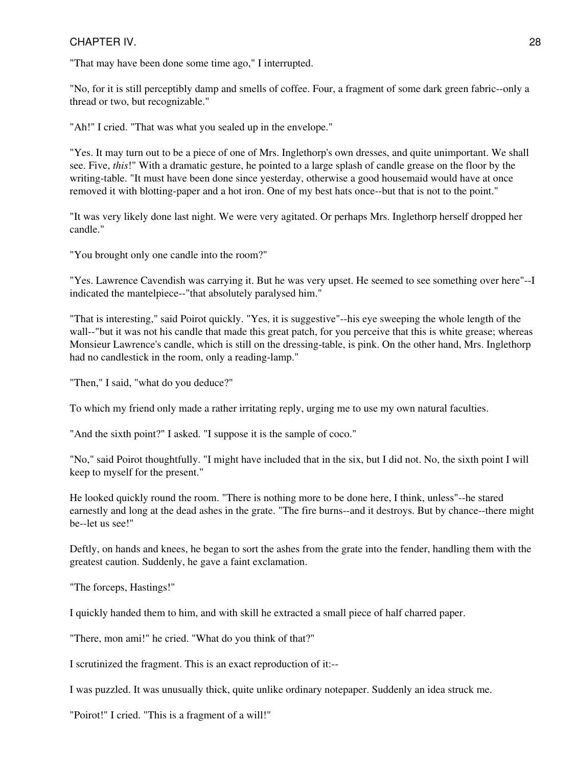"That may have been done some time ago," I interrupted.

"No, for it is still perceptibly damp and smells of coffee. Four, a fragment of some dark green fabric--only a thread or two, but recognizable."

"Ah!" I cried. "That was what you sealed up in the envelope."

"Yes. It may turn out to be a piece of one of Mrs. Inglethorp's own dresses, and quite unimportant. We shall see. Five, *this*!" With a dramatic gesture, he pointed to a large splash of candle grease on the floor by the writing-table. "It must have been done since yesterday, otherwise a good housemaid would have at once removed it with blotting-paper and a hot iron. One of my best hats once--but that is not to the point."

"It was very likely done last night. We were very agitated. Or perhaps Mrs. Inglethorp herself dropped her candle."

"You brought only one candle into the room?"

"Yes. Lawrence Cavendish was carrying it. But he was very upset. He seemed to see something over here"--I indicated the mantelpiece--"that absolutely paralysed him."

"That is interesting," said Poirot quickly. "Yes, it is suggestive"--his eye sweeping the whole length of the wall--"but it was not his candle that made this great patch, for you perceive that this is white grease; whereas Monsieur Lawrence's candle, which is still on the dressing-table, is pink. On the other hand, Mrs. Inglethorp had no candlestick in the room, only a reading-lamp."

"Then," I said, "what do you deduce?"

To which my friend only made a rather irritating reply, urging me to use my own natural faculties.

"And the sixth point?" I asked. "I suppose it is the sample of coco."

"No," said Poirot thoughtfully. "I might have included that in the six, but I did not. No, the sixth point I will keep to myself for the present."

He looked quickly round the room. "There is nothing more to be done here, I think, unless"--he stared earnestly and long at the dead ashes in the grate. "The fire burns--and it destroys. But by chance--there might be--let us see!"

Deftly, on hands and knees, he began to sort the ashes from the grate into the fender, handling them with the greatest caution. Suddenly, he gave a faint exclamation.

"The forceps, Hastings!"

I quickly handed them to him, and with skill he extracted a small piece of half charred paper.

"There, mon ami!" he cried. "What do you think of that?"

I scrutinized the fragment. This is an exact reproduction of it:--

I was puzzled. It was unusually thick, quite unlike ordinary notepaper. Suddenly an idea struck me.

"Poirot!" I cried. "This is a fragment of a will!"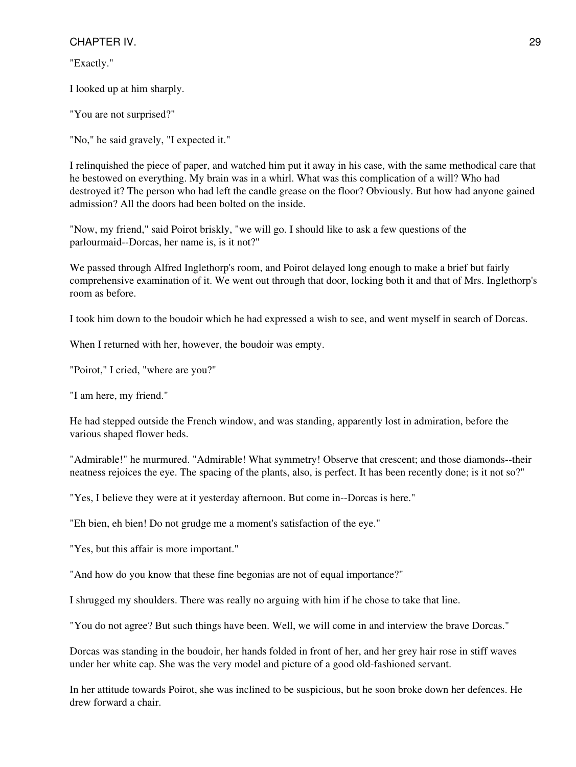"Exactly."

I looked up at him sharply.

"You are not surprised?"

"No," he said gravely, "I expected it."

I relinquished the piece of paper, and watched him put it away in his case, with the same methodical care that he bestowed on everything. My brain was in a whirl. What was this complication of a will? Who had destroyed it? The person who had left the candle grease on the floor? Obviously. But how had anyone gained admission? All the doors had been bolted on the inside.

"Now, my friend," said Poirot briskly, "we will go. I should like to ask a few questions of the parlourmaid--Dorcas, her name is, is it not?"

We passed through Alfred Inglethorp's room, and Poirot delayed long enough to make a brief but fairly comprehensive examination of it. We went out through that door, locking both it and that of Mrs. Inglethorp's room as before.

I took him down to the boudoir which he had expressed a wish to see, and went myself in search of Dorcas.

When I returned with her, however, the boudoir was empty.

"Poirot," I cried, "where are you?"

"I am here, my friend."

He had stepped outside the French window, and was standing, apparently lost in admiration, before the various shaped flower beds.

"Admirable!" he murmured. "Admirable! What symmetry! Observe that crescent; and those diamonds--their neatness rejoices the eye. The spacing of the plants, also, is perfect. It has been recently done; is it not so?"

"Yes, I believe they were at it yesterday afternoon. But come in--Dorcas is here."

"Eh bien, eh bien! Do not grudge me a moment's satisfaction of the eye."

"Yes, but this affair is more important."

"And how do you know that these fine begonias are not of equal importance?"

I shrugged my shoulders. There was really no arguing with him if he chose to take that line.

"You do not agree? But such things have been. Well, we will come in and interview the brave Dorcas."

Dorcas was standing in the boudoir, her hands folded in front of her, and her grey hair rose in stiff waves under her white cap. She was the very model and picture of a good old-fashioned servant.

In her attitude towards Poirot, she was inclined to be suspicious, but he soon broke down her defences. He drew forward a chair.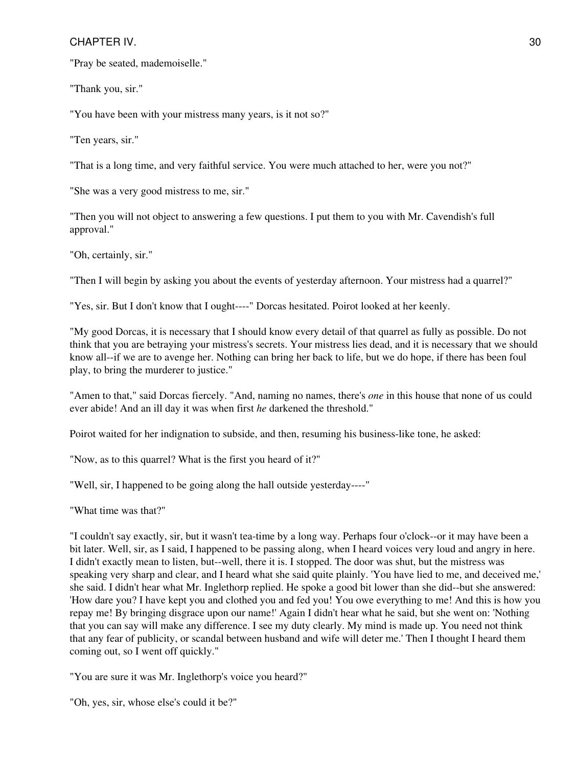"Pray be seated, mademoiselle."

"Thank you, sir."

"You have been with your mistress many years, is it not so?"

"Ten years, sir."

"That is a long time, and very faithful service. You were much attached to her, were you not?"

"She was a very good mistress to me, sir."

"Then you will not object to answering a few questions. I put them to you with Mr. Cavendish's full approval."

"Oh, certainly, sir."

"Then I will begin by asking you about the events of yesterday afternoon. Your mistress had a quarrel?"

"Yes, sir. But I don't know that I ought----" Dorcas hesitated. Poirot looked at her keenly.

"My good Dorcas, it is necessary that I should know every detail of that quarrel as fully as possible. Do not think that you are betraying your mistress's secrets. Your mistress lies dead, and it is necessary that we should know all--if we are to avenge her. Nothing can bring her back to life, but we do hope, if there has been foul play, to bring the murderer to justice."

"Amen to that," said Dorcas fiercely. "And, naming no names, there's *one* in this house that none of us could ever abide! And an ill day it was when first *he* darkened the threshold."

Poirot waited for her indignation to subside, and then, resuming his business-like tone, he asked:

"Now, as to this quarrel? What is the first you heard of it?"

"Well, sir, I happened to be going along the hall outside yesterday----"

"What time was that?"

"I couldn't say exactly, sir, but it wasn't tea-time by a long way. Perhaps four o'clock--or it may have been a bit later. Well, sir, as I said, I happened to be passing along, when I heard voices very loud and angry in here. I didn't exactly mean to listen, but--well, there it is. I stopped. The door was shut, but the mistress was speaking very sharp and clear, and I heard what she said quite plainly. 'You have lied to me, and deceived me,' she said. I didn't hear what Mr. Inglethorp replied. He spoke a good bit lower than she did--but she answered: 'How dare you? I have kept you and clothed you and fed you! You owe everything to me! And this is how you repay me! By bringing disgrace upon our name!' Again I didn't hear what he said, but she went on: 'Nothing that you can say will make any difference. I see my duty clearly. My mind is made up. You need not think that any fear of publicity, or scandal between husband and wife will deter me.' Then I thought I heard them coming out, so I went off quickly."

"You are sure it was Mr. Inglethorp's voice you heard?"

"Oh, yes, sir, whose else's could it be?"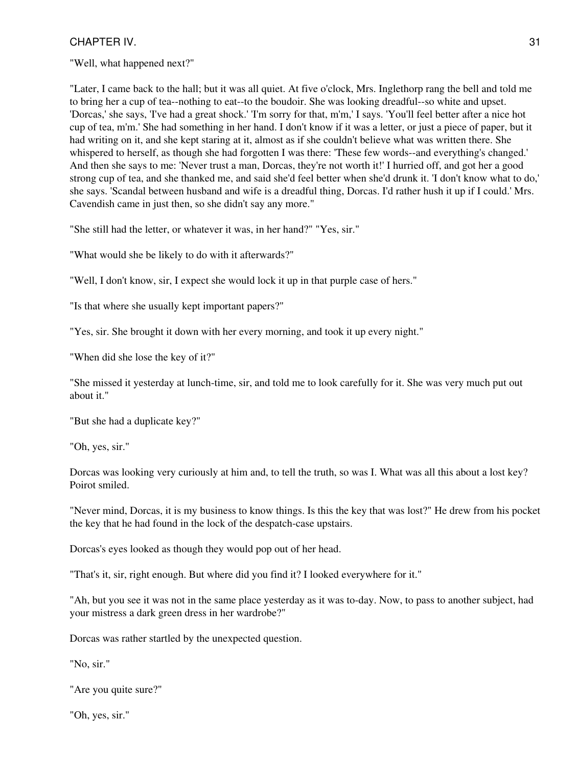"Well, what happened next?"

"Later, I came back to the hall; but it was all quiet. At five o'clock, Mrs. Inglethorp rang the bell and told me to bring her a cup of tea--nothing to eat--to the boudoir. She was looking dreadful--so white and upset. 'Dorcas,' she says, 'I've had a great shock.' 'I'm sorry for that, m'm,' I says. 'You'll feel better after a nice hot cup of tea, m'm.' She had something in her hand. I don't know if it was a letter, or just a piece of paper, but it had writing on it, and she kept staring at it, almost as if she couldn't believe what was written there. She whispered to herself, as though she had forgotten I was there: 'These few words--and everything's changed.' And then she says to me: 'Never trust a man, Dorcas, they're not worth it!' I hurried off, and got her a good strong cup of tea, and she thanked me, and said she'd feel better when she'd drunk it. 'I don't know what to do,' she says. 'Scandal between husband and wife is a dreadful thing, Dorcas. I'd rather hush it up if I could.' Mrs. Cavendish came in just then, so she didn't say any more."

"She still had the letter, or whatever it was, in her hand?" "Yes, sir."

"What would she be likely to do with it afterwards?"

"Well, I don't know, sir, I expect she would lock it up in that purple case of hers."

"Is that where she usually kept important papers?"

"Yes, sir. She brought it down with her every morning, and took it up every night."

"When did she lose the key of it?"

"She missed it yesterday at lunch-time, sir, and told me to look carefully for it. She was very much put out about it."

"But she had a duplicate key?"

"Oh, yes, sir."

Dorcas was looking very curiously at him and, to tell the truth, so was I. What was all this about a lost key? Poirot smiled.

"Never mind, Dorcas, it is my business to know things. Is this the key that was lost?" He drew from his pocket the key that he had found in the lock of the despatch-case upstairs.

Dorcas's eyes looked as though they would pop out of her head.

"That's it, sir, right enough. But where did you find it? I looked everywhere for it."

"Ah, but you see it was not in the same place yesterday as it was to-day. Now, to pass to another subject, had your mistress a dark green dress in her wardrobe?"

Dorcas was rather startled by the unexpected question.

"No, sir."

"Are you quite sure?"

"Oh, yes, sir."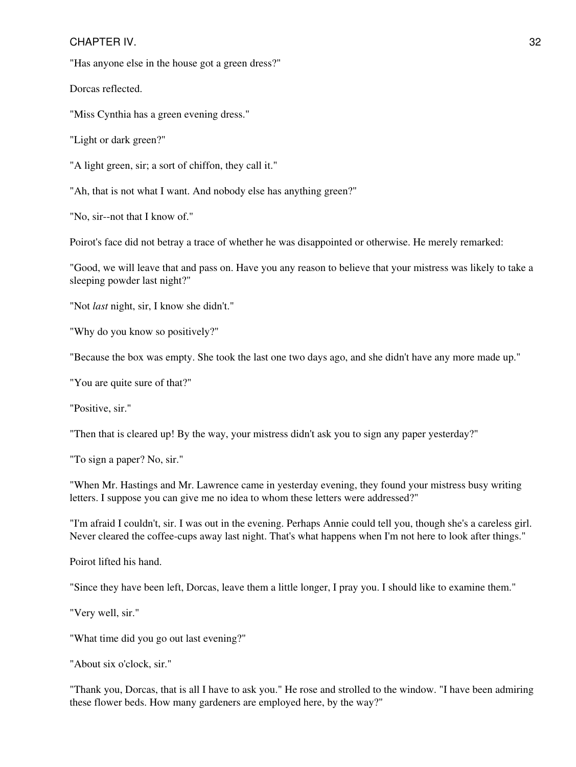"Has anyone else in the house got a green dress?"

Dorcas reflected.

"Miss Cynthia has a green evening dress."

"Light or dark green?"

"A light green, sir; a sort of chiffon, they call it."

"Ah, that is not what I want. And nobody else has anything green?"

"No, sir--not that I know of."

Poirot's face did not betray a trace of whether he was disappointed or otherwise. He merely remarked:

"Good, we will leave that and pass on. Have you any reason to believe that your mistress was likely to take a sleeping powder last night?"

"Not *last* night, sir, I know she didn't."

"Why do you know so positively?"

"Because the box was empty. She took the last one two days ago, and she didn't have any more made up."

"You are quite sure of that?"

"Positive, sir."

"Then that is cleared up! By the way, your mistress didn't ask you to sign any paper yesterday?"

"To sign a paper? No, sir."

"When Mr. Hastings and Mr. Lawrence came in yesterday evening, they found your mistress busy writing letters. I suppose you can give me no idea to whom these letters were addressed?"

"I'm afraid I couldn't, sir. I was out in the evening. Perhaps Annie could tell you, though she's a careless girl. Never cleared the coffee-cups away last night. That's what happens when I'm not here to look after things."

Poirot lifted his hand.

"Since they have been left, Dorcas, leave them a little longer, I pray you. I should like to examine them."

"Very well, sir."

"What time did you go out last evening?"

"About six o'clock, sir."

"Thank you, Dorcas, that is all I have to ask you." He rose and strolled to the window. "I have been admiring these flower beds. How many gardeners are employed here, by the way?"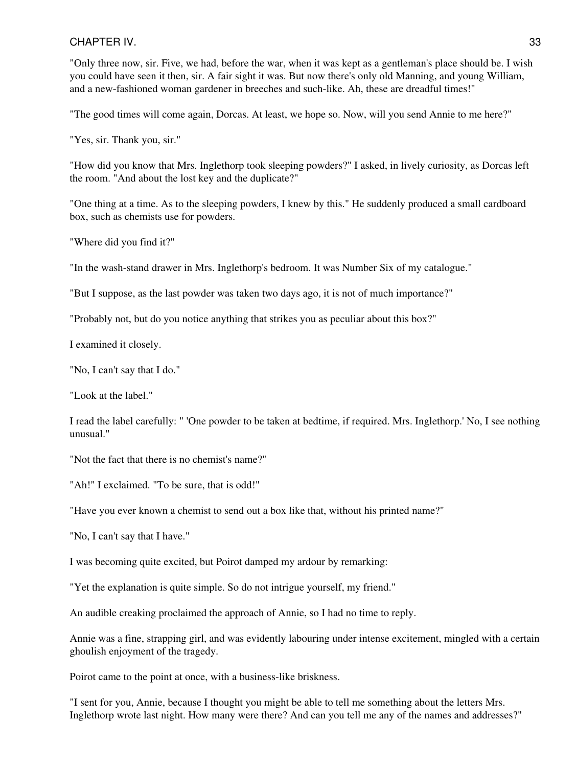"Only three now, sir. Five, we had, before the war, when it was kept as a gentleman's place should be. I wish you could have seen it then, sir. A fair sight it was. But now there's only old Manning, and young William, and a new-fashioned woman gardener in breeches and such-like. Ah, these are dreadful times!"

"The good times will come again, Dorcas. At least, we hope so. Now, will you send Annie to me here?"

"Yes, sir. Thank you, sir."

"How did you know that Mrs. Inglethorp took sleeping powders?" I asked, in lively curiosity, as Dorcas left the room. "And about the lost key and the duplicate?"

"One thing at a time. As to the sleeping powders, I knew by this." He suddenly produced a small cardboard box, such as chemists use for powders.

"Where did you find it?"

"In the wash-stand drawer in Mrs. Inglethorp's bedroom. It was Number Six of my catalogue."

"But I suppose, as the last powder was taken two days ago, it is not of much importance?"

"Probably not, but do you notice anything that strikes you as peculiar about this box?"

I examined it closely.

"No, I can't say that I do."

"Look at the label."

I read the label carefully: " 'One powder to be taken at bedtime, if required. Mrs. Inglethorp.' No, I see nothing unusual."

"Not the fact that there is no chemist's name?"

"Ah!" I exclaimed. "To be sure, that is odd!"

"Have you ever known a chemist to send out a box like that, without his printed name?"

"No, I can't say that I have."

I was becoming quite excited, but Poirot damped my ardour by remarking:

"Yet the explanation is quite simple. So do not intrigue yourself, my friend."

An audible creaking proclaimed the approach of Annie, so I had no time to reply.

Annie was a fine, strapping girl, and was evidently labouring under intense excitement, mingled with a certain ghoulish enjoyment of the tragedy.

Poirot came to the point at once, with a business-like briskness.

"I sent for you, Annie, because I thought you might be able to tell me something about the letters Mrs. Inglethorp wrote last night. How many were there? And can you tell me any of the names and addresses?"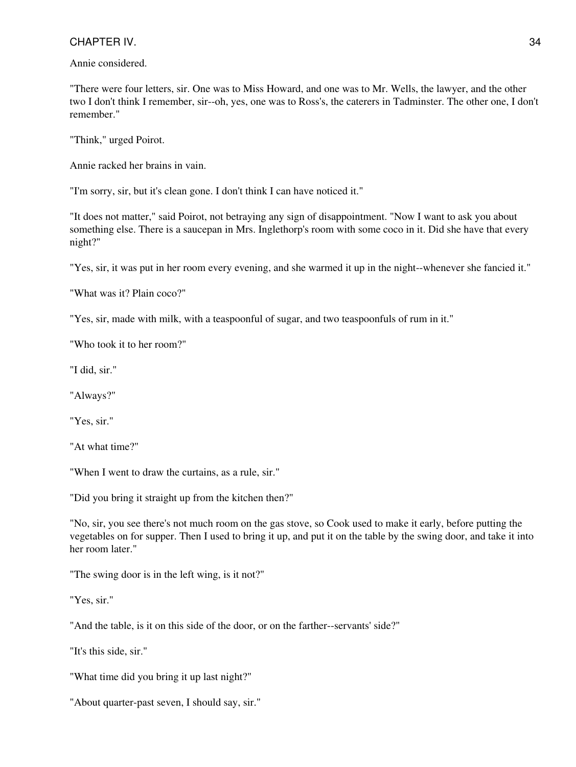Annie considered.

"There were four letters, sir. One was to Miss Howard, and one was to Mr. Wells, the lawyer, and the other two I don't think I remember, sir--oh, yes, one was to Ross's, the caterers in Tadminster. The other one, I don't remember."

"Think," urged Poirot.

Annie racked her brains in vain.

"I'm sorry, sir, but it's clean gone. I don't think I can have noticed it."

"It does not matter," said Poirot, not betraying any sign of disappointment. "Now I want to ask you about something else. There is a saucepan in Mrs. Inglethorp's room with some coco in it. Did she have that every night?"

"Yes, sir, it was put in her room every evening, and she warmed it up in the night--whenever she fancied it."

"What was it? Plain coco?"

"Yes, sir, made with milk, with a teaspoonful of sugar, and two teaspoonfuls of rum in it."

"Who took it to her room?"

"I did, sir."

"Always?"

"Yes, sir."

"At what time?"

"When I went to draw the curtains, as a rule, sir."

"Did you bring it straight up from the kitchen then?"

"No, sir, you see there's not much room on the gas stove, so Cook used to make it early, before putting the vegetables on for supper. Then I used to bring it up, and put it on the table by the swing door, and take it into her room later."

"The swing door is in the left wing, is it not?"

"Yes, sir."

"And the table, is it on this side of the door, or on the farther--servants' side?"

"It's this side, sir."

"What time did you bring it up last night?"

"About quarter-past seven, I should say, sir."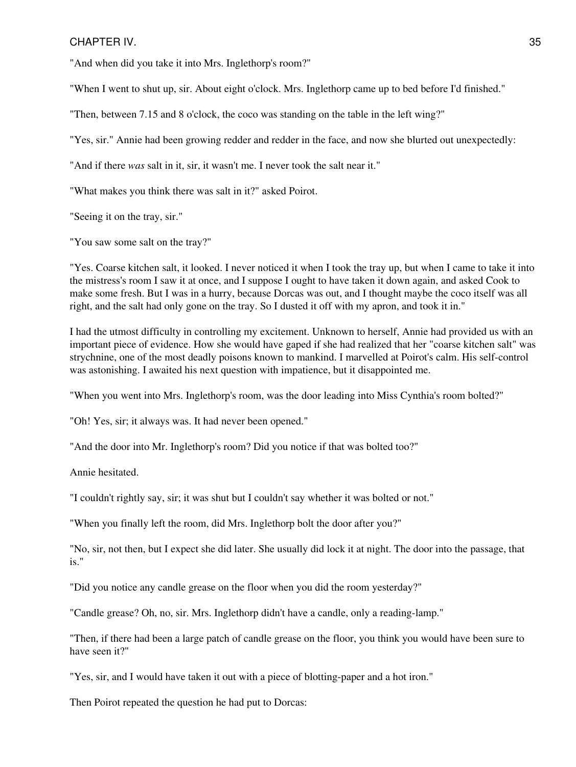"And when did you take it into Mrs. Inglethorp's room?"

"When I went to shut up, sir. About eight o'clock. Mrs. Inglethorp came up to bed before I'd finished."

"Then, between 7.15 and 8 o'clock, the coco was standing on the table in the left wing?"

"Yes, sir." Annie had been growing redder and redder in the face, and now she blurted out unexpectedly:

"And if there *was* salt in it, sir, it wasn't me. I never took the salt near it."

"What makes you think there was salt in it?" asked Poirot.

"Seeing it on the tray, sir."

"You saw some salt on the tray?"

"Yes. Coarse kitchen salt, it looked. I never noticed it when I took the tray up, but when I came to take it into the mistress's room I saw it at once, and I suppose I ought to have taken it down again, and asked Cook to make some fresh. But I was in a hurry, because Dorcas was out, and I thought maybe the coco itself was all right, and the salt had only gone on the tray. So I dusted it off with my apron, and took it in."

I had the utmost difficulty in controlling my excitement. Unknown to herself, Annie had provided us with an important piece of evidence. How she would have gaped if she had realized that her "coarse kitchen salt" was strychnine, one of the most deadly poisons known to mankind. I marvelled at Poirot's calm. His self-control was astonishing. I awaited his next question with impatience, but it disappointed me.

"When you went into Mrs. Inglethorp's room, was the door leading into Miss Cynthia's room bolted?"

"Oh! Yes, sir; it always was. It had never been opened."

"And the door into Mr. Inglethorp's room? Did you notice if that was bolted too?"

Annie hesitated.

"I couldn't rightly say, sir; it was shut but I couldn't say whether it was bolted or not."

"When you finally left the room, did Mrs. Inglethorp bolt the door after you?"

"No, sir, not then, but I expect she did later. She usually did lock it at night. The door into the passage, that is."

"Did you notice any candle grease on the floor when you did the room yesterday?"

"Candle grease? Oh, no, sir. Mrs. Inglethorp didn't have a candle, only a reading-lamp."

"Then, if there had been a large patch of candle grease on the floor, you think you would have been sure to have seen it?"

"Yes, sir, and I would have taken it out with a piece of blotting-paper and a hot iron."

Then Poirot repeated the question he had put to Dorcas: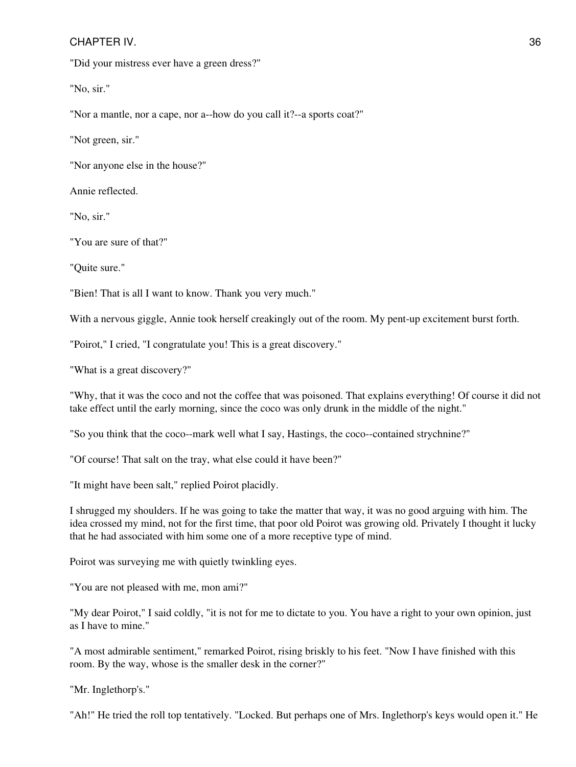"Did your mistress ever have a green dress?"

"No, sir."

"Nor a mantle, nor a cape, nor a--how do you call it?--a sports coat?"

"Not green, sir."

"Nor anyone else in the house?"

Annie reflected.

"No, sir."

"You are sure of that?"

"Quite sure."

"Bien! That is all I want to know. Thank you very much."

With a nervous giggle, Annie took herself creakingly out of the room. My pent-up excitement burst forth.

"Poirot," I cried, "I congratulate you! This is a great discovery."

"What is a great discovery?"

"Why, that it was the coco and not the coffee that was poisoned. That explains everything! Of course it did not take effect until the early morning, since the coco was only drunk in the middle of the night."

"So you think that the coco--mark well what I say, Hastings, the coco--contained strychnine?"

"Of course! That salt on the tray, what else could it have been?"

"It might have been salt," replied Poirot placidly.

I shrugged my shoulders. If he was going to take the matter that way, it was no good arguing with him. The idea crossed my mind, not for the first time, that poor old Poirot was growing old. Privately I thought it lucky that he had associated with him some one of a more receptive type of mind.

Poirot was surveying me with quietly twinkling eyes.

"You are not pleased with me, mon ami?"

"My dear Poirot," I said coldly, "it is not for me to dictate to you. You have a right to your own opinion, just as I have to mine."

"A most admirable sentiment," remarked Poirot, rising briskly to his feet. "Now I have finished with this room. By the way, whose is the smaller desk in the corner?"

"Mr. Inglethorp's."

"Ah!" He tried the roll top tentatively. "Locked. But perhaps one of Mrs. Inglethorp's keys would open it." He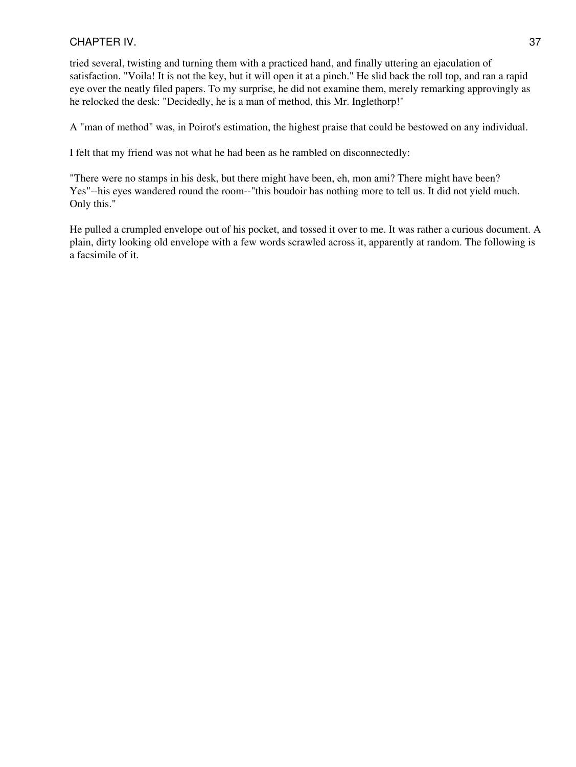tried several, twisting and turning them with a practiced hand, and finally uttering an ejaculation of satisfaction. "Voila! It is not the key, but it will open it at a pinch." He slid back the roll top, and ran a rapid eye over the neatly filed papers. To my surprise, he did not examine them, merely remarking approvingly as he relocked the desk: "Decidedly, he is a man of method, this Mr. Inglethorp!"

A "man of method" was, in Poirot's estimation, the highest praise that could be bestowed on any individual.

I felt that my friend was not what he had been as he rambled on disconnectedly:

"There were no stamps in his desk, but there might have been, eh, mon ami? There might have been? Yes"--his eyes wandered round the room--"this boudoir has nothing more to tell us. It did not yield much. Only this."

He pulled a crumpled envelope out of his pocket, and tossed it over to me. It was rather a curious document. A plain, dirty looking old envelope with a few words scrawled across it, apparently at random. The following is a facsimile of it.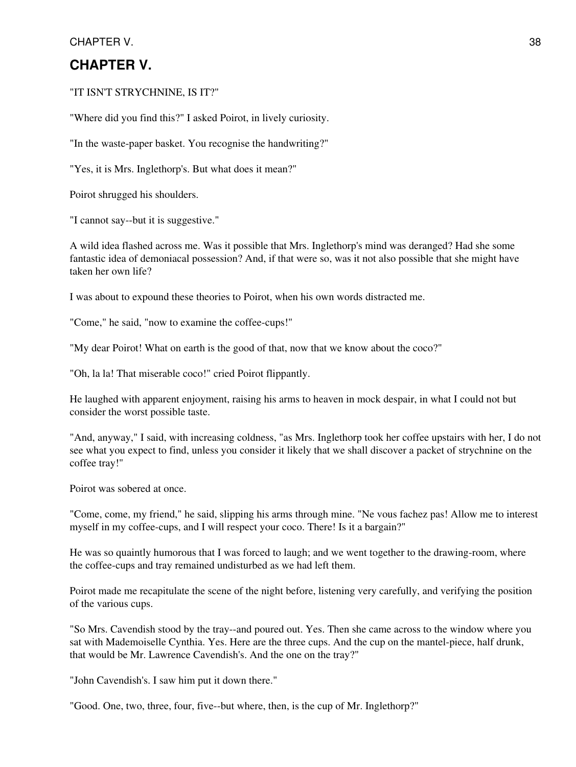# **CHAPTER V.**

"IT ISN'T STRYCHNINE, IS IT?"

"Where did you find this?" I asked Poirot, in lively curiosity.

"In the waste-paper basket. You recognise the handwriting?"

"Yes, it is Mrs. Inglethorp's. But what does it mean?"

Poirot shrugged his shoulders.

"I cannot say--but it is suggestive."

A wild idea flashed across me. Was it possible that Mrs. Inglethorp's mind was deranged? Had she some fantastic idea of demoniacal possession? And, if that were so, was it not also possible that she might have taken her own life?

I was about to expound these theories to Poirot, when his own words distracted me.

"Come," he said, "now to examine the coffee-cups!"

"My dear Poirot! What on earth is the good of that, now that we know about the coco?"

"Oh, la la! That miserable coco!" cried Poirot flippantly.

He laughed with apparent enjoyment, raising his arms to heaven in mock despair, in what I could not but consider the worst possible taste.

"And, anyway," I said, with increasing coldness, "as Mrs. Inglethorp took her coffee upstairs with her, I do not see what you expect to find, unless you consider it likely that we shall discover a packet of strychnine on the coffee tray!"

Poirot was sobered at once.

"Come, come, my friend," he said, slipping his arms through mine. "Ne vous fachez pas! Allow me to interest myself in my coffee-cups, and I will respect your coco. There! Is it a bargain?"

He was so quaintly humorous that I was forced to laugh; and we went together to the drawing-room, where the coffee-cups and tray remained undisturbed as we had left them.

Poirot made me recapitulate the scene of the night before, listening very carefully, and verifying the position of the various cups.

"So Mrs. Cavendish stood by the tray--and poured out. Yes. Then she came across to the window where you sat with Mademoiselle Cynthia. Yes. Here are the three cups. And the cup on the mantel-piece, half drunk, that would be Mr. Lawrence Cavendish's. And the one on the tray?"

"John Cavendish's. I saw him put it down there."

"Good. One, two, three, four, five--but where, then, is the cup of Mr. Inglethorp?"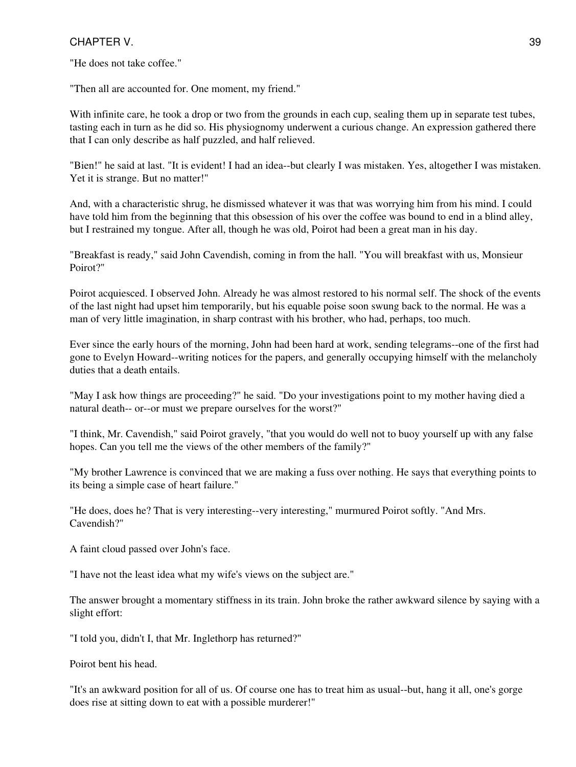"He does not take coffee."

"Then all are accounted for. One moment, my friend."

With infinite care, he took a drop or two from the grounds in each cup, sealing them up in separate test tubes, tasting each in turn as he did so. His physiognomy underwent a curious change. An expression gathered there that I can only describe as half puzzled, and half relieved.

"Bien!" he said at last. "It is evident! I had an idea--but clearly I was mistaken. Yes, altogether I was mistaken. Yet it is strange. But no matter!"

And, with a characteristic shrug, he dismissed whatever it was that was worrying him from his mind. I could have told him from the beginning that this obsession of his over the coffee was bound to end in a blind alley, but I restrained my tongue. After all, though he was old, Poirot had been a great man in his day.

"Breakfast is ready," said John Cavendish, coming in from the hall. "You will breakfast with us, Monsieur Poirot?"

Poirot acquiesced. I observed John. Already he was almost restored to his normal self. The shock of the events of the last night had upset him temporarily, but his equable poise soon swung back to the normal. He was a man of very little imagination, in sharp contrast with his brother, who had, perhaps, too much.

Ever since the early hours of the morning, John had been hard at work, sending telegrams--one of the first had gone to Evelyn Howard--writing notices for the papers, and generally occupying himself with the melancholy duties that a death entails.

"May I ask how things are proceeding?" he said. "Do your investigations point to my mother having died a natural death-- or--or must we prepare ourselves for the worst?"

"I think, Mr. Cavendish," said Poirot gravely, "that you would do well not to buoy yourself up with any false hopes. Can you tell me the views of the other members of the family?"

"My brother Lawrence is convinced that we are making a fuss over nothing. He says that everything points to its being a simple case of heart failure."

"He does, does he? That is very interesting--very interesting," murmured Poirot softly. "And Mrs. Cavendish?"

A faint cloud passed over John's face.

"I have not the least idea what my wife's views on the subject are."

The answer brought a momentary stiffness in its train. John broke the rather awkward silence by saying with a slight effort:

"I told you, didn't I, that Mr. Inglethorp has returned?"

Poirot bent his head.

"It's an awkward position for all of us. Of course one has to treat him as usual--but, hang it all, one's gorge does rise at sitting down to eat with a possible murderer!"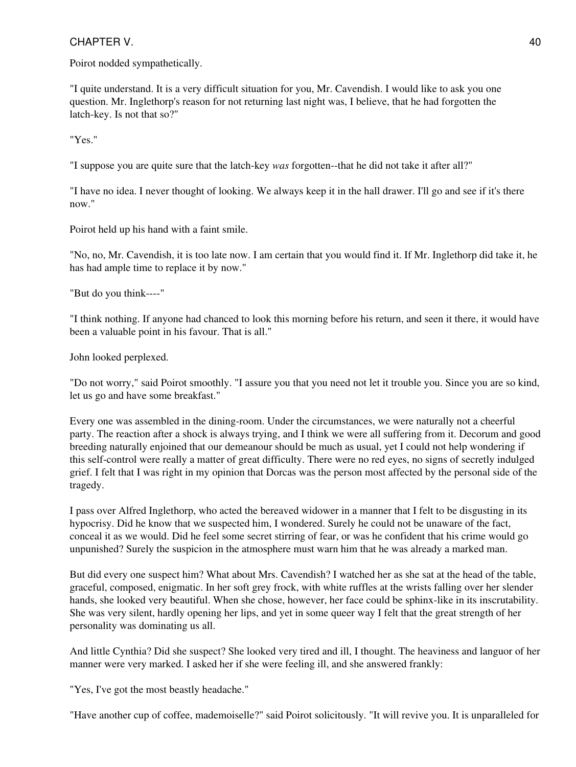Poirot nodded sympathetically.

"I quite understand. It is a very difficult situation for you, Mr. Cavendish. I would like to ask you one question. Mr. Inglethorp's reason for not returning last night was, I believe, that he had forgotten the latch-key. Is not that so?"

"Yes."

"I suppose you are quite sure that the latch-key *was* forgotten--that he did not take it after all?"

"I have no idea. I never thought of looking. We always keep it in the hall drawer. I'll go and see if it's there now."

Poirot held up his hand with a faint smile.

"No, no, Mr. Cavendish, it is too late now. I am certain that you would find it. If Mr. Inglethorp did take it, he has had ample time to replace it by now."

"But do you think----"

"I think nothing. If anyone had chanced to look this morning before his return, and seen it there, it would have been a valuable point in his favour. That is all."

John looked perplexed.

"Do not worry," said Poirot smoothly. "I assure you that you need not let it trouble you. Since you are so kind, let us go and have some breakfast."

Every one was assembled in the dining-room. Under the circumstances, we were naturally not a cheerful party. The reaction after a shock is always trying, and I think we were all suffering from it. Decorum and good breeding naturally enjoined that our demeanour should be much as usual, yet I could not help wondering if this self-control were really a matter of great difficulty. There were no red eyes, no signs of secretly indulged grief. I felt that I was right in my opinion that Dorcas was the person most affected by the personal side of the tragedy.

I pass over Alfred Inglethorp, who acted the bereaved widower in a manner that I felt to be disgusting in its hypocrisy. Did he know that we suspected him, I wondered. Surely he could not be unaware of the fact, conceal it as we would. Did he feel some secret stirring of fear, or was he confident that his crime would go unpunished? Surely the suspicion in the atmosphere must warn him that he was already a marked man.

But did every one suspect him? What about Mrs. Cavendish? I watched her as she sat at the head of the table, graceful, composed, enigmatic. In her soft grey frock, with white ruffles at the wrists falling over her slender hands, she looked very beautiful. When she chose, however, her face could be sphinx-like in its inscrutability. She was very silent, hardly opening her lips, and yet in some queer way I felt that the great strength of her personality was dominating us all.

And little Cynthia? Did she suspect? She looked very tired and ill, I thought. The heaviness and languor of her manner were very marked. I asked her if she were feeling ill, and she answered frankly:

"Yes, I've got the most beastly headache."

"Have another cup of coffee, mademoiselle?" said Poirot solicitously. "It will revive you. It is unparalleled for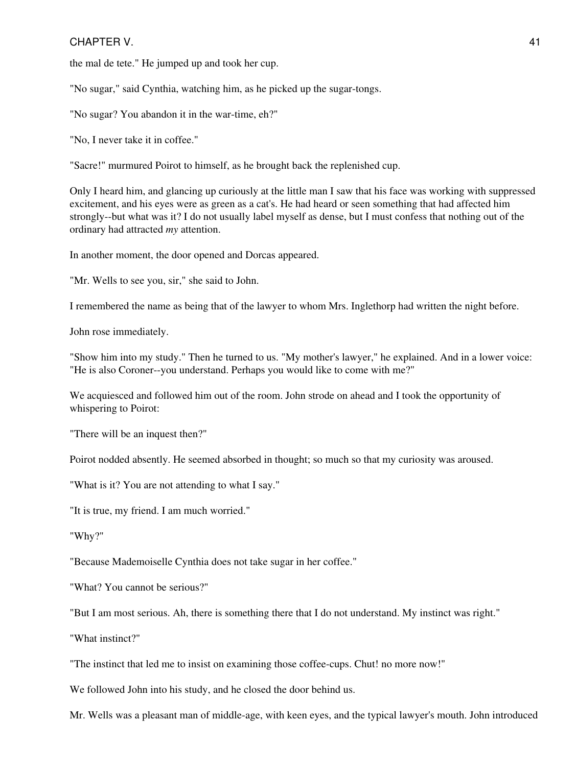the mal de tete." He jumped up and took her cup.

"No sugar," said Cynthia, watching him, as he picked up the sugar-tongs.

"No sugar? You abandon it in the war-time, eh?"

"No, I never take it in coffee."

"Sacre!" murmured Poirot to himself, as he brought back the replenished cup.

Only I heard him, and glancing up curiously at the little man I saw that his face was working with suppressed excitement, and his eyes were as green as a cat's. He had heard or seen something that had affected him strongly--but what was it? I do not usually label myself as dense, but I must confess that nothing out of the ordinary had attracted *my* attention.

In another moment, the door opened and Dorcas appeared.

"Mr. Wells to see you, sir," she said to John.

I remembered the name as being that of the lawyer to whom Mrs. Inglethorp had written the night before.

John rose immediately.

"Show him into my study." Then he turned to us. "My mother's lawyer," he explained. And in a lower voice: "He is also Coroner--you understand. Perhaps you would like to come with me?"

We acquiesced and followed him out of the room. John strode on ahead and I took the opportunity of whispering to Poirot:

"There will be an inquest then?"

Poirot nodded absently. He seemed absorbed in thought; so much so that my curiosity was aroused.

"What is it? You are not attending to what I say."

"It is true, my friend. I am much worried."

"Why?"

"Because Mademoiselle Cynthia does not take sugar in her coffee."

"What? You cannot be serious?"

"But I am most serious. Ah, there is something there that I do not understand. My instinct was right."

"What instinct?"

"The instinct that led me to insist on examining those coffee-cups. Chut! no more now!"

We followed John into his study, and he closed the door behind us.

Mr. Wells was a pleasant man of middle-age, with keen eyes, and the typical lawyer's mouth. John introduced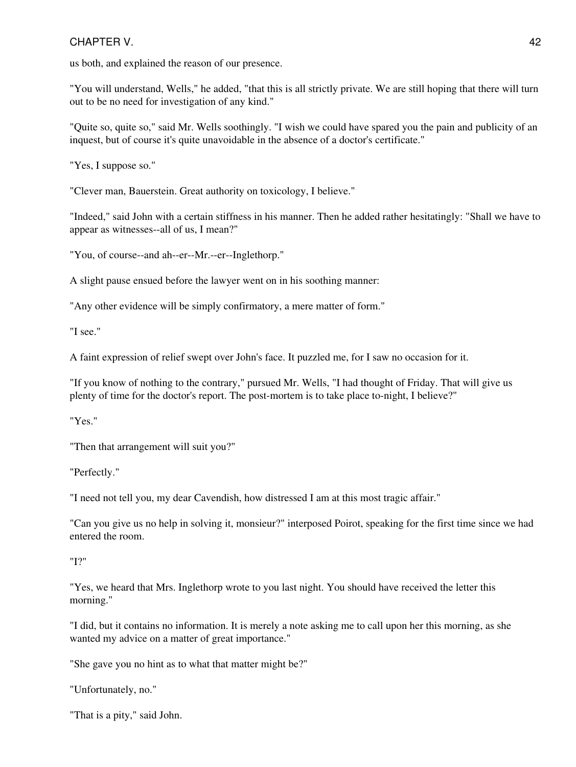us both, and explained the reason of our presence.

"You will understand, Wells," he added, "that this is all strictly private. We are still hoping that there will turn out to be no need for investigation of any kind."

"Quite so, quite so," said Mr. Wells soothingly. "I wish we could have spared you the pain and publicity of an inquest, but of course it's quite unavoidable in the absence of a doctor's certificate."

"Yes, I suppose so."

"Clever man, Bauerstein. Great authority on toxicology, I believe."

"Indeed," said John with a certain stiffness in his manner. Then he added rather hesitatingly: "Shall we have to appear as witnesses--all of us, I mean?"

"You, of course--and ah--er--Mr.--er--Inglethorp."

A slight pause ensued before the lawyer went on in his soothing manner:

"Any other evidence will be simply confirmatory, a mere matter of form."

"I see."

A faint expression of relief swept over John's face. It puzzled me, for I saw no occasion for it.

"If you know of nothing to the contrary," pursued Mr. Wells, "I had thought of Friday. That will give us plenty of time for the doctor's report. The post-mortem is to take place to-night, I believe?"

"Yes."

"Then that arrangement will suit you?"

"Perfectly."

"I need not tell you, my dear Cavendish, how distressed I am at this most tragic affair."

"Can you give us no help in solving it, monsieur?" interposed Poirot, speaking for the first time since we had entered the room.

"I?"

"Yes, we heard that Mrs. Inglethorp wrote to you last night. You should have received the letter this morning."

"I did, but it contains no information. It is merely a note asking me to call upon her this morning, as she wanted my advice on a matter of great importance."

"She gave you no hint as to what that matter might be?"

"Unfortunately, no."

"That is a pity," said John.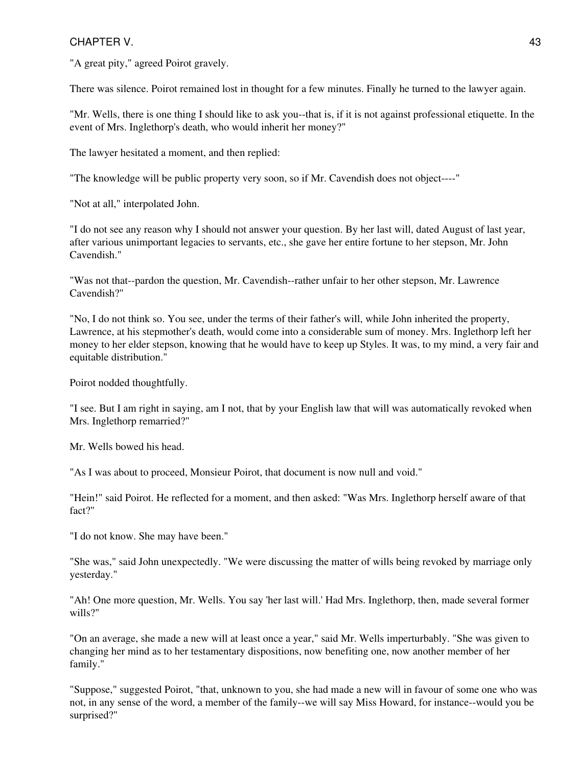"A great pity," agreed Poirot gravely.

There was silence. Poirot remained lost in thought for a few minutes. Finally he turned to the lawyer again.

"Mr. Wells, there is one thing I should like to ask you--that is, if it is not against professional etiquette. In the event of Mrs. Inglethorp's death, who would inherit her money?"

The lawyer hesitated a moment, and then replied:

"The knowledge will be public property very soon, so if Mr. Cavendish does not object----"

"Not at all," interpolated John.

"I do not see any reason why I should not answer your question. By her last will, dated August of last year, after various unimportant legacies to servants, etc., she gave her entire fortune to her stepson, Mr. John Cavendish."

"Was not that--pardon the question, Mr. Cavendish--rather unfair to her other stepson, Mr. Lawrence Cavendish?"

"No, I do not think so. You see, under the terms of their father's will, while John inherited the property, Lawrence, at his stepmother's death, would come into a considerable sum of money. Mrs. Inglethorp left her money to her elder stepson, knowing that he would have to keep up Styles. It was, to my mind, a very fair and equitable distribution."

Poirot nodded thoughtfully.

"I see. But I am right in saying, am I not, that by your English law that will was automatically revoked when Mrs. Inglethorp remarried?"

Mr. Wells bowed his head.

"As I was about to proceed, Monsieur Poirot, that document is now null and void."

"Hein!" said Poirot. He reflected for a moment, and then asked: "Was Mrs. Inglethorp herself aware of that fact?"

"I do not know. She may have been."

"She was," said John unexpectedly. "We were discussing the matter of wills being revoked by marriage only yesterday."

"Ah! One more question, Mr. Wells. You say 'her last will.' Had Mrs. Inglethorp, then, made several former wills?"

"On an average, she made a new will at least once a year," said Mr. Wells imperturbably. "She was given to changing her mind as to her testamentary dispositions, now benefiting one, now another member of her family."

"Suppose," suggested Poirot, "that, unknown to you, she had made a new will in favour of some one who was not, in any sense of the word, a member of the family--we will say Miss Howard, for instance--would you be surprised?"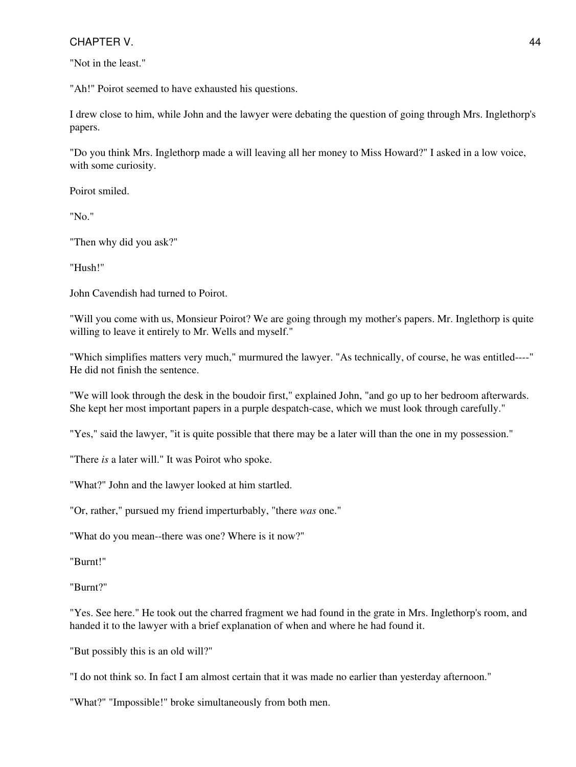"Not in the least."

"Ah!" Poirot seemed to have exhausted his questions.

I drew close to him, while John and the lawyer were debating the question of going through Mrs. Inglethorp's papers.

"Do you think Mrs. Inglethorp made a will leaving all her money to Miss Howard?" I asked in a low voice, with some curiosity.

Poirot smiled.

"No."

"Then why did you ask?"

"Hush!"

John Cavendish had turned to Poirot.

"Will you come with us, Monsieur Poirot? We are going through my mother's papers. Mr. Inglethorp is quite willing to leave it entirely to Mr. Wells and myself."

"Which simplifies matters very much," murmured the lawyer. "As technically, of course, he was entitled----" He did not finish the sentence.

"We will look through the desk in the boudoir first," explained John, "and go up to her bedroom afterwards. She kept her most important papers in a purple despatch-case, which we must look through carefully."

"Yes," said the lawyer, "it is quite possible that there may be a later will than the one in my possession."

"There *is* a later will." It was Poirot who spoke.

"What?" John and the lawyer looked at him startled.

"Or, rather," pursued my friend imperturbably, "there *was* one."

"What do you mean--there was one? Where is it now?"

"Burnt!"

"Burnt?"

"Yes. See here." He took out the charred fragment we had found in the grate in Mrs. Inglethorp's room, and handed it to the lawyer with a brief explanation of when and where he had found it.

"But possibly this is an old will?"

"I do not think so. In fact I am almost certain that it was made no earlier than yesterday afternoon."

"What?" "Impossible!" broke simultaneously from both men.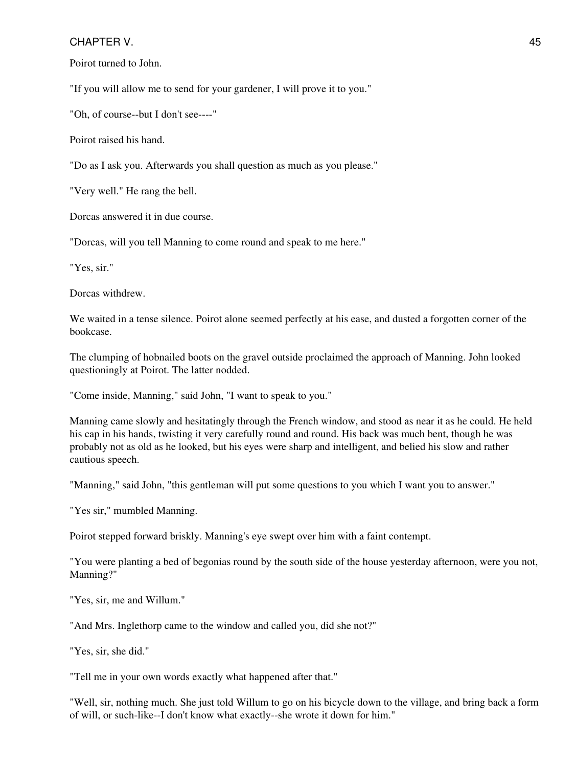Poirot turned to John.

"If you will allow me to send for your gardener, I will prove it to you."

"Oh, of course--but I don't see----"

Poirot raised his hand.

"Do as I ask you. Afterwards you shall question as much as you please."

"Very well." He rang the bell.

Dorcas answered it in due course.

"Dorcas, will you tell Manning to come round and speak to me here."

"Yes, sir."

Dorcas withdrew.

We waited in a tense silence. Poirot alone seemed perfectly at his ease, and dusted a forgotten corner of the bookcase.

The clumping of hobnailed boots on the gravel outside proclaimed the approach of Manning. John looked questioningly at Poirot. The latter nodded.

"Come inside, Manning," said John, "I want to speak to you."

Manning came slowly and hesitatingly through the French window, and stood as near it as he could. He held his cap in his hands, twisting it very carefully round and round. His back was much bent, though he was probably not as old as he looked, but his eyes were sharp and intelligent, and belied his slow and rather cautious speech.

"Manning," said John, "this gentleman will put some questions to you which I want you to answer."

"Yes sir," mumbled Manning.

Poirot stepped forward briskly. Manning's eye swept over him with a faint contempt.

"You were planting a bed of begonias round by the south side of the house yesterday afternoon, were you not, Manning?"

"Yes, sir, me and Willum."

"And Mrs. Inglethorp came to the window and called you, did she not?"

"Yes, sir, she did."

"Tell me in your own words exactly what happened after that."

"Well, sir, nothing much. She just told Willum to go on his bicycle down to the village, and bring back a form of will, or such-like--I don't know what exactly--she wrote it down for him."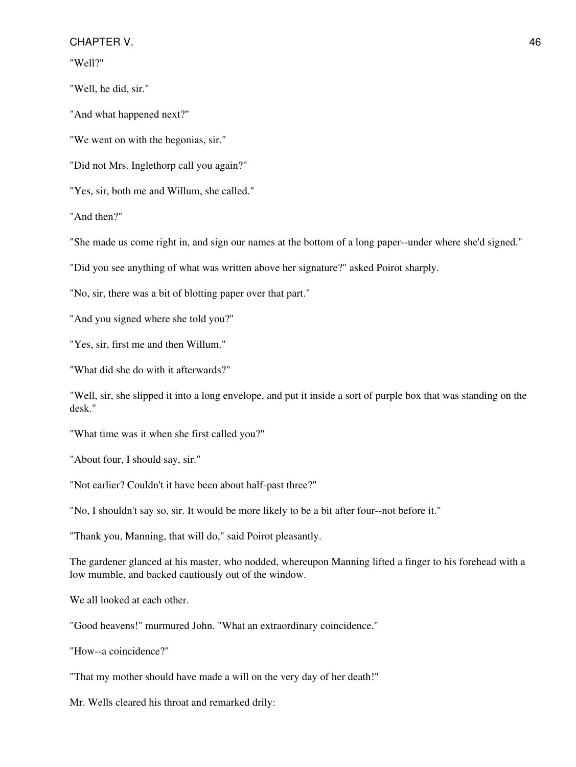"Well?"

"Well, he did, sir."

"And what happened next?"

"We went on with the begonias, sir."

"Did not Mrs. Inglethorp call you again?"

"Yes, sir, both me and Willum, she called."

"And then?"

"She made us come right in, and sign our names at the bottom of a long paper--under where she'd signed."

"Did you see anything of what was written above her signature?" asked Poirot sharply.

"No, sir, there was a bit of blotting paper over that part."

"And you signed where she told you?"

"Yes, sir, first me and then Willum."

"What did she do with it afterwards?"

"Well, sir, she slipped it into a long envelope, and put it inside a sort of purple box that was standing on the desk."

"What time was it when she first called you?"

"About four, I should say, sir."

"Not earlier? Couldn't it have been about half-past three?"

"No, I shouldn't say so, sir. It would be more likely to be a bit after four--not before it."

"Thank you, Manning, that will do," said Poirot pleasantly.

The gardener glanced at his master, who nodded, whereupon Manning lifted a finger to his forehead with a low mumble, and backed cautiously out of the window.

We all looked at each other.

"Good heavens!" murmured John. "What an extraordinary coincidence."

"How--a coincidence?"

"That my mother should have made a will on the very day of her death!"

Mr. Wells cleared his throat and remarked drily: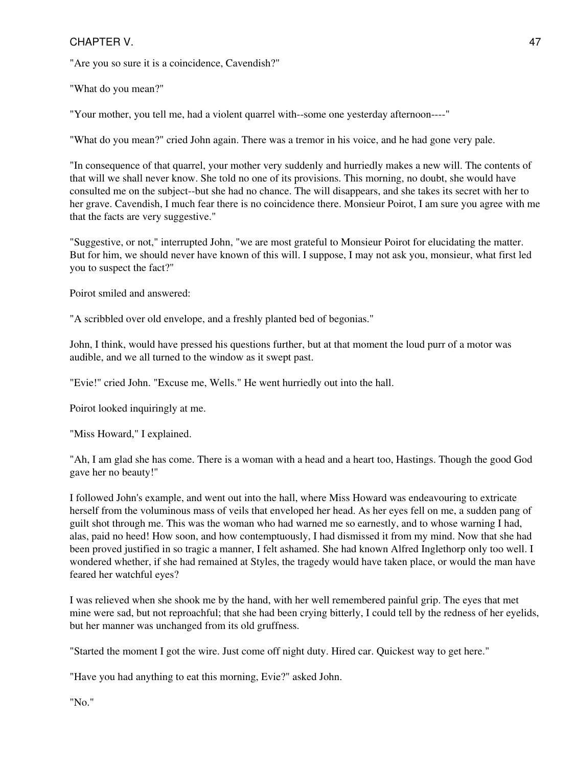"Are you so sure it is a coincidence, Cavendish?"

"What do you mean?"

"Your mother, you tell me, had a violent quarrel with--some one yesterday afternoon----"

"What do you mean?" cried John again. There was a tremor in his voice, and he had gone very pale.

"In consequence of that quarrel, your mother very suddenly and hurriedly makes a new will. The contents of that will we shall never know. She told no one of its provisions. This morning, no doubt, she would have consulted me on the subject--but she had no chance. The will disappears, and she takes its secret with her to her grave. Cavendish, I much fear there is no coincidence there. Monsieur Poirot, I am sure you agree with me that the facts are very suggestive."

"Suggestive, or not," interrupted John, "we are most grateful to Monsieur Poirot for elucidating the matter. But for him, we should never have known of this will. I suppose, I may not ask you, monsieur, what first led you to suspect the fact?"

Poirot smiled and answered:

"A scribbled over old envelope, and a freshly planted bed of begonias."

John, I think, would have pressed his questions further, but at that moment the loud purr of a motor was audible, and we all turned to the window as it swept past.

"Evie!" cried John. "Excuse me, Wells." He went hurriedly out into the hall.

Poirot looked inquiringly at me.

"Miss Howard," I explained.

"Ah, I am glad she has come. There is a woman with a head and a heart too, Hastings. Though the good God gave her no beauty!"

I followed John's example, and went out into the hall, where Miss Howard was endeavouring to extricate herself from the voluminous mass of veils that enveloped her head. As her eyes fell on me, a sudden pang of guilt shot through me. This was the woman who had warned me so earnestly, and to whose warning I had, alas, paid no heed! How soon, and how contemptuously, I had dismissed it from my mind. Now that she had been proved justified in so tragic a manner, I felt ashamed. She had known Alfred Inglethorp only too well. I wondered whether, if she had remained at Styles, the tragedy would have taken place, or would the man have feared her watchful eyes?

I was relieved when she shook me by the hand, with her well remembered painful grip. The eyes that met mine were sad, but not reproachful; that she had been crying bitterly, I could tell by the redness of her eyelids, but her manner was unchanged from its old gruffness.

"Started the moment I got the wire. Just come off night duty. Hired car. Quickest way to get here."

"Have you had anything to eat this morning, Evie?" asked John.

"No."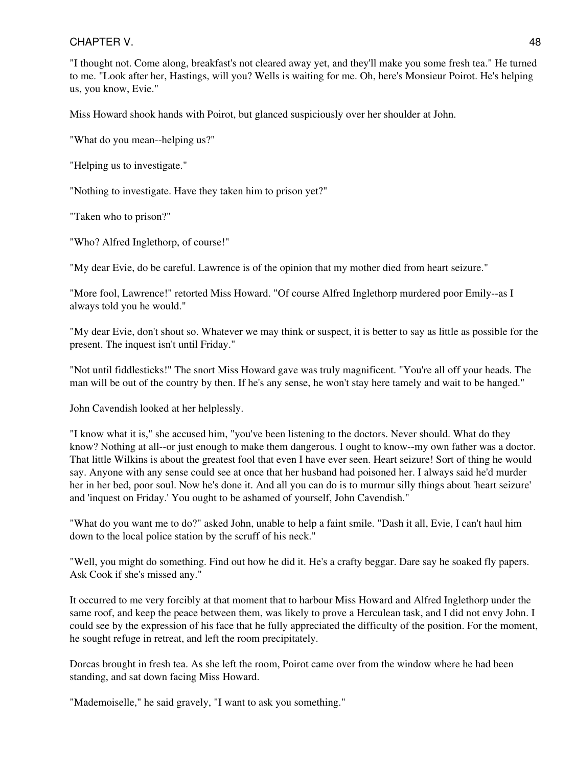"I thought not. Come along, breakfast's not cleared away yet, and they'll make you some fresh tea." He turned to me. "Look after her, Hastings, will you? Wells is waiting for me. Oh, here's Monsieur Poirot. He's helping us, you know, Evie."

Miss Howard shook hands with Poirot, but glanced suspiciously over her shoulder at John.

"What do you mean--helping us?"

"Helping us to investigate."

"Nothing to investigate. Have they taken him to prison yet?"

"Taken who to prison?"

"Who? Alfred Inglethorp, of course!"

"My dear Evie, do be careful. Lawrence is of the opinion that my mother died from heart seizure."

"More fool, Lawrence!" retorted Miss Howard. "Of course Alfred Inglethorp murdered poor Emily--as I always told you he would."

"My dear Evie, don't shout so. Whatever we may think or suspect, it is better to say as little as possible for the present. The inquest isn't until Friday."

"Not until fiddlesticks!" The snort Miss Howard gave was truly magnificent. "You're all off your heads. The man will be out of the country by then. If he's any sense, he won't stay here tamely and wait to be hanged."

John Cavendish looked at her helplessly.

"I know what it is," she accused him, "you've been listening to the doctors. Never should. What do they know? Nothing at all--or just enough to make them dangerous. I ought to know--my own father was a doctor. That little Wilkins is about the greatest fool that even I have ever seen. Heart seizure! Sort of thing he would say. Anyone with any sense could see at once that her husband had poisoned her. I always said he'd murder her in her bed, poor soul. Now he's done it. And all you can do is to murmur silly things about 'heart seizure' and 'inquest on Friday.' You ought to be ashamed of yourself, John Cavendish."

"What do you want me to do?" asked John, unable to help a faint smile. "Dash it all, Evie, I can't haul him down to the local police station by the scruff of his neck."

"Well, you might do something. Find out how he did it. He's a crafty beggar. Dare say he soaked fly papers. Ask Cook if she's missed any."

It occurred to me very forcibly at that moment that to harbour Miss Howard and Alfred Inglethorp under the same roof, and keep the peace between them, was likely to prove a Herculean task, and I did not envy John. I could see by the expression of his face that he fully appreciated the difficulty of the position. For the moment, he sought refuge in retreat, and left the room precipitately.

Dorcas brought in fresh tea. As she left the room, Poirot came over from the window where he had been standing, and sat down facing Miss Howard.

"Mademoiselle," he said gravely, "I want to ask you something."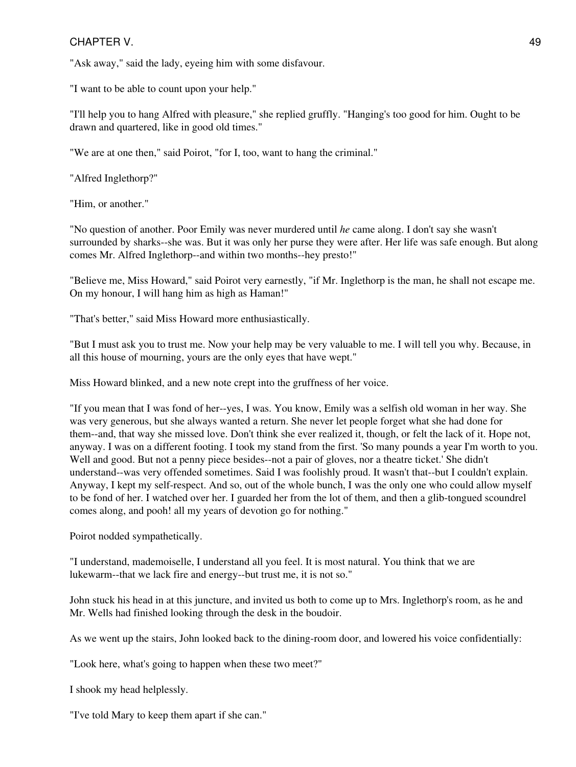"Ask away," said the lady, eyeing him with some disfavour.

"I want to be able to count upon your help."

"I'll help you to hang Alfred with pleasure," she replied gruffly. "Hanging's too good for him. Ought to be drawn and quartered, like in good old times."

"We are at one then," said Poirot, "for I, too, want to hang the criminal."

"Alfred Inglethorp?"

"Him, or another."

"No question of another. Poor Emily was never murdered until *he* came along. I don't say she wasn't surrounded by sharks--she was. But it was only her purse they were after. Her life was safe enough. But along comes Mr. Alfred Inglethorp--and within two months--hey presto!"

"Believe me, Miss Howard," said Poirot very earnestly, "if Mr. Inglethorp is the man, he shall not escape me. On my honour, I will hang him as high as Haman!"

"That's better," said Miss Howard more enthusiastically.

"But I must ask you to trust me. Now your help may be very valuable to me. I will tell you why. Because, in all this house of mourning, yours are the only eyes that have wept."

Miss Howard blinked, and a new note crept into the gruffness of her voice.

"If you mean that I was fond of her--yes, I was. You know, Emily was a selfish old woman in her way. She was very generous, but she always wanted a return. She never let people forget what she had done for them--and, that way she missed love. Don't think she ever realized it, though, or felt the lack of it. Hope not, anyway. I was on a different footing. I took my stand from the first. 'So many pounds a year I'm worth to you. Well and good. But not a penny piece besides--not a pair of gloves, nor a theatre ticket.' She didn't understand--was very offended sometimes. Said I was foolishly proud. It wasn't that--but I couldn't explain. Anyway, I kept my self-respect. And so, out of the whole bunch, I was the only one who could allow myself to be fond of her. I watched over her. I guarded her from the lot of them, and then a glib-tongued scoundrel comes along, and pooh! all my years of devotion go for nothing."

Poirot nodded sympathetically.

"I understand, mademoiselle, I understand all you feel. It is most natural. You think that we are lukewarm--that we lack fire and energy--but trust me, it is not so."

John stuck his head in at this juncture, and invited us both to come up to Mrs. Inglethorp's room, as he and Mr. Wells had finished looking through the desk in the boudoir.

As we went up the stairs, John looked back to the dining-room door, and lowered his voice confidentially:

"Look here, what's going to happen when these two meet?"

I shook my head helplessly.

"I've told Mary to keep them apart if she can."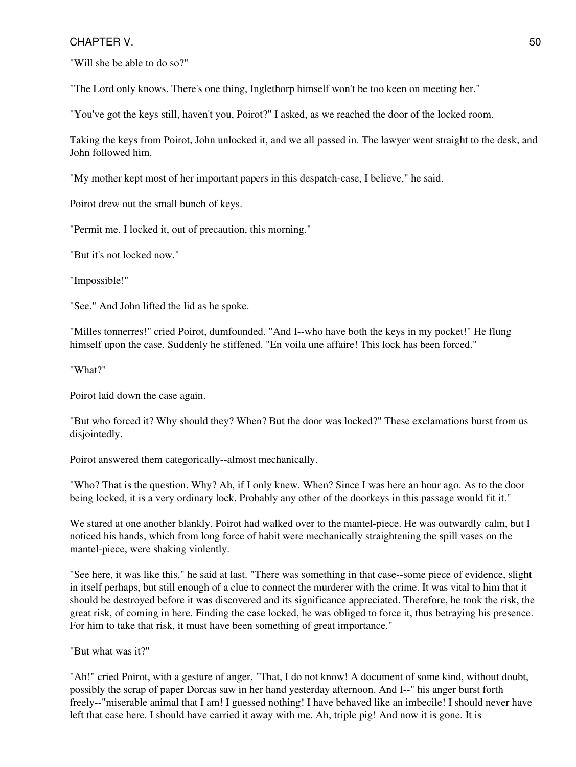"Will she be able to do so?"

"The Lord only knows. There's one thing, Inglethorp himself won't be too keen on meeting her."

"You've got the keys still, haven't you, Poirot?" I asked, as we reached the door of the locked room.

Taking the keys from Poirot, John unlocked it, and we all passed in. The lawyer went straight to the desk, and John followed him.

"My mother kept most of her important papers in this despatch-case, I believe," he said.

Poirot drew out the small bunch of keys.

"Permit me. I locked it, out of precaution, this morning."

"But it's not locked now."

"Impossible!"

"See." And John lifted the lid as he spoke.

"Milles tonnerres!" cried Poirot, dumfounded. "And I--who have both the keys in my pocket!" He flung himself upon the case. Suddenly he stiffened. "En voila une affaire! This lock has been forced."

"What?"

Poirot laid down the case again.

"But who forced it? Why should they? When? But the door was locked?" These exclamations burst from us disjointedly.

Poirot answered them categorically--almost mechanically.

"Who? That is the question. Why? Ah, if I only knew. When? Since I was here an hour ago. As to the door being locked, it is a very ordinary lock. Probably any other of the doorkeys in this passage would fit it."

We stared at one another blankly. Poirot had walked over to the mantel-piece. He was outwardly calm, but I noticed his hands, which from long force of habit were mechanically straightening the spill vases on the mantel-piece, were shaking violently.

"See here, it was like this," he said at last. "There was something in that case--some piece of evidence, slight in itself perhaps, but still enough of a clue to connect the murderer with the crime. It was vital to him that it should be destroyed before it was discovered and its significance appreciated. Therefore, he took the risk, the great risk, of coming in here. Finding the case locked, he was obliged to force it, thus betraying his presence. For him to take that risk, it must have been something of great importance."

"But what was it?"

"Ah!" cried Poirot, with a gesture of anger. "That, I do not know! A document of some kind, without doubt, possibly the scrap of paper Dorcas saw in her hand yesterday afternoon. And I--" his anger burst forth freely--"miserable animal that I am! I guessed nothing! I have behaved like an imbecile! I should never have left that case here. I should have carried it away with me. Ah, triple pig! And now it is gone. It is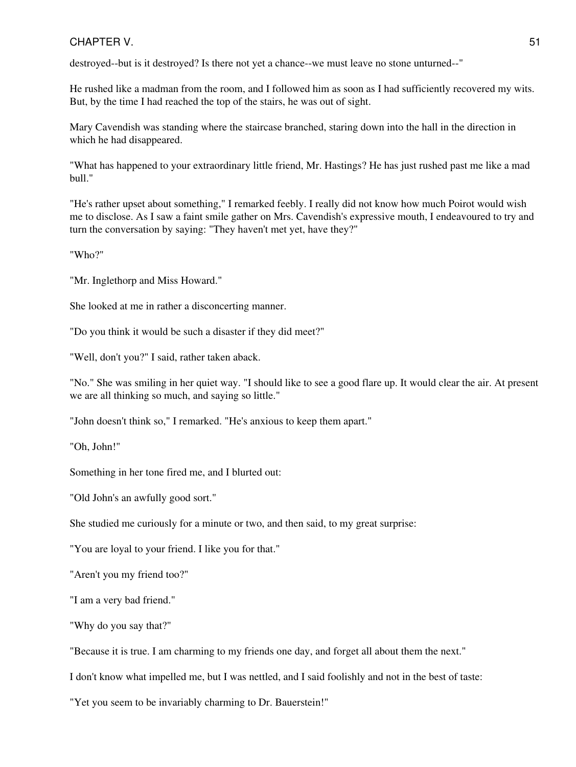destroyed--but is it destroyed? Is there not yet a chance--we must leave no stone unturned--"

He rushed like a madman from the room, and I followed him as soon as I had sufficiently recovered my wits. But, by the time I had reached the top of the stairs, he was out of sight.

Mary Cavendish was standing where the staircase branched, staring down into the hall in the direction in which he had disappeared.

"What has happened to your extraordinary little friend, Mr. Hastings? He has just rushed past me like a mad bull."

"He's rather upset about something," I remarked feebly. I really did not know how much Poirot would wish me to disclose. As I saw a faint smile gather on Mrs. Cavendish's expressive mouth, I endeavoured to try and turn the conversation by saying: "They haven't met yet, have they?"

"Who?"

"Mr. Inglethorp and Miss Howard."

She looked at me in rather a disconcerting manner.

"Do you think it would be such a disaster if they did meet?"

"Well, don't you?" I said, rather taken aback.

"No." She was smiling in her quiet way. "I should like to see a good flare up. It would clear the air. At present we are all thinking so much, and saying so little."

"John doesn't think so," I remarked. "He's anxious to keep them apart."

"Oh, John!"

Something in her tone fired me, and I blurted out:

"Old John's an awfully good sort."

She studied me curiously for a minute or two, and then said, to my great surprise:

"You are loyal to your friend. I like you for that."

"Aren't you my friend too?"

"I am a very bad friend."

"Why do you say that?"

"Because it is true. I am charming to my friends one day, and forget all about them the next."

I don't know what impelled me, but I was nettled, and I said foolishly and not in the best of taste:

"Yet you seem to be invariably charming to Dr. Bauerstein!"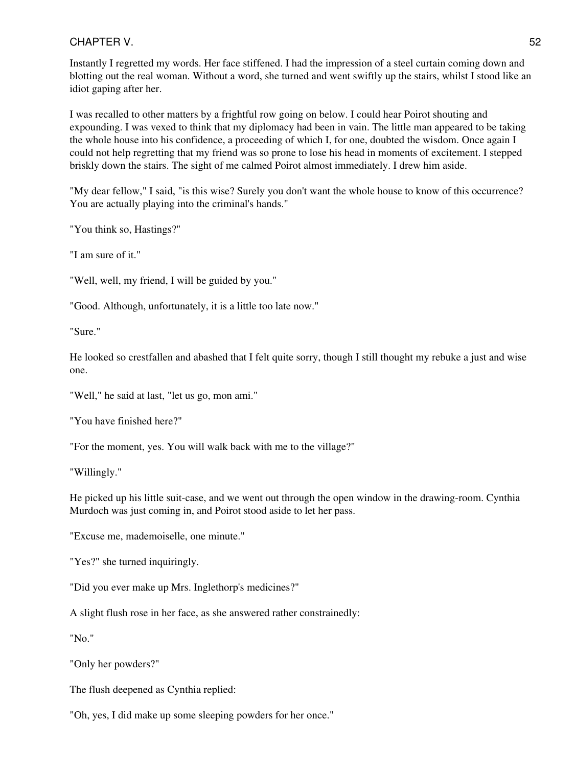Instantly I regretted my words. Her face stiffened. I had the impression of a steel curtain coming down and blotting out the real woman. Without a word, she turned and went swiftly up the stairs, whilst I stood like an idiot gaping after her.

I was recalled to other matters by a frightful row going on below. I could hear Poirot shouting and expounding. I was vexed to think that my diplomacy had been in vain. The little man appeared to be taking the whole house into his confidence, a proceeding of which I, for one, doubted the wisdom. Once again I could not help regretting that my friend was so prone to lose his head in moments of excitement. I stepped briskly down the stairs. The sight of me calmed Poirot almost immediately. I drew him aside.

"My dear fellow," I said, "is this wise? Surely you don't want the whole house to know of this occurrence? You are actually playing into the criminal's hands."

"You think so, Hastings?"

"I am sure of it."

"Well, well, my friend, I will be guided by you."

"Good. Although, unfortunately, it is a little too late now."

"Sure."

He looked so crestfallen and abashed that I felt quite sorry, though I still thought my rebuke a just and wise one.

"Well," he said at last, "let us go, mon ami."

"You have finished here?"

"For the moment, yes. You will walk back with me to the village?"

"Willingly."

He picked up his little suit-case, and we went out through the open window in the drawing-room. Cynthia Murdoch was just coming in, and Poirot stood aside to let her pass.

"Excuse me, mademoiselle, one minute."

"Yes?" she turned inquiringly.

"Did you ever make up Mrs. Inglethorp's medicines?"

A slight flush rose in her face, as she answered rather constrainedly:

"No."

"Only her powders?"

The flush deepened as Cynthia replied:

"Oh, yes, I did make up some sleeping powders for her once."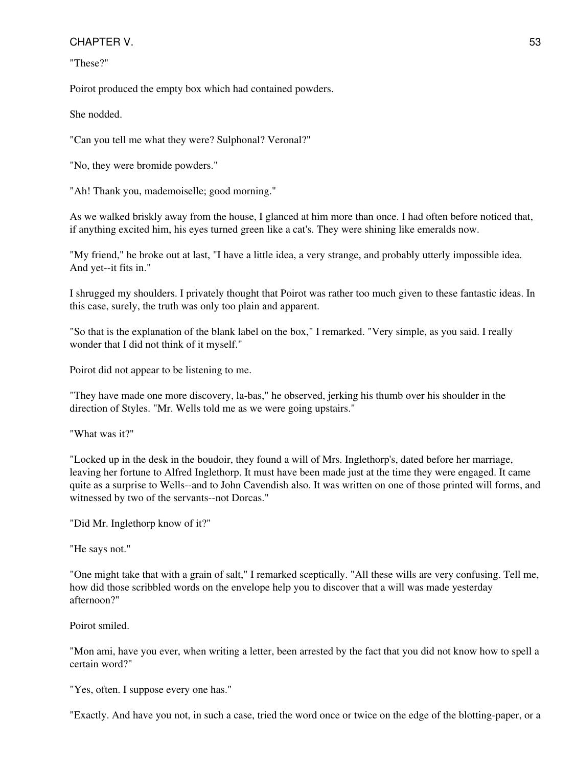"These?"

Poirot produced the empty box which had contained powders.

She nodded.

"Can you tell me what they were? Sulphonal? Veronal?"

"No, they were bromide powders."

"Ah! Thank you, mademoiselle; good morning."

As we walked briskly away from the house, I glanced at him more than once. I had often before noticed that, if anything excited him, his eyes turned green like a cat's. They were shining like emeralds now.

"My friend," he broke out at last, "I have a little idea, a very strange, and probably utterly impossible idea. And yet--it fits in."

I shrugged my shoulders. I privately thought that Poirot was rather too much given to these fantastic ideas. In this case, surely, the truth was only too plain and apparent.

"So that is the explanation of the blank label on the box," I remarked. "Very simple, as you said. I really wonder that I did not think of it myself."

Poirot did not appear to be listening to me.

"They have made one more discovery, la-bas," he observed, jerking his thumb over his shoulder in the direction of Styles. "Mr. Wells told me as we were going upstairs."

"What was it?"

"Locked up in the desk in the boudoir, they found a will of Mrs. Inglethorp's, dated before her marriage, leaving her fortune to Alfred Inglethorp. It must have been made just at the time they were engaged. It came quite as a surprise to Wells--and to John Cavendish also. It was written on one of those printed will forms, and witnessed by two of the servants--not Dorcas."

"Did Mr. Inglethorp know of it?"

"He says not."

"One might take that with a grain of salt," I remarked sceptically. "All these wills are very confusing. Tell me, how did those scribbled words on the envelope help you to discover that a will was made yesterday afternoon?"

Poirot smiled.

"Mon ami, have you ever, when writing a letter, been arrested by the fact that you did not know how to spell a certain word?"

"Yes, often. I suppose every one has."

"Exactly. And have you not, in such a case, tried the word once or twice on the edge of the blotting-paper, or a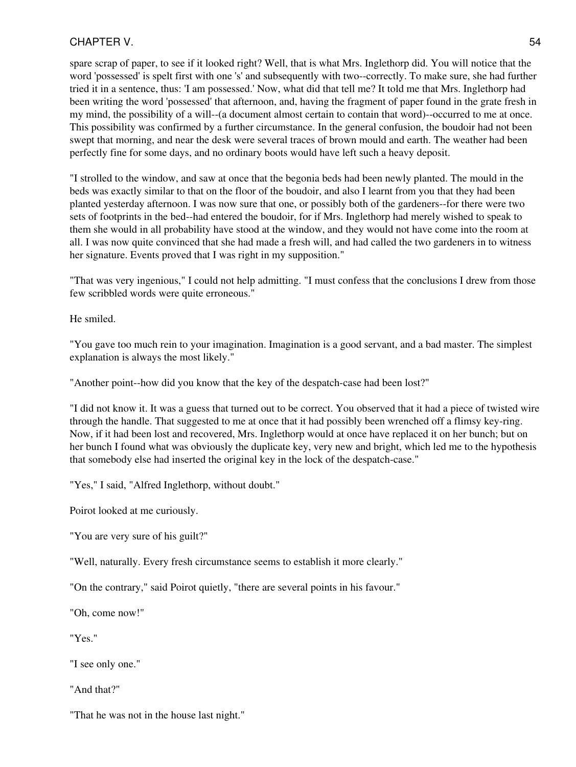spare scrap of paper, to see if it looked right? Well, that is what Mrs. Inglethorp did. You will notice that the word 'possessed' is spelt first with one 's' and subsequently with two--correctly. To make sure, she had further tried it in a sentence, thus: 'I am possessed.' Now, what did that tell me? It told me that Mrs. Inglethorp had been writing the word 'possessed' that afternoon, and, having the fragment of paper found in the grate fresh in my mind, the possibility of a will--(a document almost certain to contain that word)--occurred to me at once. This possibility was confirmed by a further circumstance. In the general confusion, the boudoir had not been swept that morning, and near the desk were several traces of brown mould and earth. The weather had been perfectly fine for some days, and no ordinary boots would have left such a heavy deposit.

"I strolled to the window, and saw at once that the begonia beds had been newly planted. The mould in the beds was exactly similar to that on the floor of the boudoir, and also I learnt from you that they had been planted yesterday afternoon. I was now sure that one, or possibly both of the gardeners--for there were two sets of footprints in the bed--had entered the boudoir, for if Mrs. Inglethorp had merely wished to speak to them she would in all probability have stood at the window, and they would not have come into the room at all. I was now quite convinced that she had made a fresh will, and had called the two gardeners in to witness her signature. Events proved that I was right in my supposition."

"That was very ingenious," I could not help admitting. "I must confess that the conclusions I drew from those few scribbled words were quite erroneous."

He smiled.

"You gave too much rein to your imagination. Imagination is a good servant, and a bad master. The simplest explanation is always the most likely."

"Another point--how did you know that the key of the despatch-case had been lost?"

"I did not know it. It was a guess that turned out to be correct. You observed that it had a piece of twisted wire through the handle. That suggested to me at once that it had possibly been wrenched off a flimsy key-ring. Now, if it had been lost and recovered, Mrs. Inglethorp would at once have replaced it on her bunch; but on her bunch I found what was obviously the duplicate key, very new and bright, which led me to the hypothesis that somebody else had inserted the original key in the lock of the despatch-case."

"Yes," I said, "Alfred Inglethorp, without doubt."

Poirot looked at me curiously.

"You are very sure of his guilt?"

"Well, naturally. Every fresh circumstance seems to establish it more clearly."

"On the contrary," said Poirot quietly, "there are several points in his favour."

"Oh, come now!"

"Yes."

"I see only one."

"And that?"

"That he was not in the house last night."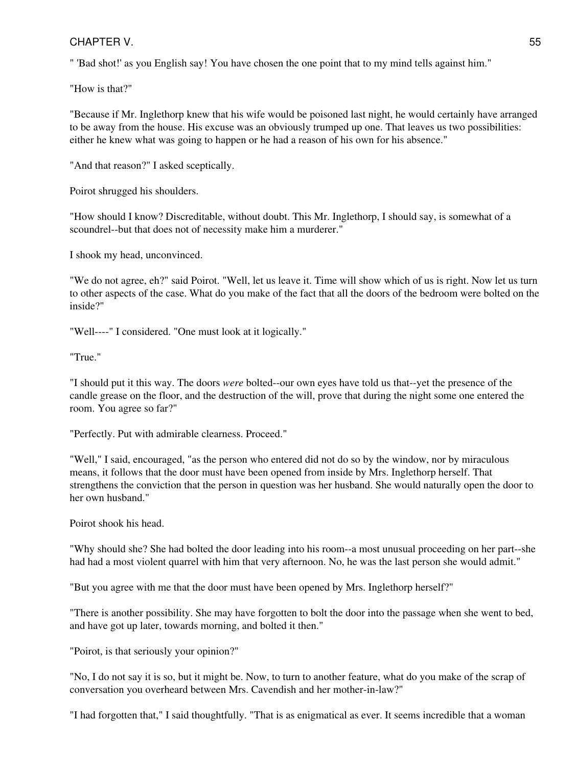" 'Bad shot!' as you English say! You have chosen the one point that to my mind tells against him."

"How is that?"

"Because if Mr. Inglethorp knew that his wife would be poisoned last night, he would certainly have arranged to be away from the house. His excuse was an obviously trumped up one. That leaves us two possibilities: either he knew what was going to happen or he had a reason of his own for his absence."

"And that reason?" I asked sceptically.

Poirot shrugged his shoulders.

"How should I know? Discreditable, without doubt. This Mr. Inglethorp, I should say, is somewhat of a scoundrel--but that does not of necessity make him a murderer."

I shook my head, unconvinced.

"We do not agree, eh?" said Poirot. "Well, let us leave it. Time will show which of us is right. Now let us turn to other aspects of the case. What do you make of the fact that all the doors of the bedroom were bolted on the inside?"

"Well----" I considered. "One must look at it logically."

"True."

"I should put it this way. The doors *were* bolted--our own eyes have told us that--yet the presence of the candle grease on the floor, and the destruction of the will, prove that during the night some one entered the room. You agree so far?"

"Perfectly. Put with admirable clearness. Proceed."

"Well," I said, encouraged, "as the person who entered did not do so by the window, nor by miraculous means, it follows that the door must have been opened from inside by Mrs. Inglethorp herself. That strengthens the conviction that the person in question was her husband. She would naturally open the door to her own husband."

Poirot shook his head.

"Why should she? She had bolted the door leading into his room--a most unusual proceeding on her part--she had had a most violent quarrel with him that very afternoon. No, he was the last person she would admit."

"But you agree with me that the door must have been opened by Mrs. Inglethorp herself?"

"There is another possibility. She may have forgotten to bolt the door into the passage when she went to bed, and have got up later, towards morning, and bolted it then."

"Poirot, is that seriously your opinion?"

"No, I do not say it is so, but it might be. Now, to turn to another feature, what do you make of the scrap of conversation you overheard between Mrs. Cavendish and her mother-in-law?"

"I had forgotten that," I said thoughtfully. "That is as enigmatical as ever. It seems incredible that a woman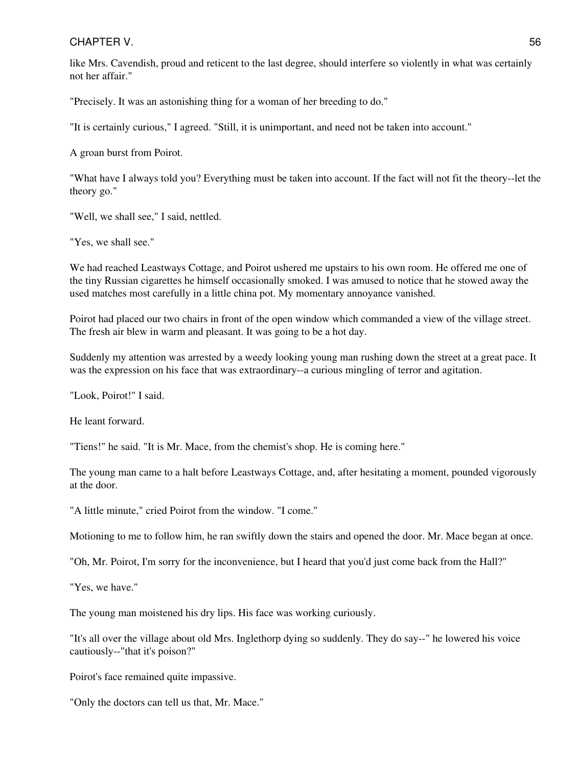like Mrs. Cavendish, proud and reticent to the last degree, should interfere so violently in what was certainly not her affair."

"Precisely. It was an astonishing thing for a woman of her breeding to do."

"It is certainly curious," I agreed. "Still, it is unimportant, and need not be taken into account."

A groan burst from Poirot.

"What have I always told you? Everything must be taken into account. If the fact will not fit the theory--let the theory go."

"Well, we shall see," I said, nettled.

"Yes, we shall see."

We had reached Leastways Cottage, and Poirot ushered me upstairs to his own room. He offered me one of the tiny Russian cigarettes he himself occasionally smoked. I was amused to notice that he stowed away the used matches most carefully in a little china pot. My momentary annoyance vanished.

Poirot had placed our two chairs in front of the open window which commanded a view of the village street. The fresh air blew in warm and pleasant. It was going to be a hot day.

Suddenly my attention was arrested by a weedy looking young man rushing down the street at a great pace. It was the expression on his face that was extraordinary--a curious mingling of terror and agitation.

"Look, Poirot!" I said.

He leant forward.

"Tiens!" he said. "It is Mr. Mace, from the chemist's shop. He is coming here."

The young man came to a halt before Leastways Cottage, and, after hesitating a moment, pounded vigorously at the door.

"A little minute," cried Poirot from the window. "I come."

Motioning to me to follow him, he ran swiftly down the stairs and opened the door. Mr. Mace began at once.

"Oh, Mr. Poirot, I'm sorry for the inconvenience, but I heard that you'd just come back from the Hall?"

"Yes, we have."

The young man moistened his dry lips. His face was working curiously.

"It's all over the village about old Mrs. Inglethorp dying so suddenly. They do say--" he lowered his voice cautiously--"that it's poison?"

Poirot's face remained quite impassive.

"Only the doctors can tell us that, Mr. Mace."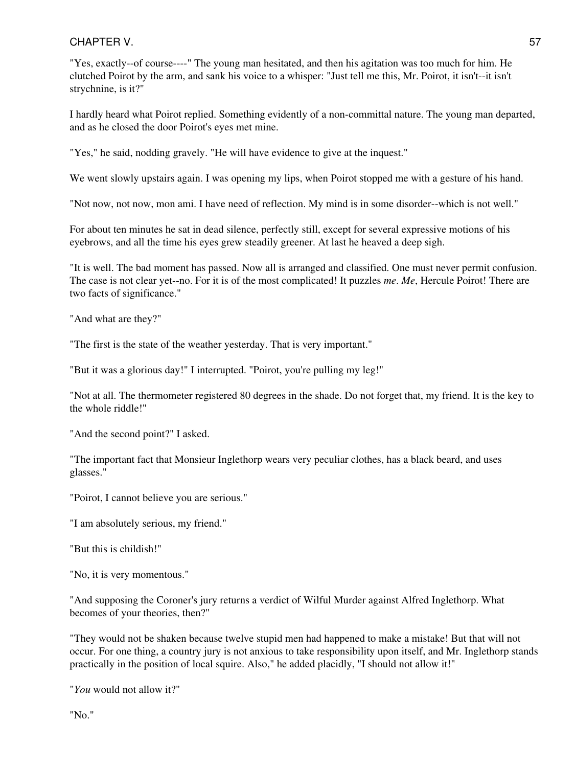"Yes, exactly--of course----" The young man hesitated, and then his agitation was too much for him. He clutched Poirot by the arm, and sank his voice to a whisper: "Just tell me this, Mr. Poirot, it isn't--it isn't strychnine, is it?"

I hardly heard what Poirot replied. Something evidently of a non-committal nature. The young man departed, and as he closed the door Poirot's eyes met mine.

"Yes," he said, nodding gravely. "He will have evidence to give at the inquest."

We went slowly upstairs again. I was opening my lips, when Poirot stopped me with a gesture of his hand.

"Not now, not now, mon ami. I have need of reflection. My mind is in some disorder--which is not well."

For about ten minutes he sat in dead silence, perfectly still, except for several expressive motions of his eyebrows, and all the time his eyes grew steadily greener. At last he heaved a deep sigh.

"It is well. The bad moment has passed. Now all is arranged and classified. One must never permit confusion. The case is not clear yet--no. For it is of the most complicated! It puzzles *me*. *Me*, Hercule Poirot! There are two facts of significance."

"And what are they?"

"The first is the state of the weather yesterday. That is very important."

"But it was a glorious day!" I interrupted. "Poirot, you're pulling my leg!"

"Not at all. The thermometer registered 80 degrees in the shade. Do not forget that, my friend. It is the key to the whole riddle!"

"And the second point?" I asked.

"The important fact that Monsieur Inglethorp wears very peculiar clothes, has a black beard, and uses glasses."

"Poirot, I cannot believe you are serious."

"I am absolutely serious, my friend."

"But this is childish!"

"No, it is very momentous."

"And supposing the Coroner's jury returns a verdict of Wilful Murder against Alfred Inglethorp. What becomes of your theories, then?"

"They would not be shaken because twelve stupid men had happened to make a mistake! But that will not occur. For one thing, a country jury is not anxious to take responsibility upon itself, and Mr. Inglethorp stands practically in the position of local squire. Also," he added placidly, "I should not allow it!"

"*You* would not allow it?"

"No."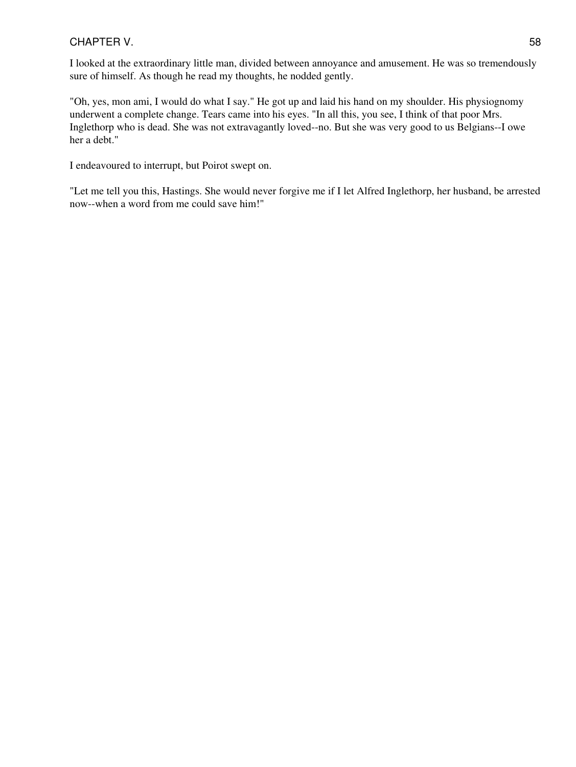I looked at the extraordinary little man, divided between annoyance and amusement. He was so tremendously sure of himself. As though he read my thoughts, he nodded gently.

"Oh, yes, mon ami, I would do what I say." He got up and laid his hand on my shoulder. His physiognomy underwent a complete change. Tears came into his eyes. "In all this, you see, I think of that poor Mrs. Inglethorp who is dead. She was not extravagantly loved--no. But she was very good to us Belgians--I owe her a debt."

I endeavoured to interrupt, but Poirot swept on.

"Let me tell you this, Hastings. She would never forgive me if I let Alfred Inglethorp, her husband, be arrested now--when a word from me could save him!"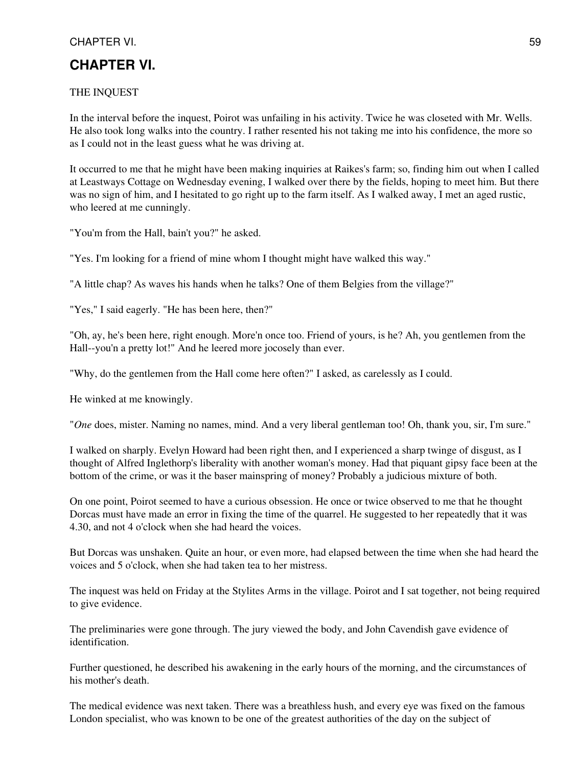# **CHAPTER VI.**

## THE INQUEST

In the interval before the inquest, Poirot was unfailing in his activity. Twice he was closeted with Mr. Wells. He also took long walks into the country. I rather resented his not taking me into his confidence, the more so as I could not in the least guess what he was driving at.

It occurred to me that he might have been making inquiries at Raikes's farm; so, finding him out when I called at Leastways Cottage on Wednesday evening, I walked over there by the fields, hoping to meet him. But there was no sign of him, and I hesitated to go right up to the farm itself. As I walked away, I met an aged rustic, who leered at me cunningly.

"You'm from the Hall, bain't you?" he asked.

"Yes. I'm looking for a friend of mine whom I thought might have walked this way."

"A little chap? As waves his hands when he talks? One of them Belgies from the village?"

"Yes," I said eagerly. "He has been here, then?"

"Oh, ay, he's been here, right enough. More'n once too. Friend of yours, is he? Ah, you gentlemen from the Hall--you'n a pretty lot!" And he leered more jocosely than ever.

"Why, do the gentlemen from the Hall come here often?" I asked, as carelessly as I could.

He winked at me knowingly.

"*One* does, mister. Naming no names, mind. And a very liberal gentleman too! Oh, thank you, sir, I'm sure."

I walked on sharply. Evelyn Howard had been right then, and I experienced a sharp twinge of disgust, as I thought of Alfred Inglethorp's liberality with another woman's money. Had that piquant gipsy face been at the bottom of the crime, or was it the baser mainspring of money? Probably a judicious mixture of both.

On one point, Poirot seemed to have a curious obsession. He once or twice observed to me that he thought Dorcas must have made an error in fixing the time of the quarrel. He suggested to her repeatedly that it was 4.30, and not 4 o'clock when she had heard the voices.

But Dorcas was unshaken. Quite an hour, or even more, had elapsed between the time when she had heard the voices and 5 o'clock, when she had taken tea to her mistress.

The inquest was held on Friday at the Stylites Arms in the village. Poirot and I sat together, not being required to give evidence.

The preliminaries were gone through. The jury viewed the body, and John Cavendish gave evidence of identification.

Further questioned, he described his awakening in the early hours of the morning, and the circumstances of his mother's death.

The medical evidence was next taken. There was a breathless hush, and every eye was fixed on the famous London specialist, who was known to be one of the greatest authorities of the day on the subject of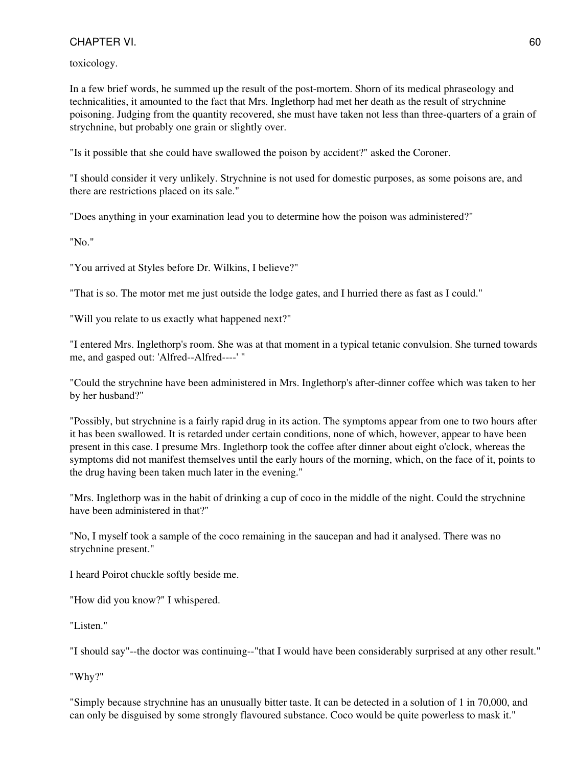toxicology.

In a few brief words, he summed up the result of the post-mortem. Shorn of its medical phraseology and technicalities, it amounted to the fact that Mrs. Inglethorp had met her death as the result of strychnine poisoning. Judging from the quantity recovered, she must have taken not less than three-quarters of a grain of strychnine, but probably one grain or slightly over.

"Is it possible that she could have swallowed the poison by accident?" asked the Coroner.

"I should consider it very unlikely. Strychnine is not used for domestic purposes, as some poisons are, and there are restrictions placed on its sale."

"Does anything in your examination lead you to determine how the poison was administered?"

"No."

"You arrived at Styles before Dr. Wilkins, I believe?"

"That is so. The motor met me just outside the lodge gates, and I hurried there as fast as I could."

"Will you relate to us exactly what happened next?"

"I entered Mrs. Inglethorp's room. She was at that moment in a typical tetanic convulsion. She turned towards me, and gasped out: 'Alfred--Alfred----' "

"Could the strychnine have been administered in Mrs. Inglethorp's after-dinner coffee which was taken to her by her husband?"

"Possibly, but strychnine is a fairly rapid drug in its action. The symptoms appear from one to two hours after it has been swallowed. It is retarded under certain conditions, none of which, however, appear to have been present in this case. I presume Mrs. Inglethorp took the coffee after dinner about eight o'clock, whereas the symptoms did not manifest themselves until the early hours of the morning, which, on the face of it, points to the drug having been taken much later in the evening."

"Mrs. Inglethorp was in the habit of drinking a cup of coco in the middle of the night. Could the strychnine have been administered in that?"

"No, I myself took a sample of the coco remaining in the saucepan and had it analysed. There was no strychnine present."

I heard Poirot chuckle softly beside me.

"How did you know?" I whispered.

"Listen."

"I should say"--the doctor was continuing--"that I would have been considerably surprised at any other result."

"Why?"

"Simply because strychnine has an unusually bitter taste. It can be detected in a solution of 1 in 70,000, and can only be disguised by some strongly flavoured substance. Coco would be quite powerless to mask it."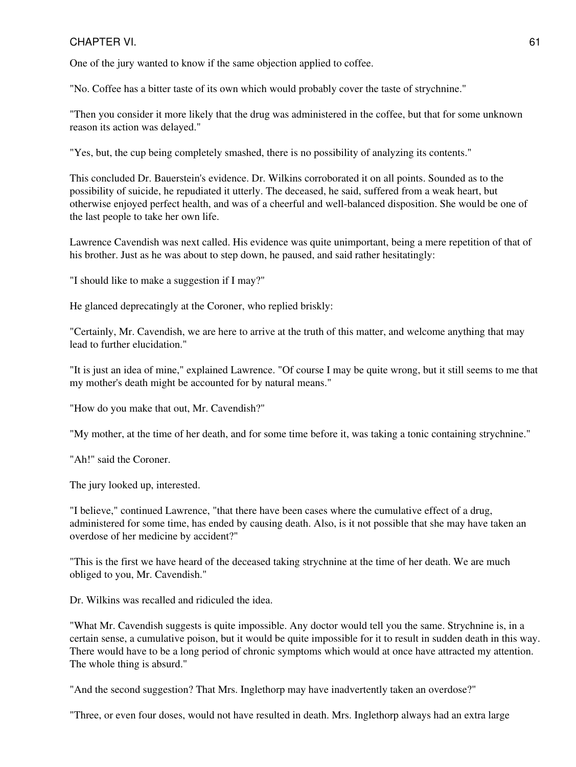One of the jury wanted to know if the same objection applied to coffee.

"No. Coffee has a bitter taste of its own which would probably cover the taste of strychnine."

"Then you consider it more likely that the drug was administered in the coffee, but that for some unknown reason its action was delayed."

"Yes, but, the cup being completely smashed, there is no possibility of analyzing its contents."

This concluded Dr. Bauerstein's evidence. Dr. Wilkins corroborated it on all points. Sounded as to the possibility of suicide, he repudiated it utterly. The deceased, he said, suffered from a weak heart, but otherwise enjoyed perfect health, and was of a cheerful and well-balanced disposition. She would be one of the last people to take her own life.

Lawrence Cavendish was next called. His evidence was quite unimportant, being a mere repetition of that of his brother. Just as he was about to step down, he paused, and said rather hesitatingly:

"I should like to make a suggestion if I may?"

He glanced deprecatingly at the Coroner, who replied briskly:

"Certainly, Mr. Cavendish, we are here to arrive at the truth of this matter, and welcome anything that may lead to further elucidation."

"It is just an idea of mine," explained Lawrence. "Of course I may be quite wrong, but it still seems to me that my mother's death might be accounted for by natural means."

"How do you make that out, Mr. Cavendish?"

"My mother, at the time of her death, and for some time before it, was taking a tonic containing strychnine."

"Ah!" said the Coroner.

The jury looked up, interested.

"I believe," continued Lawrence, "that there have been cases where the cumulative effect of a drug, administered for some time, has ended by causing death. Also, is it not possible that she may have taken an overdose of her medicine by accident?"

"This is the first we have heard of the deceased taking strychnine at the time of her death. We are much obliged to you, Mr. Cavendish."

Dr. Wilkins was recalled and ridiculed the idea.

"What Mr. Cavendish suggests is quite impossible. Any doctor would tell you the same. Strychnine is, in a certain sense, a cumulative poison, but it would be quite impossible for it to result in sudden death in this way. There would have to be a long period of chronic symptoms which would at once have attracted my attention. The whole thing is absurd."

"And the second suggestion? That Mrs. Inglethorp may have inadvertently taken an overdose?"

"Three, or even four doses, would not have resulted in death. Mrs. Inglethorp always had an extra large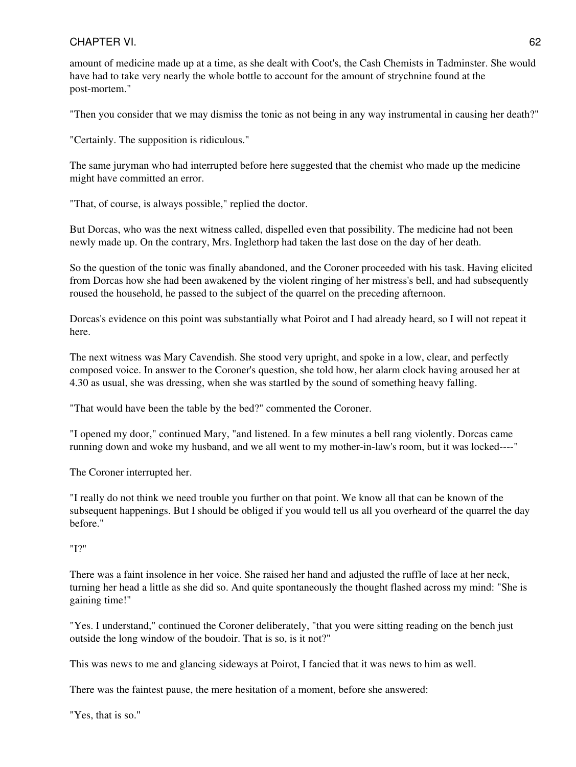amount of medicine made up at a time, as she dealt with Coot's, the Cash Chemists in Tadminster. She would have had to take very nearly the whole bottle to account for the amount of strychnine found at the post-mortem."

"Then you consider that we may dismiss the tonic as not being in any way instrumental in causing her death?"

"Certainly. The supposition is ridiculous."

The same juryman who had interrupted before here suggested that the chemist who made up the medicine might have committed an error.

"That, of course, is always possible," replied the doctor.

But Dorcas, who was the next witness called, dispelled even that possibility. The medicine had not been newly made up. On the contrary, Mrs. Inglethorp had taken the last dose on the day of her death.

So the question of the tonic was finally abandoned, and the Coroner proceeded with his task. Having elicited from Dorcas how she had been awakened by the violent ringing of her mistress's bell, and had subsequently roused the household, he passed to the subject of the quarrel on the preceding afternoon.

Dorcas's evidence on this point was substantially what Poirot and I had already heard, so I will not repeat it here.

The next witness was Mary Cavendish. She stood very upright, and spoke in a low, clear, and perfectly composed voice. In answer to the Coroner's question, she told how, her alarm clock having aroused her at 4.30 as usual, she was dressing, when she was startled by the sound of something heavy falling.

"That would have been the table by the bed?" commented the Coroner.

"I opened my door," continued Mary, "and listened. In a few minutes a bell rang violently. Dorcas came running down and woke my husband, and we all went to my mother-in-law's room, but it was locked----"

The Coroner interrupted her.

"I really do not think we need trouble you further on that point. We know all that can be known of the subsequent happenings. But I should be obliged if you would tell us all you overheard of the quarrel the day before."

"I?"

There was a faint insolence in her voice. She raised her hand and adjusted the ruffle of lace at her neck, turning her head a little as she did so. And quite spontaneously the thought flashed across my mind: "She is gaining time!"

"Yes. I understand," continued the Coroner deliberately, "that you were sitting reading on the bench just outside the long window of the boudoir. That is so, is it not?"

This was news to me and glancing sideways at Poirot, I fancied that it was news to him as well.

There was the faintest pause, the mere hesitation of a moment, before she answered:

"Yes, that is so."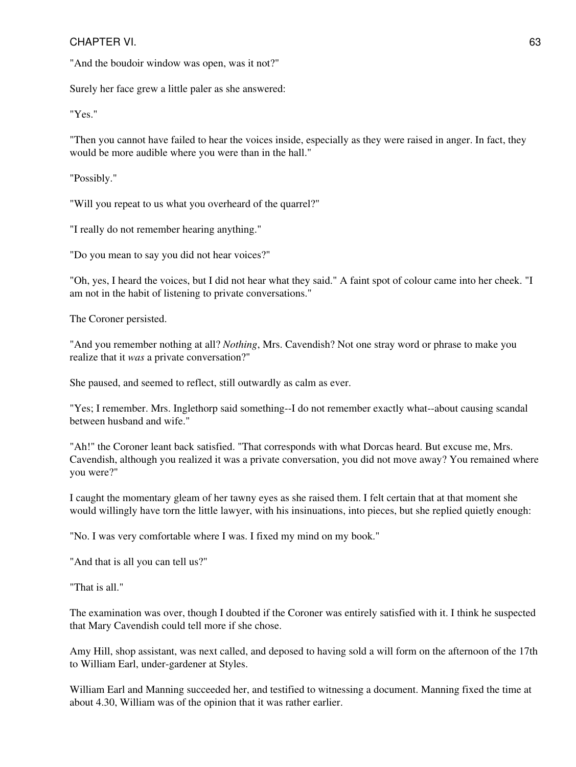"And the boudoir window was open, was it not?"

Surely her face grew a little paler as she answered:

"Yes."

"Then you cannot have failed to hear the voices inside, especially as they were raised in anger. In fact, they would be more audible where you were than in the hall."

"Possibly."

"Will you repeat to us what you overheard of the quarrel?"

"I really do not remember hearing anything."

"Do you mean to say you did not hear voices?"

"Oh, yes, I heard the voices, but I did not hear what they said." A faint spot of colour came into her cheek. "I am not in the habit of listening to private conversations."

The Coroner persisted.

"And you remember nothing at all? *Nothing*, Mrs. Cavendish? Not one stray word or phrase to make you realize that it *was* a private conversation?"

She paused, and seemed to reflect, still outwardly as calm as ever.

"Yes; I remember. Mrs. Inglethorp said something--I do not remember exactly what--about causing scandal between husband and wife."

"Ah!" the Coroner leant back satisfied. "That corresponds with what Dorcas heard. But excuse me, Mrs. Cavendish, although you realized it was a private conversation, you did not move away? You remained where you were?"

I caught the momentary gleam of her tawny eyes as she raised them. I felt certain that at that moment she would willingly have torn the little lawyer, with his insinuations, into pieces, but she replied quietly enough:

"No. I was very comfortable where I was. I fixed my mind on my book."

"And that is all you can tell us?"

"That is all."

The examination was over, though I doubted if the Coroner was entirely satisfied with it. I think he suspected that Mary Cavendish could tell more if she chose.

Amy Hill, shop assistant, was next called, and deposed to having sold a will form on the afternoon of the 17th to William Earl, under-gardener at Styles.

William Earl and Manning succeeded her, and testified to witnessing a document. Manning fixed the time at about 4.30, William was of the opinion that it was rather earlier.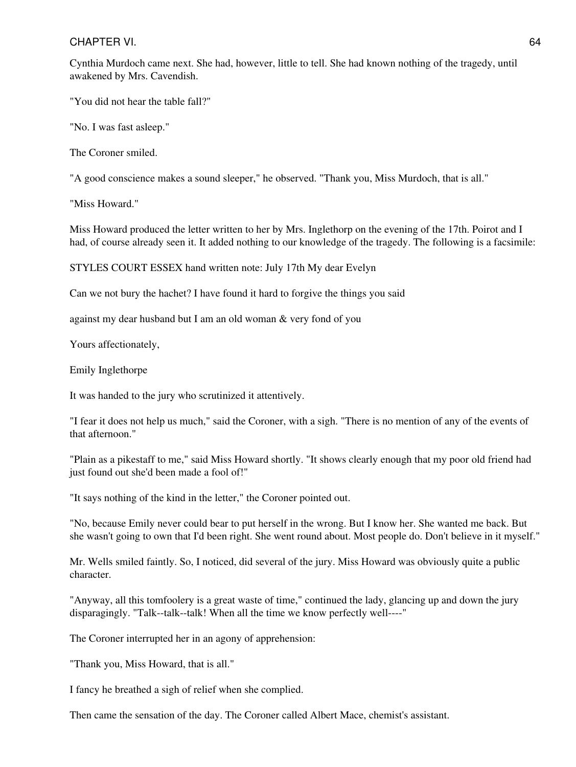Cynthia Murdoch came next. She had, however, little to tell. She had known nothing of the tragedy, until awakened by Mrs. Cavendish.

"You did not hear the table fall?"

"No. I was fast asleep."

The Coroner smiled.

"A good conscience makes a sound sleeper," he observed. "Thank you, Miss Murdoch, that is all."

"Miss Howard."

Miss Howard produced the letter written to her by Mrs. Inglethorp on the evening of the 17th. Poirot and I had, of course already seen it. It added nothing to our knowledge of the tragedy. The following is a facsimile:

STYLES COURT ESSEX hand written note: July 17th My dear Evelyn

Can we not bury the hachet? I have found it hard to forgive the things you said

against my dear husband but I am an old woman & very fond of you

Yours affectionately,

Emily Inglethorpe

It was handed to the jury who scrutinized it attentively.

"I fear it does not help us much," said the Coroner, with a sigh. "There is no mention of any of the events of that afternoon."

"Plain as a pikestaff to me," said Miss Howard shortly. "It shows clearly enough that my poor old friend had just found out she'd been made a fool of!"

"It says nothing of the kind in the letter," the Coroner pointed out.

"No, because Emily never could bear to put herself in the wrong. But I know her. She wanted me back. But she wasn't going to own that I'd been right. She went round about. Most people do. Don't believe in it myself."

Mr. Wells smiled faintly. So, I noticed, did several of the jury. Miss Howard was obviously quite a public character.

"Anyway, all this tomfoolery is a great waste of time," continued the lady, glancing up and down the jury disparagingly. "Talk--talk--talk! When all the time we know perfectly well----"

The Coroner interrupted her in an agony of apprehension:

"Thank you, Miss Howard, that is all."

I fancy he breathed a sigh of relief when she complied.

Then came the sensation of the day. The Coroner called Albert Mace, chemist's assistant.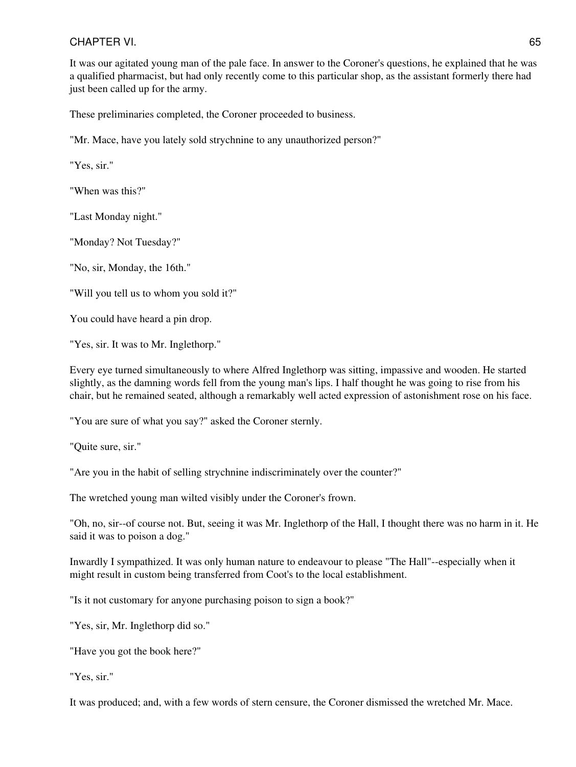It was our agitated young man of the pale face. In answer to the Coroner's questions, he explained that he was a qualified pharmacist, but had only recently come to this particular shop, as the assistant formerly there had just been called up for the army.

These preliminaries completed, the Coroner proceeded to business.

"Mr. Mace, have you lately sold strychnine to any unauthorized person?"

"Yes, sir."

"When was this?"

"Last Monday night."

"Monday? Not Tuesday?"

"No, sir, Monday, the 16th."

"Will you tell us to whom you sold it?"

You could have heard a pin drop.

"Yes, sir. It was to Mr. Inglethorp."

Every eye turned simultaneously to where Alfred Inglethorp was sitting, impassive and wooden. He started slightly, as the damning words fell from the young man's lips. I half thought he was going to rise from his chair, but he remained seated, although a remarkably well acted expression of astonishment rose on his face.

"You are sure of what you say?" asked the Coroner sternly.

"Quite sure, sir."

"Are you in the habit of selling strychnine indiscriminately over the counter?"

The wretched young man wilted visibly under the Coroner's frown.

"Oh, no, sir--of course not. But, seeing it was Mr. Inglethorp of the Hall, I thought there was no harm in it. He said it was to poison a dog."

Inwardly I sympathized. It was only human nature to endeavour to please "The Hall"--especially when it might result in custom being transferred from Coot's to the local establishment.

"Is it not customary for anyone purchasing poison to sign a book?"

"Yes, sir, Mr. Inglethorp did so."

"Have you got the book here?"

"Yes, sir."

It was produced; and, with a few words of stern censure, the Coroner dismissed the wretched Mr. Mace.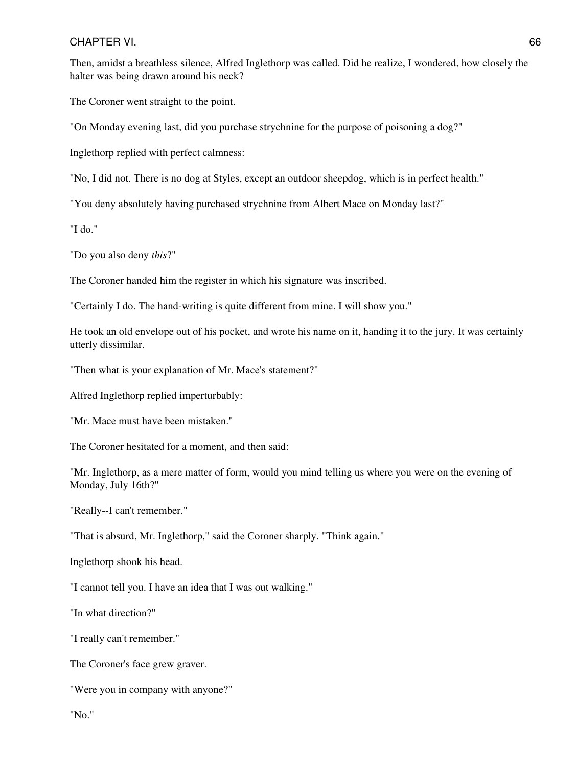Then, amidst a breathless silence, Alfred Inglethorp was called. Did he realize, I wondered, how closely the halter was being drawn around his neck?

The Coroner went straight to the point.

"On Monday evening last, did you purchase strychnine for the purpose of poisoning a dog?"

Inglethorp replied with perfect calmness:

"No, I did not. There is no dog at Styles, except an outdoor sheepdog, which is in perfect health."

"You deny absolutely having purchased strychnine from Albert Mace on Monday last?"

"I do."

"Do you also deny *this*?"

The Coroner handed him the register in which his signature was inscribed.

"Certainly I do. The hand-writing is quite different from mine. I will show you."

He took an old envelope out of his pocket, and wrote his name on it, handing it to the jury. It was certainly utterly dissimilar.

"Then what is your explanation of Mr. Mace's statement?"

Alfred Inglethorp replied imperturbably:

"Mr. Mace must have been mistaken."

The Coroner hesitated for a moment, and then said:

"Mr. Inglethorp, as a mere matter of form, would you mind telling us where you were on the evening of Monday, July 16th?"

"Really--I can't remember."

"That is absurd, Mr. Inglethorp," said the Coroner sharply. "Think again."

Inglethorp shook his head.

"I cannot tell you. I have an idea that I was out walking."

"In what direction?"

"I really can't remember."

The Coroner's face grew graver.

"Were you in company with anyone?"

"No."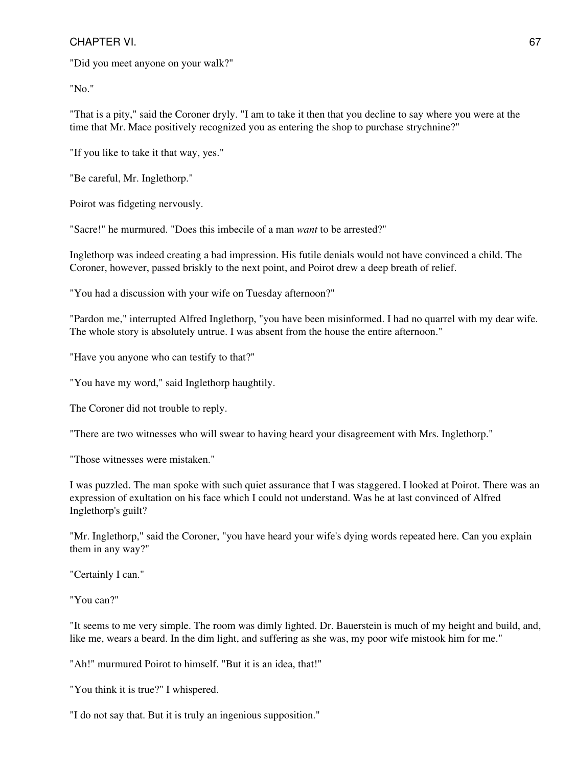"Did you meet anyone on your walk?"

"No."

"That is a pity," said the Coroner dryly. "I am to take it then that you decline to say where you were at the time that Mr. Mace positively recognized you as entering the shop to purchase strychnine?"

"If you like to take it that way, yes."

"Be careful, Mr. Inglethorp."

Poirot was fidgeting nervously.

"Sacre!" he murmured. "Does this imbecile of a man *want* to be arrested?"

Inglethorp was indeed creating a bad impression. His futile denials would not have convinced a child. The Coroner, however, passed briskly to the next point, and Poirot drew a deep breath of relief.

"You had a discussion with your wife on Tuesday afternoon?"

"Pardon me," interrupted Alfred Inglethorp, "you have been misinformed. I had no quarrel with my dear wife. The whole story is absolutely untrue. I was absent from the house the entire afternoon."

"Have you anyone who can testify to that?"

"You have my word," said Inglethorp haughtily.

The Coroner did not trouble to reply.

"There are two witnesses who will swear to having heard your disagreement with Mrs. Inglethorp."

"Those witnesses were mistaken."

I was puzzled. The man spoke with such quiet assurance that I was staggered. I looked at Poirot. There was an expression of exultation on his face which I could not understand. Was he at last convinced of Alfred Inglethorp's guilt?

"Mr. Inglethorp," said the Coroner, "you have heard your wife's dying words repeated here. Can you explain them in any way?"

"Certainly I can."

"You can?"

"It seems to me very simple. The room was dimly lighted. Dr. Bauerstein is much of my height and build, and, like me, wears a beard. In the dim light, and suffering as she was, my poor wife mistook him for me."

"Ah!" murmured Poirot to himself. "But it is an idea, that!"

"You think it is true?" I whispered.

"I do not say that. But it is truly an ingenious supposition."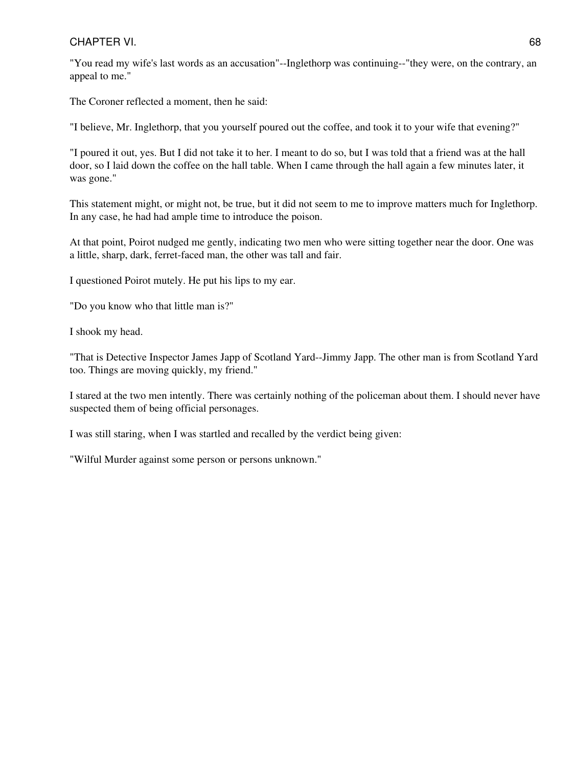"You read my wife's last words as an accusation"--Inglethorp was continuing--"they were, on the contrary, an appeal to me."

The Coroner reflected a moment, then he said:

"I believe, Mr. Inglethorp, that you yourself poured out the coffee, and took it to your wife that evening?"

"I poured it out, yes. But I did not take it to her. I meant to do so, but I was told that a friend was at the hall door, so I laid down the coffee on the hall table. When I came through the hall again a few minutes later, it was gone."

This statement might, or might not, be true, but it did not seem to me to improve matters much for Inglethorp. In any case, he had had ample time to introduce the poison.

At that point, Poirot nudged me gently, indicating two men who were sitting together near the door. One was a little, sharp, dark, ferret-faced man, the other was tall and fair.

I questioned Poirot mutely. He put his lips to my ear.

"Do you know who that little man is?"

I shook my head.

"That is Detective Inspector James Japp of Scotland Yard--Jimmy Japp. The other man is from Scotland Yard too. Things are moving quickly, my friend."

I stared at the two men intently. There was certainly nothing of the policeman about them. I should never have suspected them of being official personages.

I was still staring, when I was startled and recalled by the verdict being given:

"Wilful Murder against some person or persons unknown."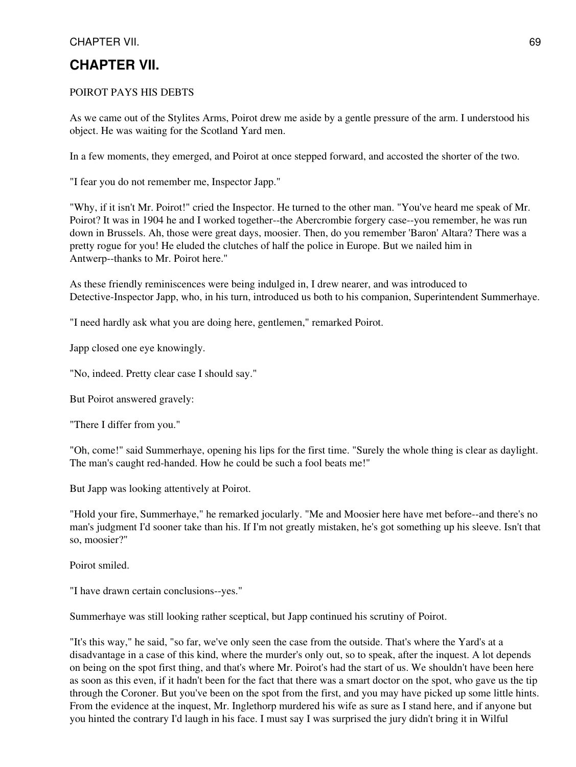# **CHAPTER VII.**

#### POIROT PAYS HIS DEBTS

As we came out of the Stylites Arms, Poirot drew me aside by a gentle pressure of the arm. I understood his object. He was waiting for the Scotland Yard men.

In a few moments, they emerged, and Poirot at once stepped forward, and accosted the shorter of the two.

"I fear you do not remember me, Inspector Japp."

"Why, if it isn't Mr. Poirot!" cried the Inspector. He turned to the other man. "You've heard me speak of Mr. Poirot? It was in 1904 he and I worked together--the Abercrombie forgery case--you remember, he was run down in Brussels. Ah, those were great days, moosier. Then, do you remember 'Baron' Altara? There was a pretty rogue for you! He eluded the clutches of half the police in Europe. But we nailed him in Antwerp--thanks to Mr. Poirot here."

As these friendly reminiscences were being indulged in, I drew nearer, and was introduced to Detective-Inspector Japp, who, in his turn, introduced us both to his companion, Superintendent Summerhaye.

"I need hardly ask what you are doing here, gentlemen," remarked Poirot.

Japp closed one eye knowingly.

"No, indeed. Pretty clear case I should say."

But Poirot answered gravely:

"There I differ from you."

"Oh, come!" said Summerhaye, opening his lips for the first time. "Surely the whole thing is clear as daylight. The man's caught red-handed. How he could be such a fool beats me!"

But Japp was looking attentively at Poirot.

"Hold your fire, Summerhaye," he remarked jocularly. "Me and Moosier here have met before--and there's no man's judgment I'd sooner take than his. If I'm not greatly mistaken, he's got something up his sleeve. Isn't that so, moosier?"

Poirot smiled.

"I have drawn certain conclusions--yes."

Summerhaye was still looking rather sceptical, but Japp continued his scrutiny of Poirot.

"It's this way," he said, "so far, we've only seen the case from the outside. That's where the Yard's at a disadvantage in a case of this kind, where the murder's only out, so to speak, after the inquest. A lot depends on being on the spot first thing, and that's where Mr. Poirot's had the start of us. We shouldn't have been here as soon as this even, if it hadn't been for the fact that there was a smart doctor on the spot, who gave us the tip through the Coroner. But you've been on the spot from the first, and you may have picked up some little hints. From the evidence at the inquest, Mr. Inglethorp murdered his wife as sure as I stand here, and if anyone but you hinted the contrary I'd laugh in his face. I must say I was surprised the jury didn't bring it in Wilful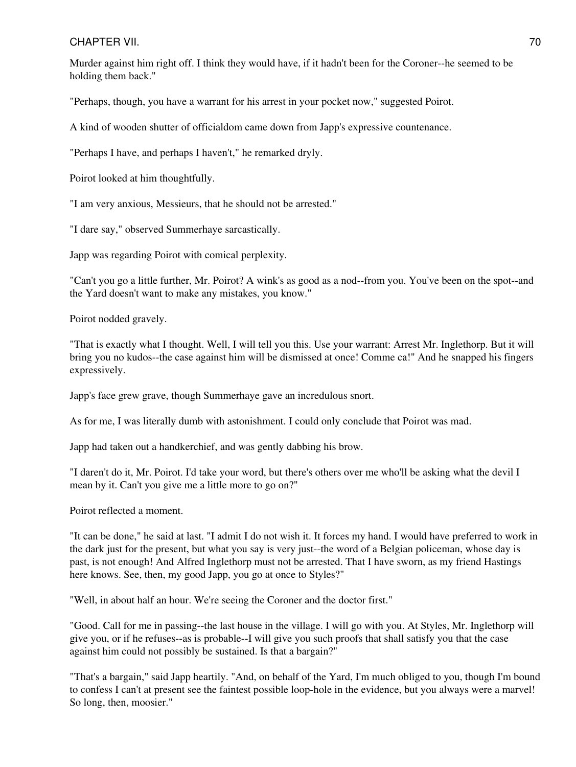#### CHAPTER VII. 2002. 2003. THE STATE STATE STATE STATE STATE STATE STATE STATE STATE STATE STATE STATE STATE STATE STATE STATE STATE STATE STATE STATE STATE STATE STATE STATE STATE STATE STATE STATE STATE STATE STATE STATE S

Murder against him right off. I think they would have, if it hadn't been for the Coroner--he seemed to be holding them back."

"Perhaps, though, you have a warrant for his arrest in your pocket now," suggested Poirot.

A kind of wooden shutter of officialdom came down from Japp's expressive countenance.

"Perhaps I have, and perhaps I haven't," he remarked dryly.

Poirot looked at him thoughtfully.

"I am very anxious, Messieurs, that he should not be arrested."

"I dare say," observed Summerhaye sarcastically.

Japp was regarding Poirot with comical perplexity.

"Can't you go a little further, Mr. Poirot? A wink's as good as a nod--from you. You've been on the spot--and the Yard doesn't want to make any mistakes, you know."

Poirot nodded gravely.

"That is exactly what I thought. Well, I will tell you this. Use your warrant: Arrest Mr. Inglethorp. But it will bring you no kudos--the case against him will be dismissed at once! Comme ca!" And he snapped his fingers expressively.

Japp's face grew grave, though Summerhaye gave an incredulous snort.

As for me, I was literally dumb with astonishment. I could only conclude that Poirot was mad.

Japp had taken out a handkerchief, and was gently dabbing his brow.

"I daren't do it, Mr. Poirot. I'd take your word, but there's others over me who'll be asking what the devil I mean by it. Can't you give me a little more to go on?"

Poirot reflected a moment.

"It can be done," he said at last. "I admit I do not wish it. It forces my hand. I would have preferred to work in the dark just for the present, but what you say is very just--the word of a Belgian policeman, whose day is past, is not enough! And Alfred Inglethorp must not be arrested. That I have sworn, as my friend Hastings here knows. See, then, my good Japp, you go at once to Styles?"

"Well, in about half an hour. We're seeing the Coroner and the doctor first."

"Good. Call for me in passing--the last house in the village. I will go with you. At Styles, Mr. Inglethorp will give you, or if he refuses--as is probable--I will give you such proofs that shall satisfy you that the case against him could not possibly be sustained. Is that a bargain?"

"That's a bargain," said Japp heartily. "And, on behalf of the Yard, I'm much obliged to you, though I'm bound to confess I can't at present see the faintest possible loop-hole in the evidence, but you always were a marvel! So long, then, moosier."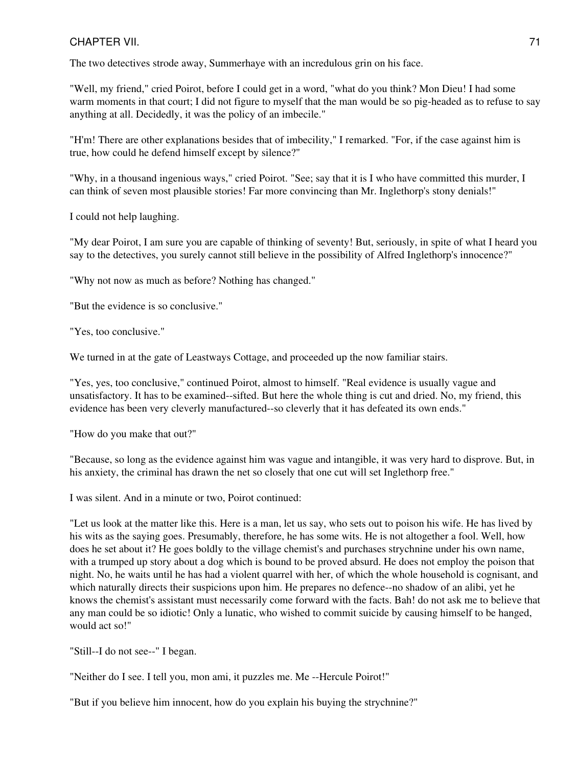### CHAPTER VII. 21 No. 2014 12:30 12:30 12:30 12:30 12:30 12:30 12:30 12:30 12:30 12:30 12:30 12:30 12:30 12:30 1

The two detectives strode away, Summerhaye with an incredulous grin on his face.

"Well, my friend," cried Poirot, before I could get in a word, "what do you think? Mon Dieu! I had some warm moments in that court; I did not figure to myself that the man would be so pig-headed as to refuse to say anything at all. Decidedly, it was the policy of an imbecile."

"H'm! There are other explanations besides that of imbecility," I remarked. "For, if the case against him is true, how could he defend himself except by silence?"

"Why, in a thousand ingenious ways," cried Poirot. "See; say that it is I who have committed this murder, I can think of seven most plausible stories! Far more convincing than Mr. Inglethorp's stony denials!"

I could not help laughing.

"My dear Poirot, I am sure you are capable of thinking of seventy! But, seriously, in spite of what I heard you say to the detectives, you surely cannot still believe in the possibility of Alfred Inglethorp's innocence?"

"Why not now as much as before? Nothing has changed."

"But the evidence is so conclusive."

"Yes, too conclusive."

We turned in at the gate of Leastways Cottage, and proceeded up the now familiar stairs.

"Yes, yes, too conclusive," continued Poirot, almost to himself. "Real evidence is usually vague and unsatisfactory. It has to be examined--sifted. But here the whole thing is cut and dried. No, my friend, this evidence has been very cleverly manufactured--so cleverly that it has defeated its own ends."

"How do you make that out?"

"Because, so long as the evidence against him was vague and intangible, it was very hard to disprove. But, in his anxiety, the criminal has drawn the net so closely that one cut will set Inglethorp free."

I was silent. And in a minute or two, Poirot continued:

"Let us look at the matter like this. Here is a man, let us say, who sets out to poison his wife. He has lived by his wits as the saying goes. Presumably, therefore, he has some wits. He is not altogether a fool. Well, how does he set about it? He goes boldly to the village chemist's and purchases strychnine under his own name, with a trumped up story about a dog which is bound to be proved absurd. He does not employ the poison that night. No, he waits until he has had a violent quarrel with her, of which the whole household is cognisant, and which naturally directs their suspicions upon him. He prepares no defence--no shadow of an alibi, yet he knows the chemist's assistant must necessarily come forward with the facts. Bah! do not ask me to believe that any man could be so idiotic! Only a lunatic, who wished to commit suicide by causing himself to be hanged, would act so!"

"Still--I do not see--" I began.

"Neither do I see. I tell you, mon ami, it puzzles me. Me --Hercule Poirot!"

"But if you believe him innocent, how do you explain his buying the strychnine?"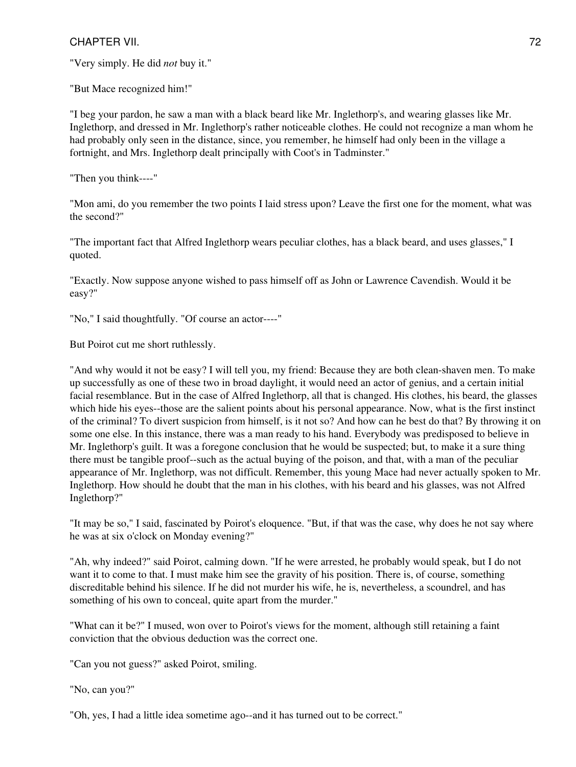"Very simply. He did *not* buy it."

"But Mace recognized him!"

"I beg your pardon, he saw a man with a black beard like Mr. Inglethorp's, and wearing glasses like Mr. Inglethorp, and dressed in Mr. Inglethorp's rather noticeable clothes. He could not recognize a man whom he had probably only seen in the distance, since, you remember, he himself had only been in the village a fortnight, and Mrs. Inglethorp dealt principally with Coot's in Tadminster."

"Then you think----"

"Mon ami, do you remember the two points I laid stress upon? Leave the first one for the moment, what was the second?"

"The important fact that Alfred Inglethorp wears peculiar clothes, has a black beard, and uses glasses," I quoted.

"Exactly. Now suppose anyone wished to pass himself off as John or Lawrence Cavendish. Would it be easy?"

"No," I said thoughtfully. "Of course an actor----"

But Poirot cut me short ruthlessly.

"And why would it not be easy? I will tell you, my friend: Because they are both clean-shaven men. To make up successfully as one of these two in broad daylight, it would need an actor of genius, and a certain initial facial resemblance. But in the case of Alfred Inglethorp, all that is changed. His clothes, his beard, the glasses which hide his eyes--those are the salient points about his personal appearance. Now, what is the first instinct of the criminal? To divert suspicion from himself, is it not so? And how can he best do that? By throwing it on some one else. In this instance, there was a man ready to his hand. Everybody was predisposed to believe in Mr. Inglethorp's guilt. It was a foregone conclusion that he would be suspected; but, to make it a sure thing there must be tangible proof--such as the actual buying of the poison, and that, with a man of the peculiar appearance of Mr. Inglethorp, was not difficult. Remember, this young Mace had never actually spoken to Mr. Inglethorp. How should he doubt that the man in his clothes, with his beard and his glasses, was not Alfred Inglethorp?"

"It may be so," I said, fascinated by Poirot's eloquence. "But, if that was the case, why does he not say where he was at six o'clock on Monday evening?"

"Ah, why indeed?" said Poirot, calming down. "If he were arrested, he probably would speak, but I do not want it to come to that. I must make him see the gravity of his position. There is, of course, something discreditable behind his silence. If he did not murder his wife, he is, nevertheless, a scoundrel, and has something of his own to conceal, quite apart from the murder."

"What can it be?" I mused, won over to Poirot's views for the moment, although still retaining a faint conviction that the obvious deduction was the correct one.

"Can you not guess?" asked Poirot, smiling.

"No, can you?"

"Oh, yes, I had a little idea sometime ago--and it has turned out to be correct."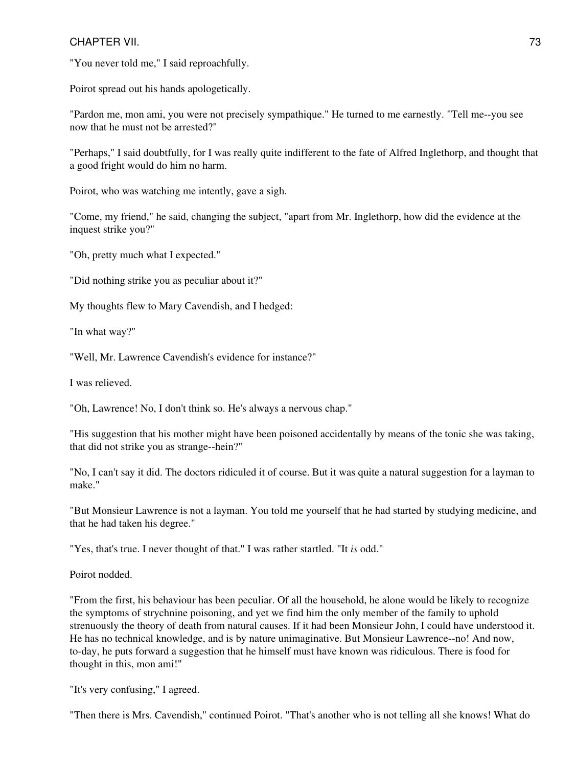"You never told me," I said reproachfully.

Poirot spread out his hands apologetically.

"Pardon me, mon ami, you were not precisely sympathique." He turned to me earnestly. "Tell me--you see now that he must not be arrested?"

"Perhaps," I said doubtfully, for I was really quite indifferent to the fate of Alfred Inglethorp, and thought that a good fright would do him no harm.

Poirot, who was watching me intently, gave a sigh.

"Come, my friend," he said, changing the subject, "apart from Mr. Inglethorp, how did the evidence at the inquest strike you?"

"Oh, pretty much what I expected."

"Did nothing strike you as peculiar about it?"

My thoughts flew to Mary Cavendish, and I hedged:

"In what way?"

"Well, Mr. Lawrence Cavendish's evidence for instance?"

I was relieved.

"Oh, Lawrence! No, I don't think so. He's always a nervous chap."

"His suggestion that his mother might have been poisoned accidentally by means of the tonic she was taking, that did not strike you as strange--hein?"

"No, I can't say it did. The doctors ridiculed it of course. But it was quite a natural suggestion for a layman to make."

"But Monsieur Lawrence is not a layman. You told me yourself that he had started by studying medicine, and that he had taken his degree."

"Yes, that's true. I never thought of that." I was rather startled. "It *is* odd."

Poirot nodded.

"From the first, his behaviour has been peculiar. Of all the household, he alone would be likely to recognize the symptoms of strychnine poisoning, and yet we find him the only member of the family to uphold strenuously the theory of death from natural causes. If it had been Monsieur John, I could have understood it. He has no technical knowledge, and is by nature unimaginative. But Monsieur Lawrence--no! And now, to-day, he puts forward a suggestion that he himself must have known was ridiculous. There is food for thought in this, mon ami!"

"It's very confusing," I agreed.

"Then there is Mrs. Cavendish," continued Poirot. "That's another who is not telling all she knows! What do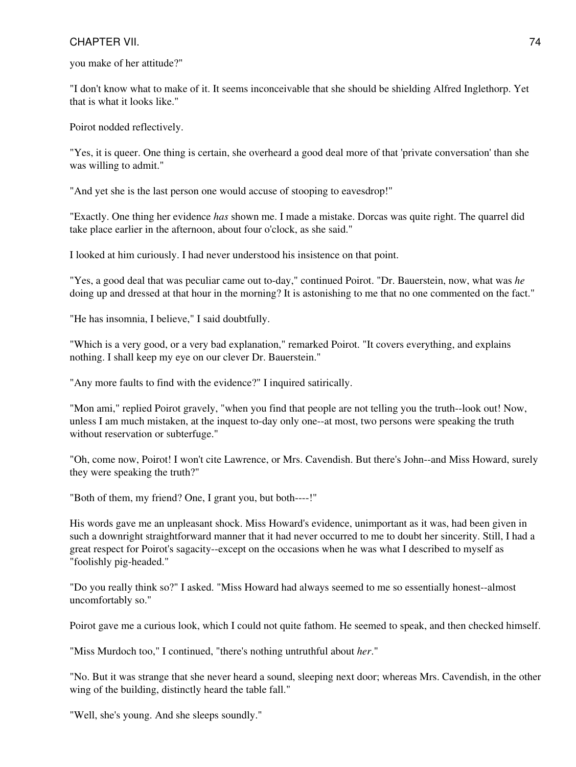you make of her attitude?"

"I don't know what to make of it. It seems inconceivable that she should be shielding Alfred Inglethorp. Yet that is what it looks like."

Poirot nodded reflectively.

"Yes, it is queer. One thing is certain, she overheard a good deal more of that 'private conversation' than she was willing to admit."

"And yet she is the last person one would accuse of stooping to eavesdrop!"

"Exactly. One thing her evidence *has* shown me. I made a mistake. Dorcas was quite right. The quarrel did take place earlier in the afternoon, about four o'clock, as she said."

I looked at him curiously. I had never understood his insistence on that point.

"Yes, a good deal that was peculiar came out to-day," continued Poirot. "Dr. Bauerstein, now, what was *he* doing up and dressed at that hour in the morning? It is astonishing to me that no one commented on the fact."

"He has insomnia, I believe," I said doubtfully.

"Which is a very good, or a very bad explanation," remarked Poirot. "It covers everything, and explains nothing. I shall keep my eye on our clever Dr. Bauerstein."

"Any more faults to find with the evidence?" I inquired satirically.

"Mon ami," replied Poirot gravely, "when you find that people are not telling you the truth--look out! Now, unless I am much mistaken, at the inquest to-day only one--at most, two persons were speaking the truth without reservation or subterfuge."

"Oh, come now, Poirot! I won't cite Lawrence, or Mrs. Cavendish. But there's John--and Miss Howard, surely they were speaking the truth?"

"Both of them, my friend? One, I grant you, but both----!"

His words gave me an unpleasant shock. Miss Howard's evidence, unimportant as it was, had been given in such a downright straightforward manner that it had never occurred to me to doubt her sincerity. Still, I had a great respect for Poirot's sagacity--except on the occasions when he was what I described to myself as "foolishly pig-headed."

"Do you really think so?" I asked. "Miss Howard had always seemed to me so essentially honest--almost uncomfortably so."

Poirot gave me a curious look, which I could not quite fathom. He seemed to speak, and then checked himself.

"Miss Murdoch too," I continued, "there's nothing untruthful about *her*."

"No. But it was strange that she never heard a sound, sleeping next door; whereas Mrs. Cavendish, in the other wing of the building, distinctly heard the table fall."

"Well, she's young. And she sleeps soundly."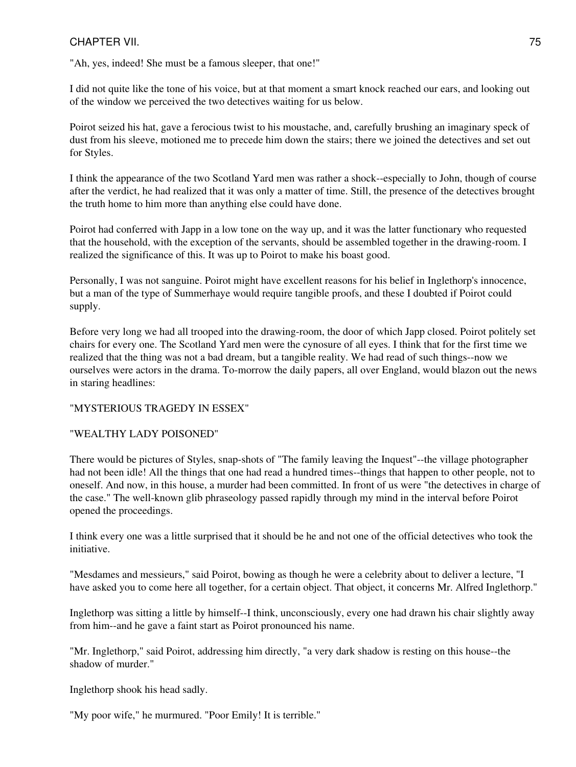"Ah, yes, indeed! She must be a famous sleeper, that one!"

I did not quite like the tone of his voice, but at that moment a smart knock reached our ears, and looking out of the window we perceived the two detectives waiting for us below.

Poirot seized his hat, gave a ferocious twist to his moustache, and, carefully brushing an imaginary speck of dust from his sleeve, motioned me to precede him down the stairs; there we joined the detectives and set out for Styles.

I think the appearance of the two Scotland Yard men was rather a shock--especially to John, though of course after the verdict, he had realized that it was only a matter of time. Still, the presence of the detectives brought the truth home to him more than anything else could have done.

Poirot had conferred with Japp in a low tone on the way up, and it was the latter functionary who requested that the household, with the exception of the servants, should be assembled together in the drawing-room. I realized the significance of this. It was up to Poirot to make his boast good.

Personally, I was not sanguine. Poirot might have excellent reasons for his belief in Inglethorp's innocence, but a man of the type of Summerhaye would require tangible proofs, and these I doubted if Poirot could supply.

Before very long we had all trooped into the drawing-room, the door of which Japp closed. Poirot politely set chairs for every one. The Scotland Yard men were the cynosure of all eyes. I think that for the first time we realized that the thing was not a bad dream, but a tangible reality. We had read of such things--now we ourselves were actors in the drama. To-morrow the daily papers, all over England, would blazon out the news in staring headlines:

#### "MYSTERIOUS TRAGEDY IN ESSEX"

## "WEALTHY LADY POISONED"

There would be pictures of Styles, snap-shots of "The family leaving the Inquest"--the village photographer had not been idle! All the things that one had read a hundred times--things that happen to other people, not to oneself. And now, in this house, a murder had been committed. In front of us were "the detectives in charge of the case." The well-known glib phraseology passed rapidly through my mind in the interval before Poirot opened the proceedings.

I think every one was a little surprised that it should be he and not one of the official detectives who took the initiative.

"Mesdames and messieurs," said Poirot, bowing as though he were a celebrity about to deliver a lecture, "I have asked you to come here all together, for a certain object. That object, it concerns Mr. Alfred Inglethorp."

Inglethorp was sitting a little by himself--I think, unconsciously, every one had drawn his chair slightly away from him--and he gave a faint start as Poirot pronounced his name.

"Mr. Inglethorp," said Poirot, addressing him directly, "a very dark shadow is resting on this house--the shadow of murder."

Inglethorp shook his head sadly.

"My poor wife," he murmured. "Poor Emily! It is terrible."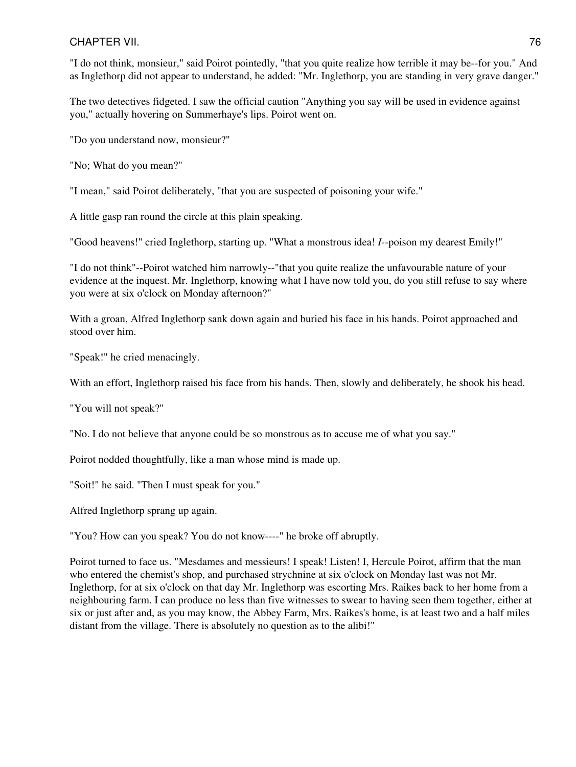## CHAPTER VII. 26 and 20 and 20 and 20 and 20 and 20 and 20 and 20 and 20 and 20 and 20 and 20 and 20 and 20 and 20 and 20 and 20 and 20 and 20 and 20 and 20 and 20 and 20 and 20 and 20 and 20 and 20 and 20 and 20 and 20 and

"I do not think, monsieur," said Poirot pointedly, "that you quite realize how terrible it may be--for you." And as Inglethorp did not appear to understand, he added: "Mr. Inglethorp, you are standing in very grave danger."

The two detectives fidgeted. I saw the official caution "Anything you say will be used in evidence against you," actually hovering on Summerhaye's lips. Poirot went on.

"Do you understand now, monsieur?"

"No; What do you mean?"

"I mean," said Poirot deliberately, "that you are suspected of poisoning your wife."

A little gasp ran round the circle at this plain speaking.

"Good heavens!" cried Inglethorp, starting up. "What a monstrous idea! *I*--poison my dearest Emily!"

"I do not think"--Poirot watched him narrowly--"that you quite realize the unfavourable nature of your evidence at the inquest. Mr. Inglethorp, knowing what I have now told you, do you still refuse to say where you were at six o'clock on Monday afternoon?"

With a groan, Alfred Inglethorp sank down again and buried his face in his hands. Poirot approached and stood over him.

"Speak!" he cried menacingly.

With an effort, Inglethorp raised his face from his hands. Then, slowly and deliberately, he shook his head.

"You will not speak?"

"No. I do not believe that anyone could be so monstrous as to accuse me of what you say."

Poirot nodded thoughtfully, like a man whose mind is made up.

"Soit!" he said. "Then I must speak for you."

Alfred Inglethorp sprang up again.

"You? How can you speak? You do not know----" he broke off abruptly.

Poirot turned to face us. "Mesdames and messieurs! I speak! Listen! I, Hercule Poirot, affirm that the man who entered the chemist's shop, and purchased strychnine at six o'clock on Monday last was not Mr. Inglethorp, for at six o'clock on that day Mr. Inglethorp was escorting Mrs. Raikes back to her home from a neighbouring farm. I can produce no less than five witnesses to swear to having seen them together, either at six or just after and, as you may know, the Abbey Farm, Mrs. Raikes's home, is at least two and a half miles distant from the village. There is absolutely no question as to the alibi!"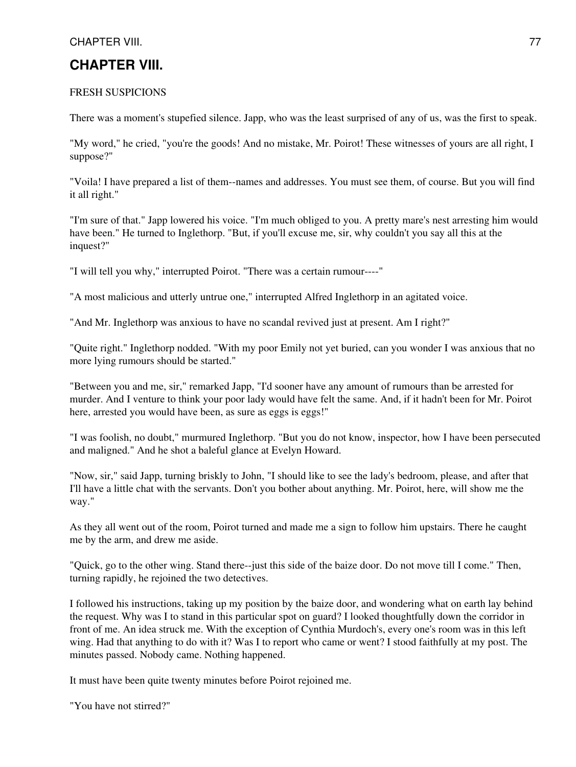## FRESH SUSPICIONS

There was a moment's stupefied silence. Japp, who was the least surprised of any of us, was the first to speak.

"My word," he cried, "you're the goods! And no mistake, Mr. Poirot! These witnesses of yours are all right, I suppose?"

"Voila! I have prepared a list of them--names and addresses. You must see them, of course. But you will find it all right."

"I'm sure of that." Japp lowered his voice. "I'm much obliged to you. A pretty mare's nest arresting him would have been." He turned to Inglethorp. "But, if you'll excuse me, sir, why couldn't you say all this at the inquest?"

"I will tell you why," interrupted Poirot. "There was a certain rumour----"

"A most malicious and utterly untrue one," interrupted Alfred Inglethorp in an agitated voice.

"And Mr. Inglethorp was anxious to have no scandal revived just at present. Am I right?"

"Quite right." Inglethorp nodded. "With my poor Emily not yet buried, can you wonder I was anxious that no more lying rumours should be started."

"Between you and me, sir," remarked Japp, "I'd sooner have any amount of rumours than be arrested for murder. And I venture to think your poor lady would have felt the same. And, if it hadn't been for Mr. Poirot here, arrested you would have been, as sure as eggs is eggs!"

"I was foolish, no doubt," murmured Inglethorp. "But you do not know, inspector, how I have been persecuted and maligned." And he shot a baleful glance at Evelyn Howard.

"Now, sir," said Japp, turning briskly to John, "I should like to see the lady's bedroom, please, and after that I'll have a little chat with the servants. Don't you bother about anything. Mr. Poirot, here, will show me the way."

As they all went out of the room, Poirot turned and made me a sign to follow him upstairs. There he caught me by the arm, and drew me aside.

"Quick, go to the other wing. Stand there--just this side of the baize door. Do not move till I come." Then, turning rapidly, he rejoined the two detectives.

I followed his instructions, taking up my position by the baize door, and wondering what on earth lay behind the request. Why was I to stand in this particular spot on guard? I looked thoughtfully down the corridor in front of me. An idea struck me. With the exception of Cynthia Murdoch's, every one's room was in this left wing. Had that anything to do with it? Was I to report who came or went? I stood faithfully at my post. The minutes passed. Nobody came. Nothing happened.

It must have been quite twenty minutes before Poirot rejoined me.

"You have not stirred?"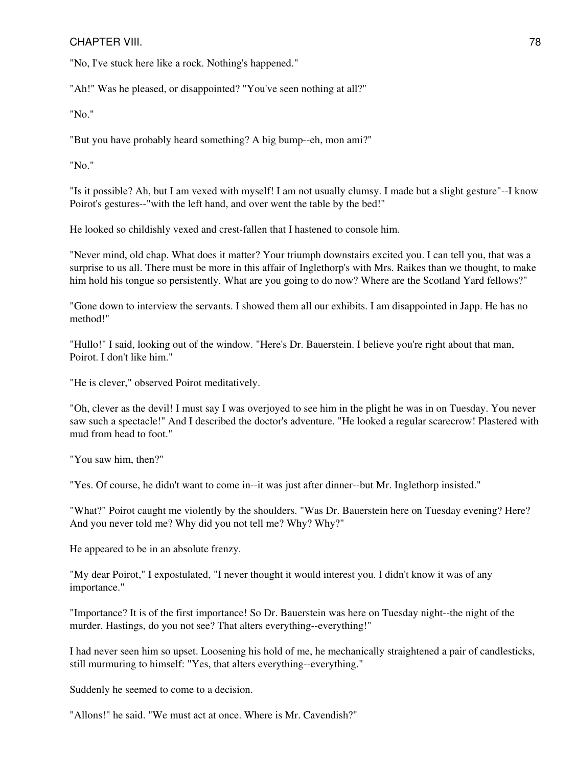#### CHAPTER VIII. 28 and 20 and 20 and 20 and 20 and 20 and 20 and 20 and 20 and 20 and 20 and 20 and 20 and 20 and 20 and 20 and 20 and 20 and 20 and 20 and 20 and 20 and 20 and 20 and 20 and 20 and 20 and 20 and 20 and 20 an

"No, I've stuck here like a rock. Nothing's happened."

"Ah!" Was he pleased, or disappointed? "You've seen nothing at all?"

"No."

"But you have probably heard something? A big bump--eh, mon ami?"

"No."

"Is it possible? Ah, but I am vexed with myself! I am not usually clumsy. I made but a slight gesture"--I know Poirot's gestures--"with the left hand, and over went the table by the bed!"

He looked so childishly vexed and crest-fallen that I hastened to console him.

"Never mind, old chap. What does it matter? Your triumph downstairs excited you. I can tell you, that was a surprise to us all. There must be more in this affair of Inglethorp's with Mrs. Raikes than we thought, to make him hold his tongue so persistently. What are you going to do now? Where are the Scotland Yard fellows?"

"Gone down to interview the servants. I showed them all our exhibits. I am disappointed in Japp. He has no method!"

"Hullo!" I said, looking out of the window. "Here's Dr. Bauerstein. I believe you're right about that man, Poirot. I don't like him."

"He is clever," observed Poirot meditatively.

"Oh, clever as the devil! I must say I was overjoyed to see him in the plight he was in on Tuesday. You never saw such a spectacle!" And I described the doctor's adventure. "He looked a regular scarecrow! Plastered with mud from head to foot."

"You saw him, then?"

"Yes. Of course, he didn't want to come in--it was just after dinner--but Mr. Inglethorp insisted."

"What?" Poirot caught me violently by the shoulders. "Was Dr. Bauerstein here on Tuesday evening? Here? And you never told me? Why did you not tell me? Why? Why?"

He appeared to be in an absolute frenzy.

"My dear Poirot," I expostulated, "I never thought it would interest you. I didn't know it was of any importance."

"Importance? It is of the first importance! So Dr. Bauerstein was here on Tuesday night--the night of the murder. Hastings, do you not see? That alters everything--everything!"

I had never seen him so upset. Loosening his hold of me, he mechanically straightened a pair of candlesticks, still murmuring to himself: "Yes, that alters everything--everything."

Suddenly he seemed to come to a decision.

"Allons!" he said. "We must act at once. Where is Mr. Cavendish?"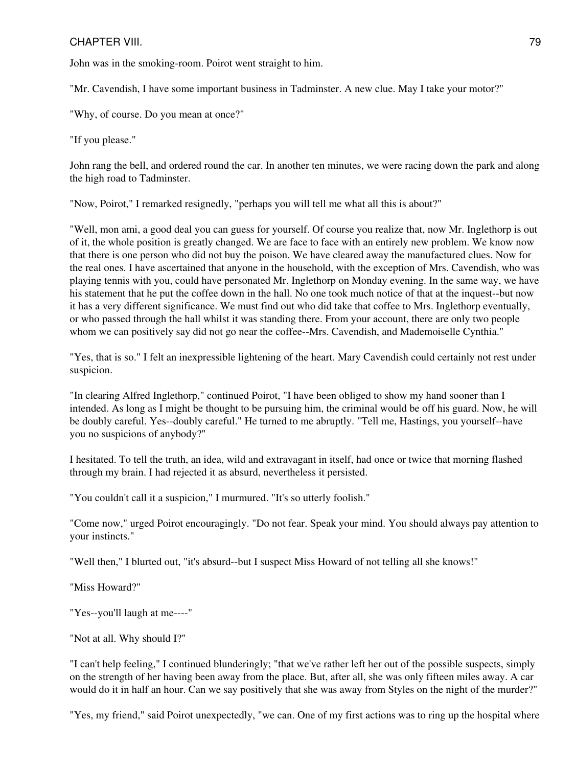John was in the smoking-room. Poirot went straight to him.

"Mr. Cavendish, I have some important business in Tadminster. A new clue. May I take your motor?"

"Why, of course. Do you mean at once?"

"If you please."

John rang the bell, and ordered round the car. In another ten minutes, we were racing down the park and along the high road to Tadminster.

"Now, Poirot," I remarked resignedly, "perhaps you will tell me what all this is about?"

"Well, mon ami, a good deal you can guess for yourself. Of course you realize that, now Mr. Inglethorp is out of it, the whole position is greatly changed. We are face to face with an entirely new problem. We know now that there is one person who did not buy the poison. We have cleared away the manufactured clues. Now for the real ones. I have ascertained that anyone in the household, with the exception of Mrs. Cavendish, who was playing tennis with you, could have personated Mr. Inglethorp on Monday evening. In the same way, we have his statement that he put the coffee down in the hall. No one took much notice of that at the inquest--but now it has a very different significance. We must find out who did take that coffee to Mrs. Inglethorp eventually, or who passed through the hall whilst it was standing there. From your account, there are only two people whom we can positively say did not go near the coffee--Mrs. Cavendish, and Mademoiselle Cynthia."

"Yes, that is so." I felt an inexpressible lightening of the heart. Mary Cavendish could certainly not rest under suspicion.

"In clearing Alfred Inglethorp," continued Poirot, "I have been obliged to show my hand sooner than I intended. As long as I might be thought to be pursuing him, the criminal would be off his guard. Now, he will be doubly careful. Yes--doubly careful." He turned to me abruptly. "Tell me, Hastings, you yourself--have you no suspicions of anybody?"

I hesitated. To tell the truth, an idea, wild and extravagant in itself, had once or twice that morning flashed through my brain. I had rejected it as absurd, nevertheless it persisted.

"You couldn't call it a suspicion," I murmured. "It's so utterly foolish."

"Come now," urged Poirot encouragingly. "Do not fear. Speak your mind. You should always pay attention to your instincts."

"Well then," I blurted out, "it's absurd--but I suspect Miss Howard of not telling all she knows!"

"Miss Howard?"

"Yes--you'll laugh at me----"

"Not at all. Why should I?"

"I can't help feeling," I continued blunderingly; "that we've rather left her out of the possible suspects, simply on the strength of her having been away from the place. But, after all, she was only fifteen miles away. A car would do it in half an hour. Can we say positively that she was away from Styles on the night of the murder?"

"Yes, my friend," said Poirot unexpectedly, "we can. One of my first actions was to ring up the hospital where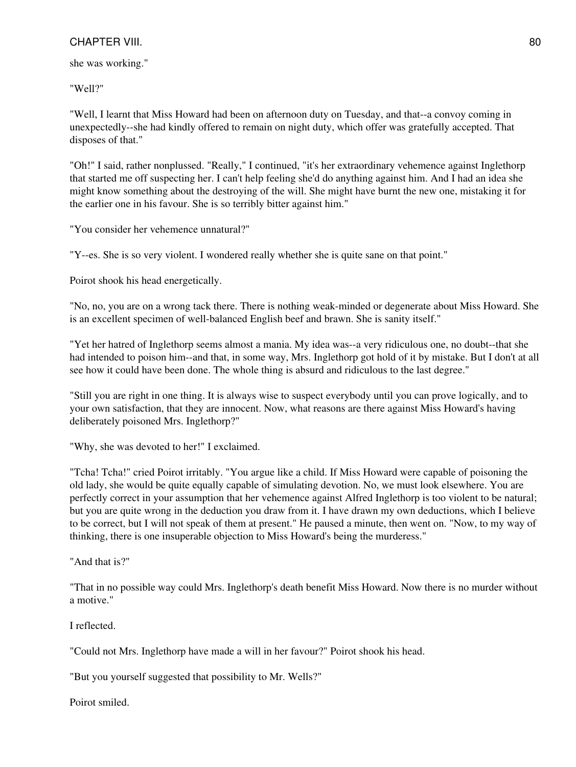she was working."

"Well?"

"Well, I learnt that Miss Howard had been on afternoon duty on Tuesday, and that--a convoy coming in unexpectedly--she had kindly offered to remain on night duty, which offer was gratefully accepted. That disposes of that."

"Oh!" I said, rather nonplussed. "Really," I continued, "it's her extraordinary vehemence against Inglethorp that started me off suspecting her. I can't help feeling she'd do anything against him. And I had an idea she might know something about the destroying of the will. She might have burnt the new one, mistaking it for the earlier one in his favour. She is so terribly bitter against him."

"You consider her vehemence unnatural?"

"Y--es. She is so very violent. I wondered really whether she is quite sane on that point."

Poirot shook his head energetically.

"No, no, you are on a wrong tack there. There is nothing weak-minded or degenerate about Miss Howard. She is an excellent specimen of well-balanced English beef and brawn. She is sanity itself."

"Yet her hatred of Inglethorp seems almost a mania. My idea was--a very ridiculous one, no doubt--that she had intended to poison him--and that, in some way, Mrs. Inglethorp got hold of it by mistake. But I don't at all see how it could have been done. The whole thing is absurd and ridiculous to the last degree."

"Still you are right in one thing. It is always wise to suspect everybody until you can prove logically, and to your own satisfaction, that they are innocent. Now, what reasons are there against Miss Howard's having deliberately poisoned Mrs. Inglethorp?"

"Why, she was devoted to her!" I exclaimed.

"Tcha! Tcha!" cried Poirot irritably. "You argue like a child. If Miss Howard were capable of poisoning the old lady, she would be quite equally capable of simulating devotion. No, we must look elsewhere. You are perfectly correct in your assumption that her vehemence against Alfred Inglethorp is too violent to be natural; but you are quite wrong in the deduction you draw from it. I have drawn my own deductions, which I believe to be correct, but I will not speak of them at present." He paused a minute, then went on. "Now, to my way of thinking, there is one insuperable objection to Miss Howard's being the murderess."

"And that is?"

"That in no possible way could Mrs. Inglethorp's death benefit Miss Howard. Now there is no murder without a motive."

I reflected.

"Could not Mrs. Inglethorp have made a will in her favour?" Poirot shook his head.

"But you yourself suggested that possibility to Mr. Wells?"

Poirot smiled.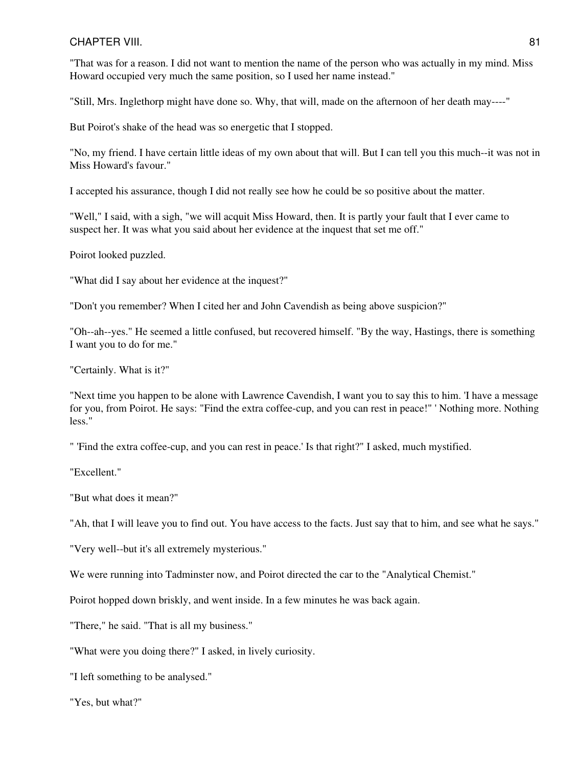"That was for a reason. I did not want to mention the name of the person who was actually in my mind. Miss Howard occupied very much the same position, so I used her name instead."

"Still, Mrs. Inglethorp might have done so. Why, that will, made on the afternoon of her death may----"

But Poirot's shake of the head was so energetic that I stopped.

"No, my friend. I have certain little ideas of my own about that will. But I can tell you this much--it was not in Miss Howard's favour."

I accepted his assurance, though I did not really see how he could be so positive about the matter.

"Well," I said, with a sigh, "we will acquit Miss Howard, then. It is partly your fault that I ever came to suspect her. It was what you said about her evidence at the inquest that set me off."

Poirot looked puzzled.

"What did I say about her evidence at the inquest?"

"Don't you remember? When I cited her and John Cavendish as being above suspicion?"

"Oh--ah--yes." He seemed a little confused, but recovered himself. "By the way, Hastings, there is something I want you to do for me."

"Certainly. What is it?"

"Next time you happen to be alone with Lawrence Cavendish, I want you to say this to him. 'I have a message for you, from Poirot. He says: "Find the extra coffee-cup, and you can rest in peace!" ' Nothing more. Nothing less."

" 'Find the extra coffee-cup, and you can rest in peace.' Is that right?" I asked, much mystified.

"Excellent."

"But what does it mean?"

"Ah, that I will leave you to find out. You have access to the facts. Just say that to him, and see what he says."

"Very well--but it's all extremely mysterious."

We were running into Tadminster now, and Poirot directed the car to the "Analytical Chemist."

Poirot hopped down briskly, and went inside. In a few minutes he was back again.

"There," he said. "That is all my business."

"What were you doing there?" I asked, in lively curiosity.

"I left something to be analysed."

"Yes, but what?"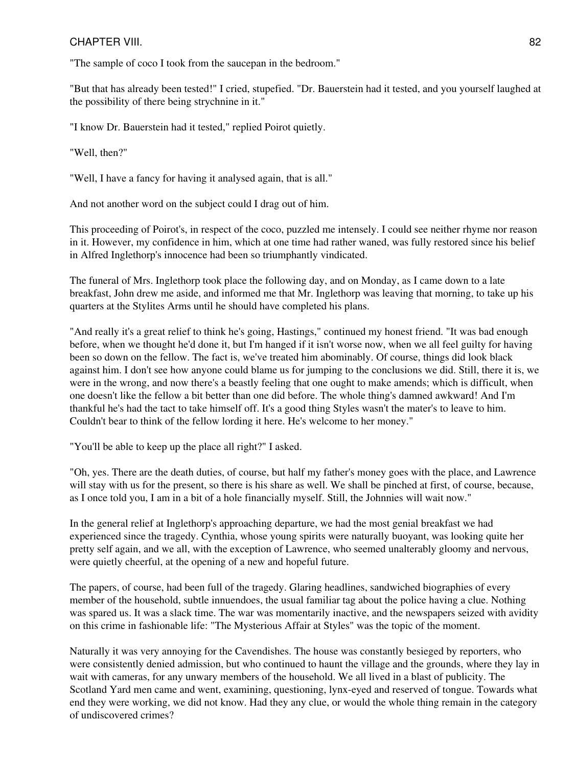"The sample of coco I took from the saucepan in the bedroom."

"But that has already been tested!" I cried, stupefied. "Dr. Bauerstein had it tested, and you yourself laughed at the possibility of there being strychnine in it."

"I know Dr. Bauerstein had it tested," replied Poirot quietly.

"Well, then?"

"Well, I have a fancy for having it analysed again, that is all."

And not another word on the subject could I drag out of him.

This proceeding of Poirot's, in respect of the coco, puzzled me intensely. I could see neither rhyme nor reason in it. However, my confidence in him, which at one time had rather waned, was fully restored since his belief in Alfred Inglethorp's innocence had been so triumphantly vindicated.

The funeral of Mrs. Inglethorp took place the following day, and on Monday, as I came down to a late breakfast, John drew me aside, and informed me that Mr. Inglethorp was leaving that morning, to take up his quarters at the Stylites Arms until he should have completed his plans.

"And really it's a great relief to think he's going, Hastings," continued my honest friend. "It was bad enough before, when we thought he'd done it, but I'm hanged if it isn't worse now, when we all feel guilty for having been so down on the fellow. The fact is, we've treated him abominably. Of course, things did look black against him. I don't see how anyone could blame us for jumping to the conclusions we did. Still, there it is, we were in the wrong, and now there's a beastly feeling that one ought to make amends; which is difficult, when one doesn't like the fellow a bit better than one did before. The whole thing's damned awkward! And I'm thankful he's had the tact to take himself off. It's a good thing Styles wasn't the mater's to leave to him. Couldn't bear to think of the fellow lording it here. He's welcome to her money."

"You'll be able to keep up the place all right?" I asked.

"Oh, yes. There are the death duties, of course, but half my father's money goes with the place, and Lawrence will stay with us for the present, so there is his share as well. We shall be pinched at first, of course, because, as I once told you, I am in a bit of a hole financially myself. Still, the Johnnies will wait now."

In the general relief at Inglethorp's approaching departure, we had the most genial breakfast we had experienced since the tragedy. Cynthia, whose young spirits were naturally buoyant, was looking quite her pretty self again, and we all, with the exception of Lawrence, who seemed unalterably gloomy and nervous, were quietly cheerful, at the opening of a new and hopeful future.

The papers, of course, had been full of the tragedy. Glaring headlines, sandwiched biographies of every member of the household, subtle innuendoes, the usual familiar tag about the police having a clue. Nothing was spared us. It was a slack time. The war was momentarily inactive, and the newspapers seized with avidity on this crime in fashionable life: "The Mysterious Affair at Styles" was the topic of the moment.

Naturally it was very annoying for the Cavendishes. The house was constantly besieged by reporters, who were consistently denied admission, but who continued to haunt the village and the grounds, where they lay in wait with cameras, for any unwary members of the household. We all lived in a blast of publicity. The Scotland Yard men came and went, examining, questioning, lynx-eyed and reserved of tongue. Towards what end they were working, we did not know. Had they any clue, or would the whole thing remain in the category of undiscovered crimes?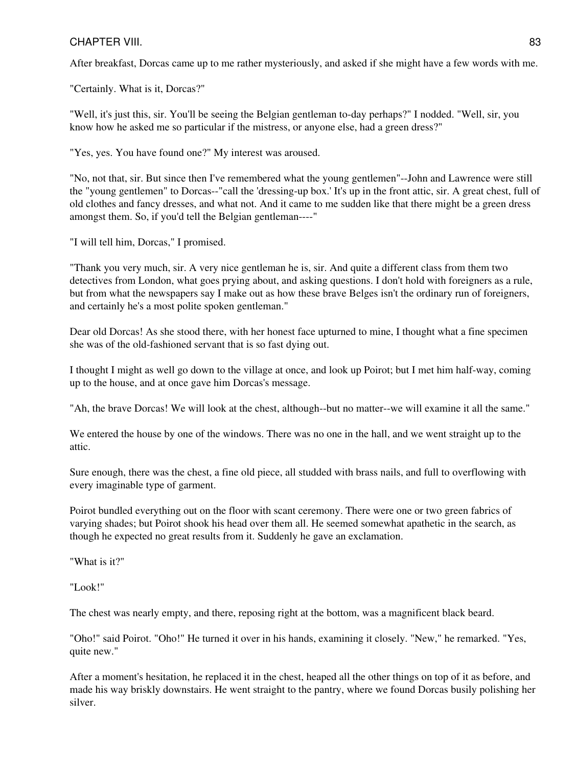After breakfast, Dorcas came up to me rather mysteriously, and asked if she might have a few words with me.

"Certainly. What is it, Dorcas?"

"Well, it's just this, sir. You'll be seeing the Belgian gentleman to-day perhaps?" I nodded. "Well, sir, you know how he asked me so particular if the mistress, or anyone else, had a green dress?"

"Yes, yes. You have found one?" My interest was aroused.

"No, not that, sir. But since then I've remembered what the young gentlemen"--John and Lawrence were still the "young gentlemen" to Dorcas--"call the 'dressing-up box.' It's up in the front attic, sir. A great chest, full of old clothes and fancy dresses, and what not. And it came to me sudden like that there might be a green dress amongst them. So, if you'd tell the Belgian gentleman----"

"I will tell him, Dorcas," I promised.

"Thank you very much, sir. A very nice gentleman he is, sir. And quite a different class from them two detectives from London, what goes prying about, and asking questions. I don't hold with foreigners as a rule, but from what the newspapers say I make out as how these brave Belges isn't the ordinary run of foreigners, and certainly he's a most polite spoken gentleman."

Dear old Dorcas! As she stood there, with her honest face upturned to mine, I thought what a fine specimen she was of the old-fashioned servant that is so fast dying out.

I thought I might as well go down to the village at once, and look up Poirot; but I met him half-way, coming up to the house, and at once gave him Dorcas's message.

"Ah, the brave Dorcas! We will look at the chest, although--but no matter--we will examine it all the same."

We entered the house by one of the windows. There was no one in the hall, and we went straight up to the attic.

Sure enough, there was the chest, a fine old piece, all studded with brass nails, and full to overflowing with every imaginable type of garment.

Poirot bundled everything out on the floor with scant ceremony. There were one or two green fabrics of varying shades; but Poirot shook his head over them all. He seemed somewhat apathetic in the search, as though he expected no great results from it. Suddenly he gave an exclamation.

"What is it?"

"Look!"

The chest was nearly empty, and there, reposing right at the bottom, was a magnificent black beard.

"Oho!" said Poirot. "Oho!" He turned it over in his hands, examining it closely. "New," he remarked. "Yes, quite new."

After a moment's hesitation, he replaced it in the chest, heaped all the other things on top of it as before, and made his way briskly downstairs. He went straight to the pantry, where we found Dorcas busily polishing her silver.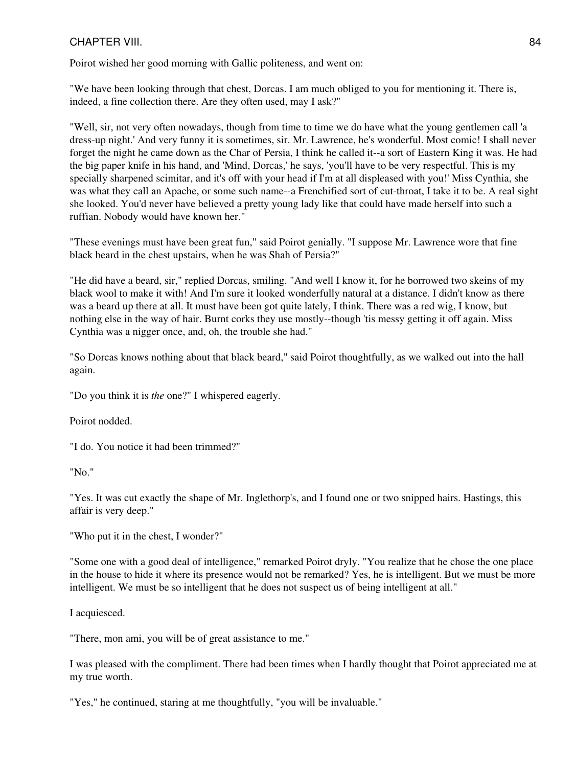Poirot wished her good morning with Gallic politeness, and went on:

"We have been looking through that chest, Dorcas. I am much obliged to you for mentioning it. There is, indeed, a fine collection there. Are they often used, may I ask?"

"Well, sir, not very often nowadays, though from time to time we do have what the young gentlemen call 'a dress-up night.' And very funny it is sometimes, sir. Mr. Lawrence, he's wonderful. Most comic! I shall never forget the night he came down as the Char of Persia, I think he called it--a sort of Eastern King it was. He had the big paper knife in his hand, and 'Mind, Dorcas,' he says, 'you'll have to be very respectful. This is my specially sharpened scimitar, and it's off with your head if I'm at all displeased with you!' Miss Cynthia, she was what they call an Apache, or some such name--a Frenchified sort of cut-throat, I take it to be. A real sight she looked. You'd never have believed a pretty young lady like that could have made herself into such a ruffian. Nobody would have known her."

"These evenings must have been great fun," said Poirot genially. "I suppose Mr. Lawrence wore that fine black beard in the chest upstairs, when he was Shah of Persia?"

"He did have a beard, sir," replied Dorcas, smiling. "And well I know it, for he borrowed two skeins of my black wool to make it with! And I'm sure it looked wonderfully natural at a distance. I didn't know as there was a beard up there at all. It must have been got quite lately, I think. There was a red wig, I know, but nothing else in the way of hair. Burnt corks they use mostly--though 'tis messy getting it off again. Miss Cynthia was a nigger once, and, oh, the trouble she had."

"So Dorcas knows nothing about that black beard," said Poirot thoughtfully, as we walked out into the hall again.

"Do you think it is *the* one?" I whispered eagerly.

Poirot nodded.

"I do. You notice it had been trimmed?"

"No."

"Yes. It was cut exactly the shape of Mr. Inglethorp's, and I found one or two snipped hairs. Hastings, this affair is very deep."

"Who put it in the chest, I wonder?"

"Some one with a good deal of intelligence," remarked Poirot dryly. "You realize that he chose the one place in the house to hide it where its presence would not be remarked? Yes, he is intelligent. But we must be more intelligent. We must be so intelligent that he does not suspect us of being intelligent at all."

I acquiesced.

"There, mon ami, you will be of great assistance to me."

I was pleased with the compliment. There had been times when I hardly thought that Poirot appreciated me at my true worth.

"Yes," he continued, staring at me thoughtfully, "you will be invaluable."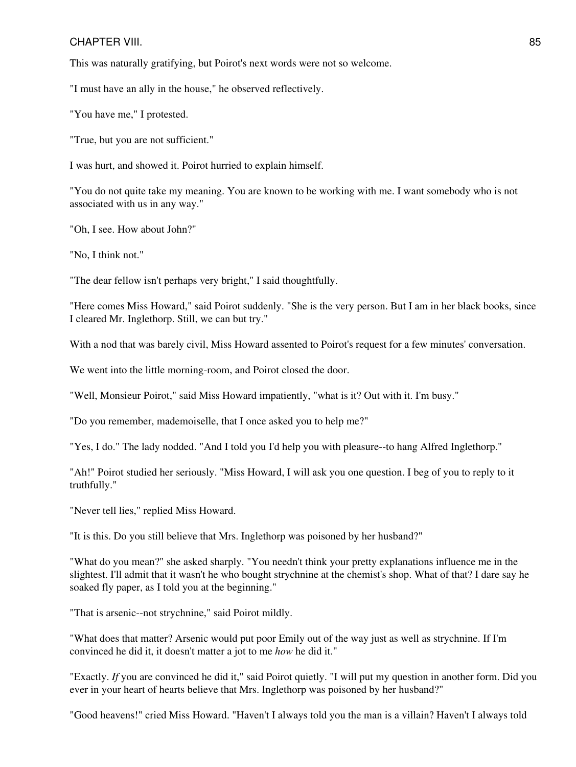This was naturally gratifying, but Poirot's next words were not so welcome.

"I must have an ally in the house," he observed reflectively.

"You have me," I protested.

"True, but you are not sufficient."

I was hurt, and showed it. Poirot hurried to explain himself.

"You do not quite take my meaning. You are known to be working with me. I want somebody who is not associated with us in any way."

"Oh, I see. How about John?"

"No, I think not."

"The dear fellow isn't perhaps very bright," I said thoughtfully.

"Here comes Miss Howard," said Poirot suddenly. "She is the very person. But I am in her black books, since I cleared Mr. Inglethorp. Still, we can but try."

With a nod that was barely civil, Miss Howard assented to Poirot's request for a few minutes' conversation.

We went into the little morning-room, and Poirot closed the door.

"Well, Monsieur Poirot," said Miss Howard impatiently, "what is it? Out with it. I'm busy."

"Do you remember, mademoiselle, that I once asked you to help me?"

"Yes, I do." The lady nodded. "And I told you I'd help you with pleasure--to hang Alfred Inglethorp."

"Ah!" Poirot studied her seriously. "Miss Howard, I will ask you one question. I beg of you to reply to it truthfully."

"Never tell lies," replied Miss Howard.

"It is this. Do you still believe that Mrs. Inglethorp was poisoned by her husband?"

"What do you mean?" she asked sharply. "You needn't think your pretty explanations influence me in the slightest. I'll admit that it wasn't he who bought strychnine at the chemist's shop. What of that? I dare say he soaked fly paper, as I told you at the beginning."

"That is arsenic--not strychnine," said Poirot mildly.

"What does that matter? Arsenic would put poor Emily out of the way just as well as strychnine. If I'm convinced he did it, it doesn't matter a jot to me *how* he did it."

"Exactly. *If* you are convinced he did it," said Poirot quietly. "I will put my question in another form. Did you ever in your heart of hearts believe that Mrs. Inglethorp was poisoned by her husband?"

"Good heavens!" cried Miss Howard. "Haven't I always told you the man is a villain? Haven't I always told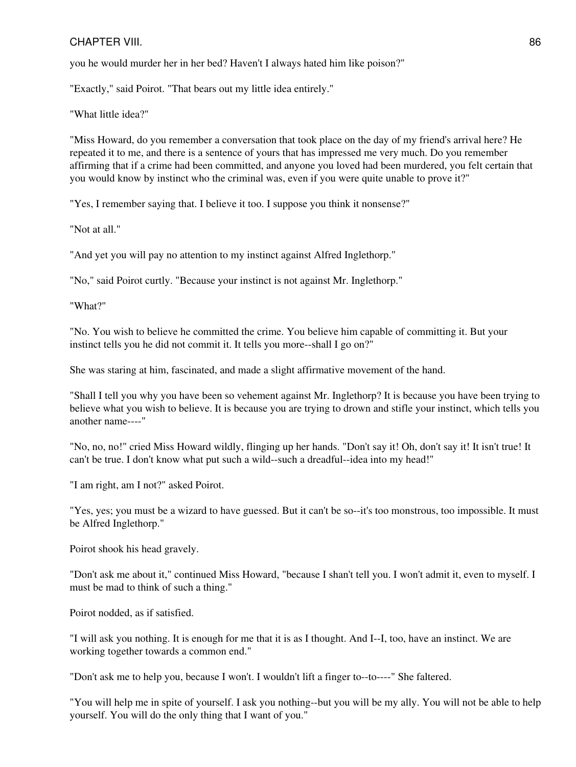you he would murder her in her bed? Haven't I always hated him like poison?"

"Exactly," said Poirot. "That bears out my little idea entirely."

"What little idea?"

"Miss Howard, do you remember a conversation that took place on the day of my friend's arrival here? He repeated it to me, and there is a sentence of yours that has impressed me very much. Do you remember affirming that if a crime had been committed, and anyone you loved had been murdered, you felt certain that you would know by instinct who the criminal was, even if you were quite unable to prove it?"

"Yes, I remember saying that. I believe it too. I suppose you think it nonsense?"

"Not at all."

"And yet you will pay no attention to my instinct against Alfred Inglethorp."

"No," said Poirot curtly. "Because your instinct is not against Mr. Inglethorp."

"What?"

"No. You wish to believe he committed the crime. You believe him capable of committing it. But your instinct tells you he did not commit it. It tells you more--shall I go on?"

She was staring at him, fascinated, and made a slight affirmative movement of the hand.

"Shall I tell you why you have been so vehement against Mr. Inglethorp? It is because you have been trying to believe what you wish to believe. It is because you are trying to drown and stifle your instinct, which tells you another name----"

"No, no, no!" cried Miss Howard wildly, flinging up her hands. "Don't say it! Oh, don't say it! It isn't true! It can't be true. I don't know what put such a wild--such a dreadful--idea into my head!"

"I am right, am I not?" asked Poirot.

"Yes, yes; you must be a wizard to have guessed. But it can't be so--it's too monstrous, too impossible. It must be Alfred Inglethorp."

Poirot shook his head gravely.

"Don't ask me about it," continued Miss Howard, "because I shan't tell you. I won't admit it, even to myself. I must be mad to think of such a thing."

Poirot nodded, as if satisfied.

"I will ask you nothing. It is enough for me that it is as I thought. And I--I, too, have an instinct. We are working together towards a common end."

"Don't ask me to help you, because I won't. I wouldn't lift a finger to--to----" She faltered.

"You will help me in spite of yourself. I ask you nothing--but you will be my ally. You will not be able to help yourself. You will do the only thing that I want of you."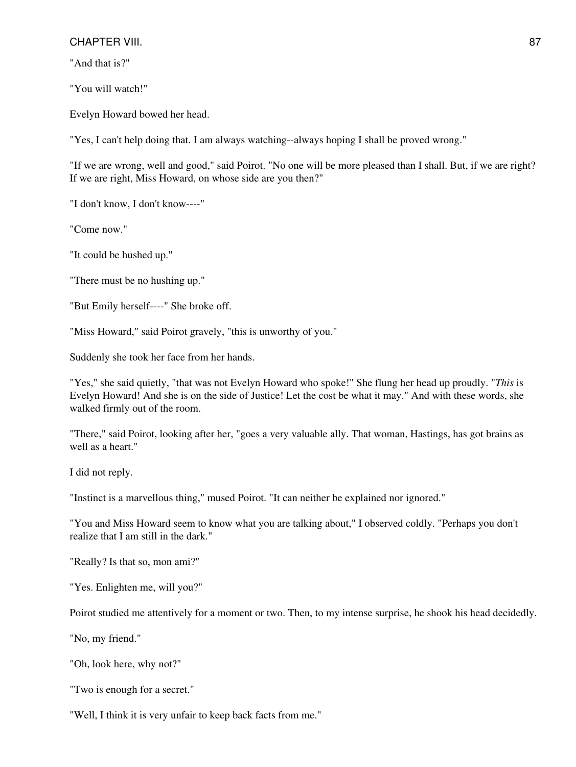"And that is?"

"You will watch!"

Evelyn Howard bowed her head.

"Yes, I can't help doing that. I am always watching--always hoping I shall be proved wrong."

"If we are wrong, well and good," said Poirot. "No one will be more pleased than I shall. But, if we are right? If we are right, Miss Howard, on whose side are you then?"

"I don't know, I don't know----"

"Come now."

"It could be hushed up."

"There must be no hushing up."

"But Emily herself----" She broke off.

"Miss Howard," said Poirot gravely, "this is unworthy of you."

Suddenly she took her face from her hands.

"Yes," she said quietly, "that was not Evelyn Howard who spoke!" She flung her head up proudly. "*This* is Evelyn Howard! And she is on the side of Justice! Let the cost be what it may." And with these words, she walked firmly out of the room.

"There," said Poirot, looking after her, "goes a very valuable ally. That woman, Hastings, has got brains as well as a heart."

I did not reply.

"Instinct is a marvellous thing," mused Poirot. "It can neither be explained nor ignored."

"You and Miss Howard seem to know what you are talking about," I observed coldly. "Perhaps you don't realize that I am still in the dark."

"Really? Is that so, mon ami?"

"Yes. Enlighten me, will you?"

Poirot studied me attentively for a moment or two. Then, to my intense surprise, he shook his head decidedly.

"No, my friend."

"Oh, look here, why not?"

"Two is enough for a secret."

"Well, I think it is very unfair to keep back facts from me."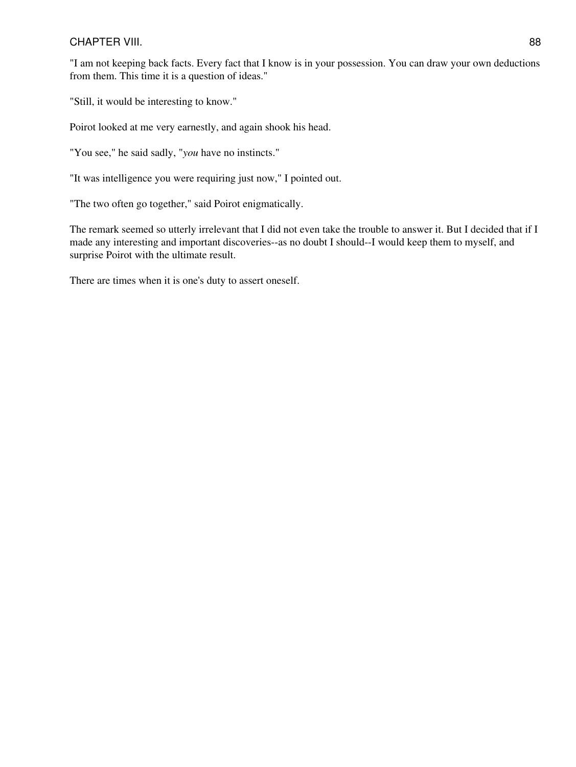"I am not keeping back facts. Every fact that I know is in your possession. You can draw your own deductions from them. This time it is a question of ideas."

"Still, it would be interesting to know."

Poirot looked at me very earnestly, and again shook his head.

"You see," he said sadly, "*you* have no instincts."

"It was intelligence you were requiring just now," I pointed out.

"The two often go together," said Poirot enigmatically.

The remark seemed so utterly irrelevant that I did not even take the trouble to answer it. But I decided that if I made any interesting and important discoveries--as no doubt I should--I would keep them to myself, and surprise Poirot with the ultimate result.

There are times when it is one's duty to assert oneself.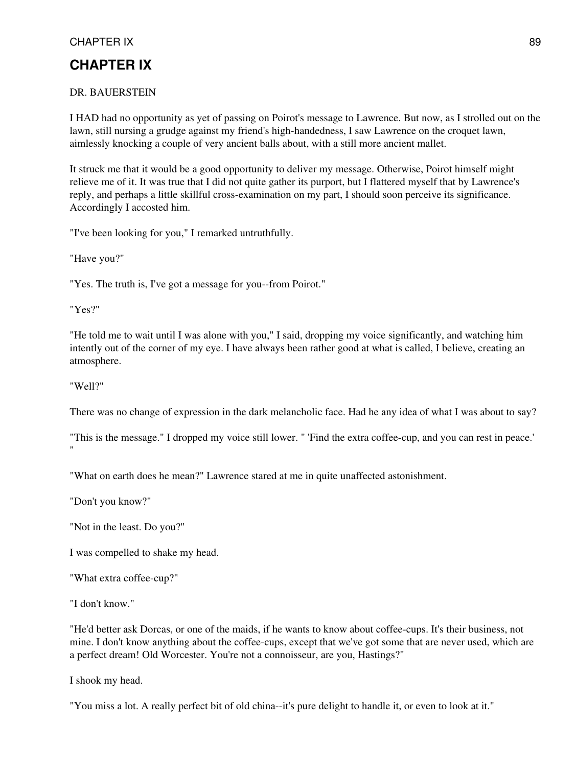# **CHAPTER IX**

## DR. BAUERSTEIN

I HAD had no opportunity as yet of passing on Poirot's message to Lawrence. But now, as I strolled out on the lawn, still nursing a grudge against my friend's high-handedness, I saw Lawrence on the croquet lawn, aimlessly knocking a couple of very ancient balls about, with a still more ancient mallet.

It struck me that it would be a good opportunity to deliver my message. Otherwise, Poirot himself might relieve me of it. It was true that I did not quite gather its purport, but I flattered myself that by Lawrence's reply, and perhaps a little skillful cross-examination on my part, I should soon perceive its significance. Accordingly I accosted him.

"I've been looking for you," I remarked untruthfully.

"Have you?"

"Yes. The truth is, I've got a message for you--from Poirot."

"Yes?"

"He told me to wait until I was alone with you," I said, dropping my voice significantly, and watching him intently out of the corner of my eye. I have always been rather good at what is called, I believe, creating an atmosphere.

"Well?"

There was no change of expression in the dark melancholic face. Had he any idea of what I was about to say?

"This is the message." I dropped my voice still lower. " 'Find the extra coffee-cup, and you can rest in peace.' "

"What on earth does he mean?" Lawrence stared at me in quite unaffected astonishment.

"Don't you know?"

"Not in the least. Do you?"

I was compelled to shake my head.

"What extra coffee-cup?"

"I don't know."

"He'd better ask Dorcas, or one of the maids, if he wants to know about coffee-cups. It's their business, not mine. I don't know anything about the coffee-cups, except that we've got some that are never used, which are a perfect dream! Old Worcester. You're not a connoisseur, are you, Hastings?"

I shook my head.

"You miss a lot. A really perfect bit of old china--it's pure delight to handle it, or even to look at it."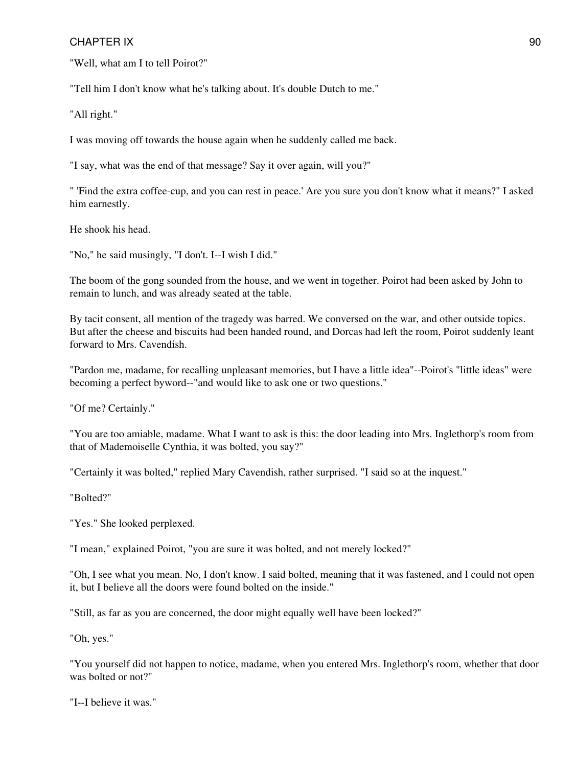"Well, what am I to tell Poirot?"

"Tell him I don't know what he's talking about. It's double Dutch to me."

"All right."

I was moving off towards the house again when he suddenly called me back.

"I say, what was the end of that message? Say it over again, will you?"

" 'Find the extra coffee-cup, and you can rest in peace.' Are you sure you don't know what it means?" I asked him earnestly.

He shook his head.

"No," he said musingly, "I don't. I--I wish I did."

The boom of the gong sounded from the house, and we went in together. Poirot had been asked by John to remain to lunch, and was already seated at the table.

By tacit consent, all mention of the tragedy was barred. We conversed on the war, and other outside topics. But after the cheese and biscuits had been handed round, and Dorcas had left the room, Poirot suddenly leant forward to Mrs. Cavendish.

"Pardon me, madame, for recalling unpleasant memories, but I have a little idea"--Poirot's "little ideas" were becoming a perfect byword--"and would like to ask one or two questions."

"Of me? Certainly."

"You are too amiable, madame. What I want to ask is this: the door leading into Mrs. Inglethorp's room from that of Mademoiselle Cynthia, it was bolted, you say?"

"Certainly it was bolted," replied Mary Cavendish, rather surprised. "I said so at the inquest."

"Bolted?"

"Yes." She looked perplexed.

"I mean," explained Poirot, "you are sure it was bolted, and not merely locked?"

"Oh, I see what you mean. No, I don't know. I said bolted, meaning that it was fastened, and I could not open it, but I believe all the doors were found bolted on the inside."

"Still, as far as you are concerned, the door might equally well have been locked?"

"Oh, yes."

"You yourself did not happen to notice, madame, when you entered Mrs. Inglethorp's room, whether that door was bolted or not?"

"I--I believe it was."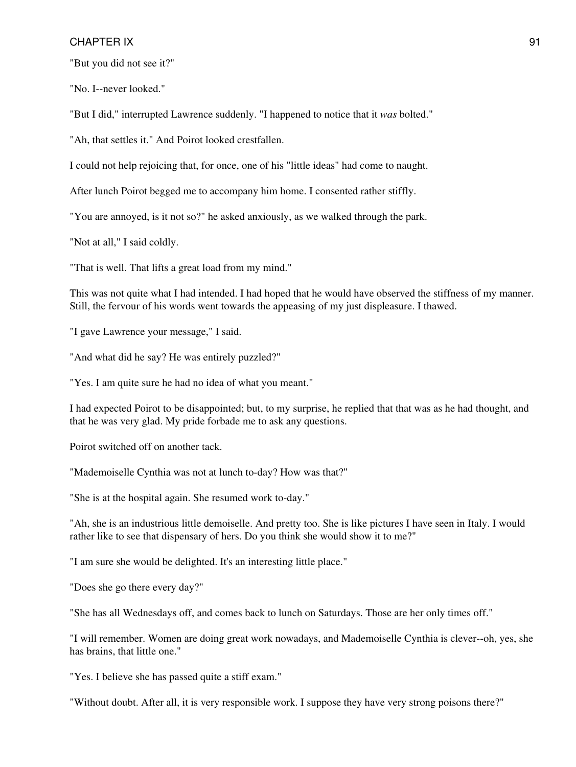"But you did not see it?"

"No. I--never looked."

"But I did," interrupted Lawrence suddenly. "I happened to notice that it *was* bolted."

"Ah, that settles it." And Poirot looked crestfallen.

I could not help rejoicing that, for once, one of his "little ideas" had come to naught.

After lunch Poirot begged me to accompany him home. I consented rather stiffly.

"You are annoyed, is it not so?" he asked anxiously, as we walked through the park.

"Not at all," I said coldly.

"That is well. That lifts a great load from my mind."

This was not quite what I had intended. I had hoped that he would have observed the stiffness of my manner. Still, the fervour of his words went towards the appeasing of my just displeasure. I thawed.

"I gave Lawrence your message," I said.

"And what did he say? He was entirely puzzled?"

"Yes. I am quite sure he had no idea of what you meant."

I had expected Poirot to be disappointed; but, to my surprise, he replied that that was as he had thought, and that he was very glad. My pride forbade me to ask any questions.

Poirot switched off on another tack.

"Mademoiselle Cynthia was not at lunch to-day? How was that?"

"She is at the hospital again. She resumed work to-day."

"Ah, she is an industrious little demoiselle. And pretty too. She is like pictures I have seen in Italy. I would rather like to see that dispensary of hers. Do you think she would show it to me?"

"I am sure she would be delighted. It's an interesting little place."

"Does she go there every day?"

"She has all Wednesdays off, and comes back to lunch on Saturdays. Those are her only times off."

"I will remember. Women are doing great work nowadays, and Mademoiselle Cynthia is clever--oh, yes, she has brains, that little one."

"Yes. I believe she has passed quite a stiff exam."

"Without doubt. After all, it is very responsible work. I suppose they have very strong poisons there?"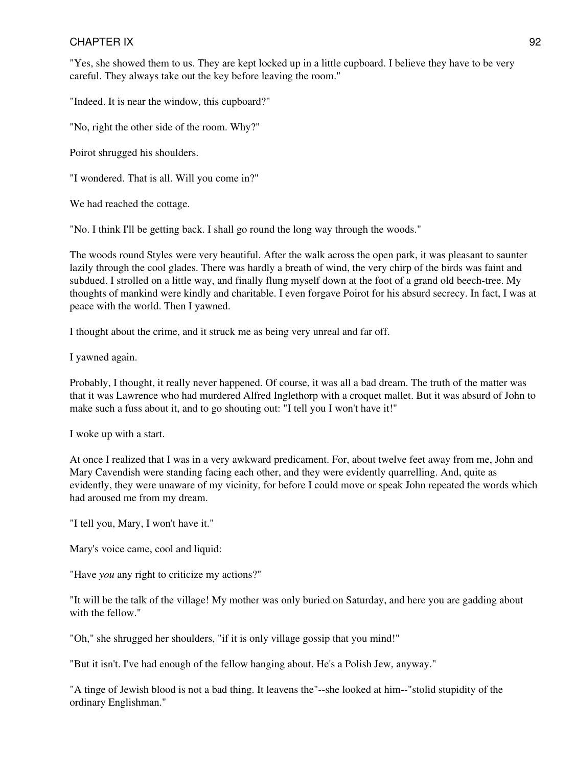"Yes, she showed them to us. They are kept locked up in a little cupboard. I believe they have to be very careful. They always take out the key before leaving the room."

"Indeed. It is near the window, this cupboard?"

"No, right the other side of the room. Why?"

Poirot shrugged his shoulders.

"I wondered. That is all. Will you come in?"

We had reached the cottage.

"No. I think I'll be getting back. I shall go round the long way through the woods."

The woods round Styles were very beautiful. After the walk across the open park, it was pleasant to saunter lazily through the cool glades. There was hardly a breath of wind, the very chirp of the birds was faint and subdued. I strolled on a little way, and finally flung myself down at the foot of a grand old beech-tree. My thoughts of mankind were kindly and charitable. I even forgave Poirot for his absurd secrecy. In fact, I was at peace with the world. Then I yawned.

I thought about the crime, and it struck me as being very unreal and far off.

I yawned again.

Probably, I thought, it really never happened. Of course, it was all a bad dream. The truth of the matter was that it was Lawrence who had murdered Alfred Inglethorp with a croquet mallet. But it was absurd of John to make such a fuss about it, and to go shouting out: "I tell you I won't have it!"

I woke up with a start.

At once I realized that I was in a very awkward predicament. For, about twelve feet away from me, John and Mary Cavendish were standing facing each other, and they were evidently quarrelling. And, quite as evidently, they were unaware of my vicinity, for before I could move or speak John repeated the words which had aroused me from my dream.

"I tell you, Mary, I won't have it."

Mary's voice came, cool and liquid:

"Have *you* any right to criticize my actions?"

"It will be the talk of the village! My mother was only buried on Saturday, and here you are gadding about with the fellow."

"Oh," she shrugged her shoulders, "if it is only village gossip that you mind!"

"But it isn't. I've had enough of the fellow hanging about. He's a Polish Jew, anyway."

"A tinge of Jewish blood is not a bad thing. It leavens the"--she looked at him--"stolid stupidity of the ordinary Englishman."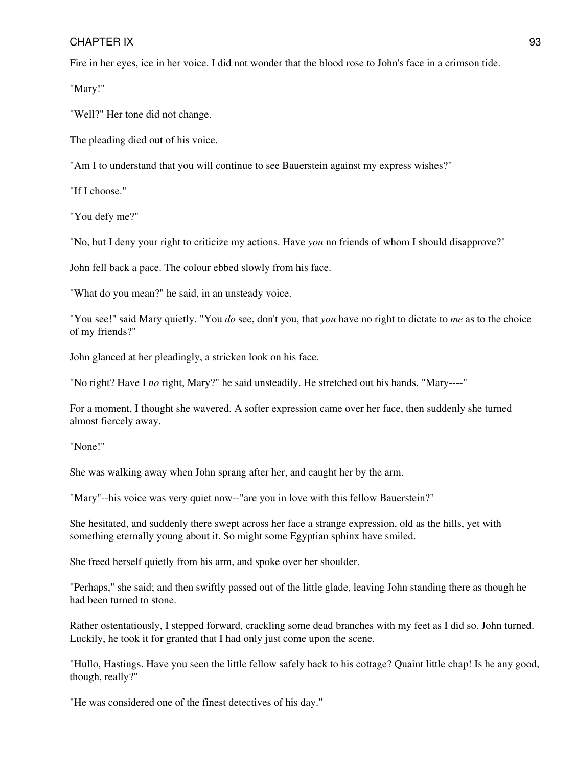Fire in her eyes, ice in her voice. I did not wonder that the blood rose to John's face in a crimson tide.

"Mary!"

"Well?" Her tone did not change.

The pleading died out of his voice.

"Am I to understand that you will continue to see Bauerstein against my express wishes?"

"If I choose."

"You defy me?"

"No, but I deny your right to criticize my actions. Have *you* no friends of whom I should disapprove?"

John fell back a pace. The colour ebbed slowly from his face.

"What do you mean?" he said, in an unsteady voice.

"You see!" said Mary quietly. "You *do* see, don't you, that *you* have no right to dictate to *me* as to the choice of my friends?"

John glanced at her pleadingly, a stricken look on his face.

"No right? Have I *no* right, Mary?" he said unsteadily. He stretched out his hands. "Mary----"

For a moment, I thought she wavered. A softer expression came over her face, then suddenly she turned almost fiercely away.

"None!"

She was walking away when John sprang after her, and caught her by the arm.

"Mary"--his voice was very quiet now--"are you in love with this fellow Bauerstein?"

She hesitated, and suddenly there swept across her face a strange expression, old as the hills, yet with something eternally young about it. So might some Egyptian sphinx have smiled.

She freed herself quietly from his arm, and spoke over her shoulder.

"Perhaps," she said; and then swiftly passed out of the little glade, leaving John standing there as though he had been turned to stone.

Rather ostentatiously, I stepped forward, crackling some dead branches with my feet as I did so. John turned. Luckily, he took it for granted that I had only just come upon the scene.

"Hullo, Hastings. Have you seen the little fellow safely back to his cottage? Quaint little chap! Is he any good, though, really?"

"He was considered one of the finest detectives of his day."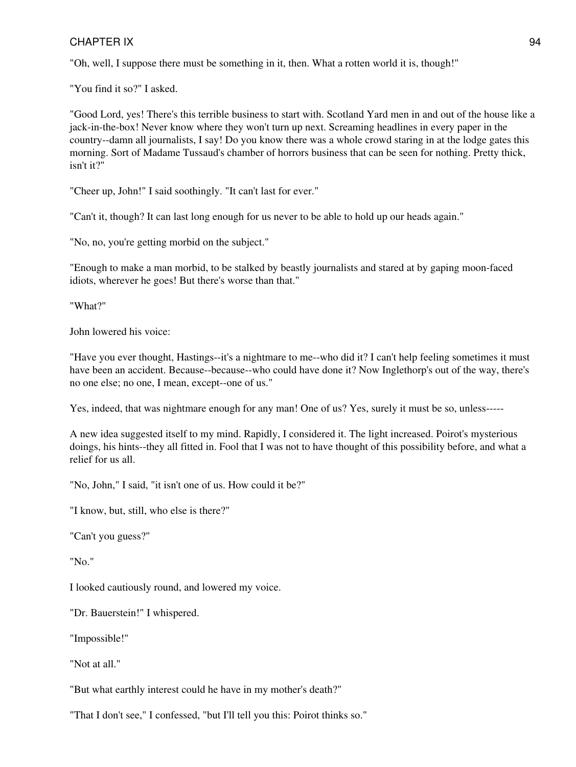"Oh, well, I suppose there must be something in it, then. What a rotten world it is, though!"

"You find it so?" I asked.

"Good Lord, yes! There's this terrible business to start with. Scotland Yard men in and out of the house like a jack-in-the-box! Never know where they won't turn up next. Screaming headlines in every paper in the country--damn all journalists, I say! Do you know there was a whole crowd staring in at the lodge gates this morning. Sort of Madame Tussaud's chamber of horrors business that can be seen for nothing. Pretty thick, isn't it?"

"Cheer up, John!" I said soothingly. "It can't last for ever."

"Can't it, though? It can last long enough for us never to be able to hold up our heads again."

"No, no, you're getting morbid on the subject."

"Enough to make a man morbid, to be stalked by beastly journalists and stared at by gaping moon-faced idiots, wherever he goes! But there's worse than that."

"What?"

John lowered his voice:

"Have you ever thought, Hastings--it's a nightmare to me--who did it? I can't help feeling sometimes it must have been an accident. Because--because--who could have done it? Now Inglethorp's out of the way, there's no one else; no one, I mean, except--one of us."

Yes, indeed, that was nightmare enough for any man! One of us? Yes, surely it must be so, unless-----

A new idea suggested itself to my mind. Rapidly, I considered it. The light increased. Poirot's mysterious doings, his hints--they all fitted in. Fool that I was not to have thought of this possibility before, and what a relief for us all.

"No, John," I said, "it isn't one of us. How could it be?"

"I know, but, still, who else is there?"

"Can't you guess?"

"No."

I looked cautiously round, and lowered my voice.

"Dr. Bauerstein!" I whispered.

"Impossible!"

"Not at all."

"But what earthly interest could he have in my mother's death?"

"That I don't see," I confessed, "but I'll tell you this: Poirot thinks so."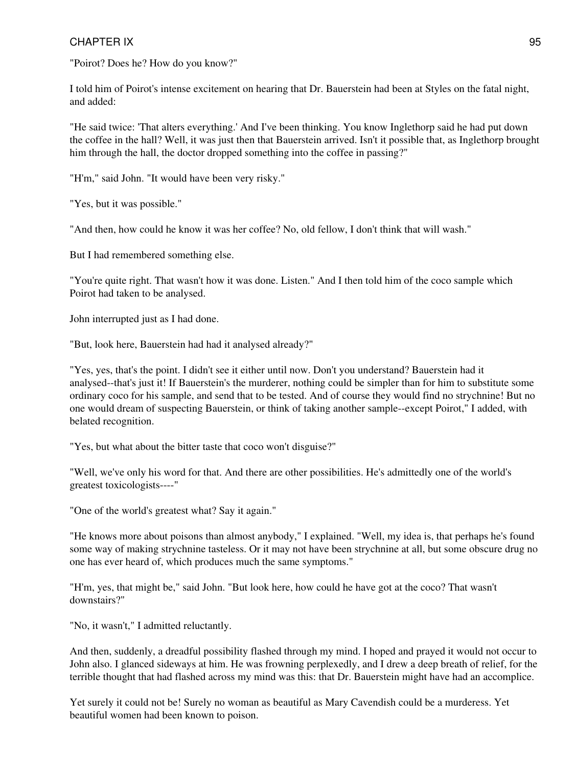"Poirot? Does he? How do you know?"

I told him of Poirot's intense excitement on hearing that Dr. Bauerstein had been at Styles on the fatal night, and added:

"He said twice: 'That alters everything.' And I've been thinking. You know Inglethorp said he had put down the coffee in the hall? Well, it was just then that Bauerstein arrived. Isn't it possible that, as Inglethorp brought him through the hall, the doctor dropped something into the coffee in passing?"

"H'm," said John. "It would have been very risky."

"Yes, but it was possible."

"And then, how could he know it was her coffee? No, old fellow, I don't think that will wash."

But I had remembered something else.

"You're quite right. That wasn't how it was done. Listen." And I then told him of the coco sample which Poirot had taken to be analysed.

John interrupted just as I had done.

"But, look here, Bauerstein had had it analysed already?"

"Yes, yes, that's the point. I didn't see it either until now. Don't you understand? Bauerstein had it analysed--that's just it! If Bauerstein's the murderer, nothing could be simpler than for him to substitute some ordinary coco for his sample, and send that to be tested. And of course they would find no strychnine! But no one would dream of suspecting Bauerstein, or think of taking another sample--except Poirot," I added, with belated recognition.

"Yes, but what about the bitter taste that coco won't disguise?"

"Well, we've only his word for that. And there are other possibilities. He's admittedly one of the world's greatest toxicologists----"

"One of the world's greatest what? Say it again."

"He knows more about poisons than almost anybody," I explained. "Well, my idea is, that perhaps he's found some way of making strychnine tasteless. Or it may not have been strychnine at all, but some obscure drug no one has ever heard of, which produces much the same symptoms."

"H'm, yes, that might be," said John. "But look here, how could he have got at the coco? That wasn't downstairs?"

"No, it wasn't," I admitted reluctantly.

And then, suddenly, a dreadful possibility flashed through my mind. I hoped and prayed it would not occur to John also. I glanced sideways at him. He was frowning perplexedly, and I drew a deep breath of relief, for the terrible thought that had flashed across my mind was this: that Dr. Bauerstein might have had an accomplice.

Yet surely it could not be! Surely no woman as beautiful as Mary Cavendish could be a murderess. Yet beautiful women had been known to poison.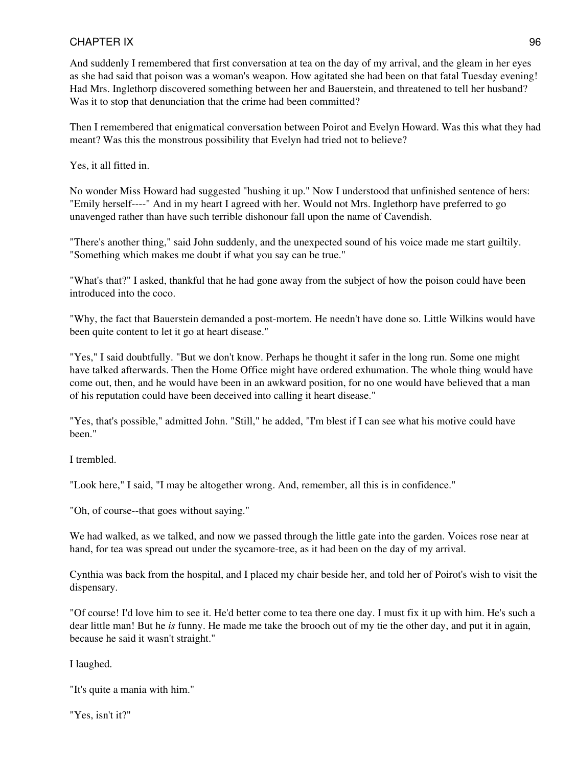And suddenly I remembered that first conversation at tea on the day of my arrival, and the gleam in her eyes as she had said that poison was a woman's weapon. How agitated she had been on that fatal Tuesday evening! Had Mrs. Inglethorp discovered something between her and Bauerstein, and threatened to tell her husband? Was it to stop that denunciation that the crime had been committed?

Then I remembered that enigmatical conversation between Poirot and Evelyn Howard. Was this what they had meant? Was this the monstrous possibility that Evelyn had tried not to believe?

Yes, it all fitted in.

No wonder Miss Howard had suggested "hushing it up." Now I understood that unfinished sentence of hers: "Emily herself----" And in my heart I agreed with her. Would not Mrs. Inglethorp have preferred to go unavenged rather than have such terrible dishonour fall upon the name of Cavendish.

"There's another thing," said John suddenly, and the unexpected sound of his voice made me start guiltily. "Something which makes me doubt if what you say can be true."

"What's that?" I asked, thankful that he had gone away from the subject of how the poison could have been introduced into the coco.

"Why, the fact that Bauerstein demanded a post-mortem. He needn't have done so. Little Wilkins would have been quite content to let it go at heart disease."

"Yes," I said doubtfully. "But we don't know. Perhaps he thought it safer in the long run. Some one might have talked afterwards. Then the Home Office might have ordered exhumation. The whole thing would have come out, then, and he would have been in an awkward position, for no one would have believed that a man of his reputation could have been deceived into calling it heart disease."

"Yes, that's possible," admitted John. "Still," he added, "I'm blest if I can see what his motive could have been."

I trembled.

"Look here," I said, "I may be altogether wrong. And, remember, all this is in confidence."

"Oh, of course--that goes without saying."

We had walked, as we talked, and now we passed through the little gate into the garden. Voices rose near at hand, for tea was spread out under the sycamore-tree, as it had been on the day of my arrival.

Cynthia was back from the hospital, and I placed my chair beside her, and told her of Poirot's wish to visit the dispensary.

"Of course! I'd love him to see it. He'd better come to tea there one day. I must fix it up with him. He's such a dear little man! But he *is* funny. He made me take the brooch out of my tie the other day, and put it in again, because he said it wasn't straight."

I laughed.

"It's quite a mania with him."

"Yes, isn't it?"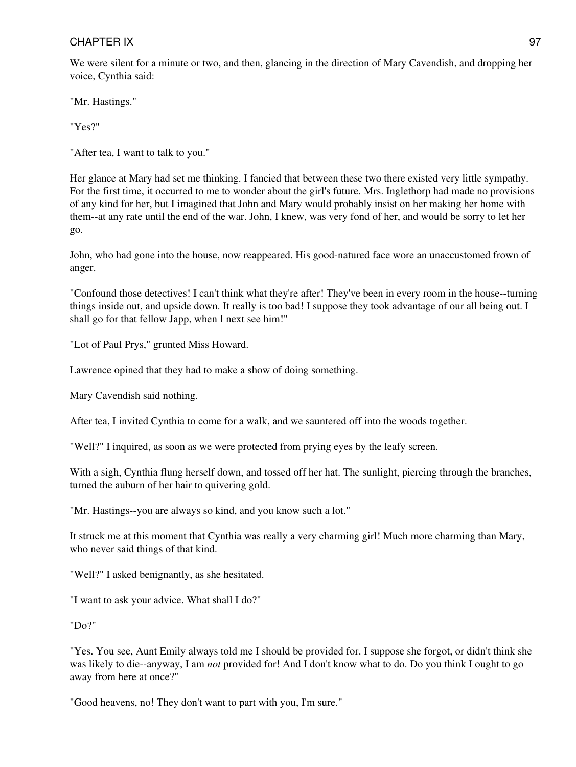We were silent for a minute or two, and then, glancing in the direction of Mary Cavendish, and dropping her voice, Cynthia said:

"Mr. Hastings."

"Yes?"

"After tea, I want to talk to you."

Her glance at Mary had set me thinking. I fancied that between these two there existed very little sympathy. For the first time, it occurred to me to wonder about the girl's future. Mrs. Inglethorp had made no provisions of any kind for her, but I imagined that John and Mary would probably insist on her making her home with them--at any rate until the end of the war. John, I knew, was very fond of her, and would be sorry to let her go.

John, who had gone into the house, now reappeared. His good-natured face wore an unaccustomed frown of anger.

"Confound those detectives! I can't think what they're after! They've been in every room in the house--turning things inside out, and upside down. It really is too bad! I suppose they took advantage of our all being out. I shall go for that fellow Japp, when I next see him!"

"Lot of Paul Prys," grunted Miss Howard.

Lawrence opined that they had to make a show of doing something.

Mary Cavendish said nothing.

After tea, I invited Cynthia to come for a walk, and we sauntered off into the woods together.

"Well?" I inquired, as soon as we were protected from prying eyes by the leafy screen.

With a sigh, Cynthia flung herself down, and tossed off her hat. The sunlight, piercing through the branches, turned the auburn of her hair to quivering gold.

"Mr. Hastings--you are always so kind, and you know such a lot."

It struck me at this moment that Cynthia was really a very charming girl! Much more charming than Mary, who never said things of that kind.

"Well?" I asked benignantly, as she hesitated.

"I want to ask your advice. What shall I do?"

"Do?"

"Yes. You see, Aunt Emily always told me I should be provided for. I suppose she forgot, or didn't think she was likely to die--anyway, I am *not* provided for! And I don't know what to do. Do you think I ought to go away from here at once?"

"Good heavens, no! They don't want to part with you, I'm sure."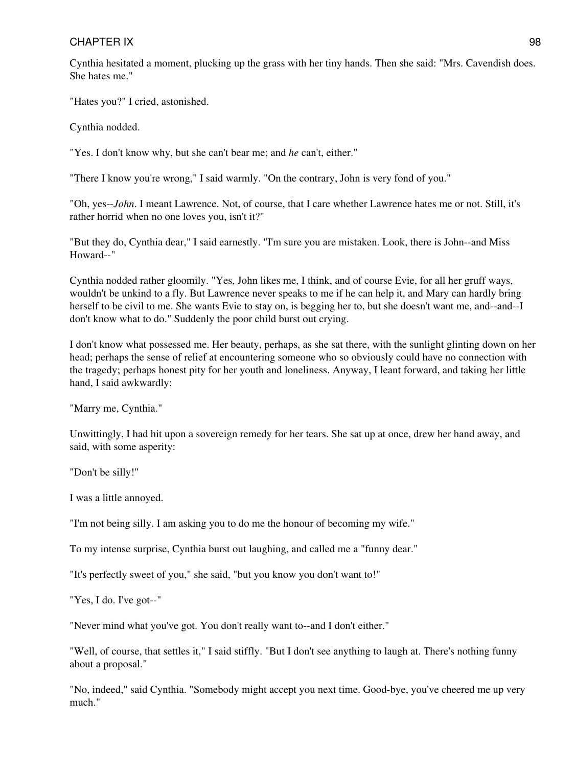Cynthia hesitated a moment, plucking up the grass with her tiny hands. Then she said: "Mrs. Cavendish does. She hates me."

"Hates you?" I cried, astonished.

Cynthia nodded.

"Yes. I don't know why, but she can't bear me; and *he* can't, either."

"There I know you're wrong," I said warmly. "On the contrary, John is very fond of you."

"Oh, yes--*John*. I meant Lawrence. Not, of course, that I care whether Lawrence hates me or not. Still, it's rather horrid when no one loves you, isn't it?"

"But they do, Cynthia dear," I said earnestly. "I'm sure you are mistaken. Look, there is John--and Miss Howard--"

Cynthia nodded rather gloomily. "Yes, John likes me, I think, and of course Evie, for all her gruff ways, wouldn't be unkind to a fly. But Lawrence never speaks to me if he can help it, and Mary can hardly bring herself to be civil to me. She wants Evie to stay on, is begging her to, but she doesn't want me, and--and--I don't know what to do." Suddenly the poor child burst out crying.

I don't know what possessed me. Her beauty, perhaps, as she sat there, with the sunlight glinting down on her head; perhaps the sense of relief at encountering someone who so obviously could have no connection with the tragedy; perhaps honest pity for her youth and loneliness. Anyway, I leant forward, and taking her little hand, I said awkwardly:

"Marry me, Cynthia."

Unwittingly, I had hit upon a sovereign remedy for her tears. She sat up at once, drew her hand away, and said, with some asperity:

"Don't be silly!"

I was a little annoyed.

"I'm not being silly. I am asking you to do me the honour of becoming my wife."

To my intense surprise, Cynthia burst out laughing, and called me a "funny dear."

"It's perfectly sweet of you," she said, "but you know you don't want to!"

"Yes, I do. I've got--"

"Never mind what you've got. You don't really want to--and I don't either."

"Well, of course, that settles it," I said stiffly. "But I don't see anything to laugh at. There's nothing funny about a proposal."

"No, indeed," said Cynthia. "Somebody might accept you next time. Good-bye, you've cheered me up very much."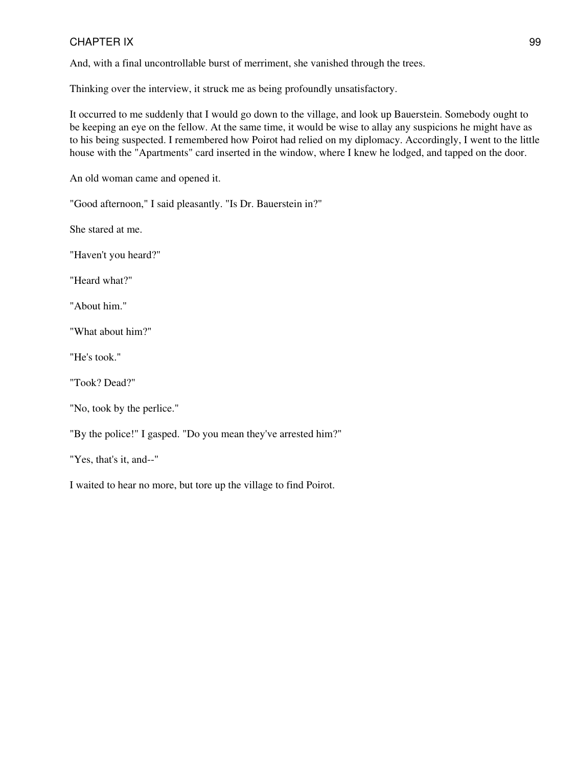And, with a final uncontrollable burst of merriment, she vanished through the trees.

Thinking over the interview, it struck me as being profoundly unsatisfactory.

It occurred to me suddenly that I would go down to the village, and look up Bauerstein. Somebody ought to be keeping an eye on the fellow. At the same time, it would be wise to allay any suspicions he might have as to his being suspected. I remembered how Poirot had relied on my diplomacy. Accordingly, I went to the little house with the "Apartments" card inserted in the window, where I knew he lodged, and tapped on the door.

An old woman came and opened it.

"Good afternoon," I said pleasantly. "Is Dr. Bauerstein in?"

She stared at me.

"Haven't you heard?"

"Heard what?"

"About him."

"What about him?"

"He's took."

"Took? Dead?"

"By the police!" I gasped. "Do you mean they've arrested him?"

"Yes, that's it, and--"

I waited to hear no more, but tore up the village to find Poirot.

<sup>&</sup>quot;No, took by the perlice."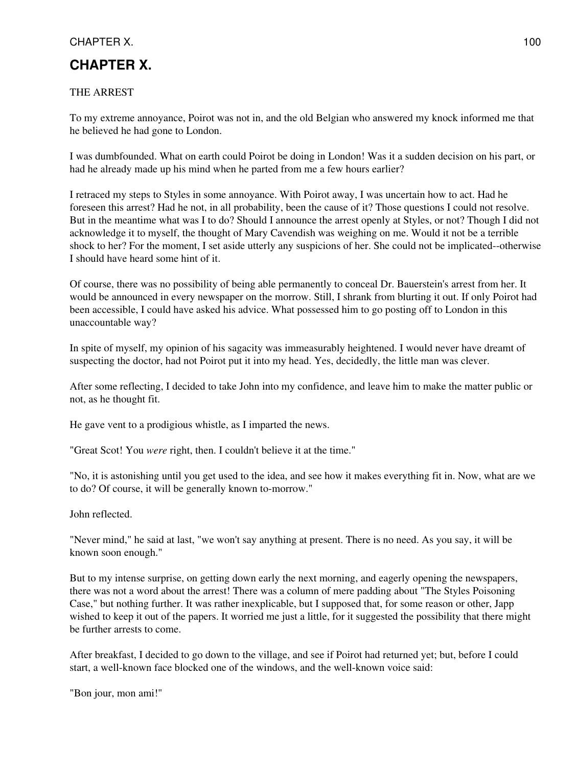# **CHAPTER X.**

## THE ARREST

To my extreme annoyance, Poirot was not in, and the old Belgian who answered my knock informed me that he believed he had gone to London.

I was dumbfounded. What on earth could Poirot be doing in London! Was it a sudden decision on his part, or had he already made up his mind when he parted from me a few hours earlier?

I retraced my steps to Styles in some annoyance. With Poirot away, I was uncertain how to act. Had he foreseen this arrest? Had he not, in all probability, been the cause of it? Those questions I could not resolve. But in the meantime what was I to do? Should I announce the arrest openly at Styles, or not? Though I did not acknowledge it to myself, the thought of Mary Cavendish was weighing on me. Would it not be a terrible shock to her? For the moment, I set aside utterly any suspicions of her. She could not be implicated--otherwise I should have heard some hint of it.

Of course, there was no possibility of being able permanently to conceal Dr. Bauerstein's arrest from her. It would be announced in every newspaper on the morrow. Still, I shrank from blurting it out. If only Poirot had been accessible, I could have asked his advice. What possessed him to go posting off to London in this unaccountable way?

In spite of myself, my opinion of his sagacity was immeasurably heightened. I would never have dreamt of suspecting the doctor, had not Poirot put it into my head. Yes, decidedly, the little man was clever.

After some reflecting, I decided to take John into my confidence, and leave him to make the matter public or not, as he thought fit.

He gave vent to a prodigious whistle, as I imparted the news.

"Great Scot! You *were* right, then. I couldn't believe it at the time."

"No, it is astonishing until you get used to the idea, and see how it makes everything fit in. Now, what are we to do? Of course, it will be generally known to-morrow."

John reflected.

"Never mind," he said at last, "we won't say anything at present. There is no need. As you say, it will be known soon enough."

But to my intense surprise, on getting down early the next morning, and eagerly opening the newspapers, there was not a word about the arrest! There was a column of mere padding about "The Styles Poisoning Case," but nothing further. It was rather inexplicable, but I supposed that, for some reason or other, Japp wished to keep it out of the papers. It worried me just a little, for it suggested the possibility that there might be further arrests to come.

After breakfast, I decided to go down to the village, and see if Poirot had returned yet; but, before I could start, a well-known face blocked one of the windows, and the well-known voice said:

"Bon jour, mon ami!"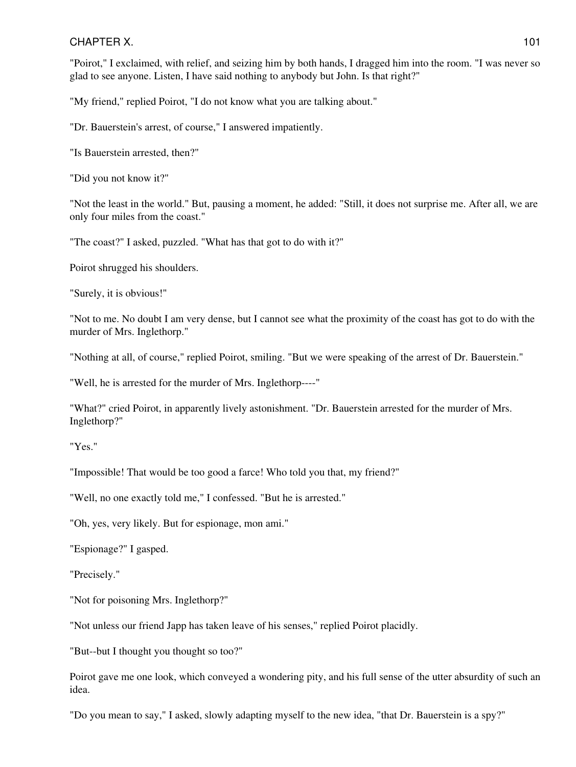"Poirot," I exclaimed, with relief, and seizing him by both hands, I dragged him into the room. "I was never so glad to see anyone. Listen, I have said nothing to anybody but John. Is that right?"

"My friend," replied Poirot, "I do not know what you are talking about."

"Dr. Bauerstein's arrest, of course," I answered impatiently.

"Is Bauerstein arrested, then?"

"Did you not know it?"

"Not the least in the world." But, pausing a moment, he added: "Still, it does not surprise me. After all, we are only four miles from the coast."

"The coast?" I asked, puzzled. "What has that got to do with it?"

Poirot shrugged his shoulders.

"Surely, it is obvious!"

"Not to me. No doubt I am very dense, but I cannot see what the proximity of the coast has got to do with the murder of Mrs. Inglethorp."

"Nothing at all, of course," replied Poirot, smiling. "But we were speaking of the arrest of Dr. Bauerstein."

"Well, he is arrested for the murder of Mrs. Inglethorp----"

"What?" cried Poirot, in apparently lively astonishment. "Dr. Bauerstein arrested for the murder of Mrs. Inglethorp?"

"Yes."

"Impossible! That would be too good a farce! Who told you that, my friend?"

"Well, no one exactly told me," I confessed. "But he is arrested."

"Oh, yes, very likely. But for espionage, mon ami."

"Espionage?" I gasped.

"Precisely."

"Not for poisoning Mrs. Inglethorp?"

"Not unless our friend Japp has taken leave of his senses," replied Poirot placidly.

"But--but I thought you thought so too?"

Poirot gave me one look, which conveyed a wondering pity, and his full sense of the utter absurdity of such an idea.

"Do you mean to say," I asked, slowly adapting myself to the new idea, "that Dr. Bauerstein is a spy?"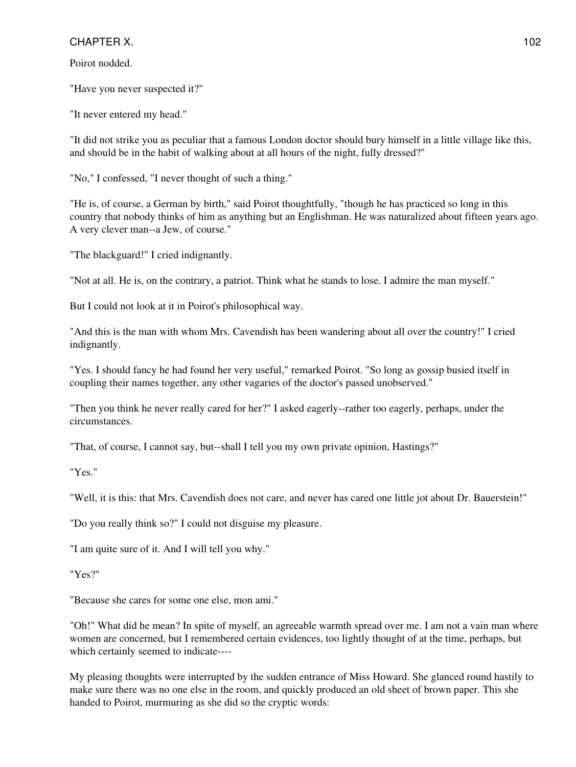Poirot nodded.

"Have you never suspected it?"

"It never entered my head."

"It did not strike you as peculiar that a famous London doctor should bury himself in a little village like this, and should be in the habit of walking about at all hours of the night, fully dressed?"

"No," I confessed, "I never thought of such a thing."

"He is, of course, a German by birth," said Poirot thoughtfully, "though he has practiced so long in this country that nobody thinks of him as anything but an Englishman. He was naturalized about fifteen years ago. A very clever man--a Jew, of course."

"The blackguard!" I cried indignantly.

"Not at all. He is, on the contrary, a patriot. Think what he stands to lose. I admire the man myself."

But I could not look at it in Poirot's philosophical way.

"And this is the man with whom Mrs. Cavendish has been wandering about all over the country!" I cried indignantly.

"Yes. I should fancy he had found her very useful," remarked Poirot. "So long as gossip busied itself in coupling their names together, any other vagaries of the doctor's passed unobserved."

"Then you think he never really cared for her?" I asked eagerly--rather too eagerly, perhaps, under the circumstances.

"That, of course, I cannot say, but--shall I tell you my own private opinion, Hastings?"

"Yes."

"Well, it is this: that Mrs. Cavendish does not care, and never has cared one little jot about Dr. Bauerstein!"

"Do you really think so?" I could not disguise my pleasure.

"I am quite sure of it. And I will tell you why."

"Yes?"

"Because she cares for some one else, mon ami."

"Oh!" What did he mean? In spite of myself, an agreeable warmth spread over me. I am not a vain man where women are concerned, but I remembered certain evidences, too lightly thought of at the time, perhaps, but which certainly seemed to indicate----

My pleasing thoughts were interrupted by the sudden entrance of Miss Howard. She glanced round hastily to make sure there was no one else in the room, and quickly produced an old sheet of brown paper. This she handed to Poirot, murmuring as she did so the cryptic words: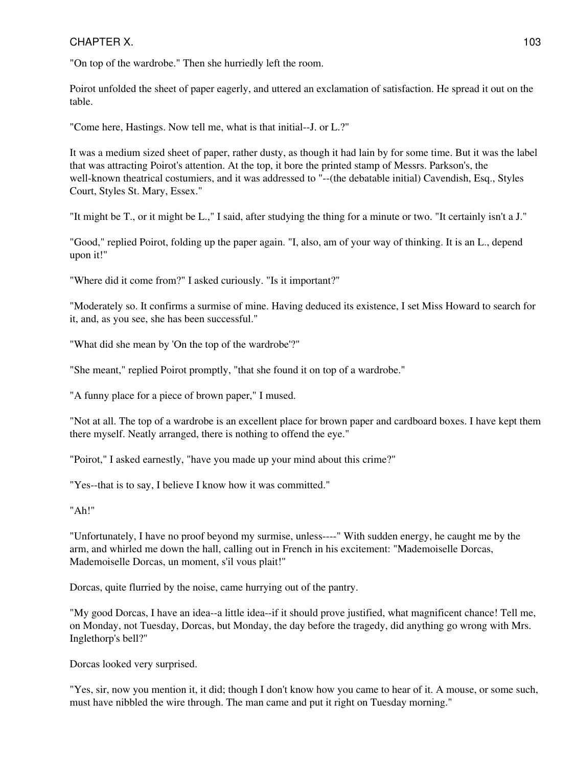"On top of the wardrobe." Then she hurriedly left the room.

Poirot unfolded the sheet of paper eagerly, and uttered an exclamation of satisfaction. He spread it out on the table.

"Come here, Hastings. Now tell me, what is that initial--J. or L.?"

It was a medium sized sheet of paper, rather dusty, as though it had lain by for some time. But it was the label that was attracting Poirot's attention. At the top, it bore the printed stamp of Messrs. Parkson's, the well-known theatrical costumiers, and it was addressed to "--(the debatable initial) Cavendish, Esq., Styles Court, Styles St. Mary, Essex."

"It might be T., or it might be L.," I said, after studying the thing for a minute or two. "It certainly isn't a J."

"Good," replied Poirot, folding up the paper again. "I, also, am of your way of thinking. It is an L., depend upon it!"

"Where did it come from?" I asked curiously. "Is it important?"

"Moderately so. It confirms a surmise of mine. Having deduced its existence, I set Miss Howard to search for it, and, as you see, she has been successful."

"What did she mean by 'On the top of the wardrobe'?"

"She meant," replied Poirot promptly, "that she found it on top of a wardrobe."

"A funny place for a piece of brown paper," I mused.

"Not at all. The top of a wardrobe is an excellent place for brown paper and cardboard boxes. I have kept them there myself. Neatly arranged, there is nothing to offend the eye."

"Poirot," I asked earnestly, "have you made up your mind about this crime?"

"Yes--that is to say, I believe I know how it was committed."

"Ah!"

"Unfortunately, I have no proof beyond my surmise, unless----" With sudden energy, he caught me by the arm, and whirled me down the hall, calling out in French in his excitement: "Mademoiselle Dorcas, Mademoiselle Dorcas, un moment, s'il vous plait!"

Dorcas, quite flurried by the noise, came hurrying out of the pantry.

"My good Dorcas, I have an idea--a little idea--if it should prove justified, what magnificent chance! Tell me, on Monday, not Tuesday, Dorcas, but Monday, the day before the tragedy, did anything go wrong with Mrs. Inglethorp's bell?"

Dorcas looked very surprised.

"Yes, sir, now you mention it, it did; though I don't know how you came to hear of it. A mouse, or some such, must have nibbled the wire through. The man came and put it right on Tuesday morning."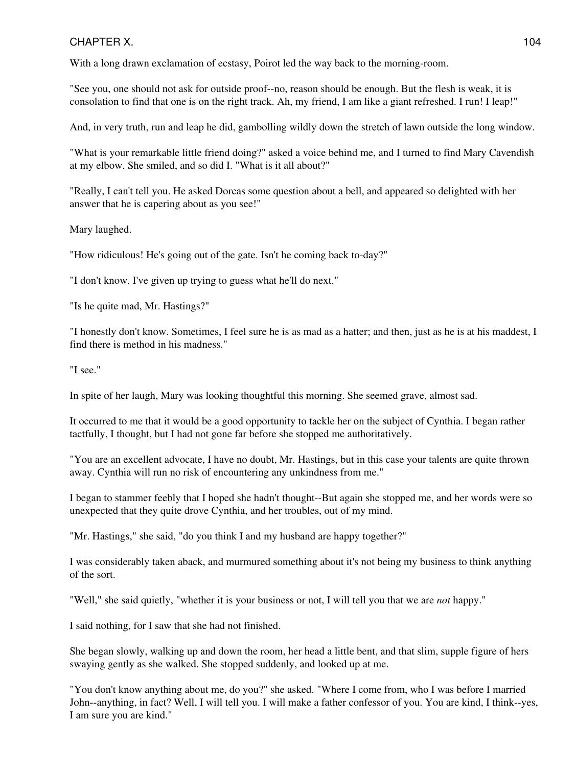With a long drawn exclamation of ecstasy, Poirot led the way back to the morning-room.

"See you, one should not ask for outside proof--no, reason should be enough. But the flesh is weak, it is consolation to find that one is on the right track. Ah, my friend, I am like a giant refreshed. I run! I leap!"

And, in very truth, run and leap he did, gambolling wildly down the stretch of lawn outside the long window.

"What is your remarkable little friend doing?" asked a voice behind me, and I turned to find Mary Cavendish at my elbow. She smiled, and so did I. "What is it all about?"

"Really, I can't tell you. He asked Dorcas some question about a bell, and appeared so delighted with her answer that he is capering about as you see!"

Mary laughed.

"How ridiculous! He's going out of the gate. Isn't he coming back to-day?"

"I don't know. I've given up trying to guess what he'll do next."

"Is he quite mad, Mr. Hastings?"

"I honestly don't know. Sometimes, I feel sure he is as mad as a hatter; and then, just as he is at his maddest, I find there is method in his madness."

"I see."

In spite of her laugh, Mary was looking thoughtful this morning. She seemed grave, almost sad.

It occurred to me that it would be a good opportunity to tackle her on the subject of Cynthia. I began rather tactfully, I thought, but I had not gone far before she stopped me authoritatively.

"You are an excellent advocate, I have no doubt, Mr. Hastings, but in this case your talents are quite thrown away. Cynthia will run no risk of encountering any unkindness from me."

I began to stammer feebly that I hoped she hadn't thought--But again she stopped me, and her words were so unexpected that they quite drove Cynthia, and her troubles, out of my mind.

"Mr. Hastings," she said, "do you think I and my husband are happy together?"

I was considerably taken aback, and murmured something about it's not being my business to think anything of the sort.

"Well," she said quietly, "whether it is your business or not, I will tell you that we are *not* happy."

I said nothing, for I saw that she had not finished.

She began slowly, walking up and down the room, her head a little bent, and that slim, supple figure of hers swaying gently as she walked. She stopped suddenly, and looked up at me.

"You don't know anything about me, do you?" she asked. "Where I come from, who I was before I married John--anything, in fact? Well, I will tell you. I will make a father confessor of you. You are kind, I think--yes, I am sure you are kind."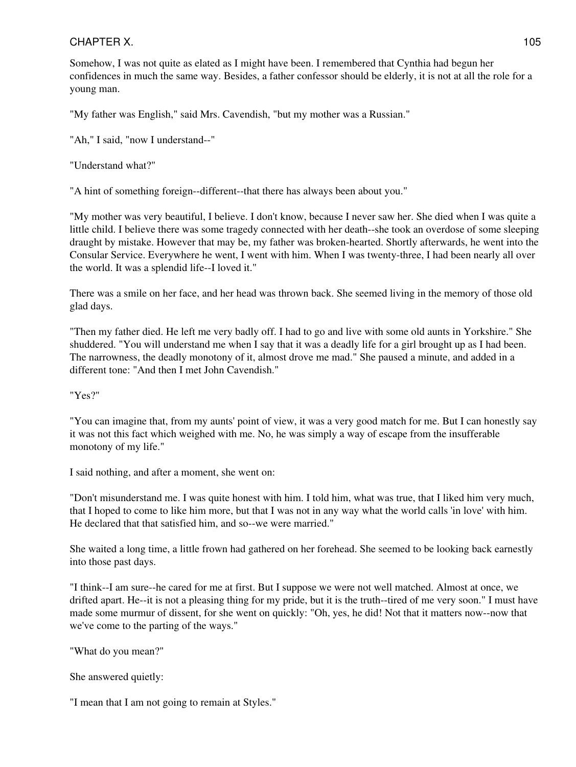Somehow, I was not quite as elated as I might have been. I remembered that Cynthia had begun her confidences in much the same way. Besides, a father confessor should be elderly, it is not at all the role for a young man.

"My father was English," said Mrs. Cavendish, "but my mother was a Russian."

"Ah," I said, "now I understand--"

"Understand what?"

"A hint of something foreign--different--that there has always been about you."

"My mother was very beautiful, I believe. I don't know, because I never saw her. She died when I was quite a little child. I believe there was some tragedy connected with her death--she took an overdose of some sleeping draught by mistake. However that may be, my father was broken-hearted. Shortly afterwards, he went into the Consular Service. Everywhere he went, I went with him. When I was twenty-three, I had been nearly all over the world. It was a splendid life--I loved it."

There was a smile on her face, and her head was thrown back. She seemed living in the memory of those old glad days.

"Then my father died. He left me very badly off. I had to go and live with some old aunts in Yorkshire." She shuddered. "You will understand me when I say that it was a deadly life for a girl brought up as I had been. The narrowness, the deadly monotony of it, almost drove me mad." She paused a minute, and added in a different tone: "And then I met John Cavendish."

"Yes?"

"You can imagine that, from my aunts' point of view, it was a very good match for me. But I can honestly say it was not this fact which weighed with me. No, he was simply a way of escape from the insufferable monotony of my life."

I said nothing, and after a moment, she went on:

"Don't misunderstand me. I was quite honest with him. I told him, what was true, that I liked him very much, that I hoped to come to like him more, but that I was not in any way what the world calls 'in love' with him. He declared that that satisfied him, and so--we were married."

She waited a long time, a little frown had gathered on her forehead. She seemed to be looking back earnestly into those past days.

"I think--I am sure--he cared for me at first. But I suppose we were not well matched. Almost at once, we drifted apart. He--it is not a pleasing thing for my pride, but it is the truth--tired of me very soon." I must have made some murmur of dissent, for she went on quickly: "Oh, yes, he did! Not that it matters now--now that we've come to the parting of the ways."

"What do you mean?"

She answered quietly:

"I mean that I am not going to remain at Styles."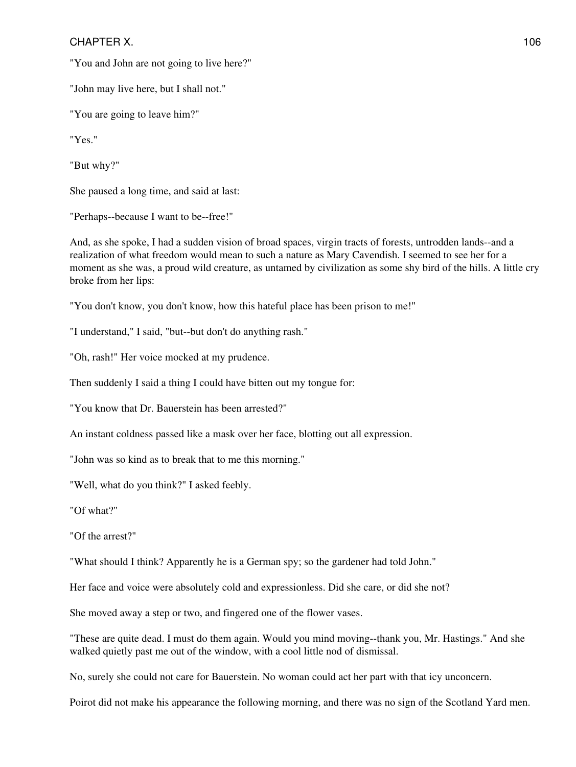"You and John are not going to live here?"

"John may live here, but I shall not."

"You are going to leave him?"

"Yes."

"But why?"

She paused a long time, and said at last:

"Perhaps--because I want to be--free!"

And, as she spoke, I had a sudden vision of broad spaces, virgin tracts of forests, untrodden lands--and a realization of what freedom would mean to such a nature as Mary Cavendish. I seemed to see her for a moment as she was, a proud wild creature, as untamed by civilization as some shy bird of the hills. A little cry broke from her lips:

"You don't know, you don't know, how this hateful place has been prison to me!"

"I understand," I said, "but--but don't do anything rash."

"Oh, rash!" Her voice mocked at my prudence.

Then suddenly I said a thing I could have bitten out my tongue for:

"You know that Dr. Bauerstein has been arrested?"

An instant coldness passed like a mask over her face, blotting out all expression.

"John was so kind as to break that to me this morning."

"Well, what do you think?" I asked feebly.

"Of what?"

"Of the arrest?"

"What should I think? Apparently he is a German spy; so the gardener had told John."

Her face and voice were absolutely cold and expressionless. Did she care, or did she not?

She moved away a step or two, and fingered one of the flower vases.

"These are quite dead. I must do them again. Would you mind moving--thank you, Mr. Hastings." And she walked quietly past me out of the window, with a cool little nod of dismissal.

No, surely she could not care for Bauerstein. No woman could act her part with that icy unconcern.

Poirot did not make his appearance the following morning, and there was no sign of the Scotland Yard men.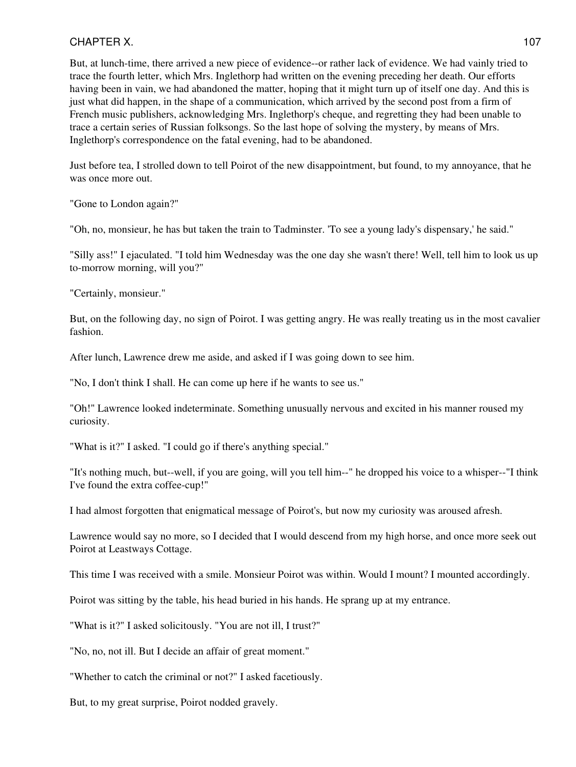But, at lunch-time, there arrived a new piece of evidence--or rather lack of evidence. We had vainly tried to trace the fourth letter, which Mrs. Inglethorp had written on the evening preceding her death. Our efforts having been in vain, we had abandoned the matter, hoping that it might turn up of itself one day. And this is just what did happen, in the shape of a communication, which arrived by the second post from a firm of French music publishers, acknowledging Mrs. Inglethorp's cheque, and regretting they had been unable to trace a certain series of Russian folksongs. So the last hope of solving the mystery, by means of Mrs. Inglethorp's correspondence on the fatal evening, had to be abandoned.

Just before tea, I strolled down to tell Poirot of the new disappointment, but found, to my annoyance, that he was once more out.

"Gone to London again?"

"Oh, no, monsieur, he has but taken the train to Tadminster. 'To see a young lady's dispensary,' he said."

"Silly ass!" I ejaculated. "I told him Wednesday was the one day she wasn't there! Well, tell him to look us up to-morrow morning, will you?"

"Certainly, monsieur."

But, on the following day, no sign of Poirot. I was getting angry. He was really treating us in the most cavalier fashion.

After lunch, Lawrence drew me aside, and asked if I was going down to see him.

"No, I don't think I shall. He can come up here if he wants to see us."

"Oh!" Lawrence looked indeterminate. Something unusually nervous and excited in his manner roused my curiosity.

"What is it?" I asked. "I could go if there's anything special."

"It's nothing much, but--well, if you are going, will you tell him--" he dropped his voice to a whisper--"I think I've found the extra coffee-cup!"

I had almost forgotten that enigmatical message of Poirot's, but now my curiosity was aroused afresh.

Lawrence would say no more, so I decided that I would descend from my high horse, and once more seek out Poirot at Leastways Cottage.

This time I was received with a smile. Monsieur Poirot was within. Would I mount? I mounted accordingly.

Poirot was sitting by the table, his head buried in his hands. He sprang up at my entrance.

"What is it?" I asked solicitously. "You are not ill, I trust?"

"No, no, not ill. But I decide an affair of great moment."

"Whether to catch the criminal or not?" I asked facetiously.

But, to my great surprise, Poirot nodded gravely.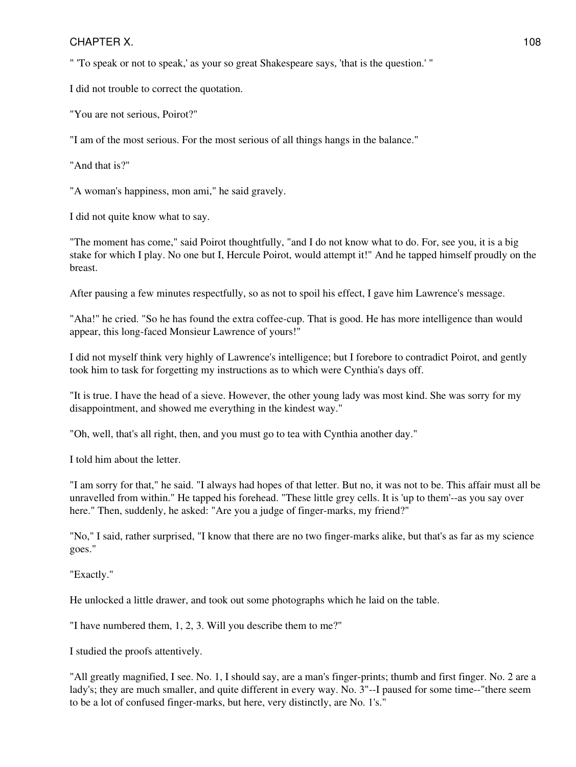" 'To speak or not to speak,' as your so great Shakespeare says, 'that is the question.' "

I did not trouble to correct the quotation.

"You are not serious, Poirot?"

"I am of the most serious. For the most serious of all things hangs in the balance."

"And that is?"

"A woman's happiness, mon ami," he said gravely.

I did not quite know what to say.

"The moment has come," said Poirot thoughtfully, "and I do not know what to do. For, see you, it is a big stake for which I play. No one but I, Hercule Poirot, would attempt it!" And he tapped himself proudly on the breast.

After pausing a few minutes respectfully, so as not to spoil his effect, I gave him Lawrence's message.

"Aha!" he cried. "So he has found the extra coffee-cup. That is good. He has more intelligence than would appear, this long-faced Monsieur Lawrence of yours!"

I did not myself think very highly of Lawrence's intelligence; but I forebore to contradict Poirot, and gently took him to task for forgetting my instructions as to which were Cynthia's days off.

"It is true. I have the head of a sieve. However, the other young lady was most kind. She was sorry for my disappointment, and showed me everything in the kindest way."

"Oh, well, that's all right, then, and you must go to tea with Cynthia another day."

I told him about the letter.

"I am sorry for that," he said. "I always had hopes of that letter. But no, it was not to be. This affair must all be unravelled from within." He tapped his forehead. "These little grey cells. It is 'up to them'--as you say over here." Then, suddenly, he asked: "Are you a judge of finger-marks, my friend?"

"No," I said, rather surprised, "I know that there are no two finger-marks alike, but that's as far as my science goes."

"Exactly."

He unlocked a little drawer, and took out some photographs which he laid on the table.

"I have numbered them, 1, 2, 3. Will you describe them to me?"

I studied the proofs attentively.

"All greatly magnified, I see. No. 1, I should say, are a man's finger-prints; thumb and first finger. No. 2 are a lady's; they are much smaller, and quite different in every way. No. 3"--I paused for some time--"there seem to be a lot of confused finger-marks, but here, very distinctly, are No. 1's."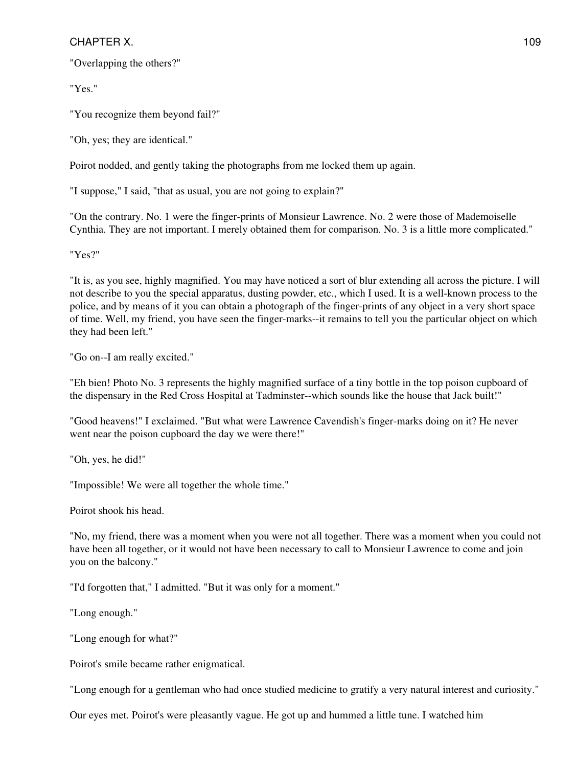"Overlapping the others?"

"Yes."

"You recognize them beyond fail?"

"Oh, yes; they are identical."

Poirot nodded, and gently taking the photographs from me locked them up again.

"I suppose," I said, "that as usual, you are not going to explain?"

"On the contrary. No. 1 were the finger-prints of Monsieur Lawrence. No. 2 were those of Mademoiselle Cynthia. They are not important. I merely obtained them for comparison. No. 3 is a little more complicated."

"Yes?"

"It is, as you see, highly magnified. You may have noticed a sort of blur extending all across the picture. I will not describe to you the special apparatus, dusting powder, etc., which I used. It is a well-known process to the police, and by means of it you can obtain a photograph of the finger-prints of any object in a very short space of time. Well, my friend, you have seen the finger-marks--it remains to tell you the particular object on which they had been left."

"Go on--I am really excited."

"Eh bien! Photo No. 3 represents the highly magnified surface of a tiny bottle in the top poison cupboard of the dispensary in the Red Cross Hospital at Tadminster--which sounds like the house that Jack built!"

"Good heavens!" I exclaimed. "But what were Lawrence Cavendish's finger-marks doing on it? He never went near the poison cupboard the day we were there!"

"Oh, yes, he did!"

"Impossible! We were all together the whole time."

Poirot shook his head.

"No, my friend, there was a moment when you were not all together. There was a moment when you could not have been all together, or it would not have been necessary to call to Monsieur Lawrence to come and join you on the balcony."

"I'd forgotten that," I admitted. "But it was only for a moment."

"Long enough."

"Long enough for what?"

Poirot's smile became rather enigmatical.

"Long enough for a gentleman who had once studied medicine to gratify a very natural interest and curiosity."

Our eyes met. Poirot's were pleasantly vague. He got up and hummed a little tune. I watched him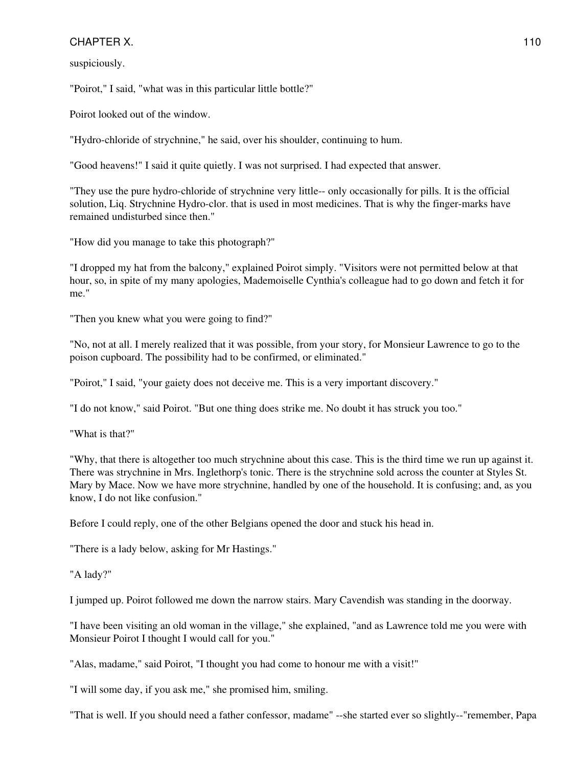suspiciously.

"Poirot," I said, "what was in this particular little bottle?"

Poirot looked out of the window.

"Hydro-chloride of strychnine," he said, over his shoulder, continuing to hum.

"Good heavens!" I said it quite quietly. I was not surprised. I had expected that answer.

"They use the pure hydro-chloride of strychnine very little-- only occasionally for pills. It is the official solution, Liq. Strychnine Hydro-clor. that is used in most medicines. That is why the finger-marks have remained undisturbed since then."

"How did you manage to take this photograph?"

"I dropped my hat from the balcony," explained Poirot simply. "Visitors were not permitted below at that hour, so, in spite of my many apologies, Mademoiselle Cynthia's colleague had to go down and fetch it for me."

"Then you knew what you were going to find?"

"No, not at all. I merely realized that it was possible, from your story, for Monsieur Lawrence to go to the poison cupboard. The possibility had to be confirmed, or eliminated."

"Poirot," I said, "your gaiety does not deceive me. This is a very important discovery."

"I do not know," said Poirot. "But one thing does strike me. No doubt it has struck you too."

"What is that?"

"Why, that there is altogether too much strychnine about this case. This is the third time we run up against it. There was strychnine in Mrs. Inglethorp's tonic. There is the strychnine sold across the counter at Styles St. Mary by Mace. Now we have more strychnine, handled by one of the household. It is confusing; and, as you know, I do not like confusion."

Before I could reply, one of the other Belgians opened the door and stuck his head in.

"There is a lady below, asking for Mr Hastings."

"A lady?"

I jumped up. Poirot followed me down the narrow stairs. Mary Cavendish was standing in the doorway.

"I have been visiting an old woman in the village," she explained, "and as Lawrence told me you were with Monsieur Poirot I thought I would call for you."

"Alas, madame," said Poirot, "I thought you had come to honour me with a visit!"

"I will some day, if you ask me," she promised him, smiling.

"That is well. If you should need a father confessor, madame" --she started ever so slightly--"remember, Papa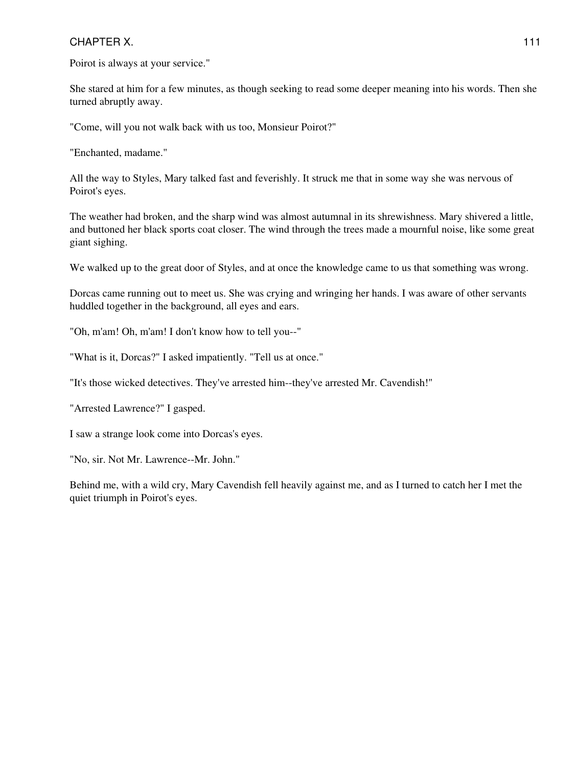Poirot is always at your service."

She stared at him for a few minutes, as though seeking to read some deeper meaning into his words. Then she turned abruptly away.

"Come, will you not walk back with us too, Monsieur Poirot?"

"Enchanted, madame."

All the way to Styles, Mary talked fast and feverishly. It struck me that in some way she was nervous of Poirot's eyes.

The weather had broken, and the sharp wind was almost autumnal in its shrewishness. Mary shivered a little, and buttoned her black sports coat closer. The wind through the trees made a mournful noise, like some great giant sighing.

We walked up to the great door of Styles, and at once the knowledge came to us that something was wrong.

Dorcas came running out to meet us. She was crying and wringing her hands. I was aware of other servants huddled together in the background, all eyes and ears.

"Oh, m'am! Oh, m'am! I don't know how to tell you--"

"What is it, Dorcas?" I asked impatiently. "Tell us at once."

"It's those wicked detectives. They've arrested him--they've arrested Mr. Cavendish!"

"Arrested Lawrence?" I gasped.

I saw a strange look come into Dorcas's eyes.

"No, sir. Not Mr. Lawrence--Mr. John."

Behind me, with a wild cry, Mary Cavendish fell heavily against me, and as I turned to catch her I met the quiet triumph in Poirot's eyes.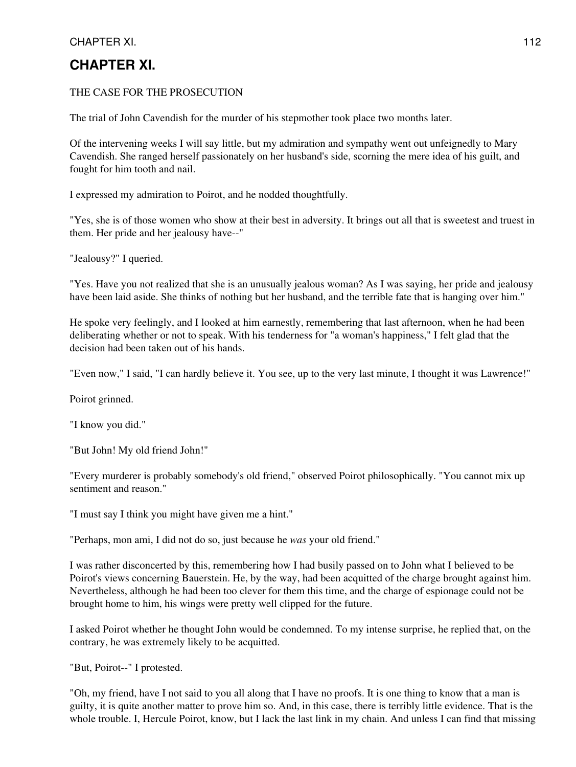# **CHAPTER XI.**

#### THE CASE FOR THE PROSECUTION

The trial of John Cavendish for the murder of his stepmother took place two months later.

Of the intervening weeks I will say little, but my admiration and sympathy went out unfeignedly to Mary Cavendish. She ranged herself passionately on her husband's side, scorning the mere idea of his guilt, and fought for him tooth and nail.

I expressed my admiration to Poirot, and he nodded thoughtfully.

"Yes, she is of those women who show at their best in adversity. It brings out all that is sweetest and truest in them. Her pride and her jealousy have--"

"Jealousy?" I queried.

"Yes. Have you not realized that she is an unusually jealous woman? As I was saying, her pride and jealousy have been laid aside. She thinks of nothing but her husband, and the terrible fate that is hanging over him."

He spoke very feelingly, and I looked at him earnestly, remembering that last afternoon, when he had been deliberating whether or not to speak. With his tenderness for "a woman's happiness," I felt glad that the decision had been taken out of his hands.

"Even now," I said, "I can hardly believe it. You see, up to the very last minute, I thought it was Lawrence!"

Poirot grinned.

"I know you did."

"But John! My old friend John!"

"Every murderer is probably somebody's old friend," observed Poirot philosophically. "You cannot mix up sentiment and reason."

"I must say I think you might have given me a hint."

"Perhaps, mon ami, I did not do so, just because he *was* your old friend."

I was rather disconcerted by this, remembering how I had busily passed on to John what I believed to be Poirot's views concerning Bauerstein. He, by the way, had been acquitted of the charge brought against him. Nevertheless, although he had been too clever for them this time, and the charge of espionage could not be brought home to him, his wings were pretty well clipped for the future.

I asked Poirot whether he thought John would be condemned. To my intense surprise, he replied that, on the contrary, he was extremely likely to be acquitted.

"But, Poirot--" I protested.

"Oh, my friend, have I not said to you all along that I have no proofs. It is one thing to know that a man is guilty, it is quite another matter to prove him so. And, in this case, there is terribly little evidence. That is the whole trouble. I, Hercule Poirot, know, but I lack the last link in my chain. And unless I can find that missing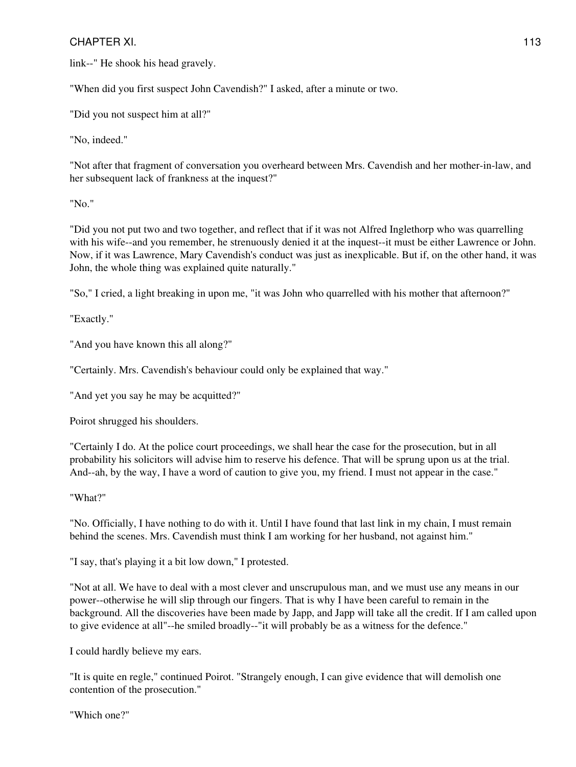link--" He shook his head gravely.

"When did you first suspect John Cavendish?" I asked, after a minute or two.

"Did you not suspect him at all?"

"No, indeed."

"Not after that fragment of conversation you overheard between Mrs. Cavendish and her mother-in-law, and her subsequent lack of frankness at the inquest?"

"No."

"Did you not put two and two together, and reflect that if it was not Alfred Inglethorp who was quarrelling with his wife--and you remember, he strenuously denied it at the inquest--it must be either Lawrence or John. Now, if it was Lawrence, Mary Cavendish's conduct was just as inexplicable. But if, on the other hand, it was John, the whole thing was explained quite naturally."

"So," I cried, a light breaking in upon me, "it was John who quarrelled with his mother that afternoon?"

"Exactly."

"And you have known this all along?"

"Certainly. Mrs. Cavendish's behaviour could only be explained that way."

"And yet you say he may be acquitted?"

Poirot shrugged his shoulders.

"Certainly I do. At the police court proceedings, we shall hear the case for the prosecution, but in all probability his solicitors will advise him to reserve his defence. That will be sprung upon us at the trial. And--ah, by the way, I have a word of caution to give you, my friend. I must not appear in the case."

"What?"

"No. Officially, I have nothing to do with it. Until I have found that last link in my chain, I must remain behind the scenes. Mrs. Cavendish must think I am working for her husband, not against him."

"I say, that's playing it a bit low down," I protested.

"Not at all. We have to deal with a most clever and unscrupulous man, and we must use any means in our power--otherwise he will slip through our fingers. That is why I have been careful to remain in the background. All the discoveries have been made by Japp, and Japp will take all the credit. If I am called upon to give evidence at all"--he smiled broadly--"it will probably be as a witness for the defence."

I could hardly believe my ears.

"It is quite en regle," continued Poirot. "Strangely enough, I can give evidence that will demolish one contention of the prosecution."

"Which one?"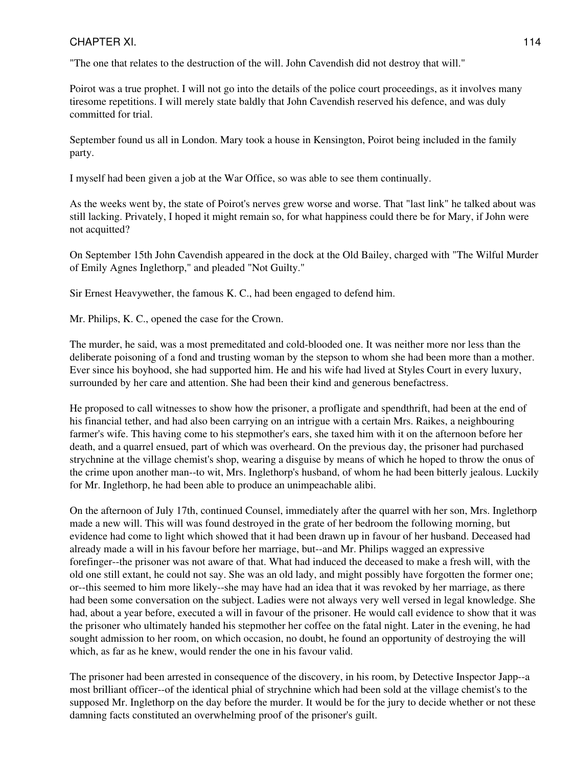"The one that relates to the destruction of the will. John Cavendish did not destroy that will."

Poirot was a true prophet. I will not go into the details of the police court proceedings, as it involves many tiresome repetitions. I will merely state baldly that John Cavendish reserved his defence, and was duly committed for trial.

September found us all in London. Mary took a house in Kensington, Poirot being included in the family party.

I myself had been given a job at the War Office, so was able to see them continually.

As the weeks went by, the state of Poirot's nerves grew worse and worse. That "last link" he talked about was still lacking. Privately, I hoped it might remain so, for what happiness could there be for Mary, if John were not acquitted?

On September 15th John Cavendish appeared in the dock at the Old Bailey, charged with "The Wilful Murder of Emily Agnes Inglethorp," and pleaded "Not Guilty."

Sir Ernest Heavywether, the famous K. C., had been engaged to defend him.

Mr. Philips, K. C., opened the case for the Crown.

The murder, he said, was a most premeditated and cold-blooded one. It was neither more nor less than the deliberate poisoning of a fond and trusting woman by the stepson to whom she had been more than a mother. Ever since his boyhood, she had supported him. He and his wife had lived at Styles Court in every luxury, surrounded by her care and attention. She had been their kind and generous benefactress.

He proposed to call witnesses to show how the prisoner, a profligate and spendthrift, had been at the end of his financial tether, and had also been carrying on an intrigue with a certain Mrs. Raikes, a neighbouring farmer's wife. This having come to his stepmother's ears, she taxed him with it on the afternoon before her death, and a quarrel ensued, part of which was overheard. On the previous day, the prisoner had purchased strychnine at the village chemist's shop, wearing a disguise by means of which he hoped to throw the onus of the crime upon another man--to wit, Mrs. Inglethorp's husband, of whom he had been bitterly jealous. Luckily for Mr. Inglethorp, he had been able to produce an unimpeachable alibi.

On the afternoon of July 17th, continued Counsel, immediately after the quarrel with her son, Mrs. Inglethorp made a new will. This will was found destroyed in the grate of her bedroom the following morning, but evidence had come to light which showed that it had been drawn up in favour of her husband. Deceased had already made a will in his favour before her marriage, but--and Mr. Philips wagged an expressive forefinger--the prisoner was not aware of that. What had induced the deceased to make a fresh will, with the old one still extant, he could not say. She was an old lady, and might possibly have forgotten the former one; or--this seemed to him more likely--she may have had an idea that it was revoked by her marriage, as there had been some conversation on the subject. Ladies were not always very well versed in legal knowledge. She had, about a year before, executed a will in favour of the prisoner. He would call evidence to show that it was the prisoner who ultimately handed his stepmother her coffee on the fatal night. Later in the evening, he had sought admission to her room, on which occasion, no doubt, he found an opportunity of destroying the will which, as far as he knew, would render the one in his favour valid.

The prisoner had been arrested in consequence of the discovery, in his room, by Detective Inspector Japp--a most brilliant officer--of the identical phial of strychnine which had been sold at the village chemist's to the supposed Mr. Inglethorp on the day before the murder. It would be for the jury to decide whether or not these damning facts constituted an overwhelming proof of the prisoner's guilt.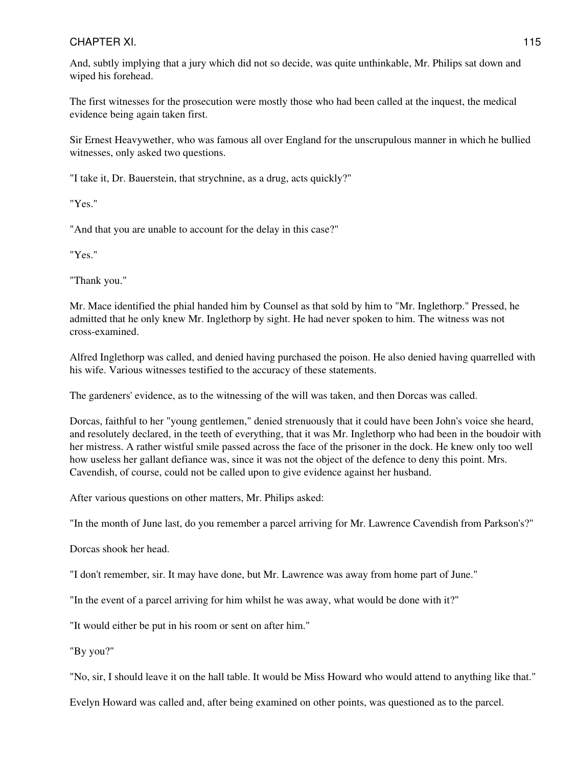And, subtly implying that a jury which did not so decide, was quite unthinkable, Mr. Philips sat down and wiped his forehead.

The first witnesses for the prosecution were mostly those who had been called at the inquest, the medical evidence being again taken first.

Sir Ernest Heavywether, who was famous all over England for the unscrupulous manner in which he bullied witnesses, only asked two questions.

"I take it, Dr. Bauerstein, that strychnine, as a drug, acts quickly?"

"Yes."

"And that you are unable to account for the delay in this case?"

"Yes."

"Thank you."

Mr. Mace identified the phial handed him by Counsel as that sold by him to "Mr. Inglethorp." Pressed, he admitted that he only knew Mr. Inglethorp by sight. He had never spoken to him. The witness was not cross-examined.

Alfred Inglethorp was called, and denied having purchased the poison. He also denied having quarrelled with his wife. Various witnesses testified to the accuracy of these statements.

The gardeners' evidence, as to the witnessing of the will was taken, and then Dorcas was called.

Dorcas, faithful to her "young gentlemen," denied strenuously that it could have been John's voice she heard, and resolutely declared, in the teeth of everything, that it was Mr. Inglethorp who had been in the boudoir with her mistress. A rather wistful smile passed across the face of the prisoner in the dock. He knew only too well how useless her gallant defiance was, since it was not the object of the defence to deny this point. Mrs. Cavendish, of course, could not be called upon to give evidence against her husband.

After various questions on other matters, Mr. Philips asked:

"In the month of June last, do you remember a parcel arriving for Mr. Lawrence Cavendish from Parkson's?"

Dorcas shook her head.

"I don't remember, sir. It may have done, but Mr. Lawrence was away from home part of June."

"In the event of a parcel arriving for him whilst he was away, what would be done with it?"

"It would either be put in his room or sent on after him."

"By you?"

"No, sir, I should leave it on the hall table. It would be Miss Howard who would attend to anything like that."

Evelyn Howard was called and, after being examined on other points, was questioned as to the parcel.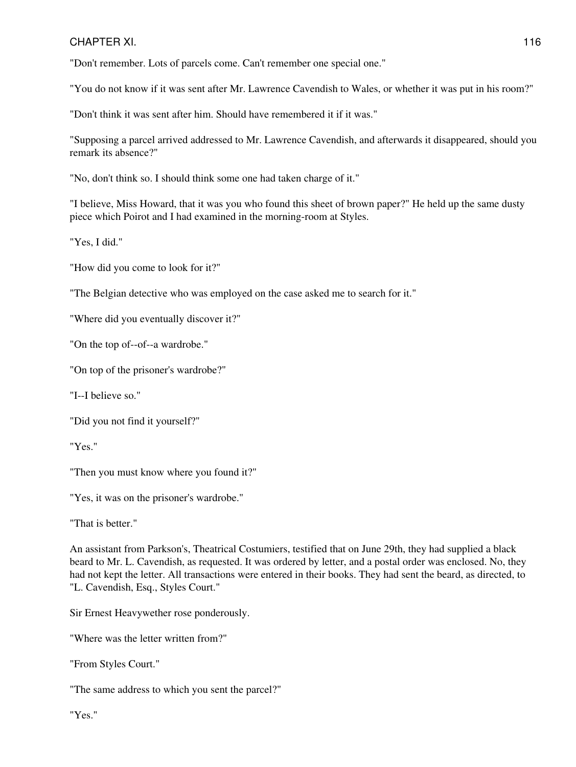"Don't remember. Lots of parcels come. Can't remember one special one."

"You do not know if it was sent after Mr. Lawrence Cavendish to Wales, or whether it was put in his room?"

"Don't think it was sent after him. Should have remembered it if it was."

"Supposing a parcel arrived addressed to Mr. Lawrence Cavendish, and afterwards it disappeared, should you remark its absence?"

"No, don't think so. I should think some one had taken charge of it."

"I believe, Miss Howard, that it was you who found this sheet of brown paper?" He held up the same dusty piece which Poirot and I had examined in the morning-room at Styles.

"Yes, I did."

"How did you come to look for it?"

"The Belgian detective who was employed on the case asked me to search for it."

"Where did you eventually discover it?"

"On the top of--of--a wardrobe."

"On top of the prisoner's wardrobe?"

"I--I believe so."

"Did you not find it yourself?"

"Yes."

"Then you must know where you found it?"

"Yes, it was on the prisoner's wardrobe."

"That is better."

An assistant from Parkson's, Theatrical Costumiers, testified that on June 29th, they had supplied a black beard to Mr. L. Cavendish, as requested. It was ordered by letter, and a postal order was enclosed. No, they had not kept the letter. All transactions were entered in their books. They had sent the beard, as directed, to "L. Cavendish, Esq., Styles Court."

Sir Ernest Heavywether rose ponderously.

"Where was the letter written from?"

"From Styles Court."

"The same address to which you sent the parcel?"

"Yes."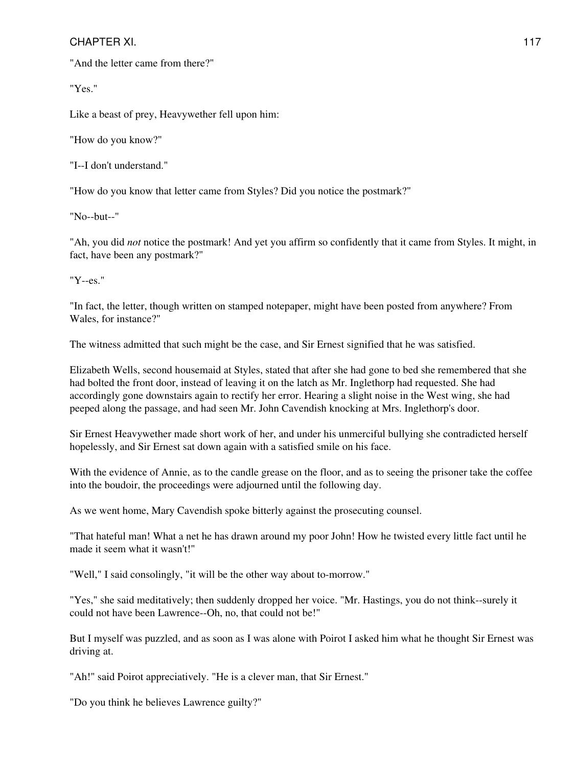"And the letter came from there?"

"Yes."

Like a beast of prey, Heavywether fell upon him:

"How do you know?"

"I--I don't understand."

"How do you know that letter came from Styles? Did you notice the postmark?"

"No--but--"

"Ah, you did *not* notice the postmark! And yet you affirm so confidently that it came from Styles. It might, in fact, have been any postmark?"

"Y--es."

"In fact, the letter, though written on stamped notepaper, might have been posted from anywhere? From Wales, for instance?"

The witness admitted that such might be the case, and Sir Ernest signified that he was satisfied.

Elizabeth Wells, second housemaid at Styles, stated that after she had gone to bed she remembered that she had bolted the front door, instead of leaving it on the latch as Mr. Inglethorp had requested. She had accordingly gone downstairs again to rectify her error. Hearing a slight noise in the West wing, she had peeped along the passage, and had seen Mr. John Cavendish knocking at Mrs. Inglethorp's door.

Sir Ernest Heavywether made short work of her, and under his unmerciful bullying she contradicted herself hopelessly, and Sir Ernest sat down again with a satisfied smile on his face.

With the evidence of Annie, as to the candle grease on the floor, and as to seeing the prisoner take the coffee into the boudoir, the proceedings were adjourned until the following day.

As we went home, Mary Cavendish spoke bitterly against the prosecuting counsel.

"That hateful man! What a net he has drawn around my poor John! How he twisted every little fact until he made it seem what it wasn't!"

"Well," I said consolingly, "it will be the other way about to-morrow."

"Yes," she said meditatively; then suddenly dropped her voice. "Mr. Hastings, you do not think--surely it could not have been Lawrence--Oh, no, that could not be!"

But I myself was puzzled, and as soon as I was alone with Poirot I asked him what he thought Sir Ernest was driving at.

"Ah!" said Poirot appreciatively. "He is a clever man, that Sir Ernest."

"Do you think he believes Lawrence guilty?"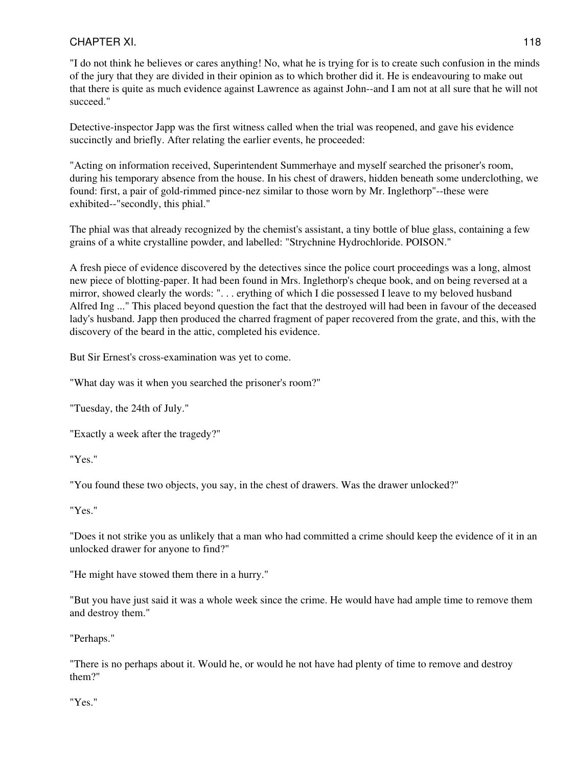"I do not think he believes or cares anything! No, what he is trying for is to create such confusion in the minds of the jury that they are divided in their opinion as to which brother did it. He is endeavouring to make out that there is quite as much evidence against Lawrence as against John--and I am not at all sure that he will not succeed."

Detective-inspector Japp was the first witness called when the trial was reopened, and gave his evidence succinctly and briefly. After relating the earlier events, he proceeded:

"Acting on information received, Superintendent Summerhaye and myself searched the prisoner's room, during his temporary absence from the house. In his chest of drawers, hidden beneath some underclothing, we found: first, a pair of gold-rimmed pince-nez similar to those worn by Mr. Inglethorp"--these were exhibited--"secondly, this phial."

The phial was that already recognized by the chemist's assistant, a tiny bottle of blue glass, containing a few grains of a white crystalline powder, and labelled: "Strychnine Hydrochloride. POISON."

A fresh piece of evidence discovered by the detectives since the police court proceedings was a long, almost new piece of blotting-paper. It had been found in Mrs. Inglethorp's cheque book, and on being reversed at a mirror, showed clearly the words: ". . . erything of which I die possessed I leave to my beloved husband Alfred Ing ..." This placed beyond question the fact that the destroyed will had been in favour of the deceased lady's husband. Japp then produced the charred fragment of paper recovered from the grate, and this, with the discovery of the beard in the attic, completed his evidence.

But Sir Ernest's cross-examination was yet to come.

"What day was it when you searched the prisoner's room?"

"Tuesday, the 24th of July."

"Exactly a week after the tragedy?"

"Yes."

"You found these two objects, you say, in the chest of drawers. Was the drawer unlocked?"

"Yes."

"Does it not strike you as unlikely that a man who had committed a crime should keep the evidence of it in an unlocked drawer for anyone to find?"

"He might have stowed them there in a hurry."

"But you have just said it was a whole week since the crime. He would have had ample time to remove them and destroy them."

"Perhaps."

"There is no perhaps about it. Would he, or would he not have had plenty of time to remove and destroy them?"

"Yes."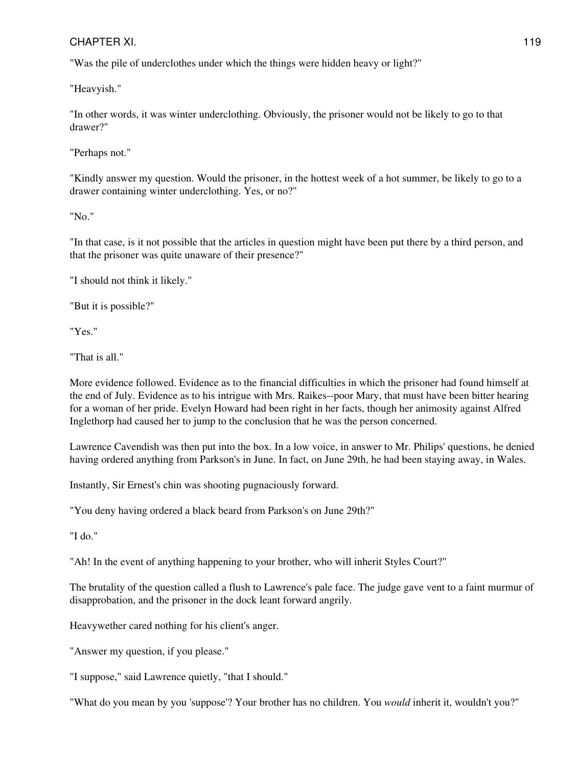"Was the pile of underclothes under which the things were hidden heavy or light?"

"Heavyish."

"In other words, it was winter underclothing. Obviously, the prisoner would not be likely to go to that drawer?"

"Perhaps not."

"Kindly answer my question. Would the prisoner, in the hottest week of a hot summer, be likely to go to a drawer containing winter underclothing. Yes, or no?"

"No."

"In that case, is it not possible that the articles in question might have been put there by a third person, and that the prisoner was quite unaware of their presence?"

"I should not think it likely."

"But it is possible?"

"Yes."

"That is all."

More evidence followed. Evidence as to the financial difficulties in which the prisoner had found himself at the end of July. Evidence as to his intrigue with Mrs. Raikes--poor Mary, that must have been bitter hearing for a woman of her pride. Evelyn Howard had been right in her facts, though her animosity against Alfred Inglethorp had caused her to jump to the conclusion that he was the person concerned.

Lawrence Cavendish was then put into the box. In a low voice, in answer to Mr. Philips' questions, he denied having ordered anything from Parkson's in June. In fact, on June 29th, he had been staying away, in Wales.

Instantly, Sir Ernest's chin was shooting pugnaciously forward.

"You deny having ordered a black beard from Parkson's on June 29th?"

"I do."

"Ah! In the event of anything happening to your brother, who will inherit Styles Court?"

The brutality of the question called a flush to Lawrence's pale face. The judge gave vent to a faint murmur of disapprobation, and the prisoner in the dock leant forward angrily.

Heavywether cared nothing for his client's anger.

"Answer my question, if you please."

"I suppose," said Lawrence quietly, "that I should."

"What do you mean by you 'suppose'? Your brother has no children. You *would* inherit it, wouldn't you?"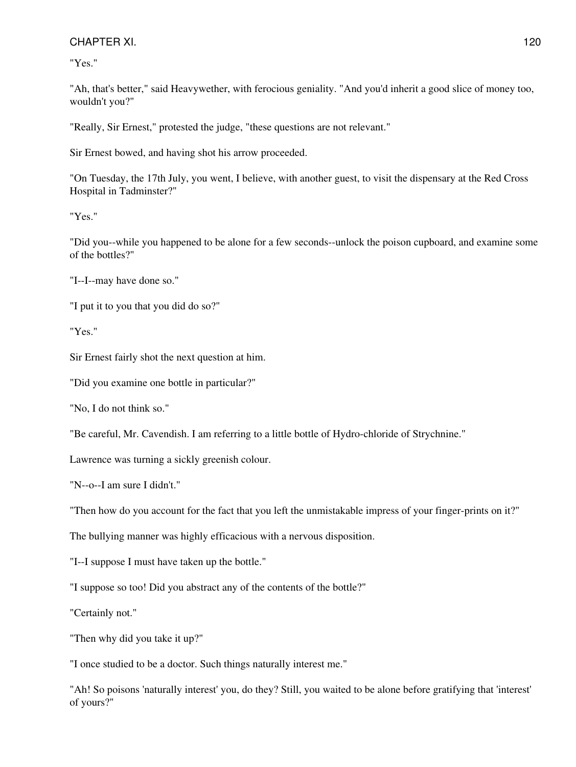"Yes."

"Ah, that's better," said Heavywether, with ferocious geniality. "And you'd inherit a good slice of money too, wouldn't you?"

"Really, Sir Ernest," protested the judge, "these questions are not relevant."

Sir Ernest bowed, and having shot his arrow proceeded.

"On Tuesday, the 17th July, you went, I believe, with another guest, to visit the dispensary at the Red Cross Hospital in Tadminster?"

"Yes."

"Did you--while you happened to be alone for a few seconds--unlock the poison cupboard, and examine some of the bottles?"

"I--I--may have done so."

"I put it to you that you did do so?"

"Yes."

Sir Ernest fairly shot the next question at him.

"Did you examine one bottle in particular?"

"No, I do not think so."

"Be careful, Mr. Cavendish. I am referring to a little bottle of Hydro-chloride of Strychnine."

Lawrence was turning a sickly greenish colour.

"N--o--I am sure I didn't."

"Then how do you account for the fact that you left the unmistakable impress of your finger-prints on it?"

The bullying manner was highly efficacious with a nervous disposition.

"I--I suppose I must have taken up the bottle."

"I suppose so too! Did you abstract any of the contents of the bottle?"

"Certainly not."

"Then why did you take it up?"

"I once studied to be a doctor. Such things naturally interest me."

"Ah! So poisons 'naturally interest' you, do they? Still, you waited to be alone before gratifying that 'interest' of yours?"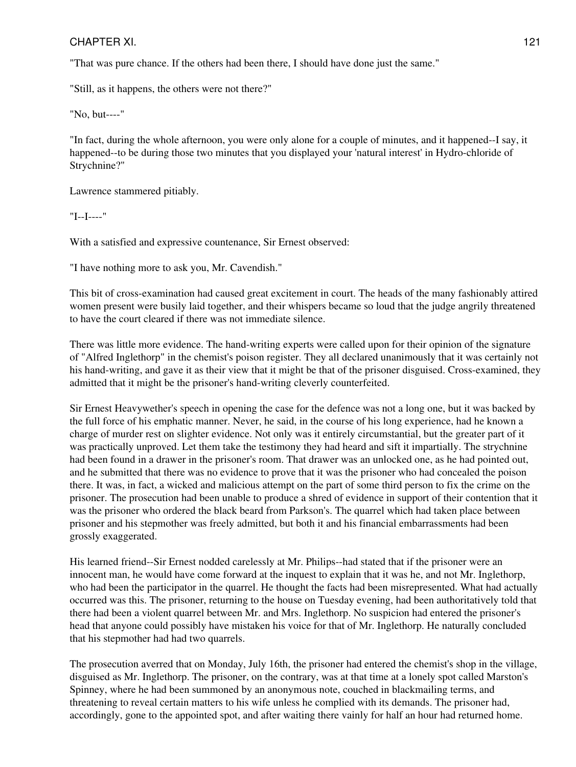"That was pure chance. If the others had been there, I should have done just the same."

"Still, as it happens, the others were not there?"

"No, but----"

"In fact, during the whole afternoon, you were only alone for a couple of minutes, and it happened--I say, it happened--to be during those two minutes that you displayed your 'natural interest' in Hydro-chloride of Strychnine?"

Lawrence stammered pitiably.

"I--I----"

With a satisfied and expressive countenance, Sir Ernest observed:

"I have nothing more to ask you, Mr. Cavendish."

This bit of cross-examination had caused great excitement in court. The heads of the many fashionably attired women present were busily laid together, and their whispers became so loud that the judge angrily threatened to have the court cleared if there was not immediate silence.

There was little more evidence. The hand-writing experts were called upon for their opinion of the signature of "Alfred Inglethorp" in the chemist's poison register. They all declared unanimously that it was certainly not his hand-writing, and gave it as their view that it might be that of the prisoner disguised. Cross-examined, they admitted that it might be the prisoner's hand-writing cleverly counterfeited.

Sir Ernest Heavywether's speech in opening the case for the defence was not a long one, but it was backed by the full force of his emphatic manner. Never, he said, in the course of his long experience, had he known a charge of murder rest on slighter evidence. Not only was it entirely circumstantial, but the greater part of it was practically unproved. Let them take the testimony they had heard and sift it impartially. The strychnine had been found in a drawer in the prisoner's room. That drawer was an unlocked one, as he had pointed out, and he submitted that there was no evidence to prove that it was the prisoner who had concealed the poison there. It was, in fact, a wicked and malicious attempt on the part of some third person to fix the crime on the prisoner. The prosecution had been unable to produce a shred of evidence in support of their contention that it was the prisoner who ordered the black beard from Parkson's. The quarrel which had taken place between prisoner and his stepmother was freely admitted, but both it and his financial embarrassments had been grossly exaggerated.

His learned friend--Sir Ernest nodded carelessly at Mr. Philips--had stated that if the prisoner were an innocent man, he would have come forward at the inquest to explain that it was he, and not Mr. Inglethorp, who had been the participator in the quarrel. He thought the facts had been misrepresented. What had actually occurred was this. The prisoner, returning to the house on Tuesday evening, had been authoritatively told that there had been a violent quarrel between Mr. and Mrs. Inglethorp. No suspicion had entered the prisoner's head that anyone could possibly have mistaken his voice for that of Mr. Inglethorp. He naturally concluded that his stepmother had had two quarrels.

The prosecution averred that on Monday, July 16th, the prisoner had entered the chemist's shop in the village, disguised as Mr. Inglethorp. The prisoner, on the contrary, was at that time at a lonely spot called Marston's Spinney, where he had been summoned by an anonymous note, couched in blackmailing terms, and threatening to reveal certain matters to his wife unless he complied with its demands. The prisoner had, accordingly, gone to the appointed spot, and after waiting there vainly for half an hour had returned home.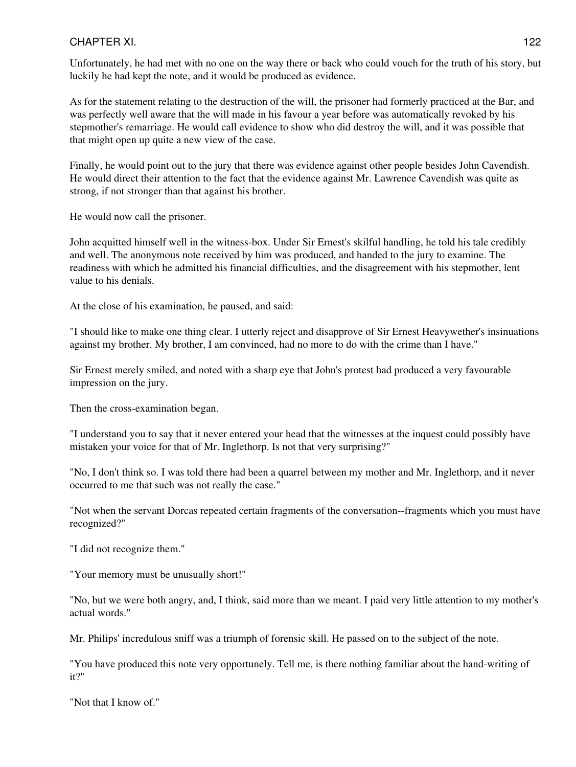Unfortunately, he had met with no one on the way there or back who could vouch for the truth of his story, but luckily he had kept the note, and it would be produced as evidence.

As for the statement relating to the destruction of the will, the prisoner had formerly practiced at the Bar, and was perfectly well aware that the will made in his favour a year before was automatically revoked by his stepmother's remarriage. He would call evidence to show who did destroy the will, and it was possible that that might open up quite a new view of the case.

Finally, he would point out to the jury that there was evidence against other people besides John Cavendish. He would direct their attention to the fact that the evidence against Mr. Lawrence Cavendish was quite as strong, if not stronger than that against his brother.

He would now call the prisoner.

John acquitted himself well in the witness-box. Under Sir Ernest's skilful handling, he told his tale credibly and well. The anonymous note received by him was produced, and handed to the jury to examine. The readiness with which he admitted his financial difficulties, and the disagreement with his stepmother, lent value to his denials.

At the close of his examination, he paused, and said:

"I should like to make one thing clear. I utterly reject and disapprove of Sir Ernest Heavywether's insinuations against my brother. My brother, I am convinced, had no more to do with the crime than I have."

Sir Ernest merely smiled, and noted with a sharp eye that John's protest had produced a very favourable impression on the jury.

Then the cross-examination began.

"I understand you to say that it never entered your head that the witnesses at the inquest could possibly have mistaken your voice for that of Mr. Inglethorp. Is not that very surprising?"

"No, I don't think so. I was told there had been a quarrel between my mother and Mr. Inglethorp, and it never occurred to me that such was not really the case."

"Not when the servant Dorcas repeated certain fragments of the conversation--fragments which you must have recognized?"

"I did not recognize them."

"Your memory must be unusually short!"

"No, but we were both angry, and, I think, said more than we meant. I paid very little attention to my mother's actual words."

Mr. Philips' incredulous sniff was a triumph of forensic skill. He passed on to the subject of the note.

"You have produced this note very opportunely. Tell me, is there nothing familiar about the hand-writing of it?"

"Not that I know of."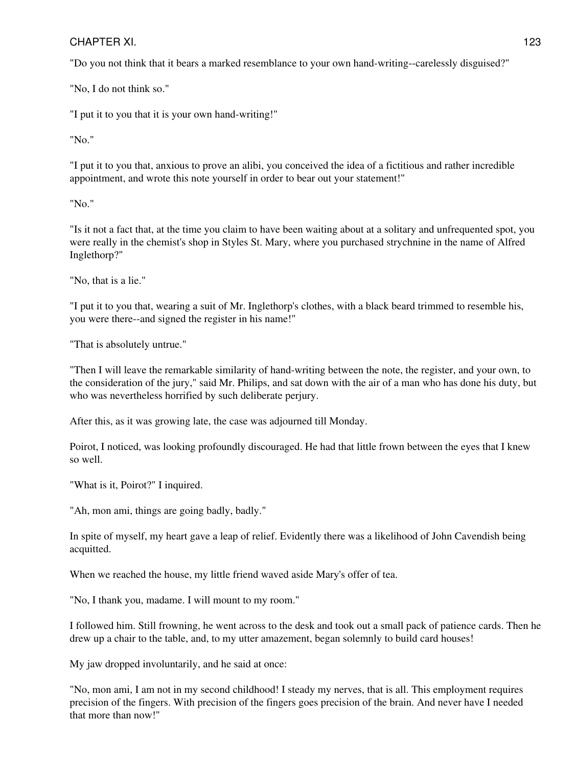"Do you not think that it bears a marked resemblance to your own hand-writing--carelessly disguised?"

"No, I do not think so."

"I put it to you that it is your own hand-writing!"

"No."

"I put it to you that, anxious to prove an alibi, you conceived the idea of a fictitious and rather incredible appointment, and wrote this note yourself in order to bear out your statement!"

"No."

"Is it not a fact that, at the time you claim to have been waiting about at a solitary and unfrequented spot, you were really in the chemist's shop in Styles St. Mary, where you purchased strychnine in the name of Alfred Inglethorp?"

"No, that is a lie."

"I put it to you that, wearing a suit of Mr. Inglethorp's clothes, with a black beard trimmed to resemble his, you were there--and signed the register in his name!"

"That is absolutely untrue."

"Then I will leave the remarkable similarity of hand-writing between the note, the register, and your own, to the consideration of the jury," said Mr. Philips, and sat down with the air of a man who has done his duty, but who was nevertheless horrified by such deliberate perjury.

After this, as it was growing late, the case was adjourned till Monday.

Poirot, I noticed, was looking profoundly discouraged. He had that little frown between the eyes that I knew so well.

"What is it, Poirot?" I inquired.

"Ah, mon ami, things are going badly, badly."

In spite of myself, my heart gave a leap of relief. Evidently there was a likelihood of John Cavendish being acquitted.

When we reached the house, my little friend waved aside Mary's offer of tea.

"No, I thank you, madame. I will mount to my room."

I followed him. Still frowning, he went across to the desk and took out a small pack of patience cards. Then he drew up a chair to the table, and, to my utter amazement, began solemnly to build card houses!

My jaw dropped involuntarily, and he said at once:

"No, mon ami, I am not in my second childhood! I steady my nerves, that is all. This employment requires precision of the fingers. With precision of the fingers goes precision of the brain. And never have I needed that more than now!"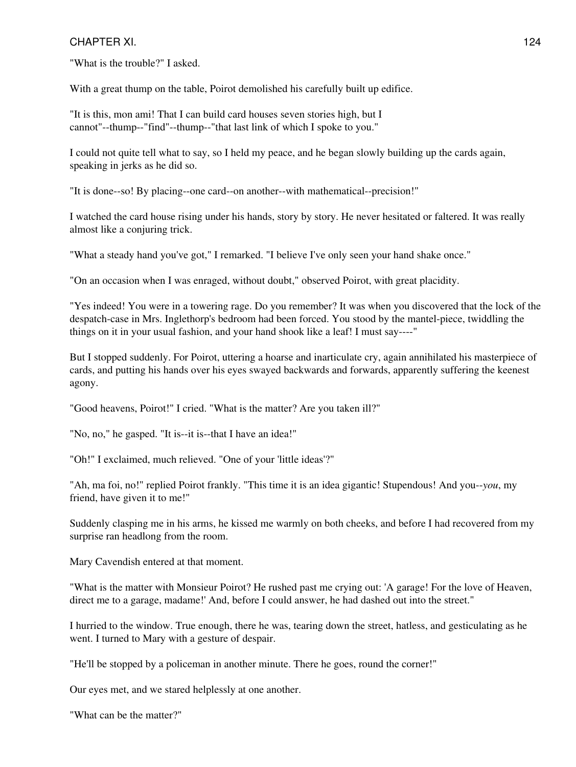"What is the trouble?" I asked.

With a great thump on the table, Poirot demolished his carefully built up edifice.

"It is this, mon ami! That I can build card houses seven stories high, but I cannot"--thump--"find"--thump--"that last link of which I spoke to you."

I could not quite tell what to say, so I held my peace, and he began slowly building up the cards again, speaking in jerks as he did so.

"It is done--so! By placing--one card--on another--with mathematical--precision!"

I watched the card house rising under his hands, story by story. He never hesitated or faltered. It was really almost like a conjuring trick.

"What a steady hand you've got," I remarked. "I believe I've only seen your hand shake once."

"On an occasion when I was enraged, without doubt," observed Poirot, with great placidity.

"Yes indeed! You were in a towering rage. Do you remember? It was when you discovered that the lock of the despatch-case in Mrs. Inglethorp's bedroom had been forced. You stood by the mantel-piece, twiddling the things on it in your usual fashion, and your hand shook like a leaf! I must say----"

But I stopped suddenly. For Poirot, uttering a hoarse and inarticulate cry, again annihilated his masterpiece of cards, and putting his hands over his eyes swayed backwards and forwards, apparently suffering the keenest agony.

"Good heavens, Poirot!" I cried. "What is the matter? Are you taken ill?"

"No, no," he gasped. "It is--it is--that I have an idea!"

"Oh!" I exclaimed, much relieved. "One of your 'little ideas'?"

"Ah, ma foi, no!" replied Poirot frankly. "This time it is an idea gigantic! Stupendous! And you--*you*, my friend, have given it to me!"

Suddenly clasping me in his arms, he kissed me warmly on both cheeks, and before I had recovered from my surprise ran headlong from the room.

Mary Cavendish entered at that moment.

"What is the matter with Monsieur Poirot? He rushed past me crying out: 'A garage! For the love of Heaven, direct me to a garage, madame!' And, before I could answer, he had dashed out into the street."

I hurried to the window. True enough, there he was, tearing down the street, hatless, and gesticulating as he went. I turned to Mary with a gesture of despair.

"He'll be stopped by a policeman in another minute. There he goes, round the corner!"

Our eyes met, and we stared helplessly at one another.

"What can be the matter?"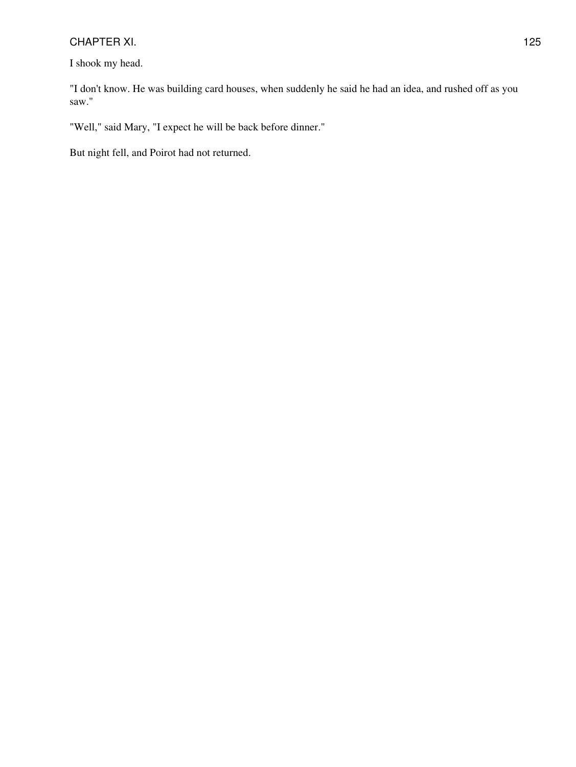I shook my head.

"I don't know. He was building card houses, when suddenly he said he had an idea, and rushed off as you saw."

"Well," said Mary, "I expect he will be back before dinner."

But night fell, and Poirot had not returned.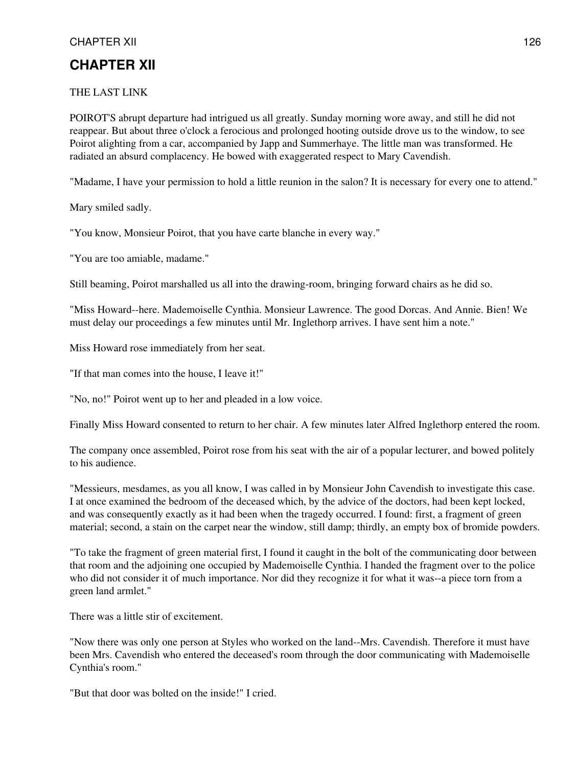#### THE LAST LINK

POIROT'S abrupt departure had intrigued us all greatly. Sunday morning wore away, and still he did not reappear. But about three o'clock a ferocious and prolonged hooting outside drove us to the window, to see Poirot alighting from a car, accompanied by Japp and Summerhaye. The little man was transformed. He radiated an absurd complacency. He bowed with exaggerated respect to Mary Cavendish.

"Madame, I have your permission to hold a little reunion in the salon? It is necessary for every one to attend."

Mary smiled sadly.

"You know, Monsieur Poirot, that you have carte blanche in every way."

"You are too amiable, madame."

Still beaming, Poirot marshalled us all into the drawing-room, bringing forward chairs as he did so.

"Miss Howard--here. Mademoiselle Cynthia. Monsieur Lawrence. The good Dorcas. And Annie. Bien! We must delay our proceedings a few minutes until Mr. Inglethorp arrives. I have sent him a note."

Miss Howard rose immediately from her seat.

"If that man comes into the house, I leave it!"

"No, no!" Poirot went up to her and pleaded in a low voice.

Finally Miss Howard consented to return to her chair. A few minutes later Alfred Inglethorp entered the room.

The company once assembled, Poirot rose from his seat with the air of a popular lecturer, and bowed politely to his audience.

"Messieurs, mesdames, as you all know, I was called in by Monsieur John Cavendish to investigate this case. I at once examined the bedroom of the deceased which, by the advice of the doctors, had been kept locked, and was consequently exactly as it had been when the tragedy occurred. I found: first, a fragment of green material; second, a stain on the carpet near the window, still damp; thirdly, an empty box of bromide powders.

"To take the fragment of green material first, I found it caught in the bolt of the communicating door between that room and the adjoining one occupied by Mademoiselle Cynthia. I handed the fragment over to the police who did not consider it of much importance. Nor did they recognize it for what it was--a piece torn from a green land armlet."

There was a little stir of excitement.

"Now there was only one person at Styles who worked on the land--Mrs. Cavendish. Therefore it must have been Mrs. Cavendish who entered the deceased's room through the door communicating with Mademoiselle Cynthia's room."

"But that door was bolted on the inside!" I cried.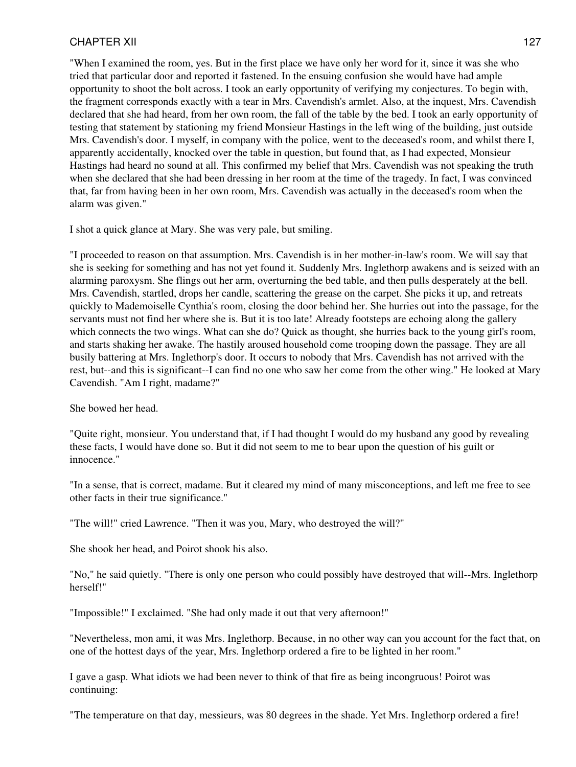"When I examined the room, yes. But in the first place we have only her word for it, since it was she who tried that particular door and reported it fastened. In the ensuing confusion she would have had ample opportunity to shoot the bolt across. I took an early opportunity of verifying my conjectures. To begin with, the fragment corresponds exactly with a tear in Mrs. Cavendish's armlet. Also, at the inquest, Mrs. Cavendish declared that she had heard, from her own room, the fall of the table by the bed. I took an early opportunity of testing that statement by stationing my friend Monsieur Hastings in the left wing of the building, just outside Mrs. Cavendish's door. I myself, in company with the police, went to the deceased's room, and whilst there I, apparently accidentally, knocked over the table in question, but found that, as I had expected, Monsieur Hastings had heard no sound at all. This confirmed my belief that Mrs. Cavendish was not speaking the truth when she declared that she had been dressing in her room at the time of the tragedy. In fact, I was convinced that, far from having been in her own room, Mrs. Cavendish was actually in the deceased's room when the alarm was given."

I shot a quick glance at Mary. She was very pale, but smiling.

"I proceeded to reason on that assumption. Mrs. Cavendish is in her mother-in-law's room. We will say that she is seeking for something and has not yet found it. Suddenly Mrs. Inglethorp awakens and is seized with an alarming paroxysm. She flings out her arm, overturning the bed table, and then pulls desperately at the bell. Mrs. Cavendish, startled, drops her candle, scattering the grease on the carpet. She picks it up, and retreats quickly to Mademoiselle Cynthia's room, closing the door behind her. She hurries out into the passage, for the servants must not find her where she is. But it is too late! Already footsteps are echoing along the gallery which connects the two wings. What can she do? Quick as thought, she hurries back to the young girl's room, and starts shaking her awake. The hastily aroused household come trooping down the passage. They are all busily battering at Mrs. Inglethorp's door. It occurs to nobody that Mrs. Cavendish has not arrived with the rest, but--and this is significant--I can find no one who saw her come from the other wing." He looked at Mary Cavendish. "Am I right, madame?"

She bowed her head.

"Quite right, monsieur. You understand that, if I had thought I would do my husband any good by revealing these facts, I would have done so. But it did not seem to me to bear upon the question of his guilt or innocence."

"In a sense, that is correct, madame. But it cleared my mind of many misconceptions, and left me free to see other facts in their true significance."

"The will!" cried Lawrence. "Then it was you, Mary, who destroyed the will?"

She shook her head, and Poirot shook his also.

"No," he said quietly. "There is only one person who could possibly have destroyed that will--Mrs. Inglethorp herself!"

"Impossible!" I exclaimed. "She had only made it out that very afternoon!"

"Nevertheless, mon ami, it was Mrs. Inglethorp. Because, in no other way can you account for the fact that, on one of the hottest days of the year, Mrs. Inglethorp ordered a fire to be lighted in her room."

I gave a gasp. What idiots we had been never to think of that fire as being incongruous! Poirot was continuing:

"The temperature on that day, messieurs, was 80 degrees in the shade. Yet Mrs. Inglethorp ordered a fire!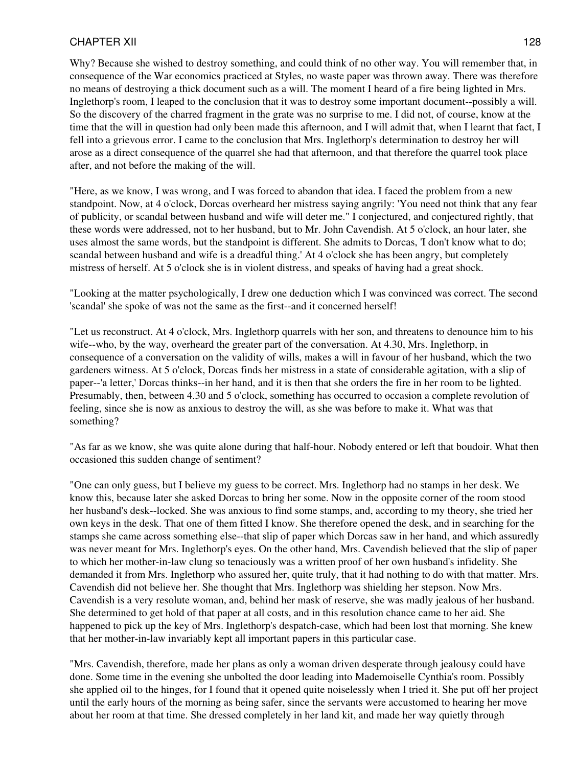Why? Because she wished to destroy something, and could think of no other way. You will remember that, in consequence of the War economics practiced at Styles, no waste paper was thrown away. There was therefore no means of destroying a thick document such as a will. The moment I heard of a fire being lighted in Mrs. Inglethorp's room, I leaped to the conclusion that it was to destroy some important document--possibly a will. So the discovery of the charred fragment in the grate was no surprise to me. I did not, of course, know at the time that the will in question had only been made this afternoon, and I will admit that, when I learnt that fact, I fell into a grievous error. I came to the conclusion that Mrs. Inglethorp's determination to destroy her will arose as a direct consequence of the quarrel she had that afternoon, and that therefore the quarrel took place after, and not before the making of the will.

"Here, as we know, I was wrong, and I was forced to abandon that idea. I faced the problem from a new standpoint. Now, at 4 o'clock, Dorcas overheard her mistress saying angrily: 'You need not think that any fear of publicity, or scandal between husband and wife will deter me." I conjectured, and conjectured rightly, that these words were addressed, not to her husband, but to Mr. John Cavendish. At 5 o'clock, an hour later, she uses almost the same words, but the standpoint is different. She admits to Dorcas, 'I don't know what to do; scandal between husband and wife is a dreadful thing.' At 4 o'clock she has been angry, but completely mistress of herself. At 5 o'clock she is in violent distress, and speaks of having had a great shock.

"Looking at the matter psychologically, I drew one deduction which I was convinced was correct. The second 'scandal' she spoke of was not the same as the first--and it concerned herself!

"Let us reconstruct. At 4 o'clock, Mrs. Inglethorp quarrels with her son, and threatens to denounce him to his wife--who, by the way, overheard the greater part of the conversation. At 4.30, Mrs. Inglethorp, in consequence of a conversation on the validity of wills, makes a will in favour of her husband, which the two gardeners witness. At 5 o'clock, Dorcas finds her mistress in a state of considerable agitation, with a slip of paper--'a letter,' Dorcas thinks--in her hand, and it is then that she orders the fire in her room to be lighted. Presumably, then, between 4.30 and 5 o'clock, something has occurred to occasion a complete revolution of feeling, since she is now as anxious to destroy the will, as she was before to make it. What was that something?

"As far as we know, she was quite alone during that half-hour. Nobody entered or left that boudoir. What then occasioned this sudden change of sentiment?

"One can only guess, but I believe my guess to be correct. Mrs. Inglethorp had no stamps in her desk. We know this, because later she asked Dorcas to bring her some. Now in the opposite corner of the room stood her husband's desk--locked. She was anxious to find some stamps, and, according to my theory, she tried her own keys in the desk. That one of them fitted I know. She therefore opened the desk, and in searching for the stamps she came across something else--that slip of paper which Dorcas saw in her hand, and which assuredly was never meant for Mrs. Inglethorp's eyes. On the other hand, Mrs. Cavendish believed that the slip of paper to which her mother-in-law clung so tenaciously was a written proof of her own husband's infidelity. She demanded it from Mrs. Inglethorp who assured her, quite truly, that it had nothing to do with that matter. Mrs. Cavendish did not believe her. She thought that Mrs. Inglethorp was shielding her stepson. Now Mrs. Cavendish is a very resolute woman, and, behind her mask of reserve, she was madly jealous of her husband. She determined to get hold of that paper at all costs, and in this resolution chance came to her aid. She happened to pick up the key of Mrs. Inglethorp's despatch-case, which had been lost that morning. She knew that her mother-in-law invariably kept all important papers in this particular case.

"Mrs. Cavendish, therefore, made her plans as only a woman driven desperate through jealousy could have done. Some time in the evening she unbolted the door leading into Mademoiselle Cynthia's room. Possibly she applied oil to the hinges, for I found that it opened quite noiselessly when I tried it. She put off her project until the early hours of the morning as being safer, since the servants were accustomed to hearing her move about her room at that time. She dressed completely in her land kit, and made her way quietly through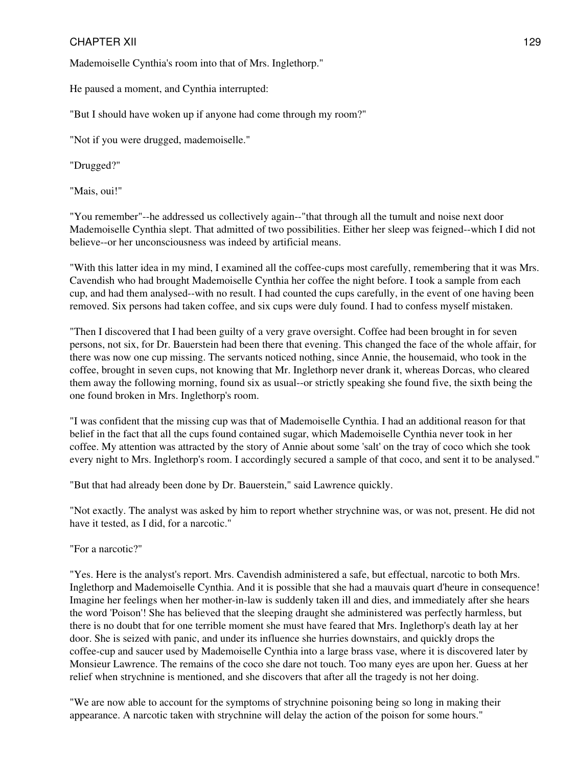Mademoiselle Cynthia's room into that of Mrs. Inglethorp."

He paused a moment, and Cynthia interrupted:

"But I should have woken up if anyone had come through my room?"

"Not if you were drugged, mademoiselle."

"Drugged?"

"Mais, oui!"

"You remember"--he addressed us collectively again--"that through all the tumult and noise next door Mademoiselle Cynthia slept. That admitted of two possibilities. Either her sleep was feigned--which I did not believe--or her unconsciousness was indeed by artificial means.

"With this latter idea in my mind, I examined all the coffee-cups most carefully, remembering that it was Mrs. Cavendish who had brought Mademoiselle Cynthia her coffee the night before. I took a sample from each cup, and had them analysed--with no result. I had counted the cups carefully, in the event of one having been removed. Six persons had taken coffee, and six cups were duly found. I had to confess myself mistaken.

"Then I discovered that I had been guilty of a very grave oversight. Coffee had been brought in for seven persons, not six, for Dr. Bauerstein had been there that evening. This changed the face of the whole affair, for there was now one cup missing. The servants noticed nothing, since Annie, the housemaid, who took in the coffee, brought in seven cups, not knowing that Mr. Inglethorp never drank it, whereas Dorcas, who cleared them away the following morning, found six as usual--or strictly speaking she found five, the sixth being the one found broken in Mrs. Inglethorp's room.

"I was confident that the missing cup was that of Mademoiselle Cynthia. I had an additional reason for that belief in the fact that all the cups found contained sugar, which Mademoiselle Cynthia never took in her coffee. My attention was attracted by the story of Annie about some 'salt' on the tray of coco which she took every night to Mrs. Inglethorp's room. I accordingly secured a sample of that coco, and sent it to be analysed."

"But that had already been done by Dr. Bauerstein," said Lawrence quickly.

"Not exactly. The analyst was asked by him to report whether strychnine was, or was not, present. He did not have it tested, as I did, for a narcotic."

"For a narcotic?"

"Yes. Here is the analyst's report. Mrs. Cavendish administered a safe, but effectual, narcotic to both Mrs. Inglethorp and Mademoiselle Cynthia. And it is possible that she had a mauvais quart d'heure in consequence! Imagine her feelings when her mother-in-law is suddenly taken ill and dies, and immediately after she hears the word 'Poison'! She has believed that the sleeping draught she administered was perfectly harmless, but there is no doubt that for one terrible moment she must have feared that Mrs. Inglethorp's death lay at her door. She is seized with panic, and under its influence she hurries downstairs, and quickly drops the coffee-cup and saucer used by Mademoiselle Cynthia into a large brass vase, where it is discovered later by Monsieur Lawrence. The remains of the coco she dare not touch. Too many eyes are upon her. Guess at her relief when strychnine is mentioned, and she discovers that after all the tragedy is not her doing.

"We are now able to account for the symptoms of strychnine poisoning being so long in making their appearance. A narcotic taken with strychnine will delay the action of the poison for some hours."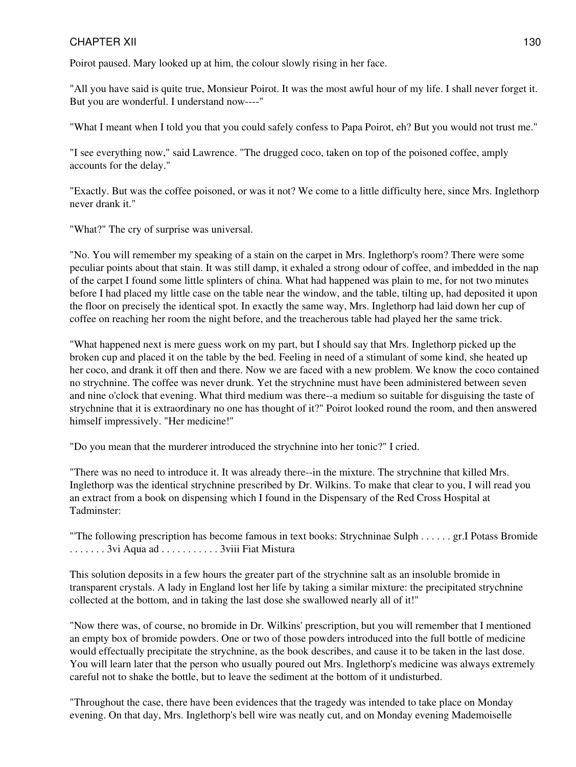Poirot paused. Mary looked up at him, the colour slowly rising in her face.

"All you have said is quite true, Monsieur Poirot. It was the most awful hour of my life. I shall never forget it. But you are wonderful. I understand now----"

"What I meant when I told you that you could safely confess to Papa Poirot, eh? But you would not trust me."

"I see everything now," said Lawrence. "The drugged coco, taken on top of the poisoned coffee, amply accounts for the delay."

"Exactly. But was the coffee poisoned, or was it not? We come to a little difficulty here, since Mrs. Inglethorp never drank it."

"What?" The cry of surprise was universal.

"No. You will remember my speaking of a stain on the carpet in Mrs. Inglethorp's room? There were some peculiar points about that stain. It was still damp, it exhaled a strong odour of coffee, and imbedded in the nap of the carpet I found some little splinters of china. What had happened was plain to me, for not two minutes before I had placed my little case on the table near the window, and the table, tilting up, had deposited it upon the floor on precisely the identical spot. In exactly the same way, Mrs. Inglethorp had laid down her cup of coffee on reaching her room the night before, and the treacherous table had played her the same trick.

"What happened next is mere guess work on my part, but I should say that Mrs. Inglethorp picked up the broken cup and placed it on the table by the bed. Feeling in need of a stimulant of some kind, she heated up her coco, and drank it off then and there. Now we are faced with a new problem. We know the coco contained no strychnine. The coffee was never drunk. Yet the strychnine must have been administered between seven and nine o'clock that evening. What third medium was there--a medium so suitable for disguising the taste of strychnine that it is extraordinary no one has thought of it?" Poirot looked round the room, and then answered himself impressively. "Her medicine!"

"Do you mean that the murderer introduced the strychnine into her tonic?" I cried.

"There was no need to introduce it. It was already there--in the mixture. The strychnine that killed Mrs. Inglethorp was the identical strychnine prescribed by Dr. Wilkins. To make that clear to you, I will read you an extract from a book on dispensing which I found in the Dispensary of the Red Cross Hospital at Tadminster:

"'The following prescription has become famous in text books: Strychninae Sulph . . . . . . gr.I Potass Bromide . . . . . . . 3vi Aqua ad . . . . . . . . . . . 3viii Fiat Mistura

This solution deposits in a few hours the greater part of the strychnine salt as an insoluble bromide in transparent crystals. A lady in England lost her life by taking a similar mixture: the precipitated strychnine collected at the bottom, and in taking the last dose she swallowed nearly all of it!"

"Now there was, of course, no bromide in Dr. Wilkins' prescription, but you will remember that I mentioned an empty box of bromide powders. One or two of those powders introduced into the full bottle of medicine would effectually precipitate the strychnine, as the book describes, and cause it to be taken in the last dose. You will learn later that the person who usually poured out Mrs. Inglethorp's medicine was always extremely careful not to shake the bottle, but to leave the sediment at the bottom of it undisturbed.

"Throughout the case, there have been evidences that the tragedy was intended to take place on Monday evening. On that day, Mrs. Inglethorp's bell wire was neatly cut, and on Monday evening Mademoiselle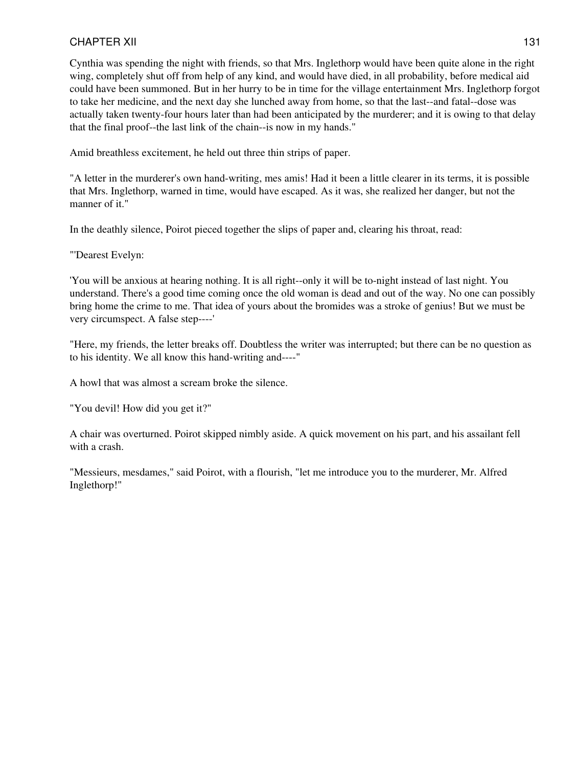Cynthia was spending the night with friends, so that Mrs. Inglethorp would have been quite alone in the right wing, completely shut off from help of any kind, and would have died, in all probability, before medical aid could have been summoned. But in her hurry to be in time for the village entertainment Mrs. Inglethorp forgot to take her medicine, and the next day she lunched away from home, so that the last--and fatal--dose was actually taken twenty-four hours later than had been anticipated by the murderer; and it is owing to that delay that the final proof--the last link of the chain--is now in my hands."

Amid breathless excitement, he held out three thin strips of paper.

"A letter in the murderer's own hand-writing, mes amis! Had it been a little clearer in its terms, it is possible that Mrs. Inglethorp, warned in time, would have escaped. As it was, she realized her danger, but not the manner of it."

In the deathly silence, Poirot pieced together the slips of paper and, clearing his throat, read:

"'Dearest Evelyn:

'You will be anxious at hearing nothing. It is all right--only it will be to-night instead of last night. You understand. There's a good time coming once the old woman is dead and out of the way. No one can possibly bring home the crime to me. That idea of yours about the bromides was a stroke of genius! But we must be very circumspect. A false step----'

"Here, my friends, the letter breaks off. Doubtless the writer was interrupted; but there can be no question as to his identity. We all know this hand-writing and----"

A howl that was almost a scream broke the silence.

"You devil! How did you get it?"

A chair was overturned. Poirot skipped nimbly aside. A quick movement on his part, and his assailant fell with a crash.

"Messieurs, mesdames," said Poirot, with a flourish, "let me introduce you to the murderer, Mr. Alfred Inglethorp!"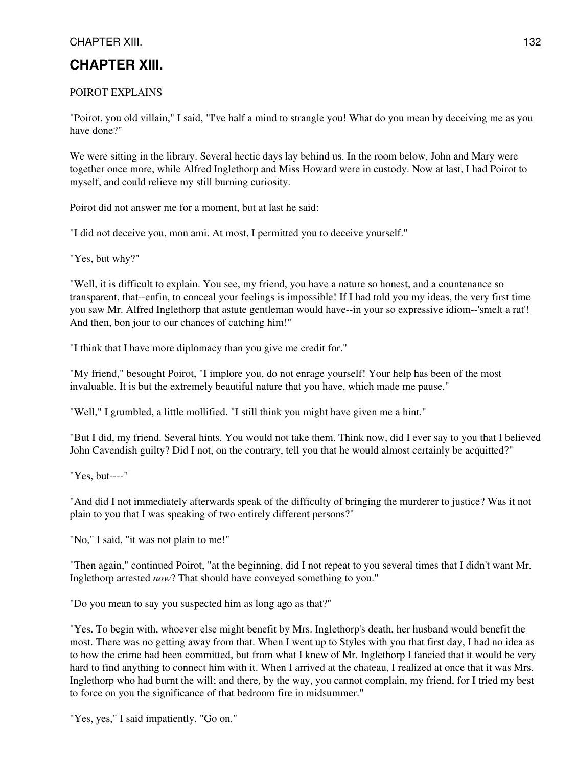## **CHAPTER XIII.**

#### POIROT EXPLAINS

"Poirot, you old villain," I said, "I've half a mind to strangle you! What do you mean by deceiving me as you have done?"

We were sitting in the library. Several hectic days lay behind us. In the room below, John and Mary were together once more, while Alfred Inglethorp and Miss Howard were in custody. Now at last, I had Poirot to myself, and could relieve my still burning curiosity.

Poirot did not answer me for a moment, but at last he said:

"I did not deceive you, mon ami. At most, I permitted you to deceive yourself."

"Yes, but why?"

"Well, it is difficult to explain. You see, my friend, you have a nature so honest, and a countenance so transparent, that--enfin, to conceal your feelings is impossible! If I had told you my ideas, the very first time you saw Mr. Alfred Inglethorp that astute gentleman would have--in your so expressive idiom--'smelt a rat'! And then, bon jour to our chances of catching him!"

"I think that I have more diplomacy than you give me credit for."

"My friend," besought Poirot, "I implore you, do not enrage yourself! Your help has been of the most invaluable. It is but the extremely beautiful nature that you have, which made me pause."

"Well," I grumbled, a little mollified. "I still think you might have given me a hint."

"But I did, my friend. Several hints. You would not take them. Think now, did I ever say to you that I believed John Cavendish guilty? Did I not, on the contrary, tell you that he would almost certainly be acquitted?"

"Yes, but----"

"And did I not immediately afterwards speak of the difficulty of bringing the murderer to justice? Was it not plain to you that I was speaking of two entirely different persons?"

"No," I said, "it was not plain to me!"

"Then again," continued Poirot, "at the beginning, did I not repeat to you several times that I didn't want Mr. Inglethorp arrested *now*? That should have conveyed something to you."

"Do you mean to say you suspected him as long ago as that?"

"Yes. To begin with, whoever else might benefit by Mrs. Inglethorp's death, her husband would benefit the most. There was no getting away from that. When I went up to Styles with you that first day, I had no idea as to how the crime had been committed, but from what I knew of Mr. Inglethorp I fancied that it would be very hard to find anything to connect him with it. When I arrived at the chateau, I realized at once that it was Mrs. Inglethorp who had burnt the will; and there, by the way, you cannot complain, my friend, for I tried my best to force on you the significance of that bedroom fire in midsummer."

"Yes, yes," I said impatiently. "Go on."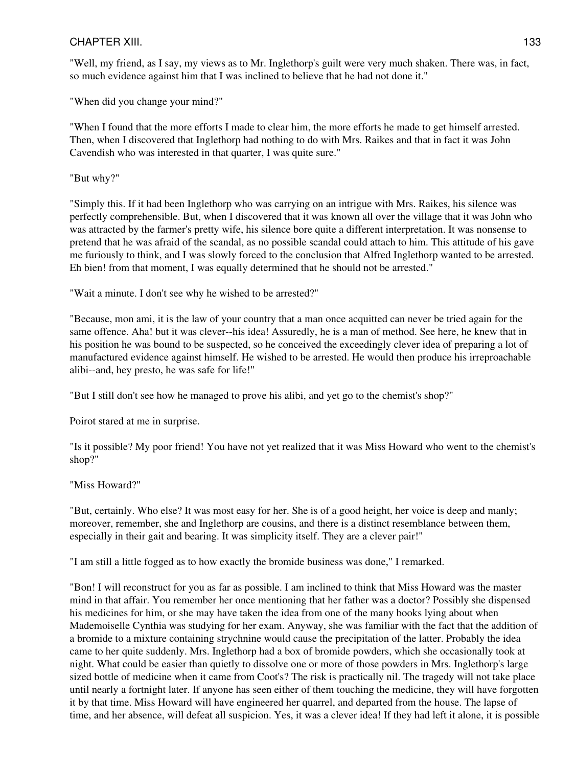"Well, my friend, as I say, my views as to Mr. Inglethorp's guilt were very much shaken. There was, in fact, so much evidence against him that I was inclined to believe that he had not done it."

"When did you change your mind?"

"When I found that the more efforts I made to clear him, the more efforts he made to get himself arrested. Then, when I discovered that Inglethorp had nothing to do with Mrs. Raikes and that in fact it was John Cavendish who was interested in that quarter, I was quite sure."

"But why?"

"Simply this. If it had been Inglethorp who was carrying on an intrigue with Mrs. Raikes, his silence was perfectly comprehensible. But, when I discovered that it was known all over the village that it was John who was attracted by the farmer's pretty wife, his silence bore quite a different interpretation. It was nonsense to pretend that he was afraid of the scandal, as no possible scandal could attach to him. This attitude of his gave me furiously to think, and I was slowly forced to the conclusion that Alfred Inglethorp wanted to be arrested. Eh bien! from that moment, I was equally determined that he should not be arrested."

"Wait a minute. I don't see why he wished to be arrested?"

"Because, mon ami, it is the law of your country that a man once acquitted can never be tried again for the same offence. Aha! but it was clever--his idea! Assuredly, he is a man of method. See here, he knew that in his position he was bound to be suspected, so he conceived the exceedingly clever idea of preparing a lot of manufactured evidence against himself. He wished to be arrested. He would then produce his irreproachable alibi--and, hey presto, he was safe for life!"

"But I still don't see how he managed to prove his alibi, and yet go to the chemist's shop?"

Poirot stared at me in surprise.

"Is it possible? My poor friend! You have not yet realized that it was Miss Howard who went to the chemist's shop?"

"Miss Howard?"

"But, certainly. Who else? It was most easy for her. She is of a good height, her voice is deep and manly; moreover, remember, she and Inglethorp are cousins, and there is a distinct resemblance between them, especially in their gait and bearing. It was simplicity itself. They are a clever pair!"

"I am still a little fogged as to how exactly the bromide business was done," I remarked.

"Bon! I will reconstruct for you as far as possible. I am inclined to think that Miss Howard was the master mind in that affair. You remember her once mentioning that her father was a doctor? Possibly she dispensed his medicines for him, or she may have taken the idea from one of the many books lying about when Mademoiselle Cynthia was studying for her exam. Anyway, she was familiar with the fact that the addition of a bromide to a mixture containing strychnine would cause the precipitation of the latter. Probably the idea came to her quite suddenly. Mrs. Inglethorp had a box of bromide powders, which she occasionally took at night. What could be easier than quietly to dissolve one or more of those powders in Mrs. Inglethorp's large sized bottle of medicine when it came from Coot's? The risk is practically nil. The tragedy will not take place until nearly a fortnight later. If anyone has seen either of them touching the medicine, they will have forgotten it by that time. Miss Howard will have engineered her quarrel, and departed from the house. The lapse of time, and her absence, will defeat all suspicion. Yes, it was a clever idea! If they had left it alone, it is possible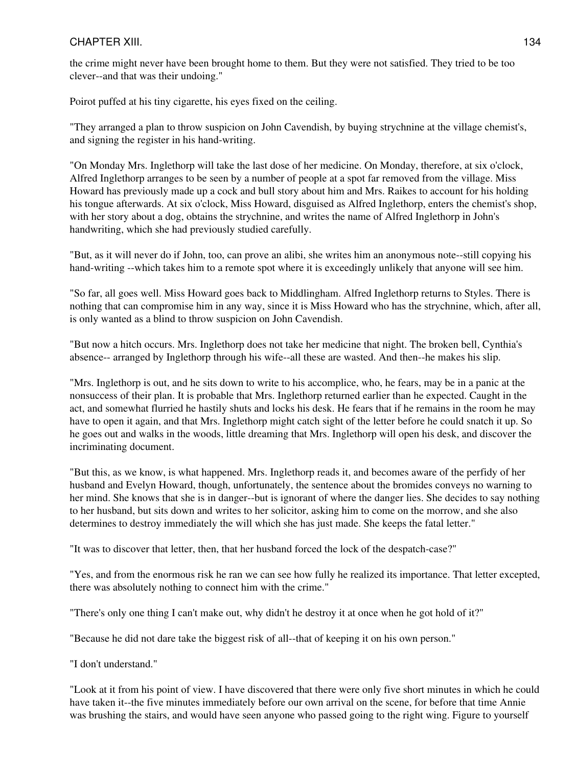the crime might never have been brought home to them. But they were not satisfied. They tried to be too clever--and that was their undoing."

Poirot puffed at his tiny cigarette, his eyes fixed on the ceiling.

"They arranged a plan to throw suspicion on John Cavendish, by buying strychnine at the village chemist's, and signing the register in his hand-writing.

"On Monday Mrs. Inglethorp will take the last dose of her medicine. On Monday, therefore, at six o'clock, Alfred Inglethorp arranges to be seen by a number of people at a spot far removed from the village. Miss Howard has previously made up a cock and bull story about him and Mrs. Raikes to account for his holding his tongue afterwards. At six o'clock, Miss Howard, disguised as Alfred Inglethorp, enters the chemist's shop, with her story about a dog, obtains the strychnine, and writes the name of Alfred Inglethorp in John's handwriting, which she had previously studied carefully.

"But, as it will never do if John, too, can prove an alibi, she writes him an anonymous note--still copying his hand-writing --which takes him to a remote spot where it is exceedingly unlikely that anyone will see him.

"So far, all goes well. Miss Howard goes back to Middlingham. Alfred Inglethorp returns to Styles. There is nothing that can compromise him in any way, since it is Miss Howard who has the strychnine, which, after all, is only wanted as a blind to throw suspicion on John Cavendish.

"But now a hitch occurs. Mrs. Inglethorp does not take her medicine that night. The broken bell, Cynthia's absence-- arranged by Inglethorp through his wife--all these are wasted. And then--he makes his slip.

"Mrs. Inglethorp is out, and he sits down to write to his accomplice, who, he fears, may be in a panic at the nonsuccess of their plan. It is probable that Mrs. Inglethorp returned earlier than he expected. Caught in the act, and somewhat flurried he hastily shuts and locks his desk. He fears that if he remains in the room he may have to open it again, and that Mrs. Inglethorp might catch sight of the letter before he could snatch it up. So he goes out and walks in the woods, little dreaming that Mrs. Inglethorp will open his desk, and discover the incriminating document.

"But this, as we know, is what happened. Mrs. Inglethorp reads it, and becomes aware of the perfidy of her husband and Evelyn Howard, though, unfortunately, the sentence about the bromides conveys no warning to her mind. She knows that she is in danger--but is ignorant of where the danger lies. She decides to say nothing to her husband, but sits down and writes to her solicitor, asking him to come on the morrow, and she also determines to destroy immediately the will which she has just made. She keeps the fatal letter."

"It was to discover that letter, then, that her husband forced the lock of the despatch-case?"

"Yes, and from the enormous risk he ran we can see how fully he realized its importance. That letter excepted, there was absolutely nothing to connect him with the crime."

"There's only one thing I can't make out, why didn't he destroy it at once when he got hold of it?"

"Because he did not dare take the biggest risk of all--that of keeping it on his own person."

"I don't understand."

"Look at it from his point of view. I have discovered that there were only five short minutes in which he could have taken it--the five minutes immediately before our own arrival on the scene, for before that time Annie was brushing the stairs, and would have seen anyone who passed going to the right wing. Figure to yourself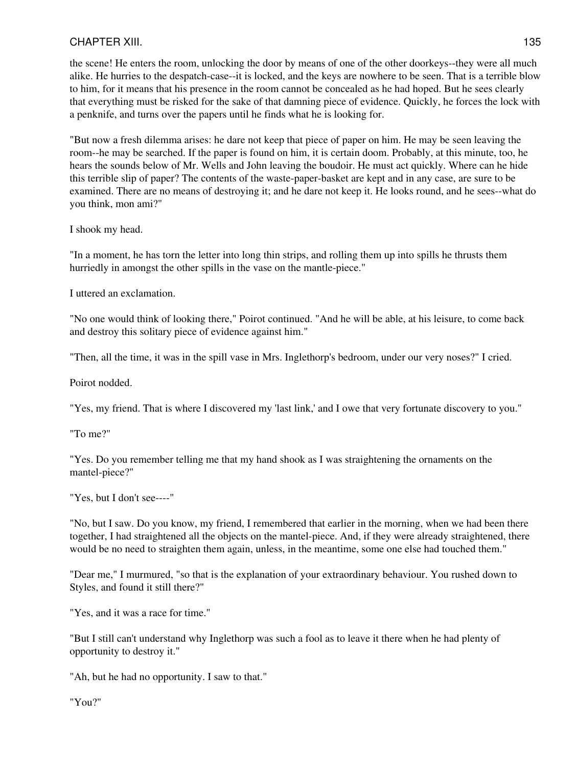the scene! He enters the room, unlocking the door by means of one of the other doorkeys--they were all much alike. He hurries to the despatch-case--it is locked, and the keys are nowhere to be seen. That is a terrible blow to him, for it means that his presence in the room cannot be concealed as he had hoped. But he sees clearly that everything must be risked for the sake of that damning piece of evidence. Quickly, he forces the lock with a penknife, and turns over the papers until he finds what he is looking for.

"But now a fresh dilemma arises: he dare not keep that piece of paper on him. He may be seen leaving the room--he may be searched. If the paper is found on him, it is certain doom. Probably, at this minute, too, he hears the sounds below of Mr. Wells and John leaving the boudoir. He must act quickly. Where can he hide this terrible slip of paper? The contents of the waste-paper-basket are kept and in any case, are sure to be examined. There are no means of destroying it; and he dare not keep it. He looks round, and he sees--what do you think, mon ami?"

I shook my head.

"In a moment, he has torn the letter into long thin strips, and rolling them up into spills he thrusts them hurriedly in amongst the other spills in the vase on the mantle-piece."

I uttered an exclamation.

"No one would think of looking there," Poirot continued. "And he will be able, at his leisure, to come back and destroy this solitary piece of evidence against him."

"Then, all the time, it was in the spill vase in Mrs. Inglethorp's bedroom, under our very noses?" I cried.

Poirot nodded.

"Yes, my friend. That is where I discovered my 'last link,' and I owe that very fortunate discovery to you."

"To me?"

"Yes. Do you remember telling me that my hand shook as I was straightening the ornaments on the mantel-piece?"

"Yes, but I don't see----"

"No, but I saw. Do you know, my friend, I remembered that earlier in the morning, when we had been there together, I had straightened all the objects on the mantel-piece. And, if they were already straightened, there would be no need to straighten them again, unless, in the meantime, some one else had touched them."

"Dear me," I murmured, "so that is the explanation of your extraordinary behaviour. You rushed down to Styles, and found it still there?"

"Yes, and it was a race for time."

"But I still can't understand why Inglethorp was such a fool as to leave it there when he had plenty of opportunity to destroy it."

"Ah, but he had no opportunity. I saw to that."

"You?"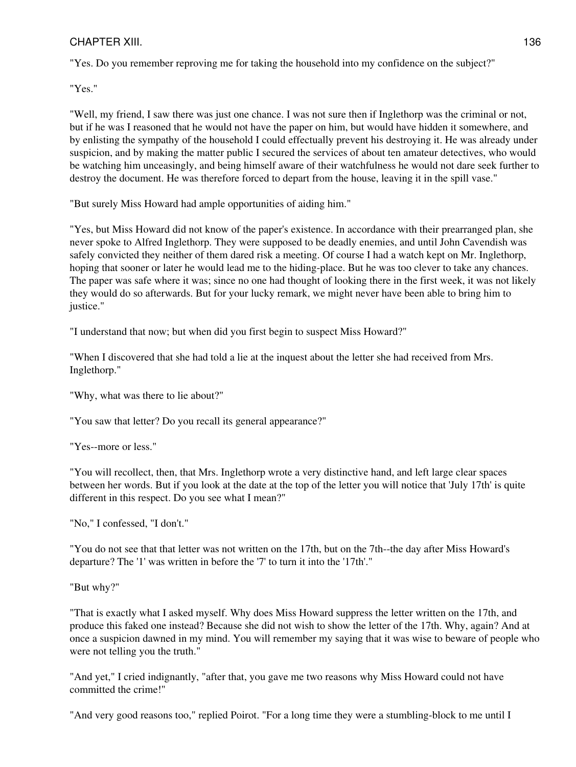"Yes. Do you remember reproving me for taking the household into my confidence on the subject?"

"Yes."

"Well, my friend, I saw there was just one chance. I was not sure then if Inglethorp was the criminal or not, but if he was I reasoned that he would not have the paper on him, but would have hidden it somewhere, and by enlisting the sympathy of the household I could effectually prevent his destroying it. He was already under suspicion, and by making the matter public I secured the services of about ten amateur detectives, who would be watching him unceasingly, and being himself aware of their watchfulness he would not dare seek further to destroy the document. He was therefore forced to depart from the house, leaving it in the spill vase."

"But surely Miss Howard had ample opportunities of aiding him."

"Yes, but Miss Howard did not know of the paper's existence. In accordance with their prearranged plan, she never spoke to Alfred Inglethorp. They were supposed to be deadly enemies, and until John Cavendish was safely convicted they neither of them dared risk a meeting. Of course I had a watch kept on Mr. Inglethorp, hoping that sooner or later he would lead me to the hiding-place. But he was too clever to take any chances. The paper was safe where it was; since no one had thought of looking there in the first week, it was not likely they would do so afterwards. But for your lucky remark, we might never have been able to bring him to justice."

"I understand that now; but when did you first begin to suspect Miss Howard?"

"When I discovered that she had told a lie at the inquest about the letter she had received from Mrs. Inglethorp."

"Why, what was there to lie about?"

"You saw that letter? Do you recall its general appearance?"

"Yes--more or less."

"You will recollect, then, that Mrs. Inglethorp wrote a very distinctive hand, and left large clear spaces between her words. But if you look at the date at the top of the letter you will notice that 'July 17th' is quite different in this respect. Do you see what I mean?"

"No," I confessed, "I don't."

"You do not see that that letter was not written on the 17th, but on the 7th--the day after Miss Howard's departure? The '1' was written in before the '7' to turn it into the '17th'."

"But why?"

"That is exactly what I asked myself. Why does Miss Howard suppress the letter written on the 17th, and produce this faked one instead? Because she did not wish to show the letter of the 17th. Why, again? And at once a suspicion dawned in my mind. You will remember my saying that it was wise to beware of people who were not telling you the truth."

"And yet," I cried indignantly, "after that, you gave me two reasons why Miss Howard could not have committed the crime!"

"And very good reasons too," replied Poirot. "For a long time they were a stumbling-block to me until I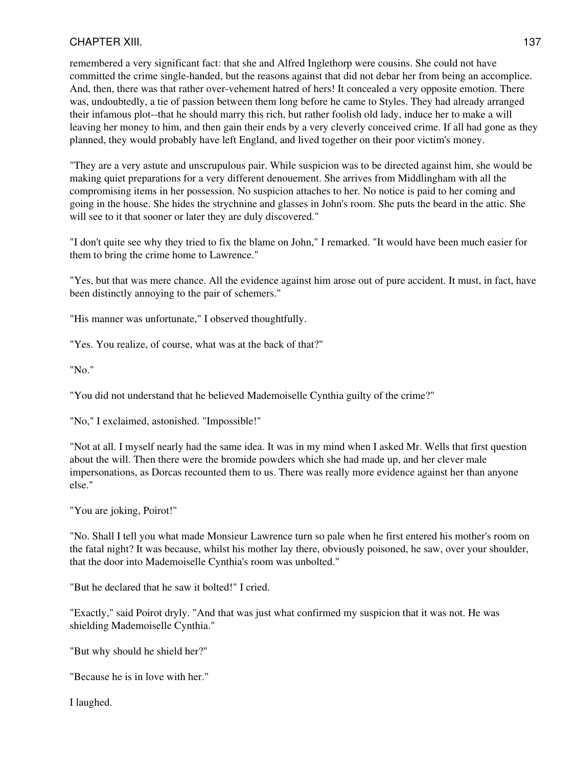remembered a very significant fact: that she and Alfred Inglethorp were cousins. She could not have committed the crime single-handed, but the reasons against that did not debar her from being an accomplice. And, then, there was that rather over-vehement hatred of hers! It concealed a very opposite emotion. There was, undoubtedly, a tie of passion between them long before he came to Styles. They had already arranged their infamous plot--that he should marry this rich, but rather foolish old lady, induce her to make a will leaving her money to him, and then gain their ends by a very cleverly conceived crime. If all had gone as they planned, they would probably have left England, and lived together on their poor victim's money.

"They are a very astute and unscrupulous pair. While suspicion was to be directed against him, she would be making quiet preparations for a very different denouement. She arrives from Middlingham with all the compromising items in her possession. No suspicion attaches to her. No notice is paid to her coming and going in the house. She hides the strychnine and glasses in John's room. She puts the beard in the attic. She will see to it that sooner or later they are duly discovered."

"I don't quite see why they tried to fix the blame on John," I remarked. "It would have been much easier for them to bring the crime home to Lawrence."

"Yes, but that was mere chance. All the evidence against him arose out of pure accident. It must, in fact, have been distinctly annoying to the pair of schemers."

"His manner was unfortunate," I observed thoughtfully.

"Yes. You realize, of course, what was at the back of that?"

"No."

"You did not understand that he believed Mademoiselle Cynthia guilty of the crime?"

"No," I exclaimed, astonished. "Impossible!"

"Not at all. I myself nearly had the same idea. It was in my mind when I asked Mr. Wells that first question about the will. Then there were the bromide powders which she had made up, and her clever male impersonations, as Dorcas recounted them to us. There was really more evidence against her than anyone else."

"You are joking, Poirot!"

"No. Shall I tell you what made Monsieur Lawrence turn so pale when he first entered his mother's room on the fatal night? It was because, whilst his mother lay there, obviously poisoned, he saw, over your shoulder, that the door into Mademoiselle Cynthia's room was unbolted."

"But he declared that he saw it bolted!" I cried.

"Exactly," said Poirot dryly. "And that was just what confirmed my suspicion that it was not. He was shielding Mademoiselle Cynthia."

"But why should he shield her?"

"Because he is in love with her."

I laughed.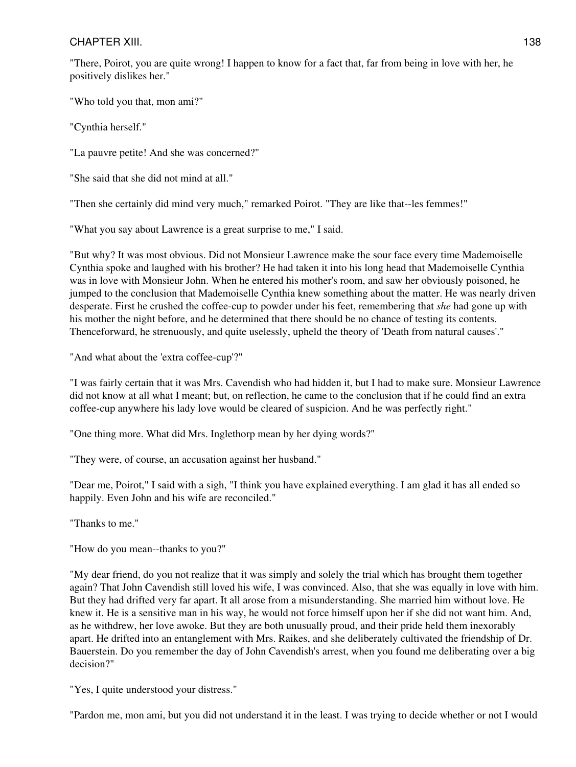"There, Poirot, you are quite wrong! I happen to know for a fact that, far from being in love with her, he positively dislikes her."

"Who told you that, mon ami?"

"Cynthia herself."

"La pauvre petite! And she was concerned?"

"She said that she did not mind at all."

"Then she certainly did mind very much," remarked Poirot. "They are like that--les femmes!"

"What you say about Lawrence is a great surprise to me," I said.

"But why? It was most obvious. Did not Monsieur Lawrence make the sour face every time Mademoiselle Cynthia spoke and laughed with his brother? He had taken it into his long head that Mademoiselle Cynthia was in love with Monsieur John. When he entered his mother's room, and saw her obviously poisoned, he jumped to the conclusion that Mademoiselle Cynthia knew something about the matter. He was nearly driven desperate. First he crushed the coffee-cup to powder under his feet, remembering that *she* had gone up with his mother the night before, and he determined that there should be no chance of testing its contents. Thenceforward, he strenuously, and quite uselessly, upheld the theory of 'Death from natural causes'."

"And what about the 'extra coffee-cup'?"

"I was fairly certain that it was Mrs. Cavendish who had hidden it, but I had to make sure. Monsieur Lawrence did not know at all what I meant; but, on reflection, he came to the conclusion that if he could find an extra coffee-cup anywhere his lady love would be cleared of suspicion. And he was perfectly right."

"One thing more. What did Mrs. Inglethorp mean by her dying words?"

"They were, of course, an accusation against her husband."

"Dear me, Poirot," I said with a sigh, "I think you have explained everything. I am glad it has all ended so happily. Even John and his wife are reconciled."

"Thanks to me."

"How do you mean--thanks to you?"

"My dear friend, do you not realize that it was simply and solely the trial which has brought them together again? That John Cavendish still loved his wife, I was convinced. Also, that she was equally in love with him. But they had drifted very far apart. It all arose from a misunderstanding. She married him without love. He knew it. He is a sensitive man in his way, he would not force himself upon her if she did not want him. And, as he withdrew, her love awoke. But they are both unusually proud, and their pride held them inexorably apart. He drifted into an entanglement with Mrs. Raikes, and she deliberately cultivated the friendship of Dr. Bauerstein. Do you remember the day of John Cavendish's arrest, when you found me deliberating over a big decision?"

"Yes, I quite understood your distress."

"Pardon me, mon ami, but you did not understand it in the least. I was trying to decide whether or not I would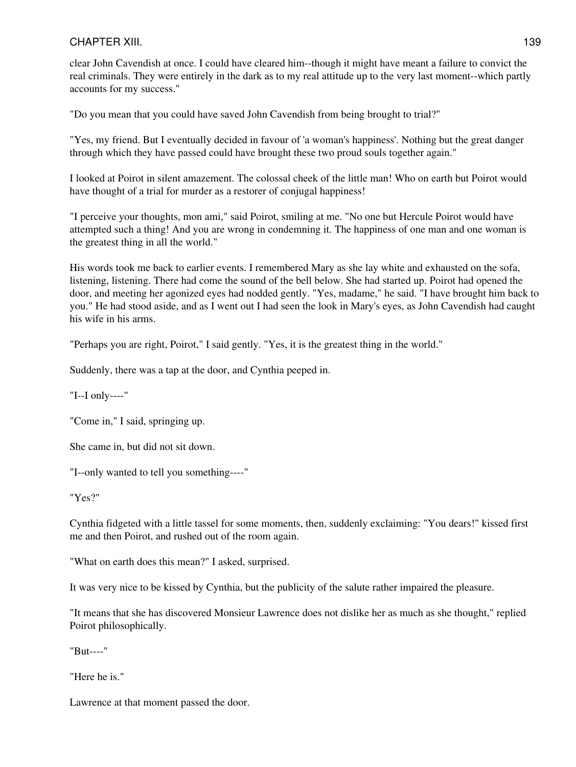clear John Cavendish at once. I could have cleared him--though it might have meant a failure to convict the real criminals. They were entirely in the dark as to my real attitude up to the very last moment--which partly accounts for my success."

"Do you mean that you could have saved John Cavendish from being brought to trial?"

"Yes, my friend. But I eventually decided in favour of 'a woman's happiness'. Nothing but the great danger through which they have passed could have brought these two proud souls together again."

I looked at Poirot in silent amazement. The colossal cheek of the little man! Who on earth but Poirot would have thought of a trial for murder as a restorer of conjugal happiness!

"I perceive your thoughts, mon ami," said Poirot, smiling at me. "No one but Hercule Poirot would have attempted such a thing! And you are wrong in condemning it. The happiness of one man and one woman is the greatest thing in all the world."

His words took me back to earlier events. I remembered Mary as she lay white and exhausted on the sofa, listening, listening. There had come the sound of the bell below. She had started up. Poirot had opened the door, and meeting her agonized eyes had nodded gently. "Yes, madame," he said. "I have brought him back to you." He had stood aside, and as I went out I had seen the look in Mary's eyes, as John Cavendish had caught his wife in his arms.

"Perhaps you are right, Poirot," I said gently. "Yes, it is the greatest thing in the world."

Suddenly, there was a tap at the door, and Cynthia peeped in.

"I--I only----"

"Come in," I said, springing up.

She came in, but did not sit down.

"I--only wanted to tell you something----"

"Yes?"

Cynthia fidgeted with a little tassel for some moments, then, suddenly exclaiming: "You dears!" kissed first me and then Poirot, and rushed out of the room again.

"What on earth does this mean?" I asked, surprised.

It was very nice to be kissed by Cynthia, but the publicity of the salute rather impaired the pleasure.

"It means that she has discovered Monsieur Lawrence does not dislike her as much as she thought," replied Poirot philosophically.

"But----"

"Here he is."

Lawrence at that moment passed the door.